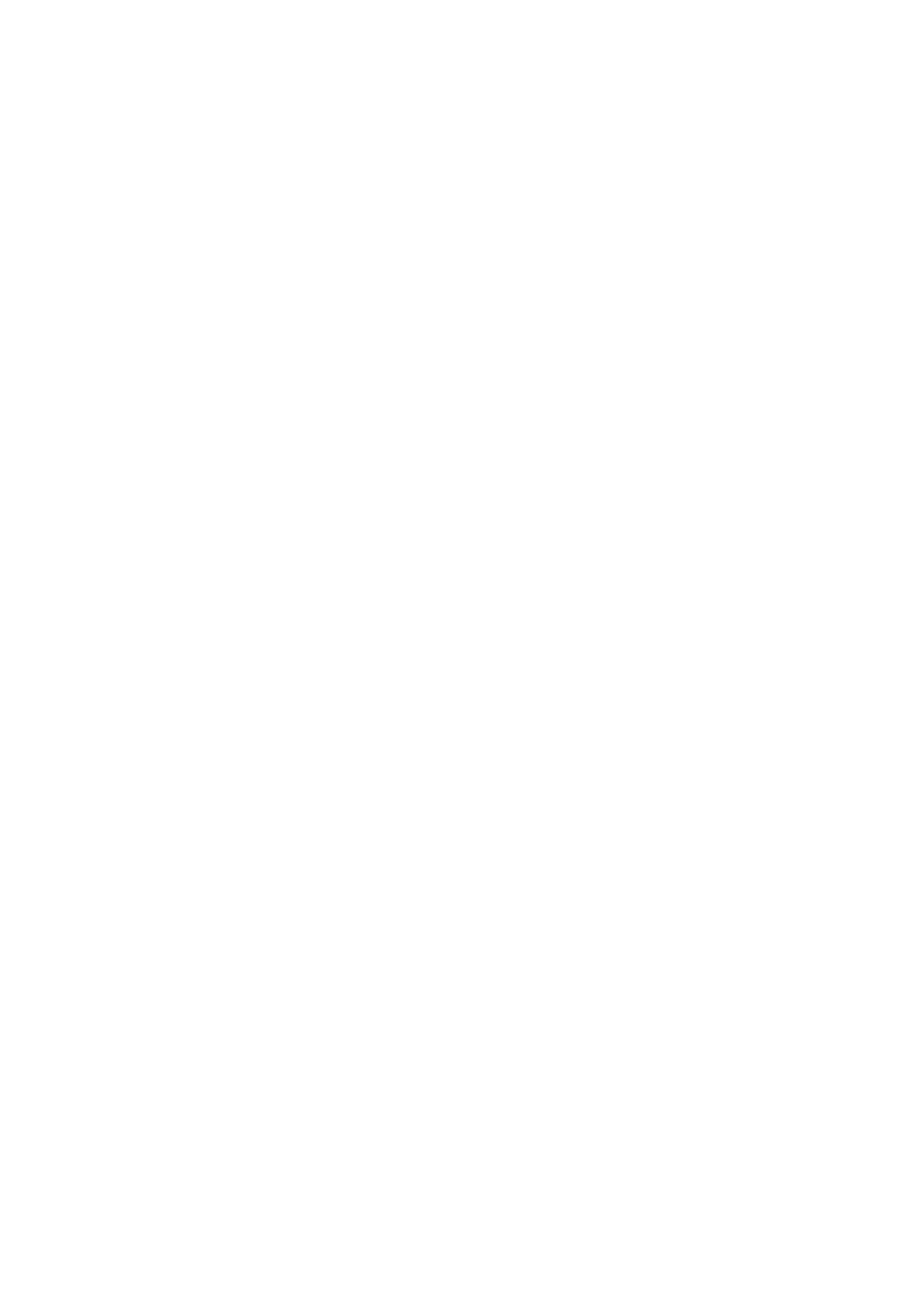| MENTA                         |                                                      | MENTARIUS . CODEX ALIMENTARIUS . (   |  |  |  |                               |  |  |  |  |          |
|-------------------------------|------------------------------------------------------|--------------------------------------|--|--|--|-------------------------------|--|--|--|--|----------|
| MENTA                         |                                                      | MENTARIUS . CODEX ALIMENTARIUS . (   |  |  |  |                               |  |  |  |  |          |
| MENTAI                        |                                                      | MENTARIUS . CODEX ALIMENTARIUS . (   |  |  |  |                               |  |  |  |  |          |
| MENTAR                        |                                                      | MENTARIUS . CODEX ALIMENTARIUS . (   |  |  |  |                               |  |  |  |  |          |
| MENTARIUS                     |                                                      |                                      |  |  |  | VTARIUS . CODEX ALIMENTARIU   |  |  |  |  |          |
| MENTARIL                      |                                                      |                                      |  |  |  | ENTARIUS . CODEX ALIMENTARIUS |  |  |  |  |          |
| MENTAR                        |                                                      | MENTARIUS . CODEX ALIMENTARIUS . C   |  |  |  |                               |  |  |  |  |          |
| MENTAI                        |                                                      | MENTARIUS . CODEX ALIMENTARIUS . (   |  |  |  |                               |  |  |  |  |          |
| MENTA                         |                                                      | MENTARIUS . CODEX ALIMENTARIUS . (   |  |  |  |                               |  |  |  |  |          |
| MENTA                         |                                                      | MENTARIUS : CODEX ALIMENTARIUS . (   |  |  |  |                               |  |  |  |  |          |
| MENTA                         |                                                      | MENTARIUS • CODEX ALIMENTARIUS • (   |  |  |  |                               |  |  |  |  |          |
| MENTA                         |                                                      | MENTARIUS • CODEX ALIMENTARIUS • (   |  |  |  |                               |  |  |  |  | EX ALIME |
| RIUS .                        |                                                      | RIUS • CODEX ALIMENTARIUS • CODEX    |  |  |  |                               |  |  |  |  |          |
| MENTA                         |                                                      | MENTARIUS . CODEX ALIMENTARIUS . (   |  |  |  |                               |  |  |  |  |          |
| $\mathcal{C}$ O D E $\lambda$ |                                                      | · CODEX ALIMENTARIUS · CODEX ALIME   |  |  |  |                               |  |  |  |  |          |
| RIUS .                        |                                                      | ARIUS • CODEX ALIMENTARIUS • CODEX   |  |  |  |                               |  |  |  |  |          |
| MENTA                         |                                                      | IMENTARIUS • CODEX ALIMENTARIUS • (  |  |  |  |                               |  |  |  |  |          |
| $\mathcal C$ O D F            |                                                      | S . CODEX ALIMENTARIRS . CODEX ALIME |  |  |  |                               |  |  |  |  |          |
| RIUS                          | NTARIUS • CODEX ALIMENTARIUS • CODEX                 |                                      |  |  |  |                               |  |  |  |  |          |
| MEN                           | A ALIMENTARIUS . CODEX ALIMENTARIUS . (              |                                      |  |  |  |                               |  |  |  |  |          |
| $\mathcal{C}$                 | <b>ALINTARIUS • CODEX ALIMENTARIUS • CODEX ALIME</b> |                                      |  |  |  |                               |  |  |  |  |          |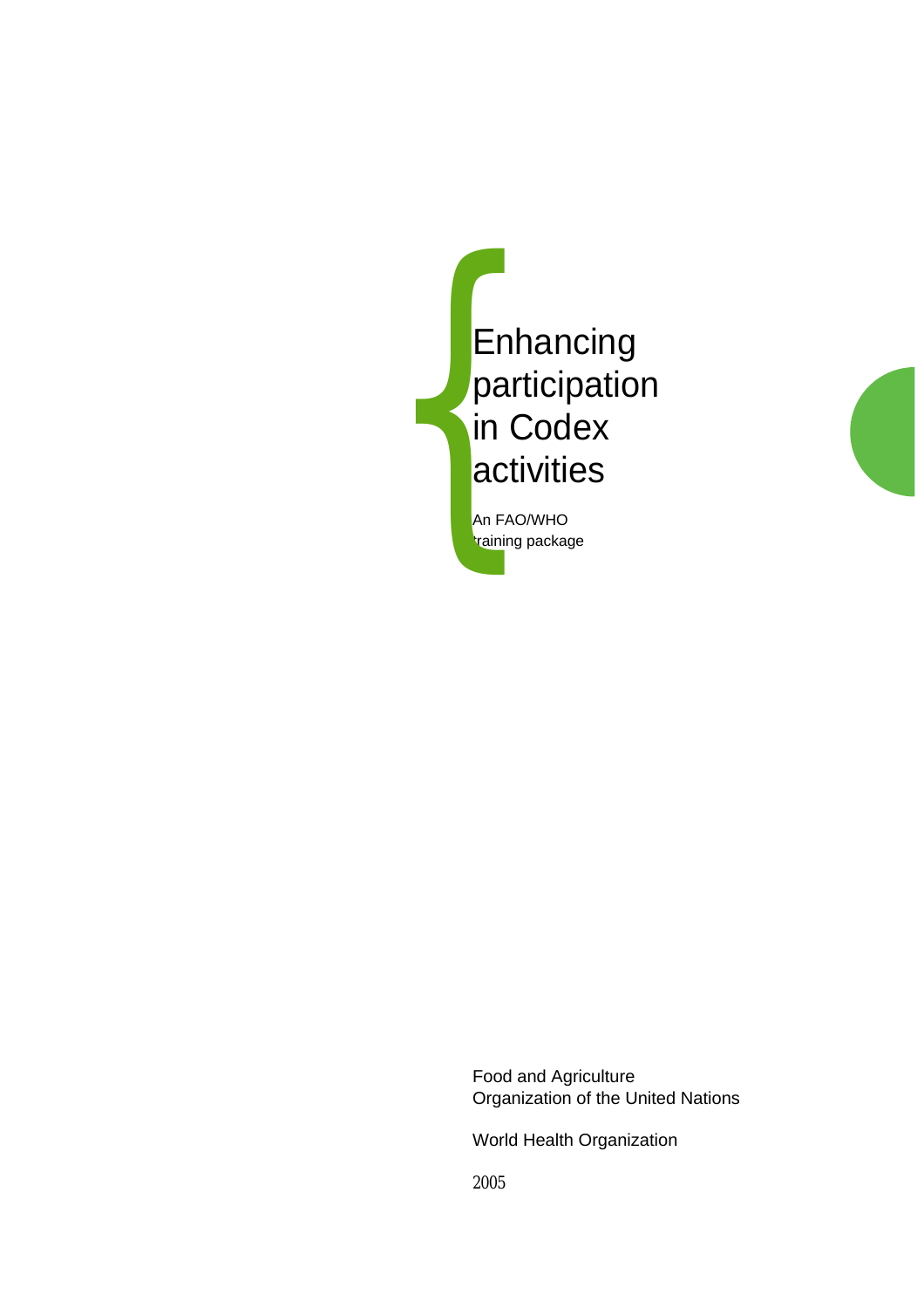

Food and Agriculture Organization of the United Nations

World Health Organization

2005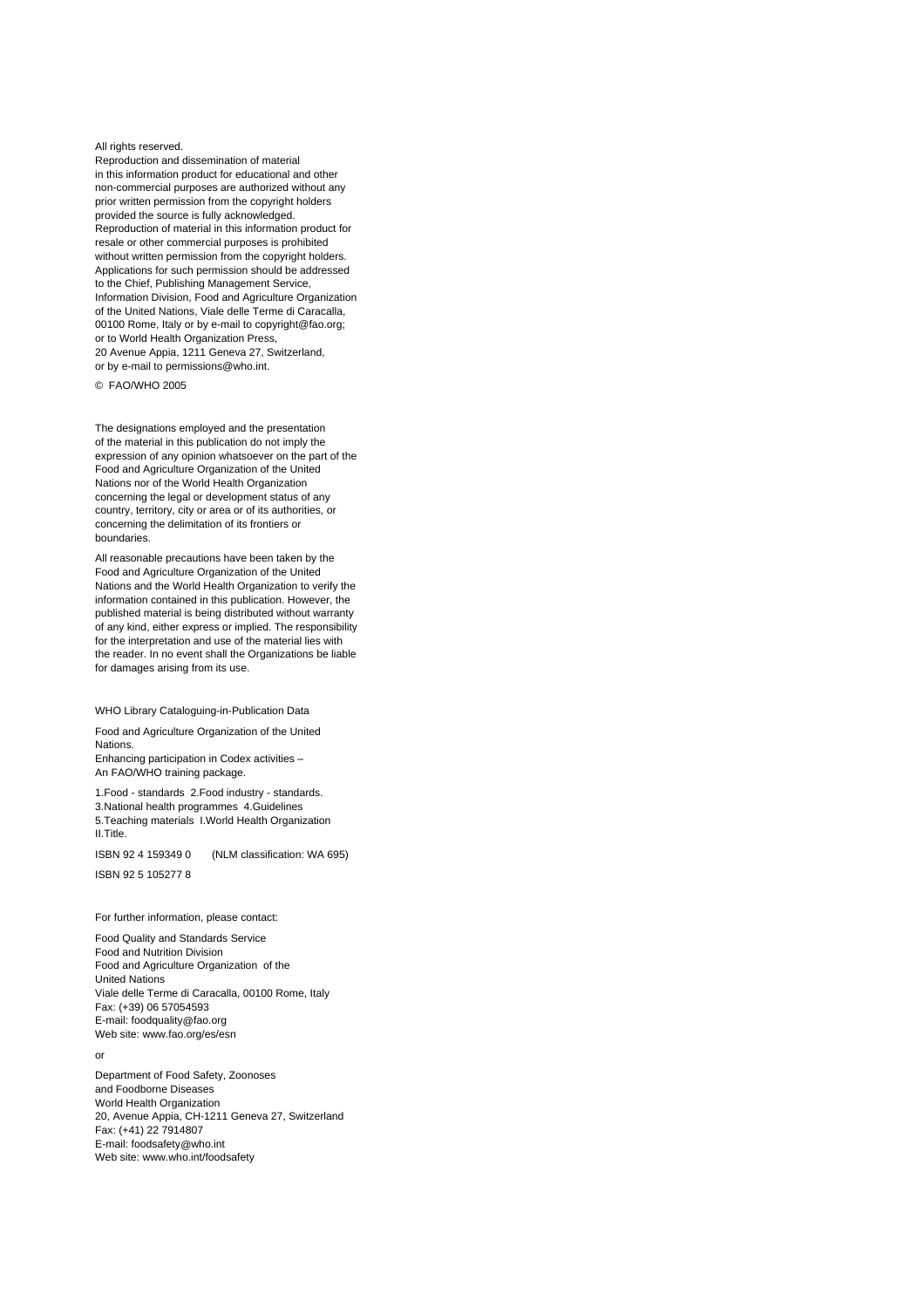All rights reserved.

Reproduction and dissemination of material in this information product for educational and other non-commercial purposes are authorized without any prior written permission from the copyright holders provided the source is fully acknowledged. Reproduction of material in this information product for resale or other commercial purposes is prohibited without written permission from the copyright holders. Applications for such permission should be addressed to the Chief, Publishing Management Service, Information Division, Food and Agriculture Organization of the United Nations, Viale delle Terme di Caracalla, 00100 Rome, Italy or by e-mail to copyright@fao.org; or to World Health Organization Press, 20 Avenue Appia, 1211 Geneva 27, Switzerland, or by e-mail to permissions@who.int.

© FAO/WHO 2005

The designations employed and the presentation of the material in this publication do not imply the expression of any opinion whatsoever on the part of the Food and Agriculture Organization of the United Nations nor of the World Health Organization concerning the legal or development status of any country, territory, city or area or of its authorities, or concerning the delimitation of its frontiers or boundaries.

All reasonable precautions have been taken by the Food and Agriculture Organization of the United Nations and the World Health Organization to verify the information contained in this publication. However, the published material is being distributed without warranty of any kind, either express or implied. The responsibility for the interpretation and use of the material lies with the reader. In no event shall the Organizations be liable for damages arising from its use.

WHO Library Cataloguing-in-Publication Data

Food and Agriculture Organization of the United Nations. Enhancing participation in Codex activities –

An FAO/WHO training package.

1.Food - standards 2.Food industry - standards. 3.National health programmes 4.Guidelines 5.Teaching materials I.World Health Organization II.Title.

ISBN 92 4 159349 0 (NLM classification: WA 695) ISBN 92 5 105277 8

For further information, please contact:

Food Quality and Standards Service Food and Nutrition Division Food and Agriculture Organization of the United Nations Viale delle Terme di Caracalla, 00100 Rome, Italy Fax: (+39) 06 57054593 E-mail: foodquality@fao.org Web site: www.fao.org/es/esn

or

Department of Food Safety, Zoonoses and Foodborne Diseases World Health Organization 20, Avenue Appia, CH-1211 Geneva 27, Switzerland Fax: (+41) 22 7914807 E-mail: foodsafety@who.int Web site: www.who.int/foodsafety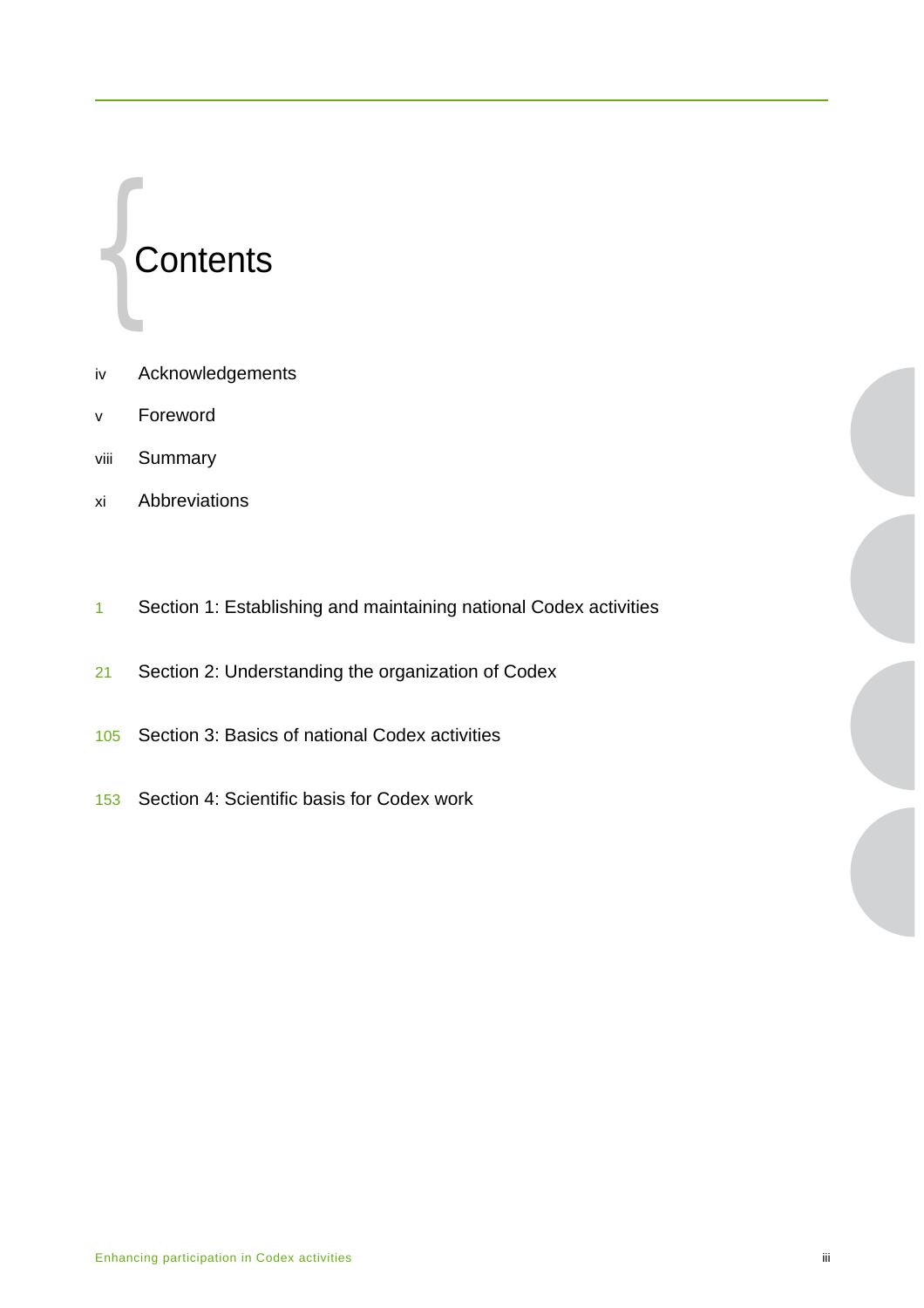## Contents **{**

- iv Acknowledgements
- v Foreword
- viii Summary
- xi Abbreviations
- 1 Section 1: Establishing and maintaining national Codex activities
- 21 Section 2: Understanding the organization of Codex
- 105 Section 3: Basics of national Codex activities
- 153 Section 4: Scientific basis for Codex work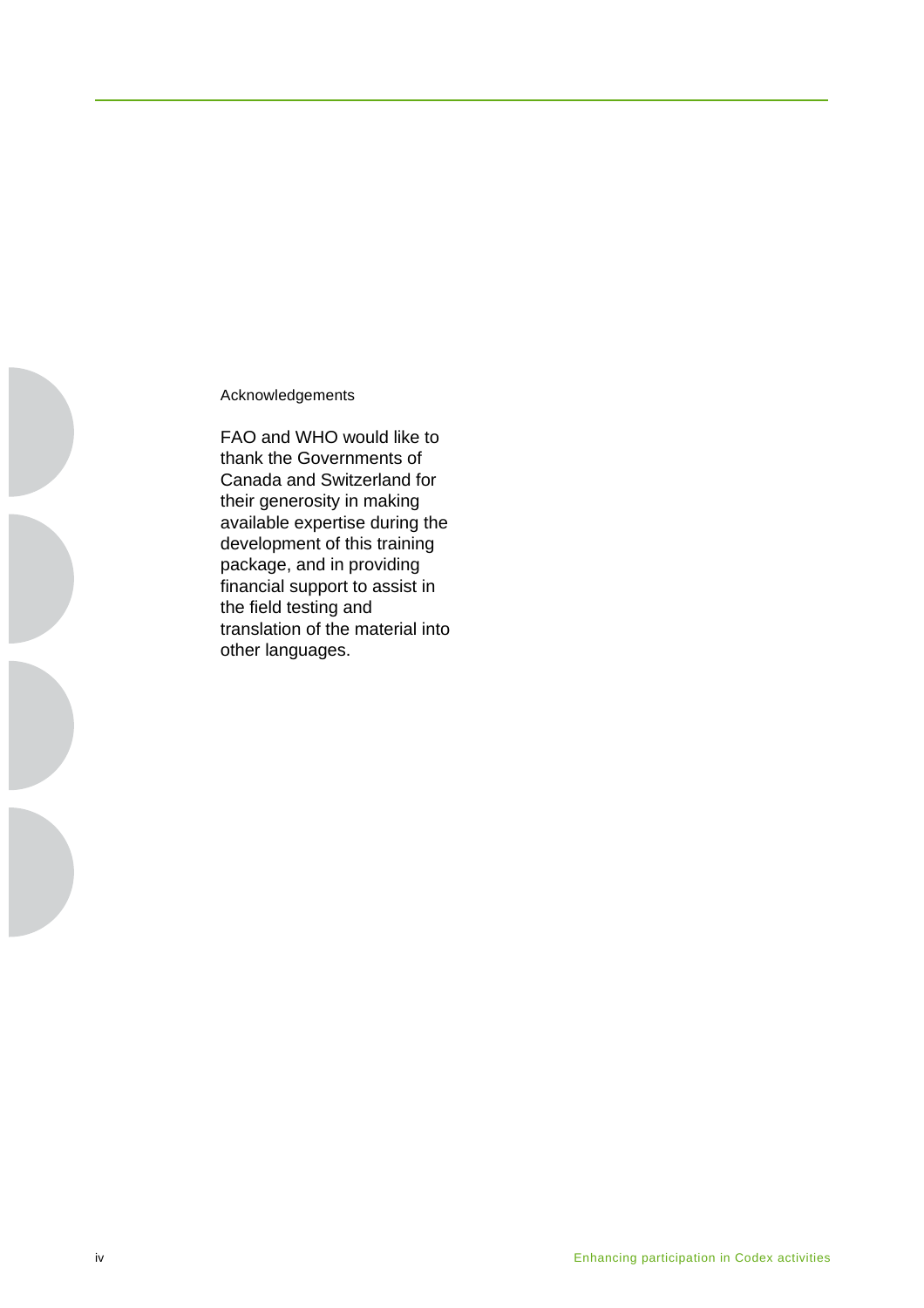

FAO and WHO would like to thank the Governments of Canada and Switzerland for their generosity in making available expertise during the development of this training package, and in providing financial support to assist in the field testing and translation of the material into other languages.

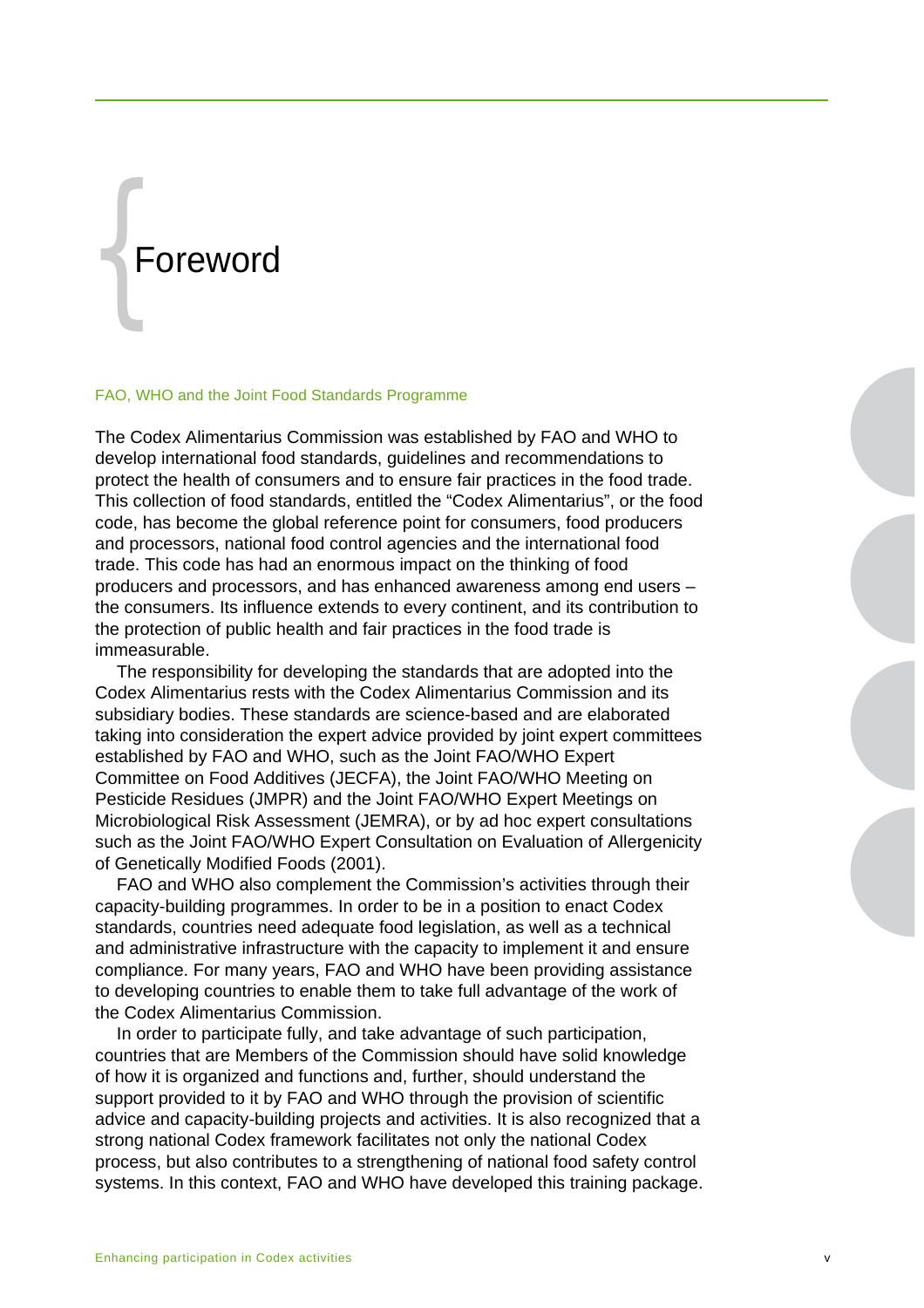## Foreword **{**

#### FAO, WHO and the Joint Food Standards Programme

The Codex Alimentarius Commission was established by FAO and WHO to develop international food standards, guidelines and recommendations to protect the health of consumers and to ensure fair practices in the food trade. This collection of food standards, entitled the "Codex Alimentarius", or the food code, has become the global reference point for consumers, food producers and processors, national food control agencies and the international food trade. This code has had an enormous impact on the thinking of food producers and processors, and has enhanced awareness among end users – the consumers. Its influence extends to every continent, and its contribution to the protection of public health and fair practices in the food trade is immeasurable.

The responsibility for developing the standards that are adopted into the Codex Alimentarius rests with the Codex Alimentarius Commission and its subsidiary bodies. These standards are science-based and are elaborated taking into consideration the expert advice provided by joint expert committees established by FAO and WHO, such as the Joint FAO/WHO Expert Committee on Food Additives (JECFA), the Joint FAO/WHO Meeting on Pesticide Residues (JMPR) and the Joint FAO/WHO Expert Meetings on Microbiological Risk Assessment (JEMRA), or by ad hoc expert consultations such as the Joint FAO/WHO Expert Consultation on Evaluation of Allergenicity of Genetically Modified Foods (2001).

FAO and WHO also complement the Commission's activities through their capacity-building programmes. In order to be in a position to enact Codex standards, countries need adequate food legislation, as well as a technical and administrative infrastructure with the capacity to implement it and ensure compliance. For many years, FAO and WHO have been providing assistance to developing countries to enable them to take full advantage of the work of the Codex Alimentarius Commission.

In order to participate fully, and take advantage of such participation, countries that are Members of the Commission should have solid knowledge of how it is organized and functions and, further, should understand the support provided to it by FAO and WHO through the provision of scientific advice and capacity-building projects and activities. It is also recognized that a strong national Codex framework facilitates not only the national Codex process, but also contributes to a strengthening of national food safety control systems. In this context, FAO and WHO have developed this training package.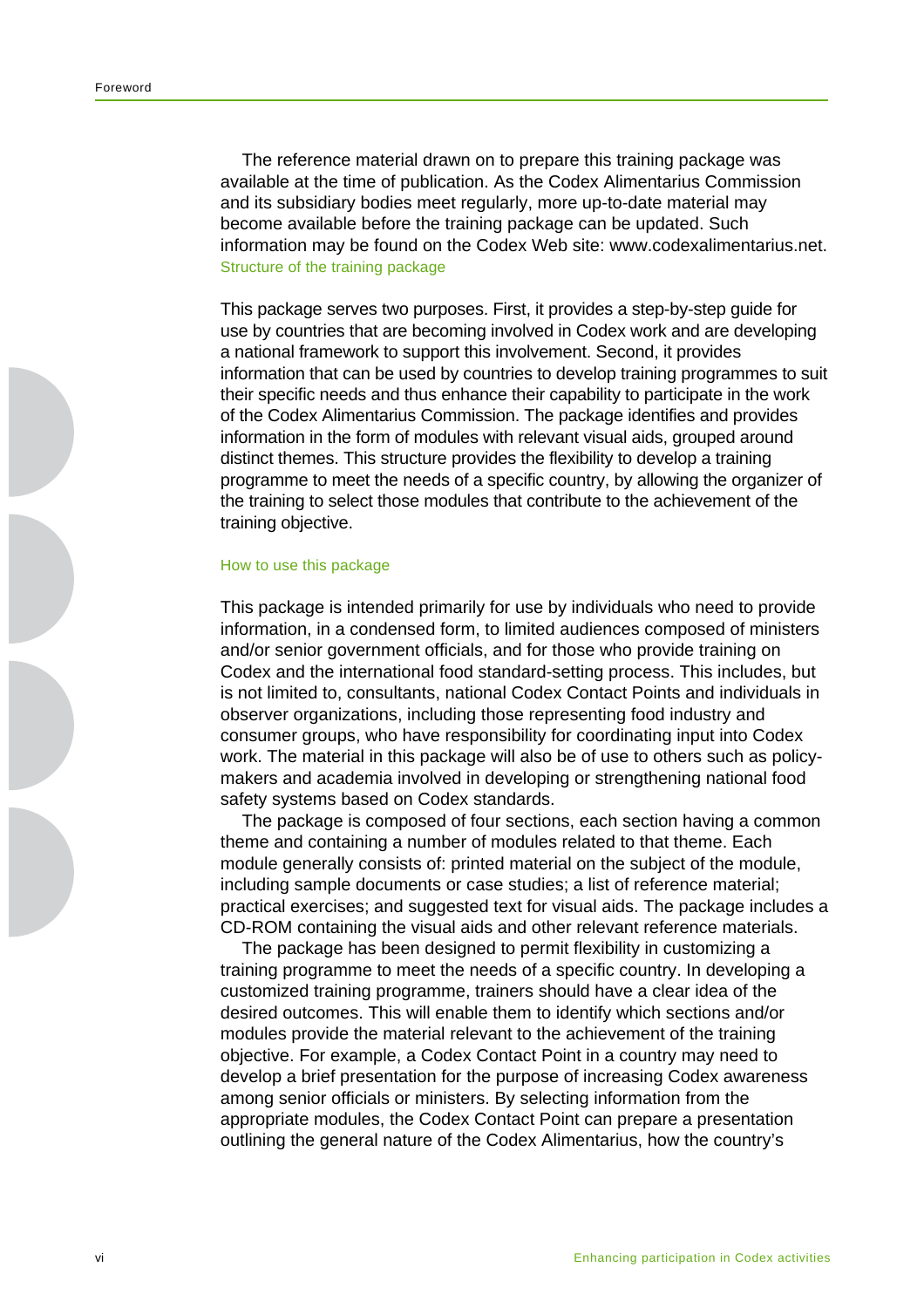The reference material drawn on to prepare this training package was available at the time of publication. As the Codex Alimentarius Commission and its subsidiary bodies meet regularly, more up-to-date material may become available before the training package can be updated. Such information may be found on the Codex Web site: www.codexalimentarius.net. Structure of the training package

This package serves two purposes. First, it provides a step-by-step guide for use by countries that are becoming involved in Codex work and are developing a national framework to support this involvement. Second, it provides information that can be used by countries to develop training programmes to suit their specific needs and thus enhance their capability to participate in the work of the Codex Alimentarius Commission. The package identifies and provides information in the form of modules with relevant visual aids, grouped around distinct themes. This structure provides the flexibility to develop a training programme to meet the needs of a specific country, by allowing the organizer of the training to select those modules that contribute to the achievement of the training objective.

#### How to use this package

This package is intended primarily for use by individuals who need to provide information, in a condensed form, to limited audiences composed of ministers and/or senior government officials, and for those who provide training on Codex and the international food standard-setting process. This includes, but is not limited to, consultants, national Codex Contact Points and individuals in observer organizations, including those representing food industry and consumer groups, who have responsibility for coordinating input into Codex work. The material in this package will also be of use to others such as policymakers and academia involved in developing or strengthening national food safety systems based on Codex standards.

The package is composed of four sections, each section having a common theme and containing a number of modules related to that theme. Each module generally consists of: printed material on the subject of the module, including sample documents or case studies; a list of reference material; practical exercises; and suggested text for visual aids. The package includes a CD-ROM containing the visual aids and other relevant reference materials.

The package has been designed to permit flexibility in customizing a training programme to meet the needs of a specific country. In developing a customized training programme, trainers should have a clear idea of the desired outcomes. This will enable them to identify which sections and/or modules provide the material relevant to the achievement of the training objective. For example, a Codex Contact Point in a country may need to develop a brief presentation for the purpose of increasing Codex awareness among senior officials or ministers. By selecting information from the appropriate modules, the Codex Contact Point can prepare a presentation outlining the general nature of the Codex Alimentarius, how the country's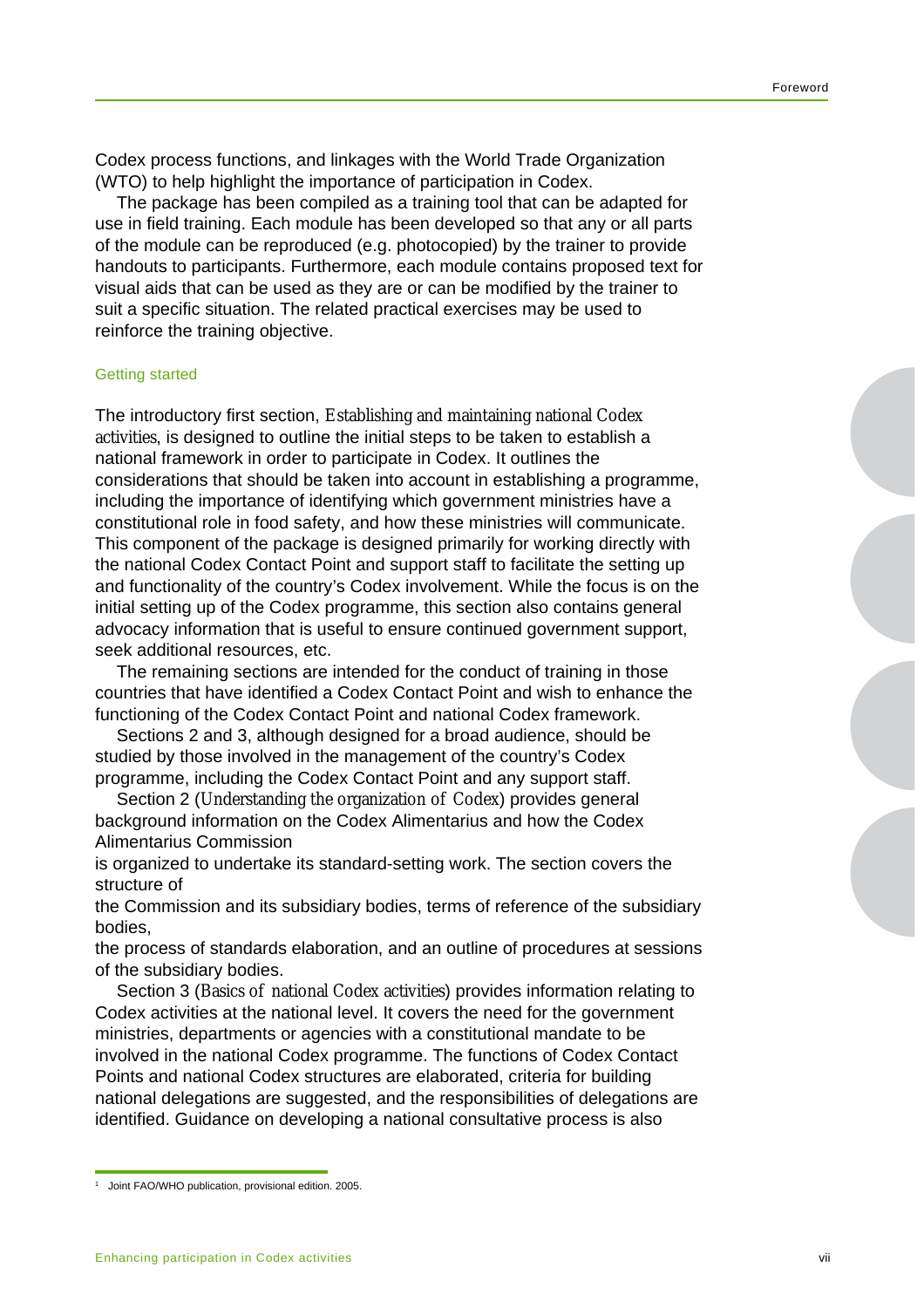Codex process functions, and linkages with the World Trade Organization (WTO) to help highlight the importance of participation in Codex.

The package has been compiled as a training tool that can be adapted for use in field training. Each module has been developed so that any or all parts of the module can be reproduced (e.g. photocopied) by the trainer to provide handouts to participants. Furthermore, each module contains proposed text for visual aids that can be used as they are or can be modified by the trainer to suit a specific situation. The related practical exercises may be used to reinforce the training objective.

#### Getting started

The introductory first section, Establishing and maintaining national Codex activities, is designed to outline the initial steps to be taken to establish a national framework in order to participate in Codex. It outlines the considerations that should be taken into account in establishing a programme, including the importance of identifying which government ministries have a constitutional role in food safety, and how these ministries will communicate. This component of the package is designed primarily for working directly with the national Codex Contact Point and support staff to facilitate the setting up and functionality of the country's Codex involvement. While the focus is on the initial setting up of the Codex programme, this section also contains general advocacy information that is useful to ensure continued government support, seek additional resources, etc.

The remaining sections are intended for the conduct of training in those countries that have identified a Codex Contact Point and wish to enhance the functioning of the Codex Contact Point and national Codex framework.

Sections 2 and 3, although designed for a broad audience, should be studied by those involved in the management of the country's Codex programme, including the Codex Contact Point and any support staff.

Section 2 (Understanding the organization of Codex) provides general background information on the Codex Alimentarius and how the Codex Alimentarius Commission

is organized to undertake its standard-setting work. The section covers the structure of

the Commission and its subsidiary bodies, terms of reference of the subsidiary bodies,

the process of standards elaboration, and an outline of procedures at sessions of the subsidiary bodies.

Section 3 (Basics of national Codex activities) provides information relating to Codex activities at the national level. It covers the need for the government ministries, departments or agencies with a constitutional mandate to be involved in the national Codex programme. The functions of Codex Contact Points and national Codex structures are elaborated, criteria for building national delegations are suggested, and the responsibilities of delegations are identified. Guidance on developing a national consultative process is also

<sup>1</sup> Joint FAO/WHO publication, provisional edition. 2005.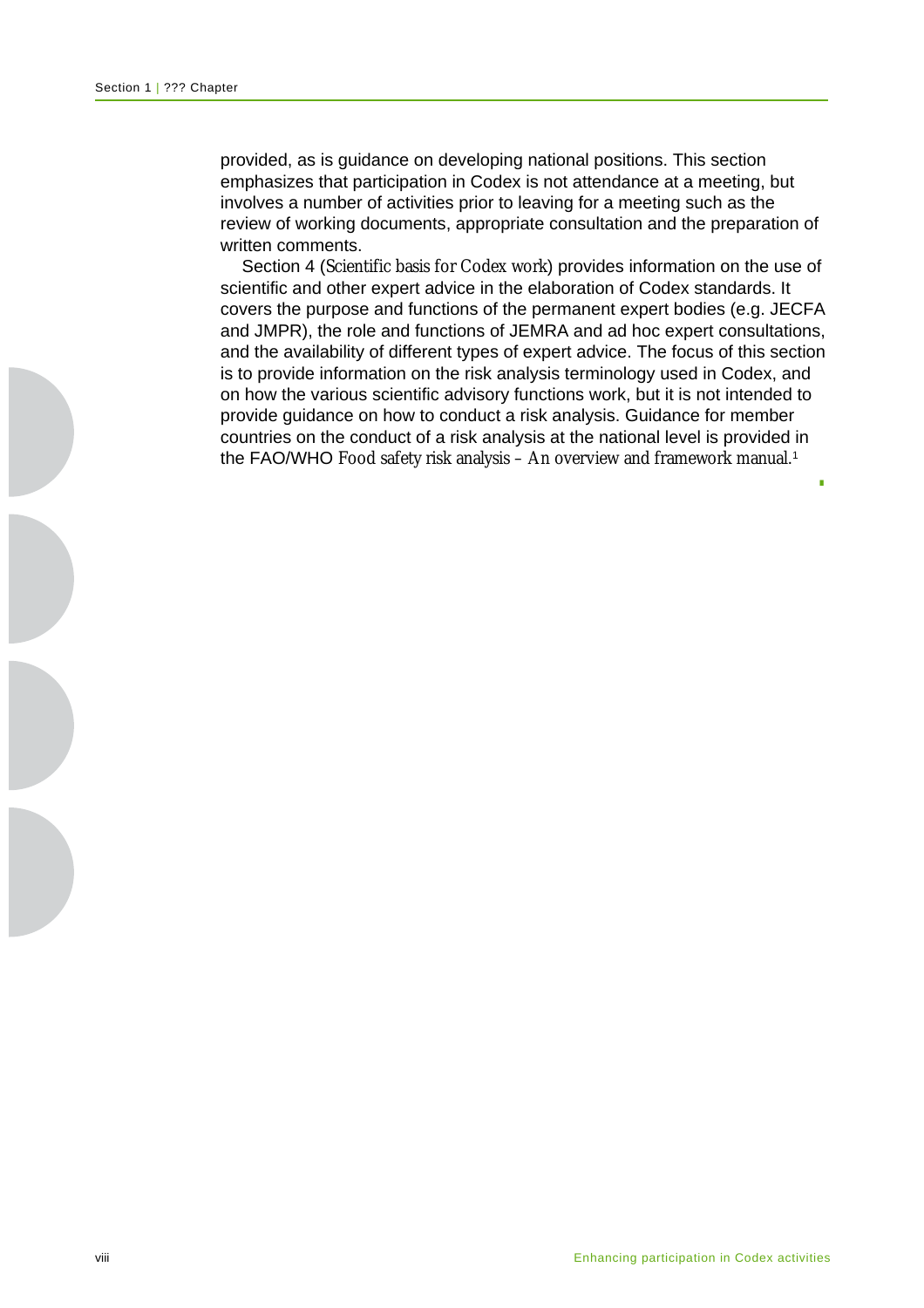provided, as is guidance on developing national positions. This section emphasizes that participation in Codex is not attendance at a meeting, but involves a number of activities prior to leaving for a meeting such as the review of working documents, appropriate consultation and the preparation of written comments.

Section 4 (Scientific basis for Codex work) provides information on the use of scientific and other expert advice in the elaboration of Codex standards. It covers the purpose and functions of the permanent expert bodies (e.g. JECFA and JMPR), the role and functions of JEMRA and ad hoc expert consultations, and the availability of different types of expert advice. The focus of this section is to provide information on the risk analysis terminology used in Codex, and on how the various scientific advisory functions work, but it is not intended to provide guidance on how to conduct a risk analysis. Guidance for member countries on the conduct of a risk analysis at the national level is provided in the FAO/WHO Food safety risk analysis – An overview and framework manual. 1 **.**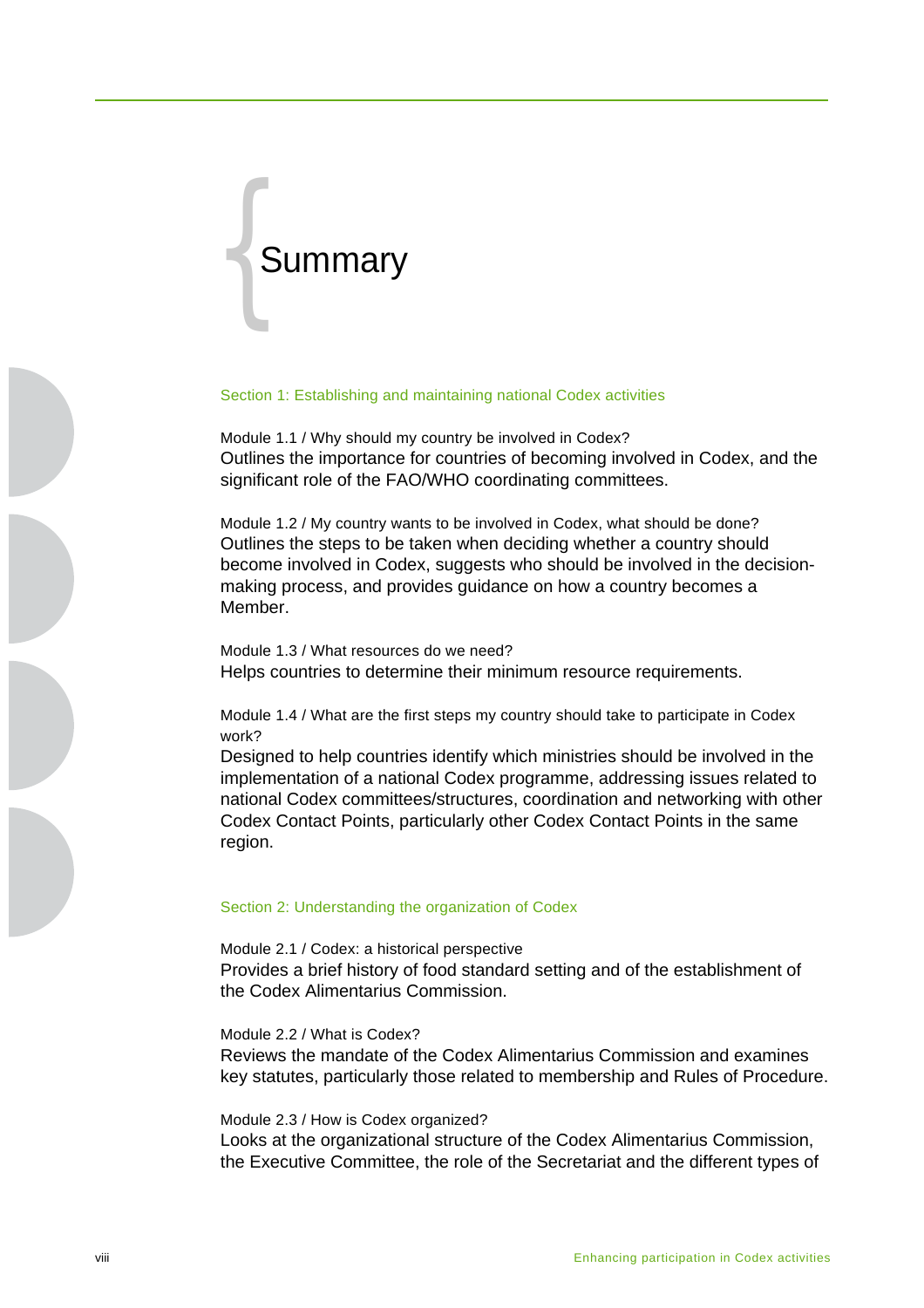## Summary **{**

#### Section 1: Establishing and maintaining national Codex activities

Module 1.1 / Why should my country be involved in Codex? Outlines the importance for countries of becoming involved in Codex, and the significant role of the FAO/WHO coordinating committees.

Module 1.2 / My country wants to be involved in Codex, what should be done? Outlines the steps to be taken when deciding whether a country should become involved in Codex, suggests who should be involved in the decisionmaking process, and provides guidance on how a country becomes a Member.

Module 1.3 / What resources do we need? Helps countries to determine their minimum resource requirements.

Module 1.4 / What are the first steps my country should take to participate in Codex work?

Designed to help countries identify which ministries should be involved in the implementation of a national Codex programme, addressing issues related to national Codex committees/structures, coordination and networking with other Codex Contact Points, particularly other Codex Contact Points in the same region.

#### Section 2: Understanding the organization of Codex

Module 2.1 / Codex: a historical perspective Provides a brief history of food standard setting and of the establishment of the Codex Alimentarius Commission.

#### Module 2.2 / What is Codex?

Reviews the mandate of the Codex Alimentarius Commission and examines key statutes, particularly those related to membership and Rules of Procedure.

#### Module 2.3 / How is Codex organized?

Looks at the organizational structure of the Codex Alimentarius Commission, the Executive Committee, the role of the Secretariat and the different types of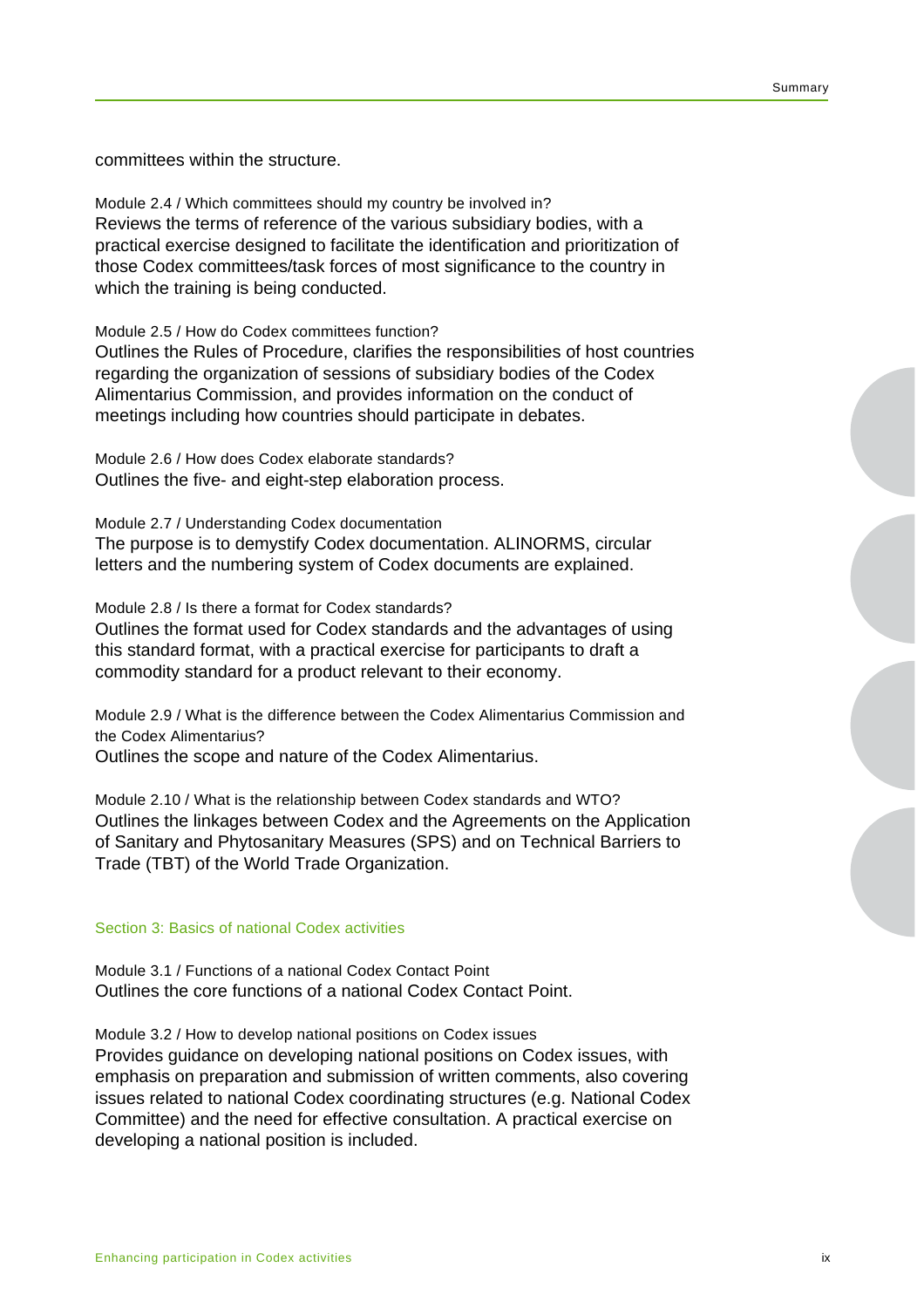committees within the structure.

Module 2.4 / Which committees should my country be involved in? Reviews the terms of reference of the various subsidiary bodies, with a practical exercise designed to facilitate the identification and prioritization of those Codex committees/task forces of most significance to the country in which the training is being conducted.

Module 2.5 / How do Codex committees function?

Outlines the Rules of Procedure, clarifies the responsibilities of host countries regarding the organization of sessions of subsidiary bodies of the Codex Alimentarius Commission, and provides information on the conduct of meetings including how countries should participate in debates.

Module 2.6 / How does Codex elaborate standards? Outlines the five- and eight-step elaboration process.

Module 2.7 / Understanding Codex documentation The purpose is to demystify Codex documentation. ALINORMS, circular letters and the numbering system of Codex documents are explained.

Module 2.8 / Is there a format for Codex standards? Outlines the format used for Codex standards and the advantages of using this standard format, with a practical exercise for participants to draft a commodity standard for a product relevant to their economy.

Module 2.9 / What is the difference between the Codex Alimentarius Commission and the Codex Alimentarius?

Outlines the scope and nature of the Codex Alimentarius.

Module 2.10 / What is the relationship between Codex standards and WTO? Outlines the linkages between Codex and the Agreements on the Application of Sanitary and Phytosanitary Measures (SPS) and on Technical Barriers to Trade (TBT) of the World Trade Organization.

#### Section 3: Basics of national Codex activities

Module 3.1 / Functions of a national Codex Contact Point Outlines the core functions of a national Codex Contact Point.

Module 3.2 / How to develop national positions on Codex issues Provides guidance on developing national positions on Codex issues, with emphasis on preparation and submission of written comments, also covering issues related to national Codex coordinating structures (e.g. National Codex Committee) and the need for effective consultation. A practical exercise on developing a national position is included.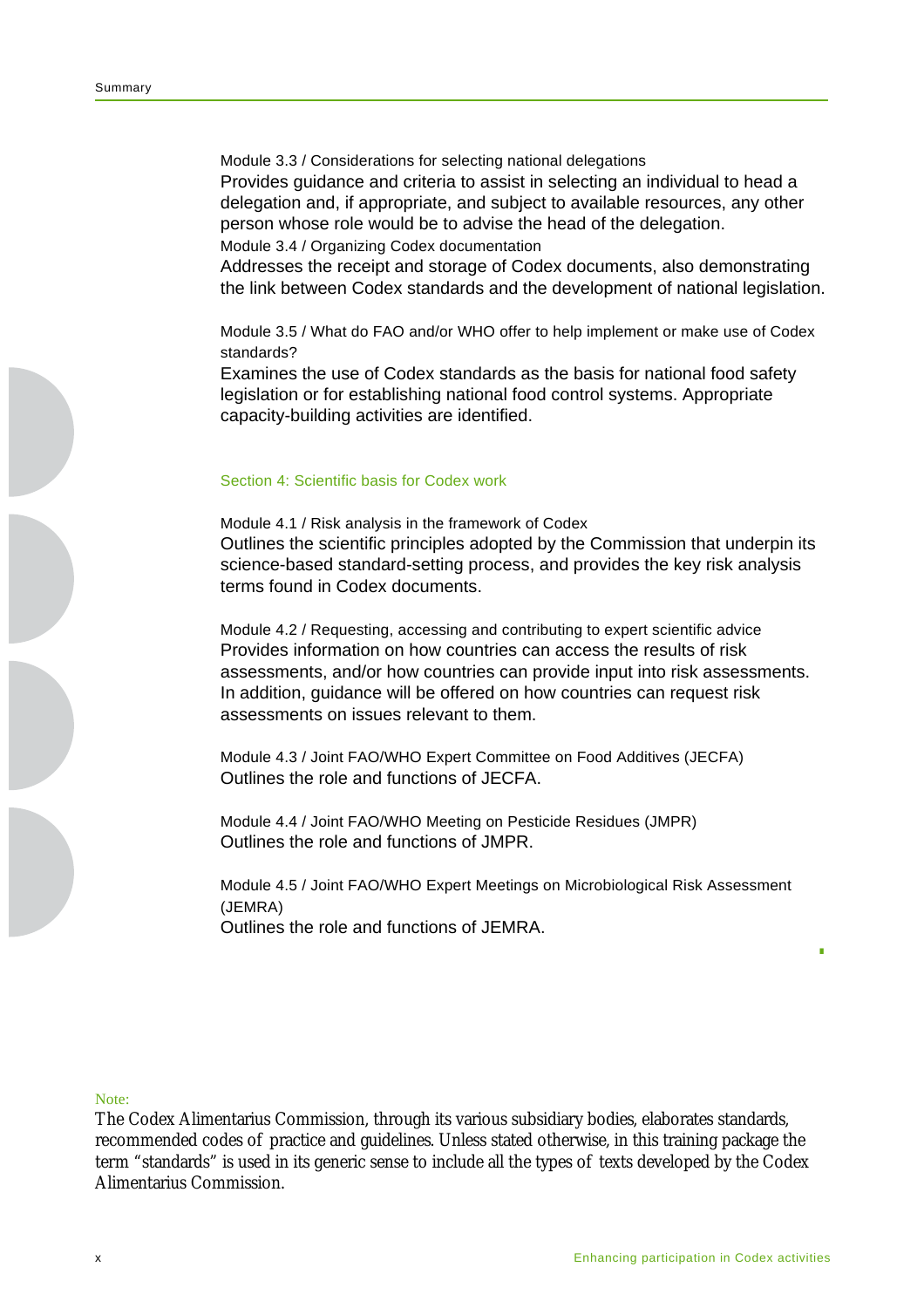Module 3.3 / Considerations for selecting national delegations Provides guidance and criteria to assist in selecting an individual to head a delegation and, if appropriate, and subject to available resources, any other person whose role would be to advise the head of the delegation. Module 3.4 / Organizing Codex documentation

Addresses the receipt and storage of Codex documents, also demonstrating the link between Codex standards and the development of national legislation.

Module 3.5 / What do FAO and/or WHO offer to help implement or make use of Codex standards?

Examines the use of Codex standards as the basis for national food safety legislation or for establishing national food control systems. Appropriate capacity-building activities are identified.

#### Section 4: Scientific basis for Codex work

Module 4.1 / Risk analysis in the framework of Codex Outlines the scientific principles adopted by the Commission that underpin its science-based standard-setting process, and provides the key risk analysis terms found in Codex documents.

Module 4.2 / Requesting, accessing and contributing to expert scientific advice Provides information on how countries can access the results of risk assessments, and/or how countries can provide input into risk assessments. In addition, guidance will be offered on how countries can request risk assessments on issues relevant to them.

Module 4.3 / Joint FAO/WHO Expert Committee on Food Additives (JECFA) Outlines the role and functions of JECFA.

Module 4.4 / Joint FAO/WHO Meeting on Pesticide Residues (JMPR) Outlines the role and functions of JMPR.

Module 4.5 / Joint FAO/WHO Expert Meetings on Microbiological Risk Assessment (JEMRA) Outlines the role and functions of JEMRA.

Note:

The Codex Alimentarius Commission, through its various subsidiary bodies, elaborates standards, recommended codes of practice and guidelines. Unless stated otherwise, in this training package the term "standards" is used in its generic sense to include all the types of texts developed by the Codex Alimentarius Commission.

**.**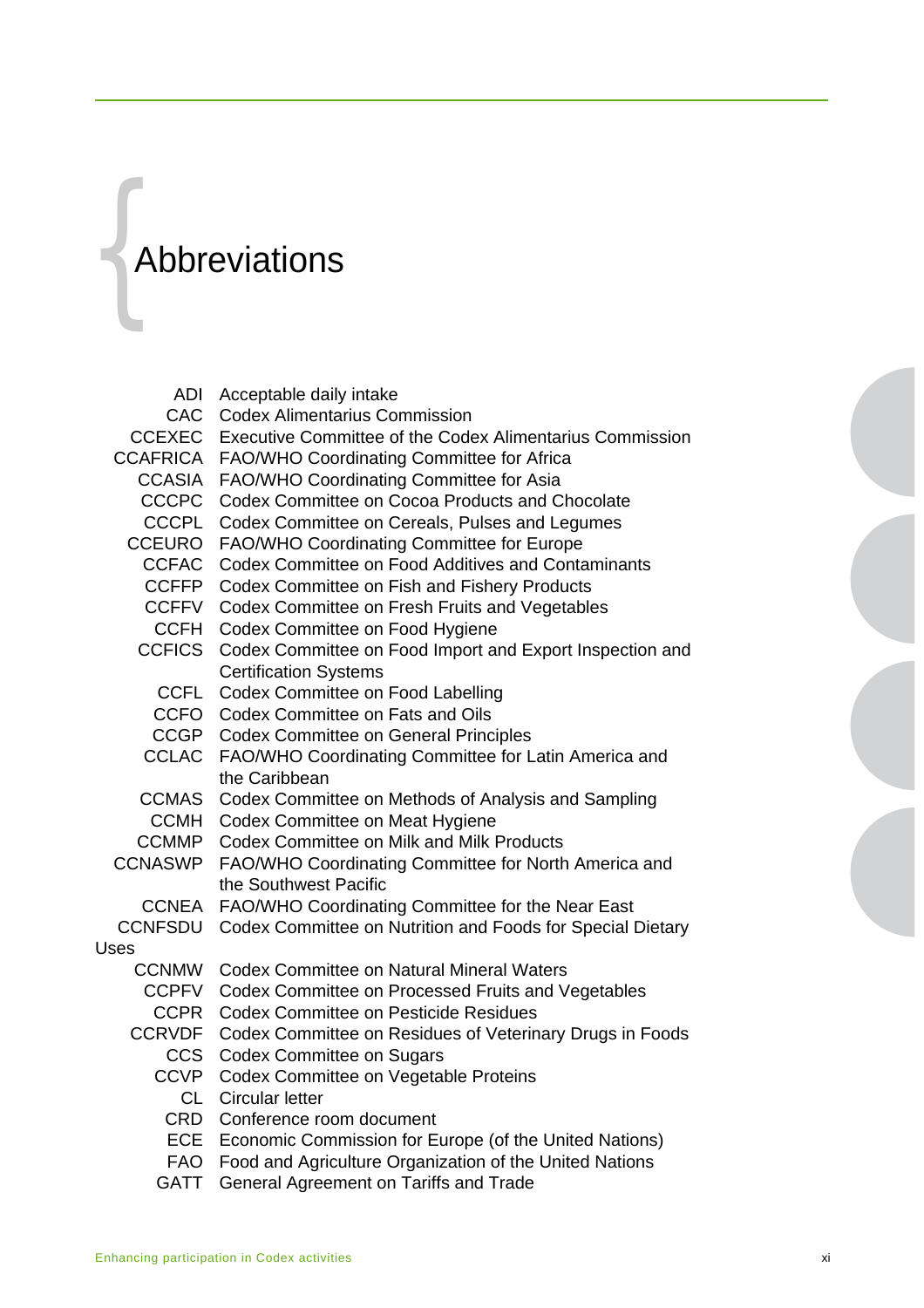## Abbreviations **{**

|                | ADI Acceptable daily intake                                     |
|----------------|-----------------------------------------------------------------|
| CAC            | <b>Codex Alimentarius Commission</b>                            |
|                | CCEXEC Executive Committee of the Codex Alimentarius Commission |
|                | CCAFRICA FAO/WHO Coordinating Committee for Africa              |
|                | CCASIA FAO/WHO Coordinating Committee for Asia                  |
|                | CCCPC Codex Committee on Cocoa Products and Chocolate           |
| <b>CCCPL</b>   | Codex Committee on Cereals, Pulses and Legumes                  |
| CCEURO         | FAO/WHO Coordinating Committee for Europe                       |
|                | CCFAC Codex Committee on Food Additives and Contaminants        |
| <b>CCFFP</b>   | Codex Committee on Fish and Fishery Products                    |
|                | CCFFV Codex Committee on Fresh Fruits and Vegetables            |
|                | CCFH Codex Committee on Food Hygiene                            |
| <b>CCFICS</b>  | Codex Committee on Food Import and Export Inspection and        |
|                | <b>Certification Systems</b>                                    |
|                | CCFL Codex Committee on Food Labelling                          |
|                | CCFO Codex Committee on Fats and Oils                           |
|                | CCGP Codex Committee on General Principles                      |
| <b>CCLAC</b>   | FAO/WHO Coordinating Committee for Latin America and            |
|                | the Caribbean                                                   |
|                | CCMAS Codex Committee on Methods of Analysis and Sampling       |
|                | CCMH Codex Committee on Meat Hygiene                            |
| <b>CCMMP</b>   | <b>Codex Committee on Milk and Milk Products</b>                |
| <b>CCNASWP</b> | FAO/WHO Coordinating Committee for North America and            |
|                | the Southwest Pacific                                           |
|                | CCNEA FAO/WHO Coordinating Committee for the Near East          |
| <b>CCNFSDU</b> | Codex Committee on Nutrition and Foods for Special Dietary      |
| <b>Uses</b>    |                                                                 |
|                | <b>CCNMW</b> Codex Committee on Natural Mineral Waters          |
|                | CCPFV Codex Committee on Processed Fruits and Vegetables        |
| <b>CCPR</b>    | <b>Codex Committee on Pesticide Residues</b>                    |
| <b>CCRVDF</b>  | Codex Committee on Residues of Veterinary Drugs in Foods        |
| CCS            | <b>Codex Committee on Sugars</b>                                |
| CCVP           | Codex Committee on Vegetable Proteins                           |
| CL             | <b>Circular letter</b>                                          |
|                | CRD Conference room document                                    |
| <b>ECE</b>     | Economic Commission for Europe (of the United Nations)          |
| <b>FAO</b>     | Food and Agriculture Organization of the United Nations         |
| <b>GATT</b>    | General Agreement on Tariffs and Trade                          |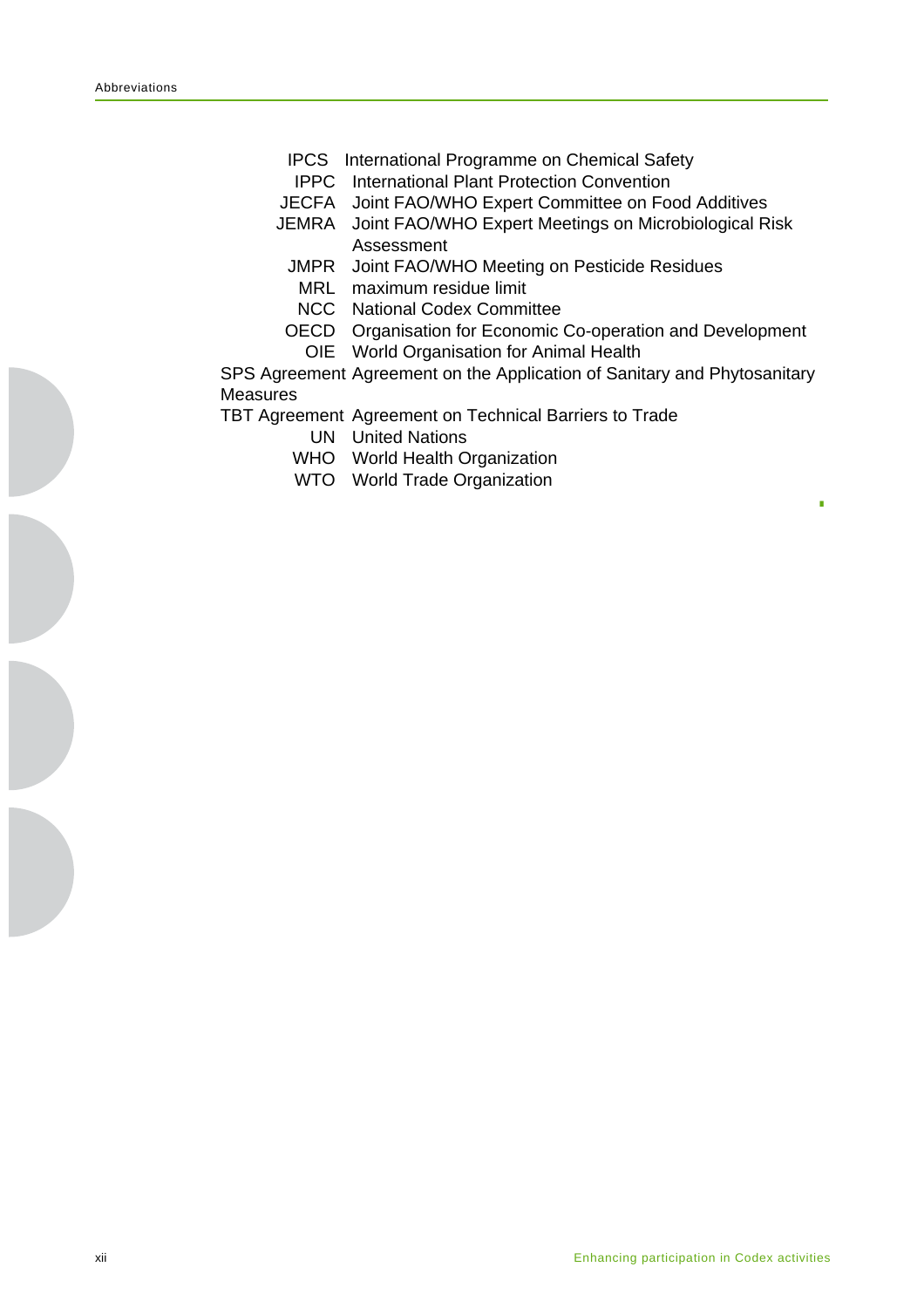- IPCS International Programme on Chemical Safety
- IPPC International Plant Protection Convention
- JECFA Joint FAO/WHO Expert Committee on Food Additives
- JEMRA Joint FAO/WHO Expert Meetings on Microbiological Risk Assessment
	- JMPR Joint FAO/WHO Meeting on Pesticide Residues
	- MRL maximum residue limit
	- NCC National Codex Committee
- OECD Organisation for Economic Co-operation and Development OIE World Organisation for Animal Health

SPS Agreement Agreement on the Application of Sanitary and Phytosanitary Measures

TBT Agreement Agreement on Technical Barriers to Trade

UN United Nations

- WHO World Health Organization
- WTO World Trade Organization

**.**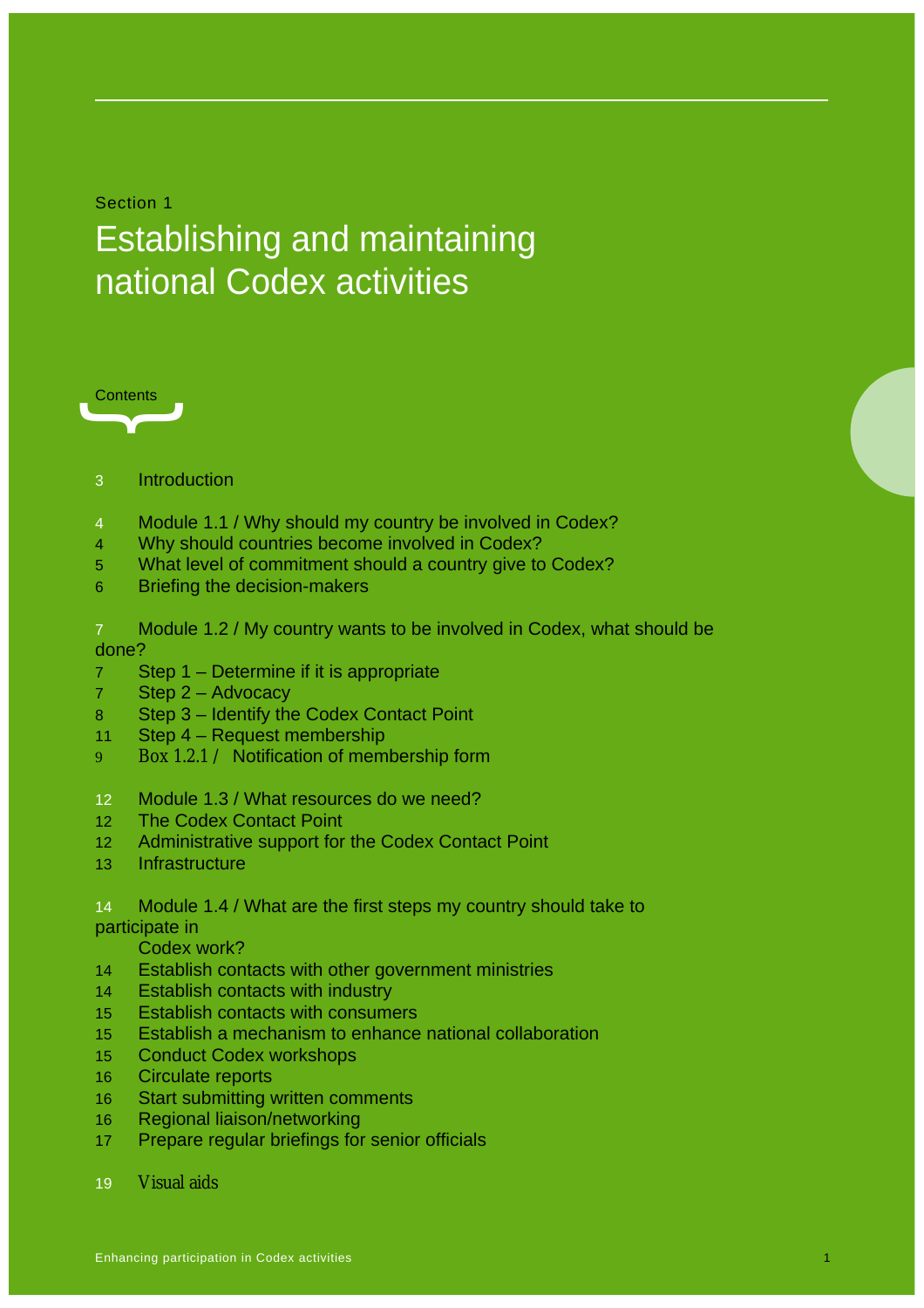### Section 1 Establishing and maintaining national Codex activities



#### Introduction

- Module 1.1 / Why should my country be involved in Codex?
- Why should countries become involved in Codex?
- What level of commitment should a country give to Codex?
- Briefing the decision-makers
- Module 1.2 / My country wants to be involved in Codex, what should be done?
- Step 1 Determine if it is appropriate
- Step 2 Advocacy
- 8 Step 3 Identify the Codex Contact Point
- Step 4 Request membership
- Box 1.2.1 / Notification of membership form
- Module 1.3 / What resources do we need?
- The Codex Contact Point
- Administrative support for the Codex Contact Point
- Infrastructure
- Module 1.4 / What are the first steps my country should take to participate in
	- Codex work?
- Establish contacts with other government ministries
- Establish contacts with industry
- Establish contacts with consumers
- Establish a mechanism to enhance national collaboration
- Conduct Codex workshops
- Circulate reports
- Start submitting written comments
- Regional liaison/networking
- Prepare regular briefings for senior officials
- Visual aids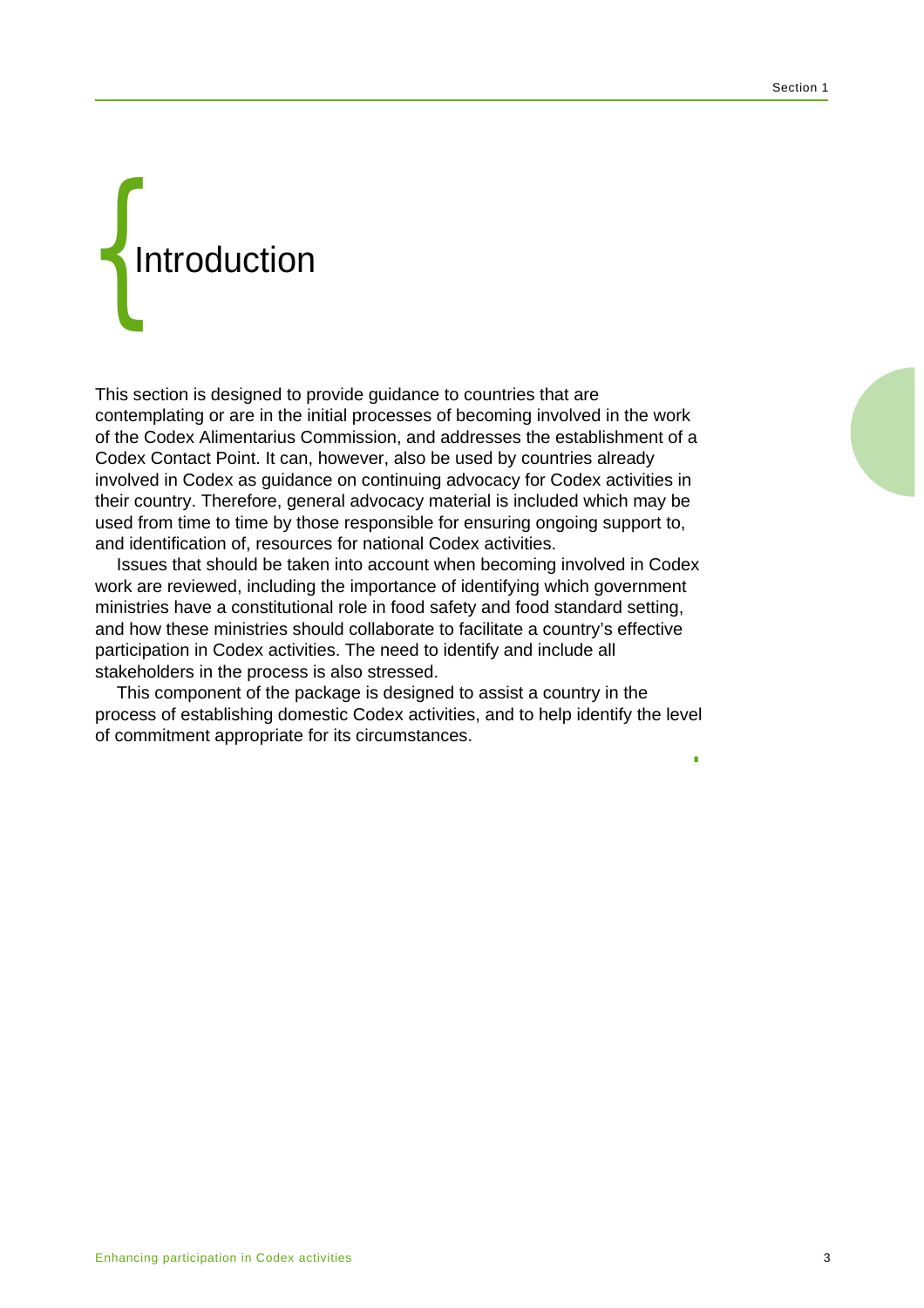# Introduction **{**

This section is designed to provide guidance to countries that are contemplating or are in the initial processes of becoming involved in the work of the Codex Alimentarius Commission, and addresses the establishment of a Codex Contact Point. It can, however, also be used by countries already involved in Codex as guidance on continuing advocacy for Codex activities in their country. Therefore, general advocacy material is included which may be used from time to time by those responsible for ensuring ongoing support to, and identification of, resources for national Codex activities.

Issues that should be taken into account when becoming involved in Codex work are reviewed, including the importance of identifying which government ministries have a constitutional role in food safety and food standard setting, and how these ministries should collaborate to facilitate a country's effective participation in Codex activities. The need to identify and include all stakeholders in the process is also stressed.

This component of the package is designed to assist a country in the process of establishing domestic Codex activities, and to help identify the level of commitment appropriate for its circumstances. **.**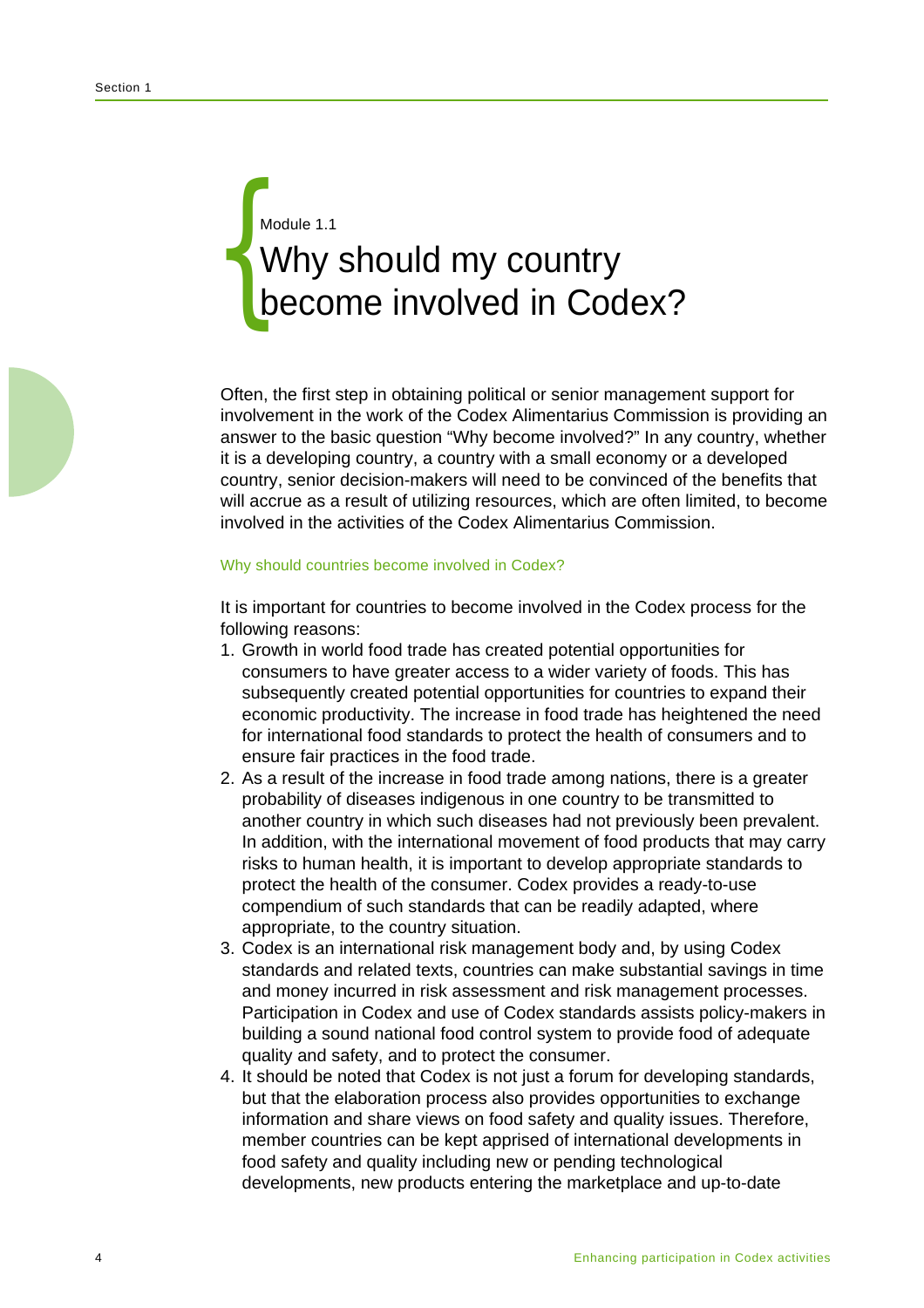## Module 1.1 Why should my country<br>become involved in Codex?

Often, the first step in obtaining political or senior management support for involvement in the work of the Codex Alimentarius Commission is providing an answer to the basic question "Why become involved?" In any country, whether it is a developing country, a country with a small economy or a developed country, senior decision-makers will need to be convinced of the benefits that will accrue as a result of utilizing resources, which are often limited, to become involved in the activities of the Codex Alimentarius Commission.

#### Why should countries become involved in Codex?

It is important for countries to become involved in the Codex process for the following reasons:

- 1. Growth in world food trade has created potential opportunities for consumers to have greater access to a wider variety of foods. This has subsequently created potential opportunities for countries to expand their economic productivity. The increase in food trade has heightened the need for international food standards to protect the health of consumers and to ensure fair practices in the food trade.
- 2. As a result of the increase in food trade among nations, there is a greater probability of diseases indigenous in one country to be transmitted to another country in which such diseases had not previously been prevalent. In addition, with the international movement of food products that may carry risks to human health, it is important to develop appropriate standards to protect the health of the consumer. Codex provides a ready-to-use compendium of such standards that can be readily adapted, where appropriate, to the country situation.
- 3. Codex is an international risk management body and, by using Codex standards and related texts, countries can make substantial savings in time and money incurred in risk assessment and risk management processes. Participation in Codex and use of Codex standards assists policy-makers in building a sound national food control system to provide food of adequate quality and safety, and to protect the consumer.
- 4. It should be noted that Codex is not just a forum for developing standards, but that the elaboration process also provides opportunities to exchange information and share views on food safety and quality issues. Therefore, member countries can be kept apprised of international developments in food safety and quality including new or pending technological developments, new products entering the marketplace and up-to-date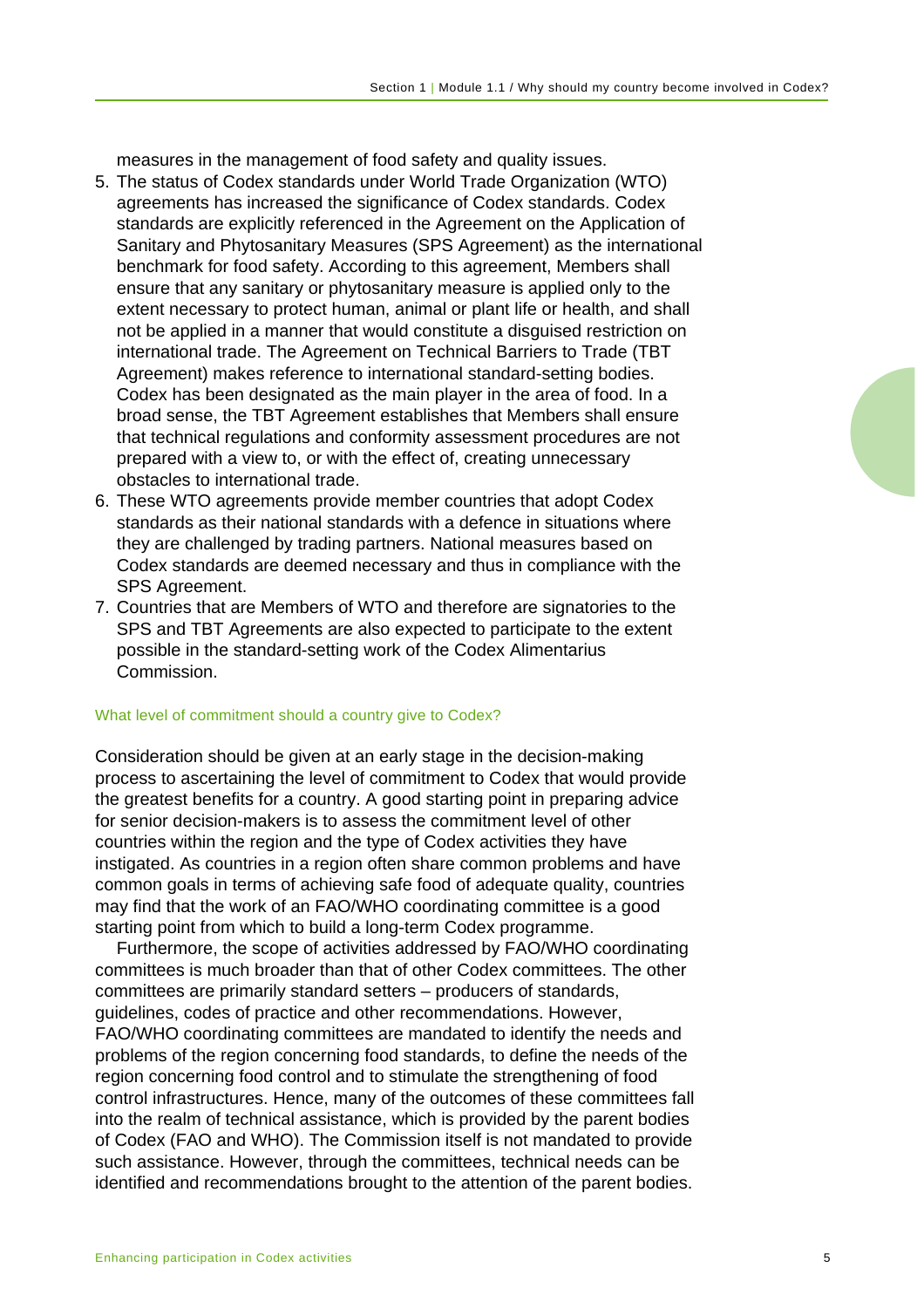measures in the management of food safety and quality issues.

- 5. The status of Codex standards under World Trade Organization (WTO) agreements has increased the significance of Codex standards. Codex standards are explicitly referenced in the Agreement on the Application of Sanitary and Phytosanitary Measures (SPS Agreement) as the international benchmark for food safety. According to this agreement, Members shall ensure that any sanitary or phytosanitary measure is applied only to the extent necessary to protect human, animal or plant life or health, and shall not be applied in a manner that would constitute a disguised restriction on international trade. The Agreement on Technical Barriers to Trade (TBT Agreement) makes reference to international standard-setting bodies. Codex has been designated as the main player in the area of food. In a broad sense, the TBT Agreement establishes that Members shall ensure that technical regulations and conformity assessment procedures are not prepared with a view to, or with the effect of, creating unnecessary obstacles to international trade.
- 6. These WTO agreements provide member countries that adopt Codex standards as their national standards with a defence in situations where they are challenged by trading partners. National measures based on Codex standards are deemed necessary and thus in compliance with the SPS Agreement.
- 7. Countries that are Members of WTO and therefore are signatories to the SPS and TBT Agreements are also expected to participate to the extent possible in the standard-setting work of the Codex Alimentarius Commission.

#### What level of commitment should a country give to Codex?

Consideration should be given at an early stage in the decision-making process to ascertaining the level of commitment to Codex that would provide the greatest benefits for a country. A good starting point in preparing advice for senior decision-makers is to assess the commitment level of other countries within the region and the type of Codex activities they have instigated. As countries in a region often share common problems and have common goals in terms of achieving safe food of adequate quality, countries may find that the work of an FAO/WHO coordinating committee is a good starting point from which to build a long-term Codex programme.

Furthermore, the scope of activities addressed by FAO/WHO coordinating committees is much broader than that of other Codex committees. The other committees are primarily standard setters – producers of standards, guidelines, codes of practice and other recommendations. However, FAO/WHO coordinating committees are mandated to identify the needs and problems of the region concerning food standards, to define the needs of the region concerning food control and to stimulate the strengthening of food control infrastructures. Hence, many of the outcomes of these committees fall into the realm of technical assistance, which is provided by the parent bodies of Codex (FAO and WHO). The Commission itself is not mandated to provide such assistance. However, through the committees, technical needs can be identified and recommendations brought to the attention of the parent bodies.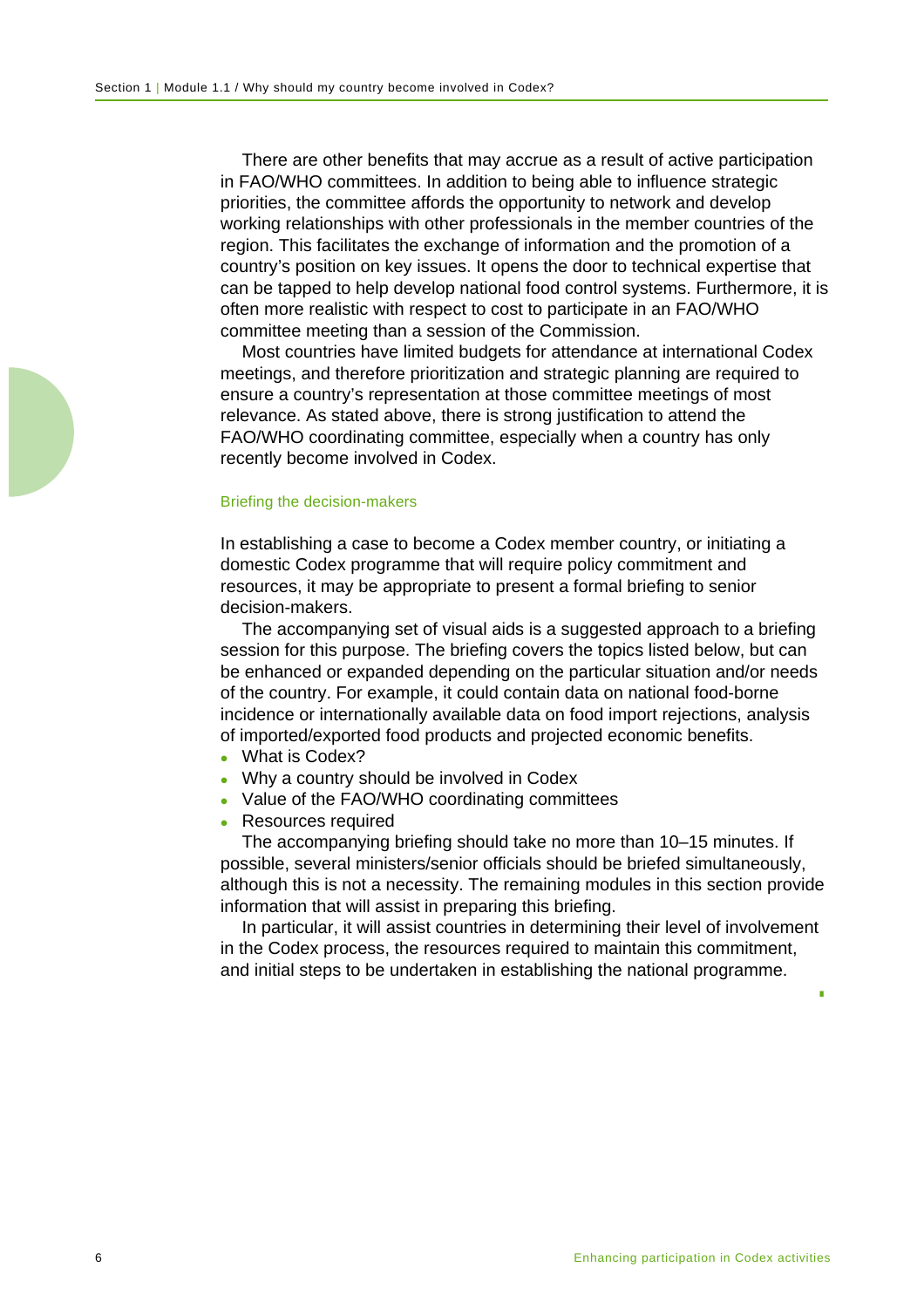There are other benefits that may accrue as a result of active participation in FAO/WHO committees. In addition to being able to influence strategic priorities, the committee affords the opportunity to network and develop working relationships with other professionals in the member countries of the region. This facilitates the exchange of information and the promotion of a country's position on key issues. It opens the door to technical expertise that can be tapped to help develop national food control systems. Furthermore, it is often more realistic with respect to cost to participate in an FAO/WHO committee meeting than a session of the Commission.

Most countries have limited budgets for attendance at international Codex meetings, and therefore prioritization and strategic planning are required to ensure a country's representation at those committee meetings of most relevance. As stated above, there is strong justification to attend the FAO/WHO coordinating committee, especially when a country has only recently become involved in Codex.

#### Briefing the decision-makers

In establishing a case to become a Codex member country, or initiating a domestic Codex programme that will require policy commitment and resources, it may be appropriate to present a formal briefing to senior decision-makers.

The accompanying set of visual aids is a suggested approach to a briefing session for this purpose. The briefing covers the topics listed below, but can be enhanced or expanded depending on the particular situation and/or needs of the country. For example, it could contain data on national food-borne incidence or internationally available data on food import rejections, analysis of imported/exported food products and projected economic benefits.

- What is Codex?
- Why a country should be involved in Codex
- Value of the FAO/WHO coordinating committees
- Resources required

The accompanying briefing should take no more than 10–15 minutes. If possible, several ministers/senior officials should be briefed simultaneously, although this is not a necessity. The remaining modules in this section provide information that will assist in preparing this briefing.

In particular, it will assist countries in determining their level of involvement in the Codex process, the resources required to maintain this commitment, and initial steps to be undertaken in establishing the national programme.

**.**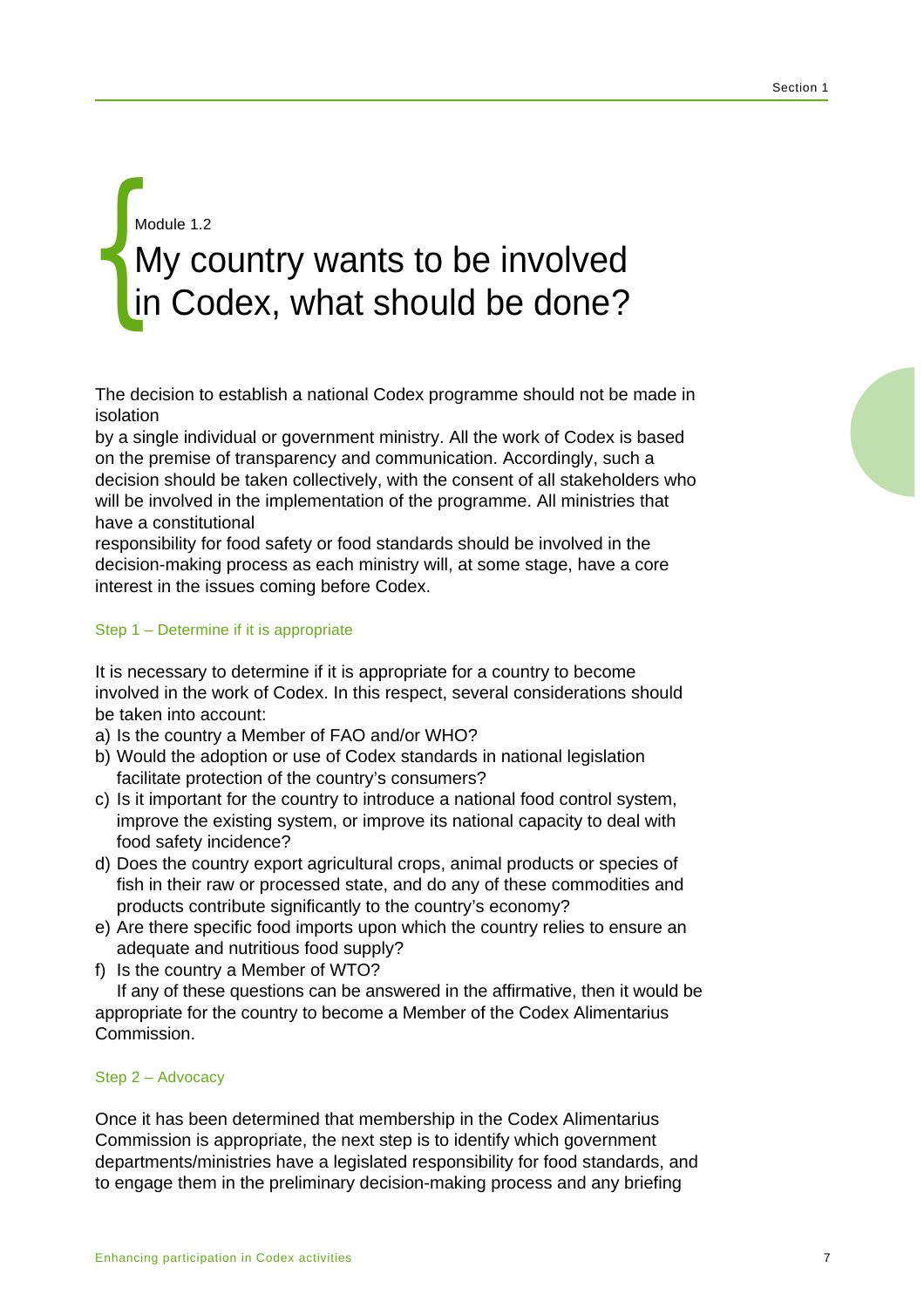## Module 1.2 My country wants to be involved **{**in Codex, what should be done?

The decision to establish a national Codex programme should not be made in isolation

by a single individual or government ministry. All the work of Codex is based on the premise of transparency and communication. Accordingly, such a decision should be taken collectively, with the consent of all stakeholders who will be involved in the implementation of the programme. All ministries that have a constitutional

responsibility for food safety or food standards should be involved in the decision-making process as each ministry will, at some stage, have a core interest in the issues coming before Codex.

#### Step 1 – Determine if it is appropriate

It is necessary to determine if it is appropriate for a country to become involved in the work of Codex. In this respect, several considerations should be taken into account:

- a) Is the country a Member of FAO and/or WHO?
- b) Would the adoption or use of Codex standards in national legislation facilitate protection of the country's consumers?
- c) Is it important for the country to introduce a national food control system, improve the existing system, or improve its national capacity to deal with food safety incidence?
- d) Does the country export agricultural crops, animal products or species of fish in their raw or processed state, and do any of these commodities and products contribute significantly to the country's economy?
- e) Are there specific food imports upon which the country relies to ensure an adequate and nutritious food supply?
- f) Is the country a Member of WTO?

If any of these questions can be answered in the affirmative, then it would be appropriate for the country to become a Member of the Codex Alimentarius Commission.

#### Step 2 – Advocacy

Once it has been determined that membership in the Codex Alimentarius Commission is appropriate, the next step is to identify which government departments/ministries have a legislated responsibility for food standards, and to engage them in the preliminary decision-making process and any briefing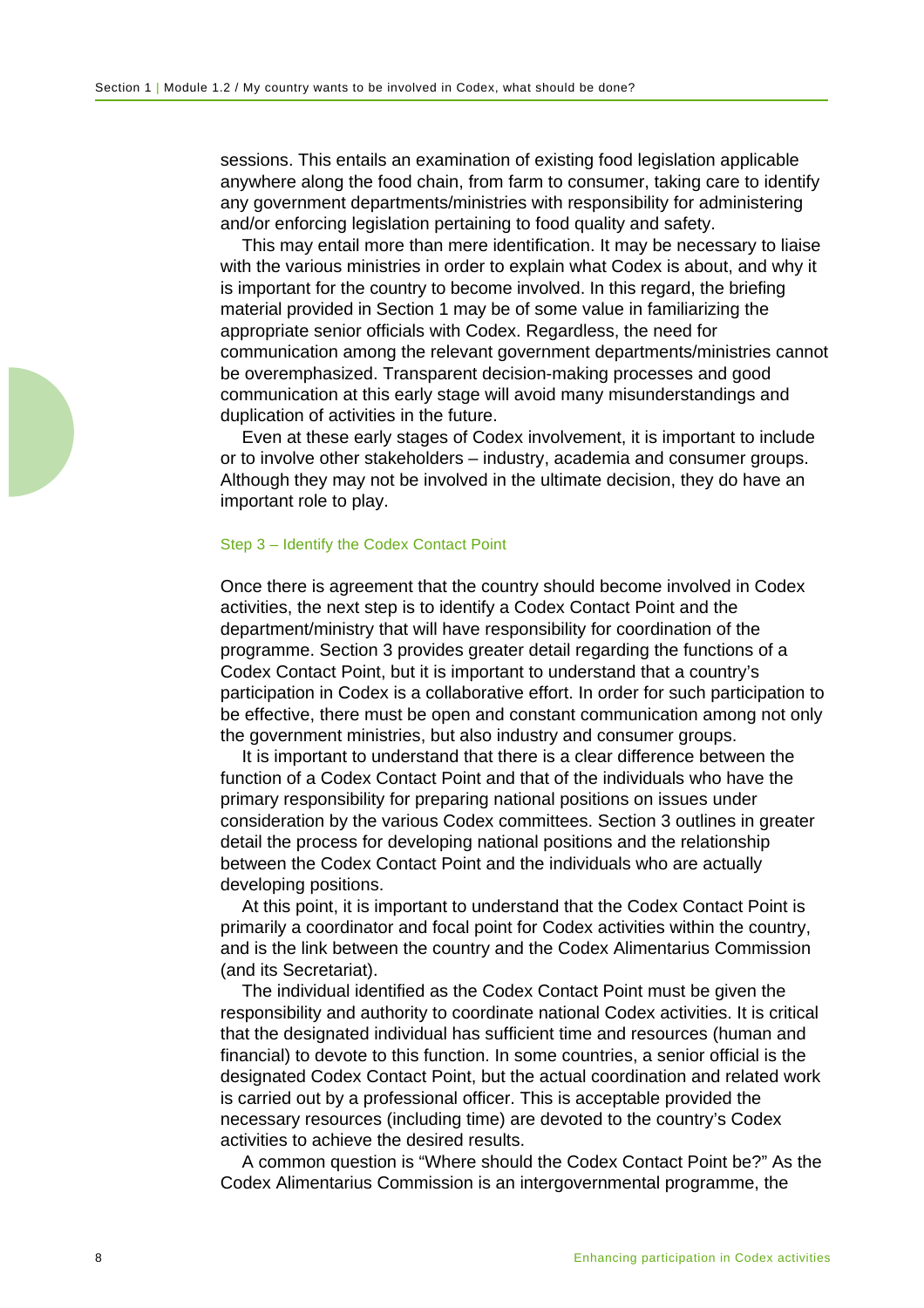sessions. This entails an examination of existing food legislation applicable anywhere along the food chain, from farm to consumer, taking care to identify any government departments/ministries with responsibility for administering and/or enforcing legislation pertaining to food quality and safety.

This may entail more than mere identification. It may be necessary to liaise with the various ministries in order to explain what Codex is about, and why it is important for the country to become involved. In this regard, the briefing material provided in Section 1 may be of some value in familiarizing the appropriate senior officials with Codex. Regardless, the need for communication among the relevant government departments/ministries cannot be overemphasized. Transparent decision-making processes and good communication at this early stage will avoid many misunderstandings and duplication of activities in the future.

Even at these early stages of Codex involvement, it is important to include or to involve other stakeholders – industry, academia and consumer groups. Although they may not be involved in the ultimate decision, they do have an important role to play.

#### Step 3 – Identify the Codex Contact Point

Once there is agreement that the country should become involved in Codex activities, the next step is to identify a Codex Contact Point and the department/ministry that will have responsibility for coordination of the programme. Section 3 provides greater detail regarding the functions of a Codex Contact Point, but it is important to understand that a country's participation in Codex is a collaborative effort. In order for such participation to be effective, there must be open and constant communication among not only the government ministries, but also industry and consumer groups.

It is important to understand that there is a clear difference between the function of a Codex Contact Point and that of the individuals who have the primary responsibility for preparing national positions on issues under consideration by the various Codex committees. Section 3 outlines in greater detail the process for developing national positions and the relationship between the Codex Contact Point and the individuals who are actually developing positions.

At this point, it is important to understand that the Codex Contact Point is primarily a coordinator and focal point for Codex activities within the country, and is the link between the country and the Codex Alimentarius Commission (and its Secretariat).

The individual identified as the Codex Contact Point must be given the responsibility and authority to coordinate national Codex activities. It is critical that the designated individual has sufficient time and resources (human and financial) to devote to this function. In some countries, a senior official is the designated Codex Contact Point, but the actual coordination and related work is carried out by a professional officer. This is acceptable provided the necessary resources (including time) are devoted to the country's Codex activities to achieve the desired results.

A common question is "Where should the Codex Contact Point be?" As the Codex Alimentarius Commission is an intergovernmental programme, the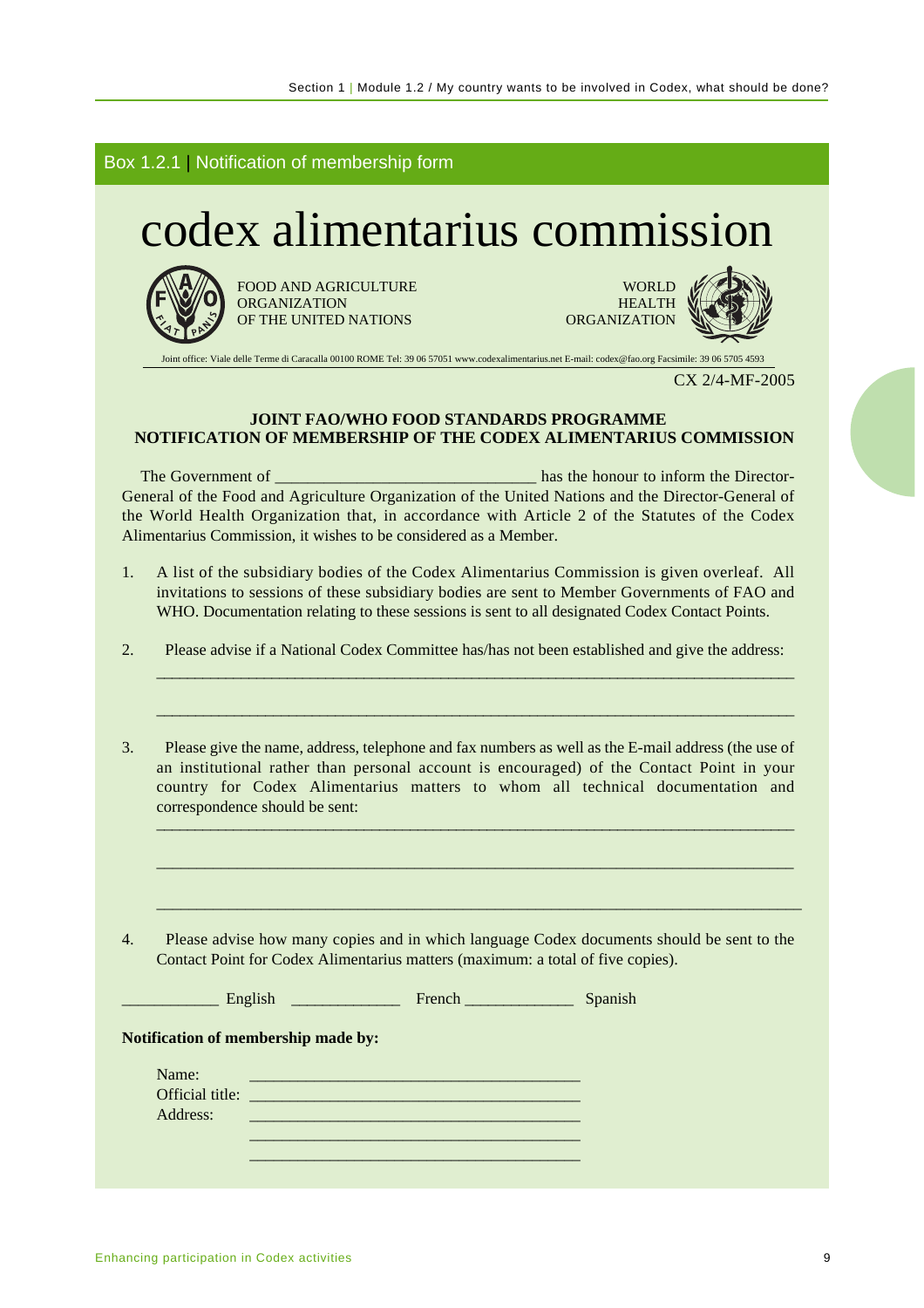#### Box 1.2.1 | Notification of membership form

## codex alimentarius commission



FOOD AND AGRICULTURE **ORGANIZATION** OF THE UNITED NATIONS

WORLD HEALTH **ORGANIZATION** 



Joint office: Viale delle Terme di Caracalla 00100 ROME Tel: 39 06 57051 www.codexalimentarius.net E-mail: codex@fao.org Facsimile: 39 06 5705 4593

CX 2/4-MF-2005

#### **JOINT FAO/WHO FOOD STANDARDS PROGRAMME NOTIFICATION OF MEMBERSHIP OF THE CODEX ALIMENTARIUS COMMISSION**

The Government of \_\_\_\_\_\_\_\_\_\_\_\_\_\_\_\_\_\_\_\_\_\_\_\_\_\_\_\_\_\_\_\_ has the honour to inform the Director-General of the Food and Agriculture Organization of the United Nations and the Director-General of the World Health Organization that, in accordance with Article 2 of the Statutes of the Codex Alimentarius Commission, it wishes to be considered as a Member.

- 1. A list of the subsidiary bodies of the Codex Alimentarius Commission is given overleaf. All invitations to sessions of these subsidiary bodies are sent to Member Governments of FAO and WHO. Documentation relating to these sessions is sent to all designated Codex Contact Points.
- 2. Please advise if a National Codex Committee has/has not been established and give the address:

 $\_$  , and the state of the state of the state of the state of the state of the state of the state of the state of the state of the state of the state of the state of the state of the state of the state of the state of the

 $\_$  . The contribution of the contribution of the contribution of the contribution of the contribution of the contribution of the contribution of the contribution of the contribution of the contribution of the contributio

 $\_$  , and the set of the set of the set of the set of the set of the set of the set of the set of the set of the set of the set of the set of the set of the set of the set of the set of the set of the set of the set of th

 $\_$  , and the set of the set of the set of the set of the set of the set of the set of the set of the set of the set of the set of the set of the set of the set of the set of the set of the set of the set of the set of th

3. Please give the name, address, telephone and fax numbers as well as the E-mail address (the use of an institutional rather than personal account is encouraged) of the Contact Point in your country for Codex Alimentarius matters to whom all technical documentation and correspondence should be sent:  $\_$  , and the state of the state of the state of the state of the state of the state of the state of the state of the state of the state of the state of the state of the state of the state of the state of the state of the

4. Please advise how many copies and in which language Codex documents should be sent to the Contact Point for Codex Alimentarius matters (maximum: a total of five copies).

|                                      | English                                                                                                        | <b>French Exercise</b> | Spanish |
|--------------------------------------|----------------------------------------------------------------------------------------------------------------|------------------------|---------|
|                                      | Notification of membership made by:                                                                            |                        |         |
| Name:<br>Official title:<br>Address: | a sa kacamatan ing Kabupatèn Kabupatèn Kabupatèn Kabupatèn Kabupatèn Kabupatèn Kabupatèn Kabupatèn Kabupatèn K |                        |         |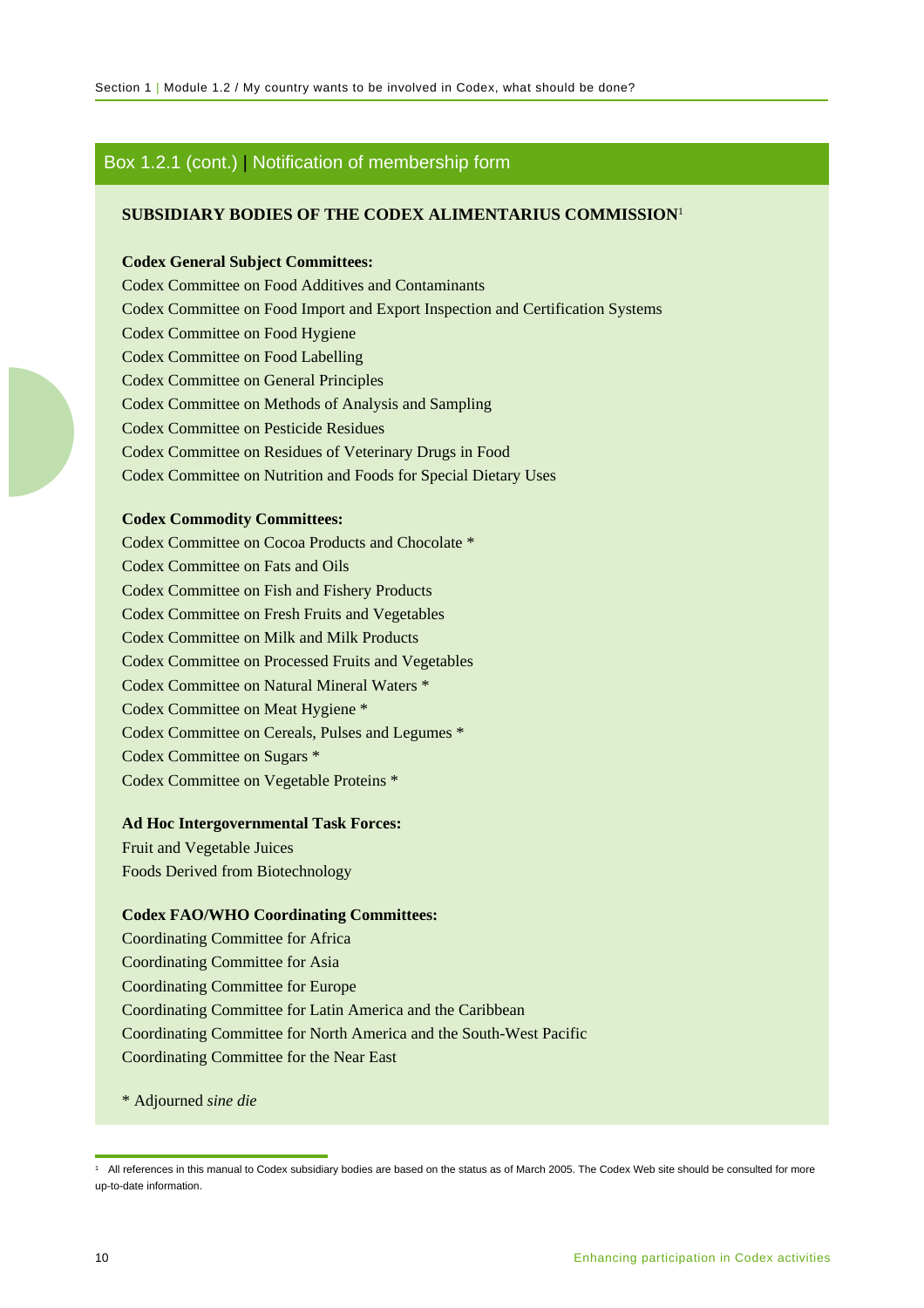#### Box 1.2.1 (cont.) | Notification of membership form

#### **SUBSIDIARY BODIES OF THE CODEX ALIMENTARIUS COMMISSION**<sup>1</sup>

#### **Codex General Subject Committees:**

Codex Committee on Food Additives and Contaminants Codex Committee on Food Import and Export Inspection and Certification Systems Codex Committee on Food Hygiene Codex Committee on Food Labelling Codex Committee on General Principles Codex Committee on Methods of Analysis and Sampling Codex Committee on Pesticide Residues Codex Committee on Residues of Veterinary Drugs in Food Codex Committee on Nutrition and Foods for Special Dietary Uses

#### **Codex Commodity Committees:**

Codex Committee on Cocoa Products and Chocolate \* Codex Committee on Fats and Oils Codex Committee on Fish and Fishery Products Codex Committee on Fresh Fruits and Vegetables Codex Committee on Milk and Milk Products Codex Committee on Processed Fruits and Vegetables Codex Committee on Natural Mineral Waters \* Codex Committee on Meat Hygiene \* Codex Committee on Cereals, Pulses and Legumes \* Codex Committee on Sugars \* Codex Committee on Vegetable Proteins \*

#### **Ad Hoc Intergovernmental Task Forces:**

Fruit and Vegetable Juices Foods Derived from Biotechnology

#### **Codex FAO/WHO Coordinating Committees:**

Coordinating Committee for Africa Coordinating Committee for Asia Coordinating Committee for Europe Coordinating Committee for Latin America and the Caribbean Coordinating Committee for North America and the South-West Pacific Coordinating Committee for the Near East

\* Adjourned *sine die* 

<sup>1</sup> All references in this manual to Codex subsidiary bodies are based on the status as of March 2005. The Codex Web site should be consulted for more up-to-date information.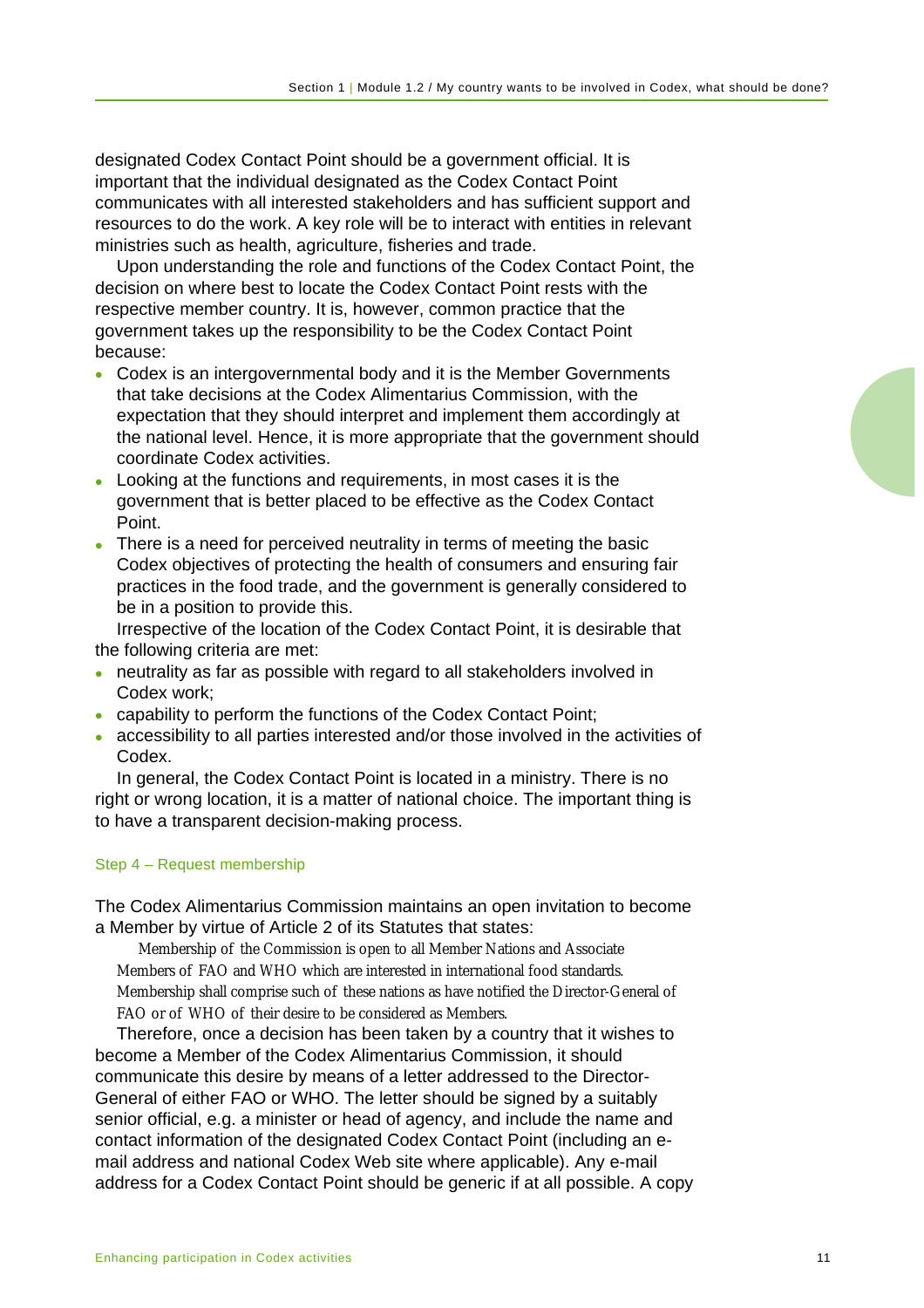designated Codex Contact Point should be a government official. It is important that the individual designated as the Codex Contact Point communicates with all interested stakeholders and has sufficient support and resources to do the work. A key role will be to interact with entities in relevant ministries such as health, agriculture, fisheries and trade.

Upon understanding the role and functions of the Codex Contact Point, the decision on where best to locate the Codex Contact Point rests with the respective member country. It is, however, common practice that the government takes up the responsibility to be the Codex Contact Point because:

- Codex is an intergovernmental body and it is the Member Governments that take decisions at the Codex Alimentarius Commission, with the expectation that they should interpret and implement them accordingly at the national level. Hence, it is more appropriate that the government should coordinate Codex activities.
- Looking at the functions and requirements, in most cases it is the government that is better placed to be effective as the Codex Contact Point.
- There is a need for perceived neutrality in terms of meeting the basic Codex objectives of protecting the health of consumers and ensuring fair practices in the food trade, and the government is generally considered to be in a position to provide this.

Irrespective of the location of the Codex Contact Point, it is desirable that the following criteria are met:

- neutrality as far as possible with regard to all stakeholders involved in Codex work;
- capability to perform the functions of the Codex Contact Point:
- accessibility to all parties interested and/or those involved in the activities of Codex.

In general, the Codex Contact Point is located in a ministry. There is no right or wrong location, it is a matter of national choice. The important thing is to have a transparent decision-making process.

#### Step 4 – Request membership

The Codex Alimentarius Commission maintains an open invitation to become a Member by virtue of Article 2 of its Statutes that states:

Membership of the Commission is open to all Member Nations and Associate Members of FAO and WHO which are interested in international food standards. Membership shall comprise such of these nations as have notified the Director-General of FAO or of WHO of their desire to be considered as Members.

Therefore, once a decision has been taken by a country that it wishes to become a Member of the Codex Alimentarius Commission, it should communicate this desire by means of a letter addressed to the Director-General of either FAO or WHO. The letter should be signed by a suitably senior official, e.g. a minister or head of agency, and include the name and contact information of the designated Codex Contact Point (including an email address and national Codex Web site where applicable). Any e-mail address for a Codex Contact Point should be generic if at all possible. A copy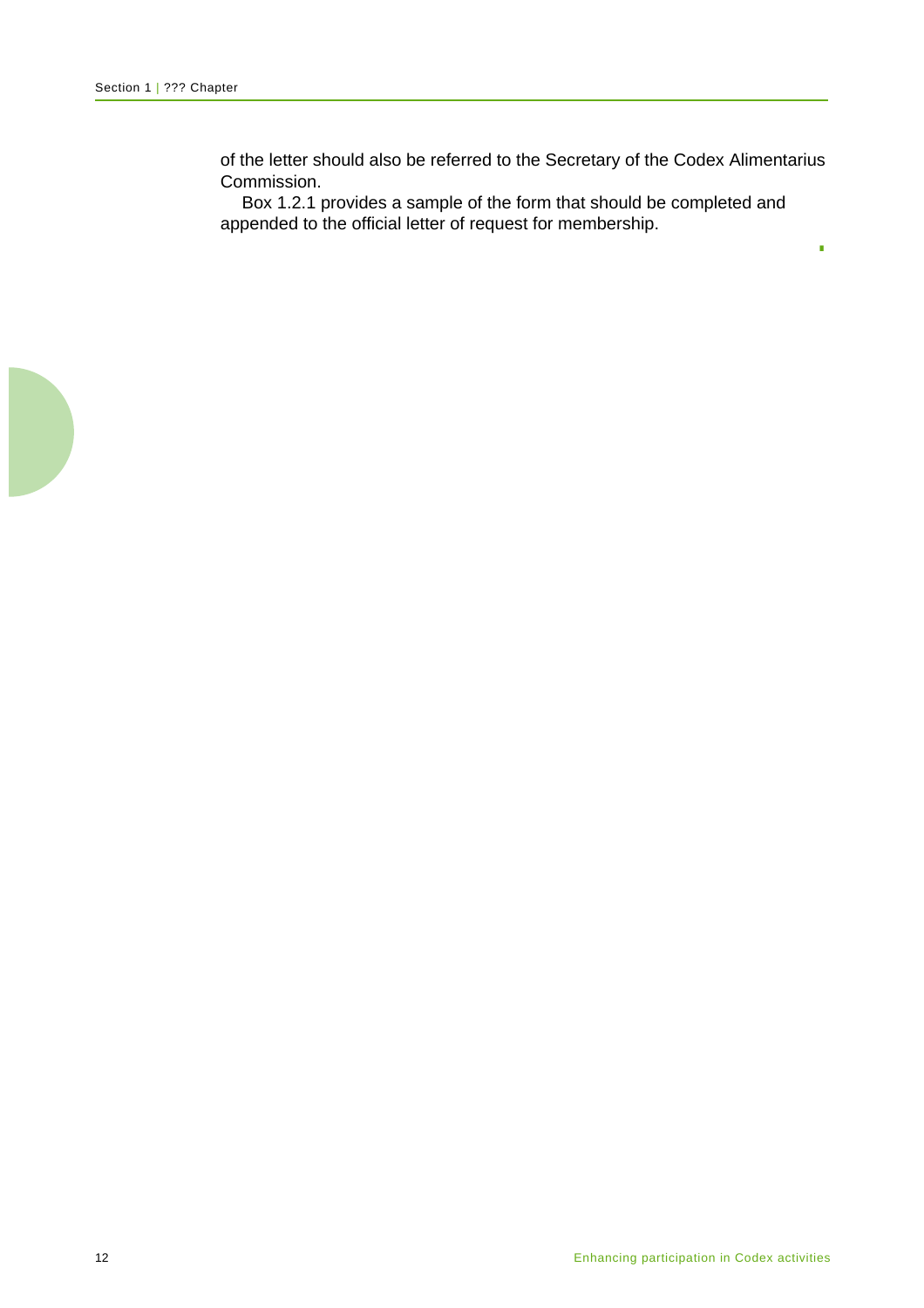of the letter should also be referred to the Secretary of the Codex Alimentarius Commission.

**.** 

Box 1.2.1 provides a sample of the form that should be completed and appended to the official letter of request for membership.

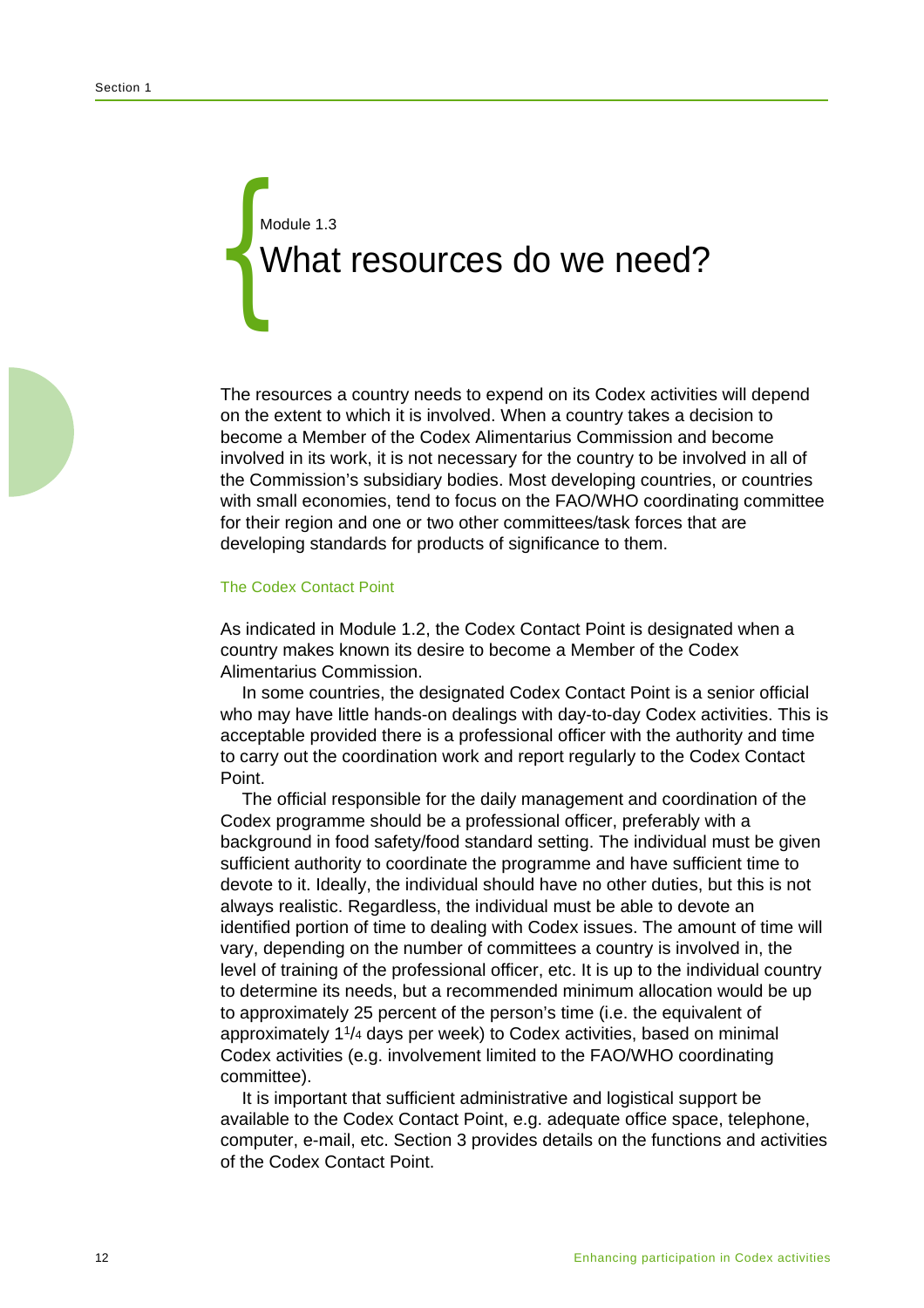Module 1.3 What resources do we need? **{**

The resources a country needs to expend on its Codex activities will depend on the extent to which it is involved. When a country takes a decision to become a Member of the Codex Alimentarius Commission and become involved in its work, it is not necessary for the country to be involved in all of the Commission's subsidiary bodies. Most developing countries, or countries with small economies, tend to focus on the FAO/WHO coordinating committee for their region and one or two other committees/task forces that are developing standards for products of significance to them.

#### The Codex Contact Point

As indicated in Module 1.2, the Codex Contact Point is designated when a country makes known its desire to become a Member of the Codex Alimentarius Commission.

In some countries, the designated Codex Contact Point is a senior official who may have little hands-on dealings with day-to-day Codex activities. This is acceptable provided there is a professional officer with the authority and time to carry out the coordination work and report regularly to the Codex Contact Point.

The official responsible for the daily management and coordination of the Codex programme should be a professional officer, preferably with a background in food safety/food standard setting. The individual must be given sufficient authority to coordinate the programme and have sufficient time to devote to it. Ideally, the individual should have no other duties, but this is not always realistic. Regardless, the individual must be able to devote an identified portion of time to dealing with Codex issues. The amount of time will vary, depending on the number of committees a country is involved in, the level of training of the professional officer, etc. It is up to the individual country to determine its needs, but a recommended minimum allocation would be up to approximately 25 percent of the person's time (i.e. the equivalent of approximately 11/4 days per week) to Codex activities, based on minimal Codex activities (e.g. involvement limited to the FAO/WHO coordinating committee).

It is important that sufficient administrative and logistical support be available to the Codex Contact Point, e.g. adequate office space, telephone, computer, e-mail, etc. Section 3 provides details on the functions and activities of the Codex Contact Point.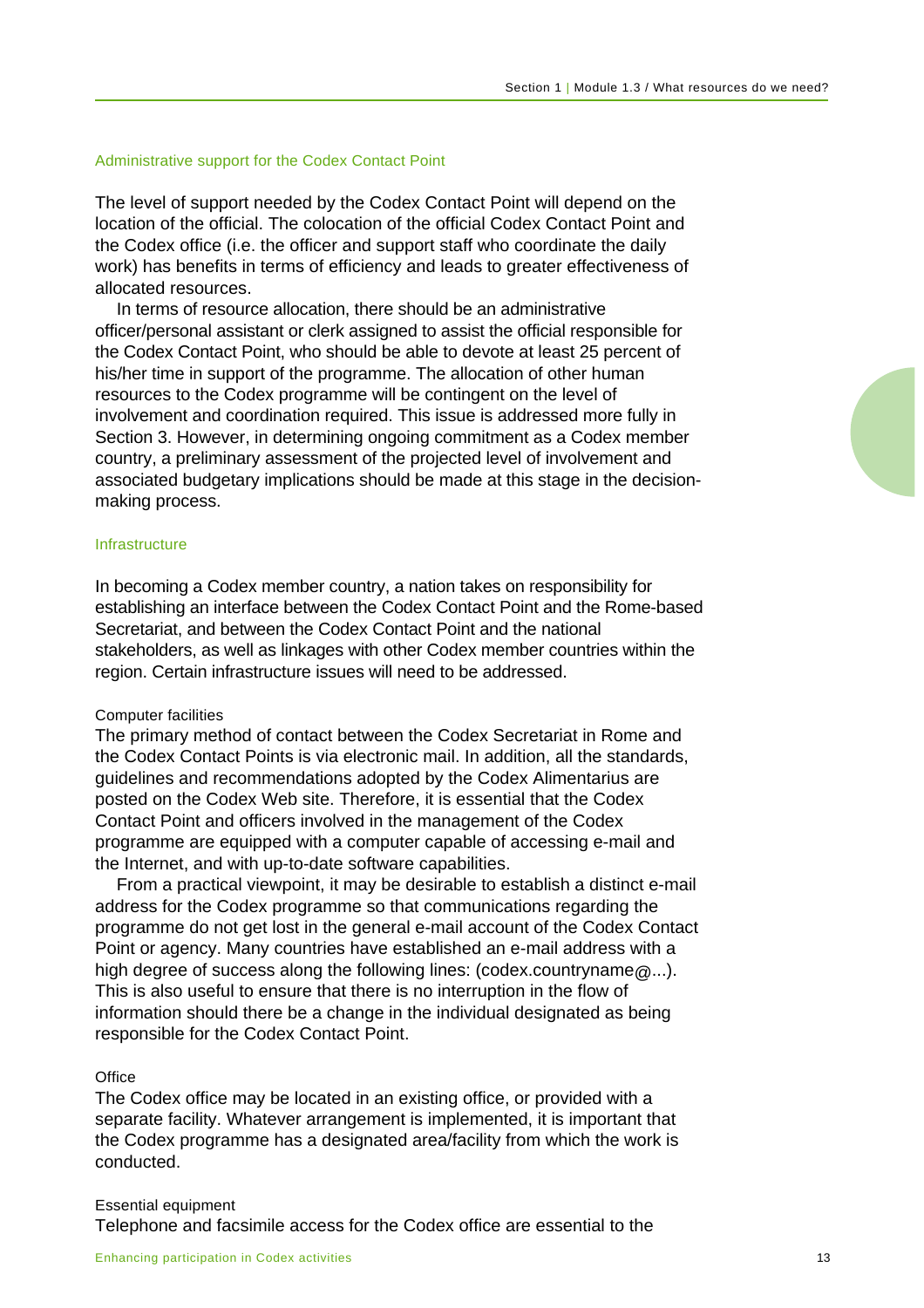#### Administrative support for the Codex Contact Point

The level of support needed by the Codex Contact Point will depend on the location of the official. The colocation of the official Codex Contact Point and the Codex office (i.e. the officer and support staff who coordinate the daily work) has benefits in terms of efficiency and leads to greater effectiveness of allocated resources.

In terms of resource allocation, there should be an administrative officer/personal assistant or clerk assigned to assist the official responsible for the Codex Contact Point, who should be able to devote at least 25 percent of his/her time in support of the programme. The allocation of other human resources to the Codex programme will be contingent on the level of involvement and coordination required. This issue is addressed more fully in Section 3. However, in determining ongoing commitment as a Codex member country, a preliminary assessment of the projected level of involvement and associated budgetary implications should be made at this stage in the decisionmaking process.

#### **Infrastructure**

In becoming a Codex member country, a nation takes on responsibility for establishing an interface between the Codex Contact Point and the Rome-based Secretariat, and between the Codex Contact Point and the national stakeholders, as well as linkages with other Codex member countries within the region. Certain infrastructure issues will need to be addressed.

#### Computer facilities

The primary method of contact between the Codex Secretariat in Rome and the Codex Contact Points is via electronic mail. In addition, all the standards, guidelines and recommendations adopted by the Codex Alimentarius are posted on the Codex Web site. Therefore, it is essential that the Codex Contact Point and officers involved in the management of the Codex programme are equipped with a computer capable of accessing e-mail and the Internet, and with up-to-date software capabilities.

From a practical viewpoint, it may be desirable to establish a distinct e-mail address for the Codex programme so that communications regarding the programme do not get lost in the general e-mail account of the Codex Contact Point or agency. Many countries have established an e-mail address with a high degree of success along the following lines: (codex.countryname@...). This is also useful to ensure that there is no interruption in the flow of information should there be a change in the individual designated as being responsible for the Codex Contact Point.

#### **Office**

The Codex office may be located in an existing office, or provided with a separate facility. Whatever arrangement is implemented, it is important that the Codex programme has a designated area/facility from which the work is conducted.

Essential equipment Telephone and facsimile access for the Codex office are essential to the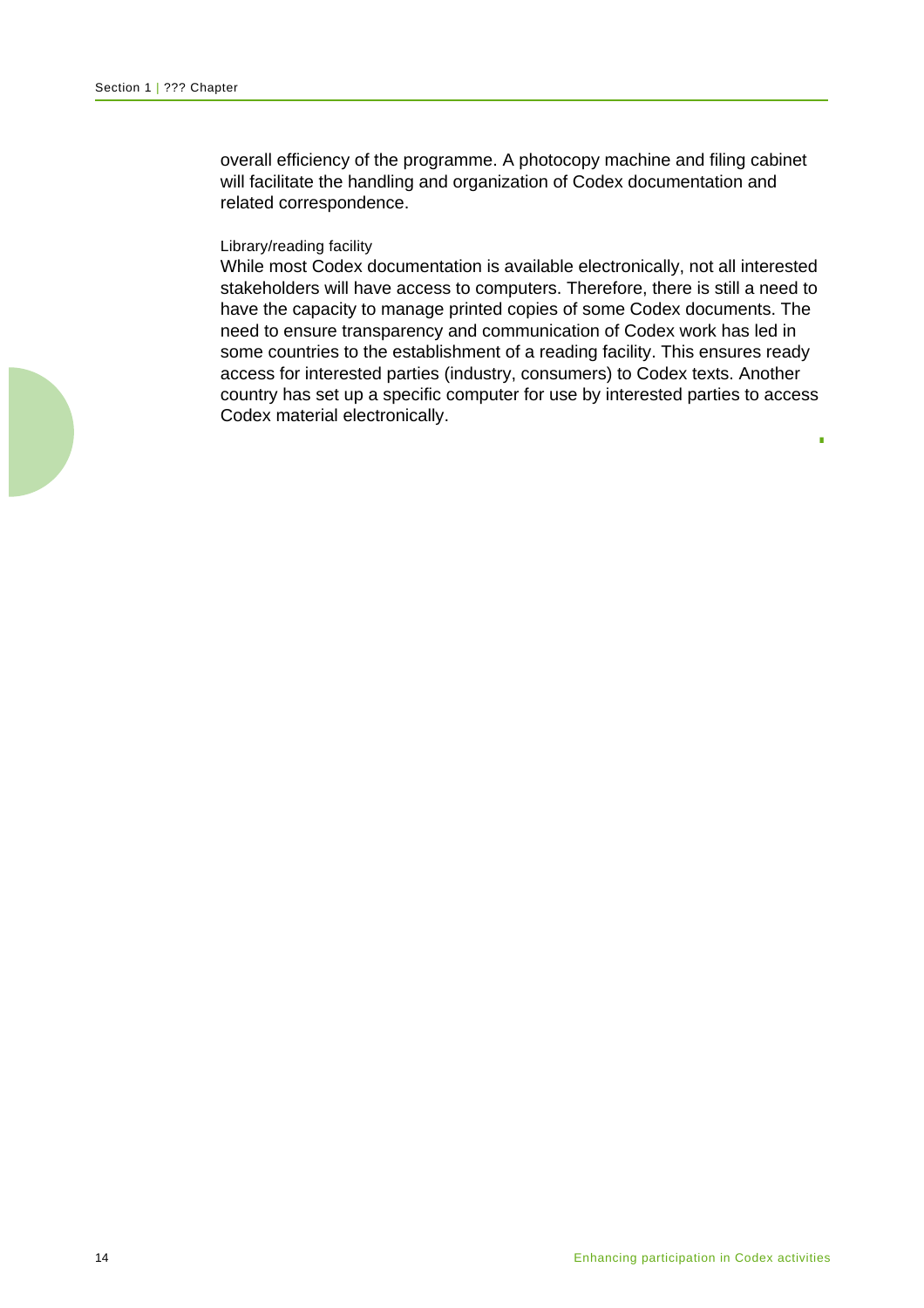overall efficiency of the programme. A photocopy machine and filing cabinet will facilitate the handling and organization of Codex documentation and related correspondence.

#### Library/reading facility

While most Codex documentation is available electronically, not all interested stakeholders will have access to computers. Therefore, there is still a need to have the capacity to manage printed copies of some Codex documents. The need to ensure transparency and communication of Codex work has led in some countries to the establishment of a reading facility. This ensures ready access for interested parties (industry, consumers) to Codex texts. Another country has set up a specific computer for use by interested parties to access Codex material electronically.



**.**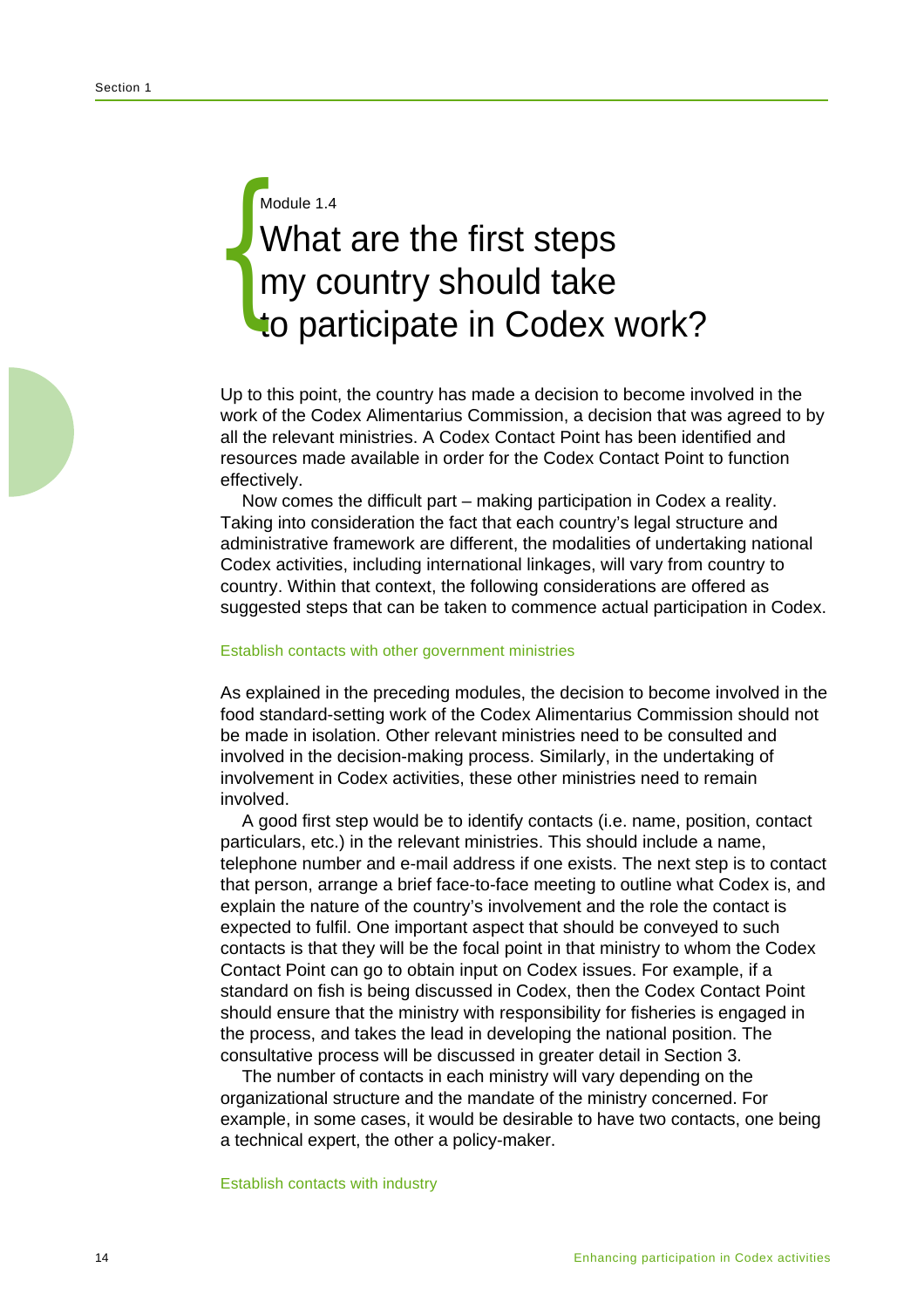## Module 1.4 What are the first steps my country should take What are the first steps<br>my country should take<br>to participate in Codex work?

Up to this point, the country has made a decision to become involved in the work of the Codex Alimentarius Commission, a decision that was agreed to by all the relevant ministries. A Codex Contact Point has been identified and resources made available in order for the Codex Contact Point to function effectively.

Now comes the difficult part – making participation in Codex a reality. Taking into consideration the fact that each country's legal structure and administrative framework are different, the modalities of undertaking national Codex activities, including international linkages, will vary from country to country. Within that context, the following considerations are offered as suggested steps that can be taken to commence actual participation in Codex.

#### Establish contacts with other government ministries

As explained in the preceding modules, the decision to become involved in the food standard-setting work of the Codex Alimentarius Commission should not be made in isolation. Other relevant ministries need to be consulted and involved in the decision-making process. Similarly, in the undertaking of involvement in Codex activities, these other ministries need to remain involved.

A good first step would be to identify contacts (i.e. name, position, contact particulars, etc.) in the relevant ministries. This should include a name, telephone number and e-mail address if one exists. The next step is to contact that person, arrange a brief face-to-face meeting to outline what Codex is, and explain the nature of the country's involvement and the role the contact is expected to fulfil. One important aspect that should be conveyed to such contacts is that they will be the focal point in that ministry to whom the Codex Contact Point can go to obtain input on Codex issues. For example, if a standard on fish is being discussed in Codex, then the Codex Contact Point should ensure that the ministry with responsibility for fisheries is engaged in the process, and takes the lead in developing the national position. The consultative process will be discussed in greater detail in Section 3.

The number of contacts in each ministry will vary depending on the organizational structure and the mandate of the ministry concerned. For example, in some cases, it would be desirable to have two contacts, one being a technical expert, the other a policy-maker.

Establish contacts with industry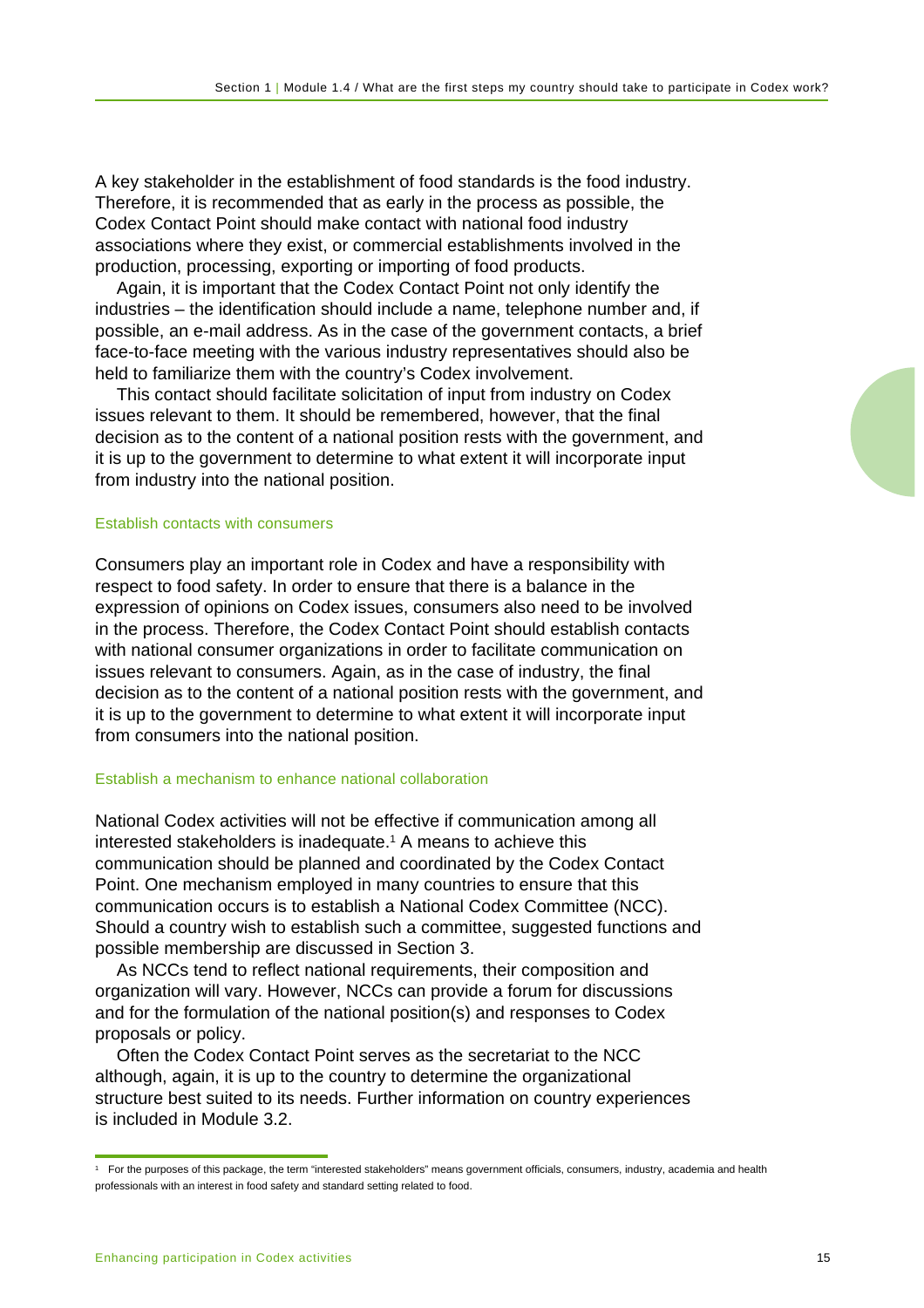A key stakeholder in the establishment of food standards is the food industry. Therefore, it is recommended that as early in the process as possible, the Codex Contact Point should make contact with national food industry associations where they exist, or commercial establishments involved in the production, processing, exporting or importing of food products.

Again, it is important that the Codex Contact Point not only identify the industries – the identification should include a name, telephone number and, if possible, an e-mail address. As in the case of the government contacts, a brief face-to-face meeting with the various industry representatives should also be held to familiarize them with the country's Codex involvement.

This contact should facilitate solicitation of input from industry on Codex issues relevant to them. It should be remembered, however, that the final decision as to the content of a national position rests with the government, and it is up to the government to determine to what extent it will incorporate input from industry into the national position.

#### Establish contacts with consumers

Consumers play an important role in Codex and have a responsibility with respect to food safety. In order to ensure that there is a balance in the expression of opinions on Codex issues, consumers also need to be involved in the process. Therefore, the Codex Contact Point should establish contacts with national consumer organizations in order to facilitate communication on issues relevant to consumers. Again, as in the case of industry, the final decision as to the content of a national position rests with the government, and it is up to the government to determine to what extent it will incorporate input from consumers into the national position.

#### Establish a mechanism to enhance national collaboration

National Codex activities will not be effective if communication among all interested stakeholders is inadequate.<sup>1</sup> A means to achieve this communication should be planned and coordinated by the Codex Contact Point. One mechanism employed in many countries to ensure that this communication occurs is to establish a National Codex Committee (NCC). Should a country wish to establish such a committee, suggested functions and possible membership are discussed in Section 3.

As NCCs tend to reflect national requirements, their composition and organization will vary. However, NCCs can provide a forum for discussions and for the formulation of the national position(s) and responses to Codex proposals or policy.

Often the Codex Contact Point serves as the secretariat to the NCC although, again, it is up to the country to determine the organizational structure best suited to its needs. Further information on country experiences is included in Module 3.2.

<sup>1</sup> For the purposes of this package, the term "interested stakeholders" means government officials, consumers, industry, academia and health professionals with an interest in food safety and standard setting related to food.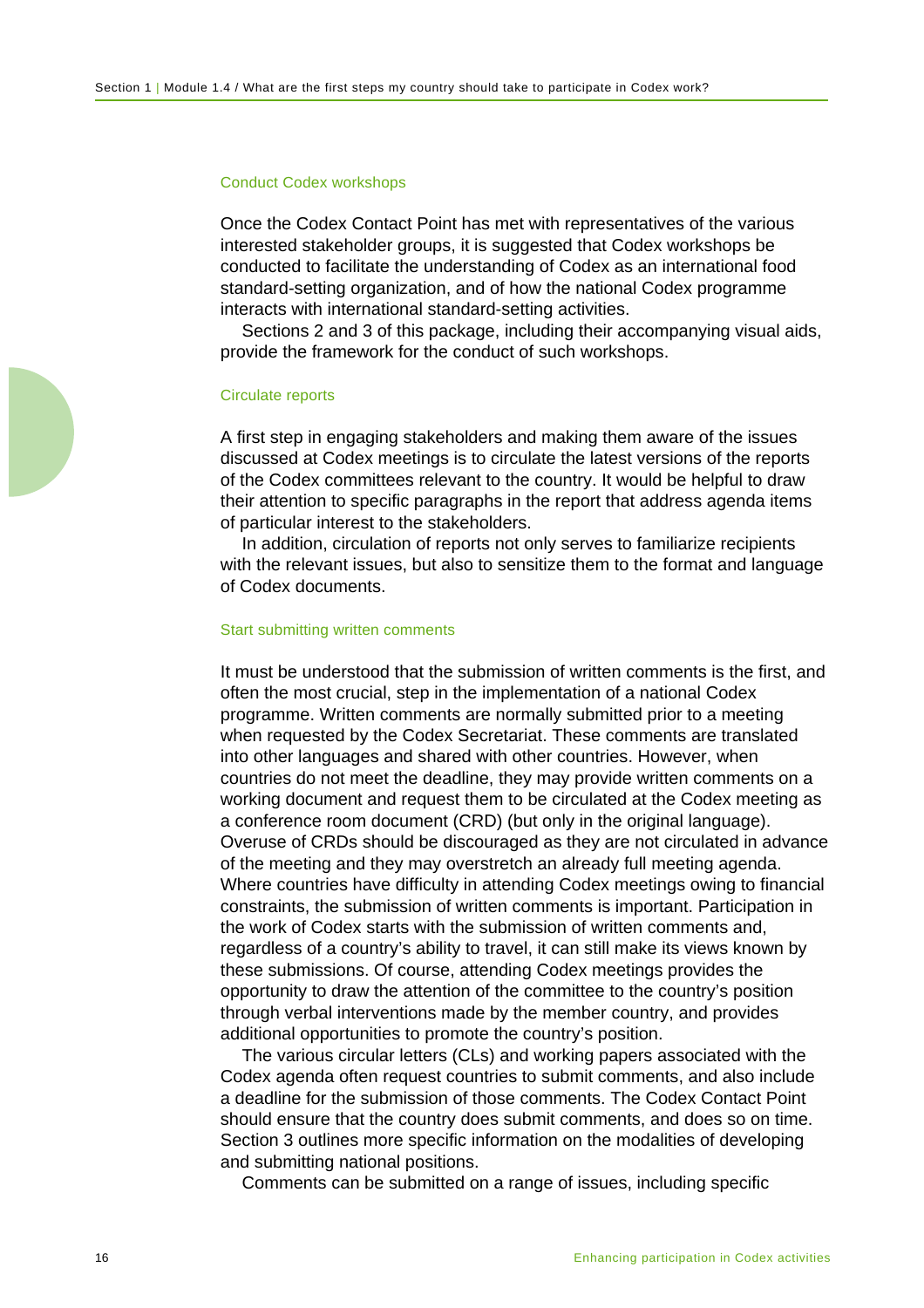#### Conduct Codex workshops

Once the Codex Contact Point has met with representatives of the various interested stakeholder groups, it is suggested that Codex workshops be conducted to facilitate the understanding of Codex as an international food standard-setting organization, and of how the national Codex programme interacts with international standard-setting activities.

Sections 2 and 3 of this package, including their accompanying visual aids, provide the framework for the conduct of such workshops.

#### Circulate reports

A first step in engaging stakeholders and making them aware of the issues discussed at Codex meetings is to circulate the latest versions of the reports of the Codex committees relevant to the country. It would be helpful to draw their attention to specific paragraphs in the report that address agenda items of particular interest to the stakeholders.

In addition, circulation of reports not only serves to familiarize recipients with the relevant issues, but also to sensitize them to the format and language of Codex documents.

#### Start submitting written comments

It must be understood that the submission of written comments is the first, and often the most crucial, step in the implementation of a national Codex programme. Written comments are normally submitted prior to a meeting when requested by the Codex Secretariat. These comments are translated into other languages and shared with other countries. However, when countries do not meet the deadline, they may provide written comments on a working document and request them to be circulated at the Codex meeting as a conference room document (CRD) (but only in the original language). Overuse of CRDs should be discouraged as they are not circulated in advance of the meeting and they may overstretch an already full meeting agenda. Where countries have difficulty in attending Codex meetings owing to financial constraints, the submission of written comments is important. Participation in the work of Codex starts with the submission of written comments and, regardless of a country's ability to travel, it can still make its views known by these submissions. Of course, attending Codex meetings provides the opportunity to draw the attention of the committee to the country's position through verbal interventions made by the member country, and provides additional opportunities to promote the country's position.

The various circular letters (CLs) and working papers associated with the Codex agenda often request countries to submit comments, and also include a deadline for the submission of those comments. The Codex Contact Point should ensure that the country does submit comments, and does so on time. Section 3 outlines more specific information on the modalities of developing and submitting national positions.

Comments can be submitted on a range of issues, including specific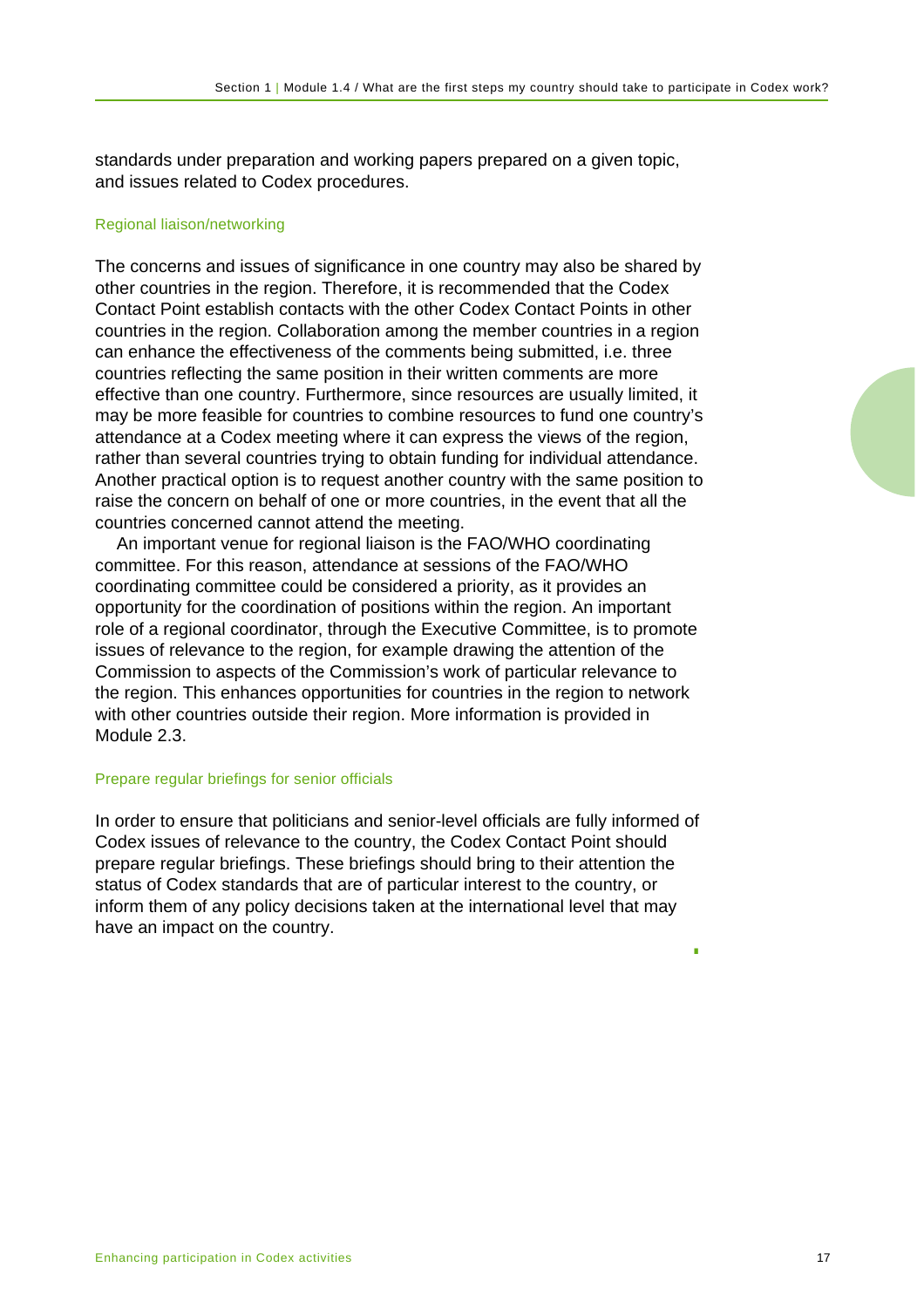standards under preparation and working papers prepared on a given topic, and issues related to Codex procedures.

#### Regional liaison/networking

The concerns and issues of significance in one country may also be shared by other countries in the region. Therefore, it is recommended that the Codex Contact Point establish contacts with the other Codex Contact Points in other countries in the region. Collaboration among the member countries in a region can enhance the effectiveness of the comments being submitted, i.e. three countries reflecting the same position in their written comments are more effective than one country. Furthermore, since resources are usually limited, it may be more feasible for countries to combine resources to fund one country's attendance at a Codex meeting where it can express the views of the region, rather than several countries trying to obtain funding for individual attendance. Another practical option is to request another country with the same position to raise the concern on behalf of one or more countries, in the event that all the countries concerned cannot attend the meeting.

An important venue for regional liaison is the FAO/WHO coordinating committee. For this reason, attendance at sessions of the FAO/WHO coordinating committee could be considered a priority, as it provides an opportunity for the coordination of positions within the region. An important role of a regional coordinator, through the Executive Committee, is to promote issues of relevance to the region, for example drawing the attention of the Commission to aspects of the Commission's work of particular relevance to the region. This enhances opportunities for countries in the region to network with other countries outside their region. More information is provided in Module 2.3.

#### Prepare regular briefings for senior officials

In order to ensure that politicians and senior-level officials are fully informed of Codex issues of relevance to the country, the Codex Contact Point should prepare regular briefings. These briefings should bring to their attention the status of Codex standards that are of particular interest to the country, or inform them of any policy decisions taken at the international level that may have an impact on the country.

**.**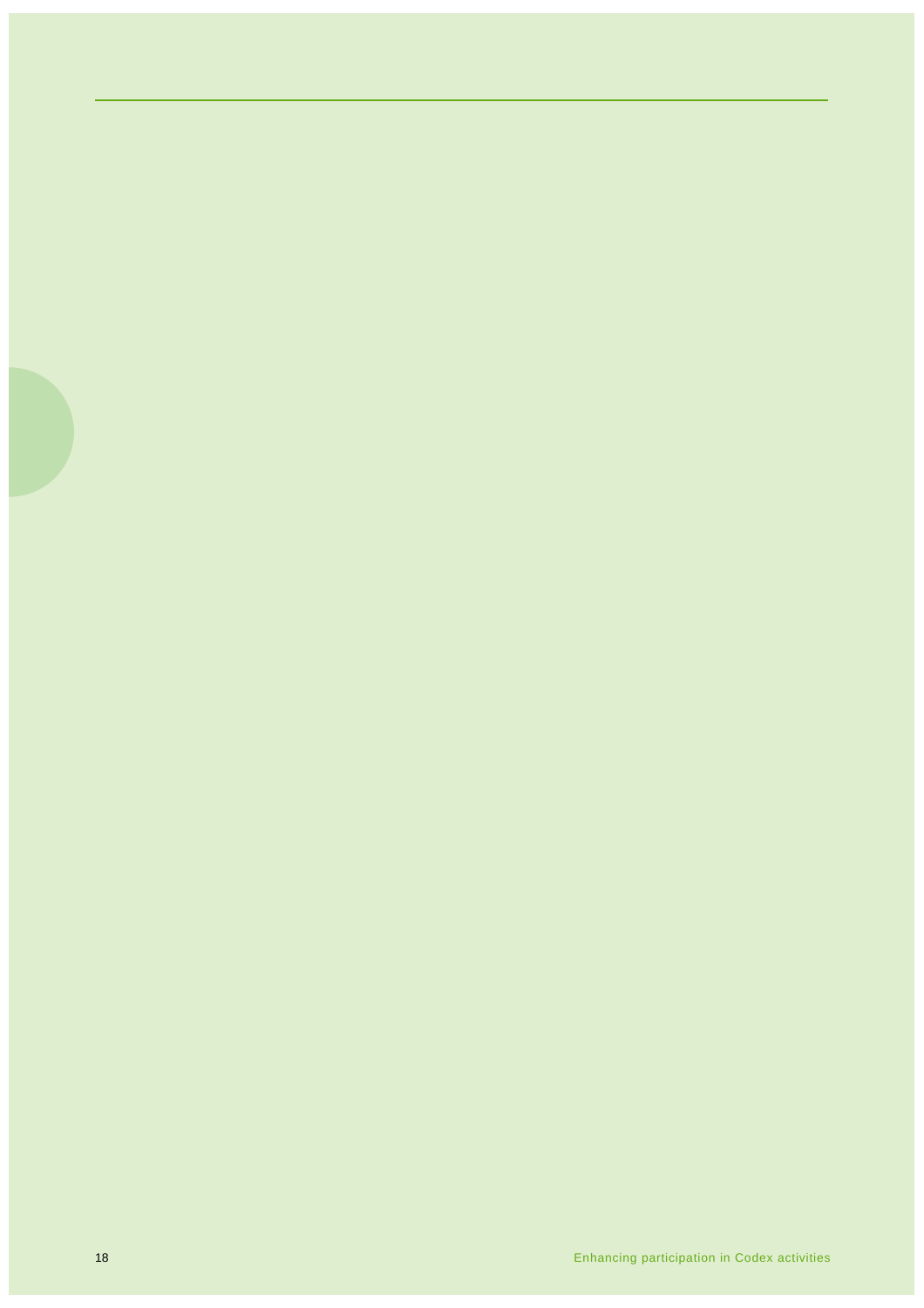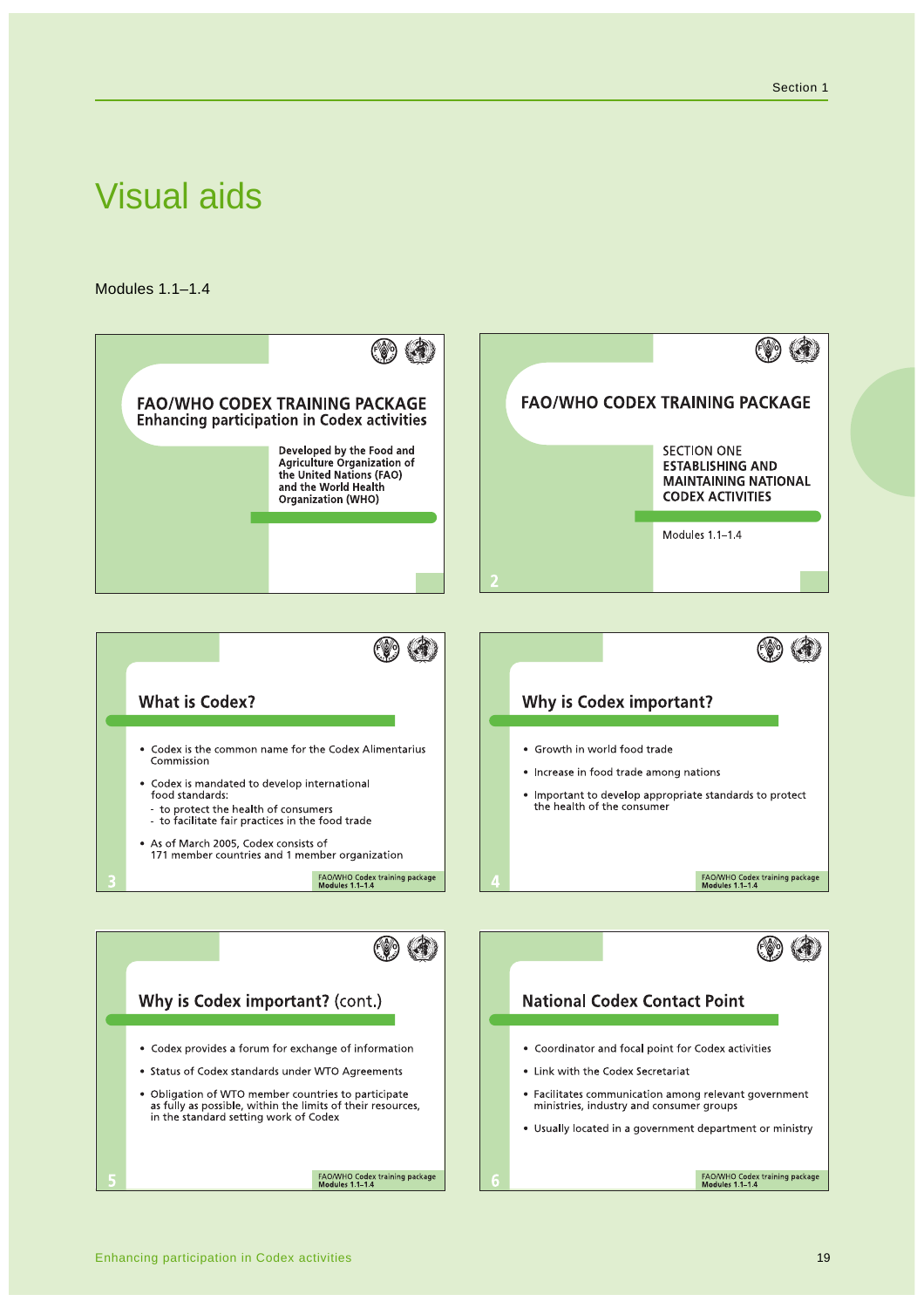## Visual aids

#### Modules 1.1–1.4



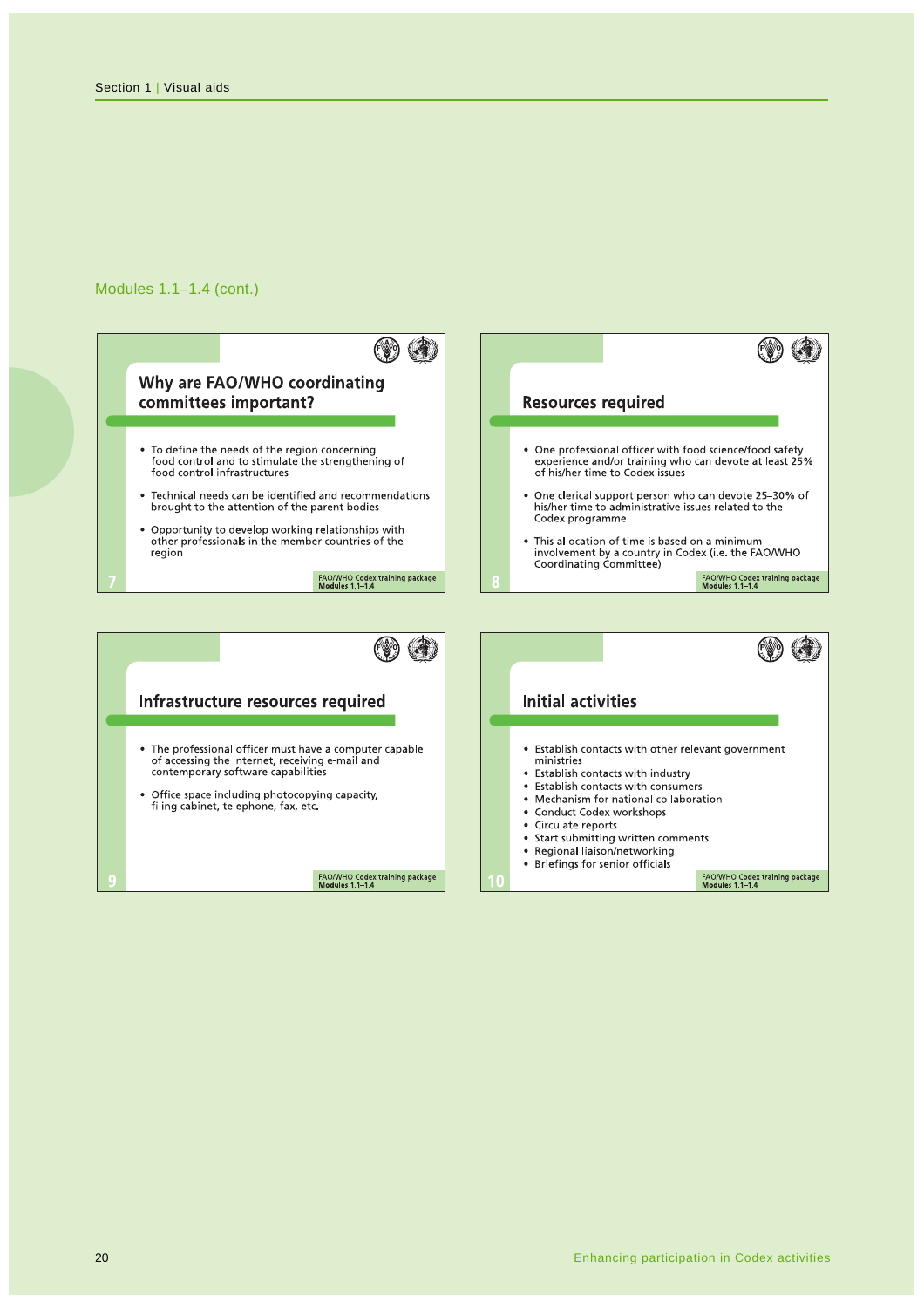#### Modules 1.1–1.4 (cont.)

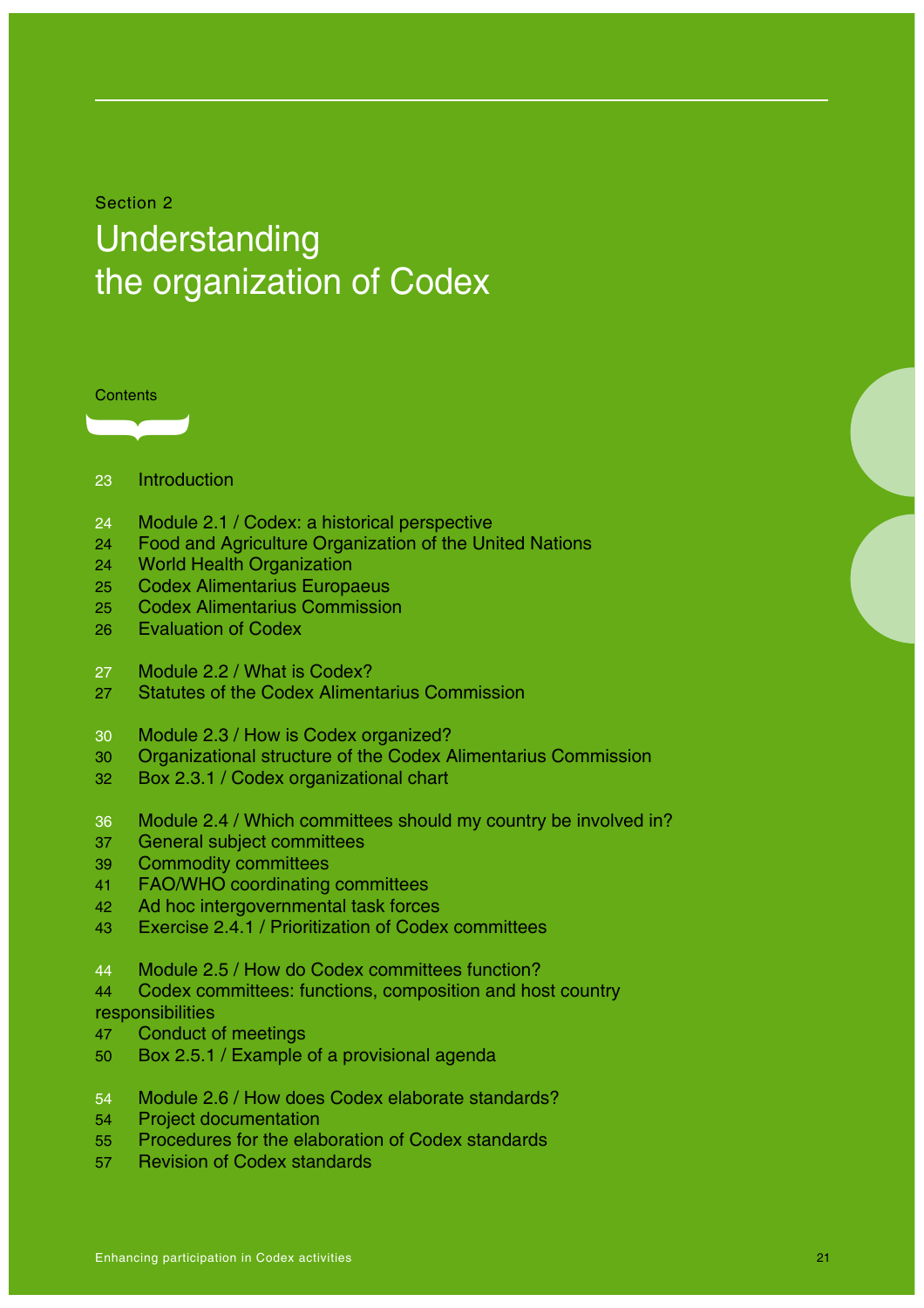### Section 2 Understanding the organization of Codex

#### **Contents**

**{**

#### Introduction

- Module 2.1 / Codex: a historical perspective
- Food and Agriculture Organization of the United Nations
- World Health Organization
- Codex Alimentarius Europaeus
- Codex Alimentarius Commission
- Evaluation of Codex
- Module 2.2 / What is Codex?
- Statutes of the Codex Alimentarius Commission
- Module 2.3 / How is Codex organized?
- Organizational structure of the Codex Alimentarius Commission
- Box 2.3.1 / Codex organizational chart
- Module 2.4 / Which committees should my country be involved in?
- General subject committees
- Commodity committees
- FAO/WHO coordinating committees
- Ad hoc intergovernmental task forces
- Exercise 2.4.1 / Prioritization of Codex committees
- Module 2.5 / How do Codex committees function?
- Codex committees: functions, composition and host country responsibilities
- Conduct of meetings
- Box 2.5.1 / Example of a provisional agenda
- Module 2.6 / How does Codex elaborate standards?
- Project documentation
- Procedures for the elaboration of Codex standards
- Revision of Codex standards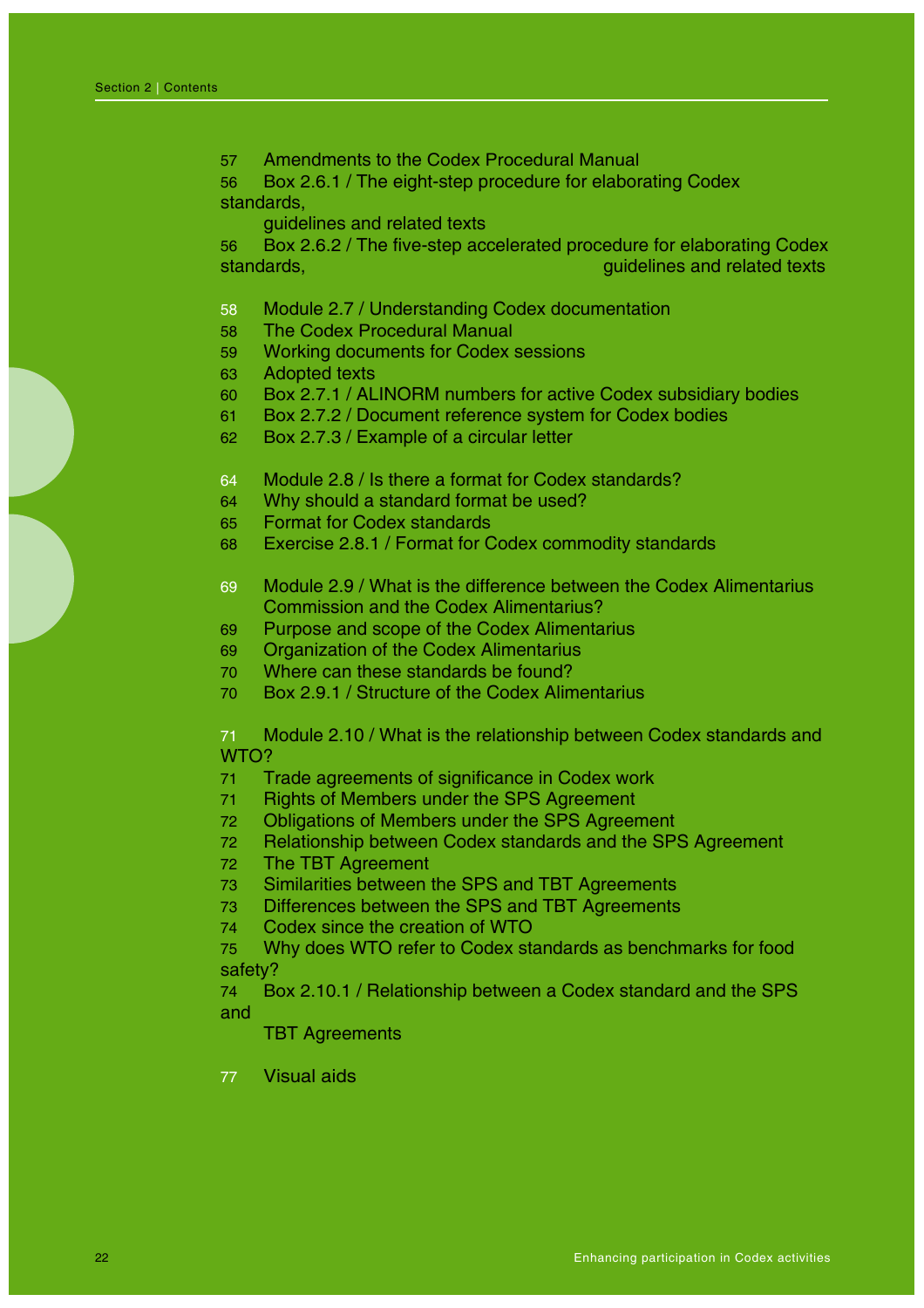Amendments to the Codex Procedural Manual

 Box 2.6.1 / The eight-step procedure for elaborating Codex standards,

guidelines and related texts

 Box 2.6.2 / The five-step accelerated procedure for elaborating Codex standards, guidelines and related texts

- Module 2.7 / Understanding Codex documentation
- The Codex Procedural Manual
- Working documents for Codex sessions
- Adopted texts
- Box 2.7.1 / ALINORM numbers for active Codex subsidiary bodies
- Box 2.7.2 / Document reference system for Codex bodies
- Box 2.7.3 / Example of a circular letter
- Module 2.8 / Is there a format for Codex standards?
- Why should a standard format be used?
- Format for Codex standards
- Exercise 2.8.1 / Format for Codex commodity standards
- Module 2.9 / What is the difference between the Codex Alimentarius Commission and the Codex Alimentarius?
- Purpose and scope of the Codex Alimentarius
- Organization of the Codex Alimentarius
- Where can these standards be found?
- Box 2.9.1 / Structure of the Codex Alimentarius

 Module 2.10 / What is the relationship between Codex standards and WTO?

- Trade agreements of significance in Codex work
- Rights of Members under the SPS Agreement
- Obligations of Members under the SPS Agreement
- Relationship between Codex standards and the SPS Agreement
- The TBT Agreement
- Similarities between the SPS and TBT Agreements
- Differences between the SPS and TBT Agreements
- Codex since the creation of WTO

 Why does WTO refer to Codex standards as benchmarks for food safety?

 Box 2.10.1 / Relationship between a Codex standard and the SPS and

TBT Agreements

Visual aids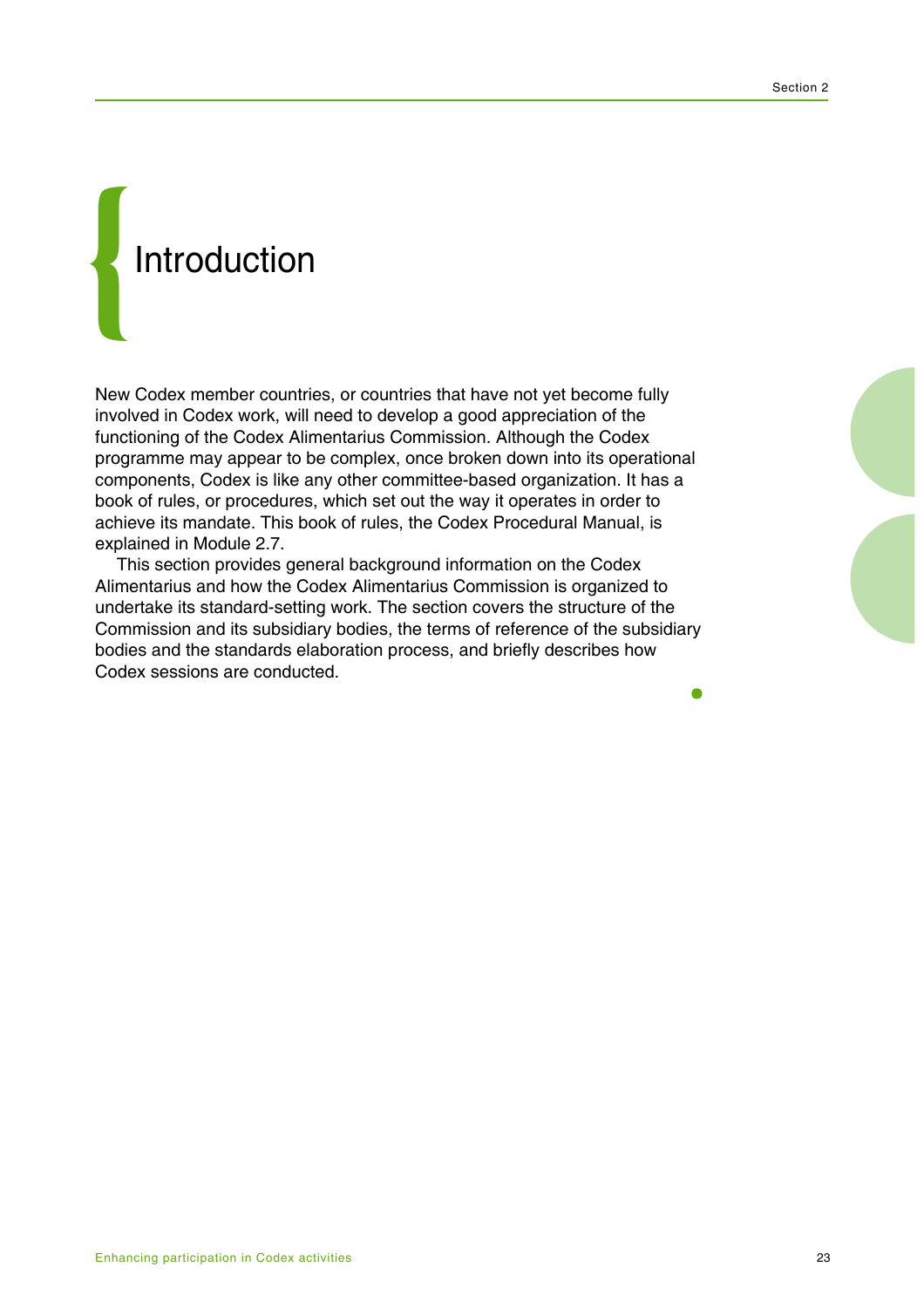# Introduction **{**

New Codex member countries, or countries that have not yet become fully involved in Codex work, will need to develop a good appreciation of the functioning of the Codex Alimentarius Commission. Although the Codex programme may appear to be complex, once broken down into its operational components, Codex is like any other committee-based organization. It has a book of rules, or procedures, which set out the way it operates in order to achieve its mandate. This book of rules, the Codex Procedural Manual, is explained in Module 2.7.

This section provides general background information on the Codex Alimentarius and how the Codex Alimentarius Commission is organized to undertake its standard-setting work. The section covers the structure of the Commission and its subsidiary bodies, the terms of reference of the subsidiary bodies and the standards elaboration process, and briefly describes how Codex sessions are conducted. **.**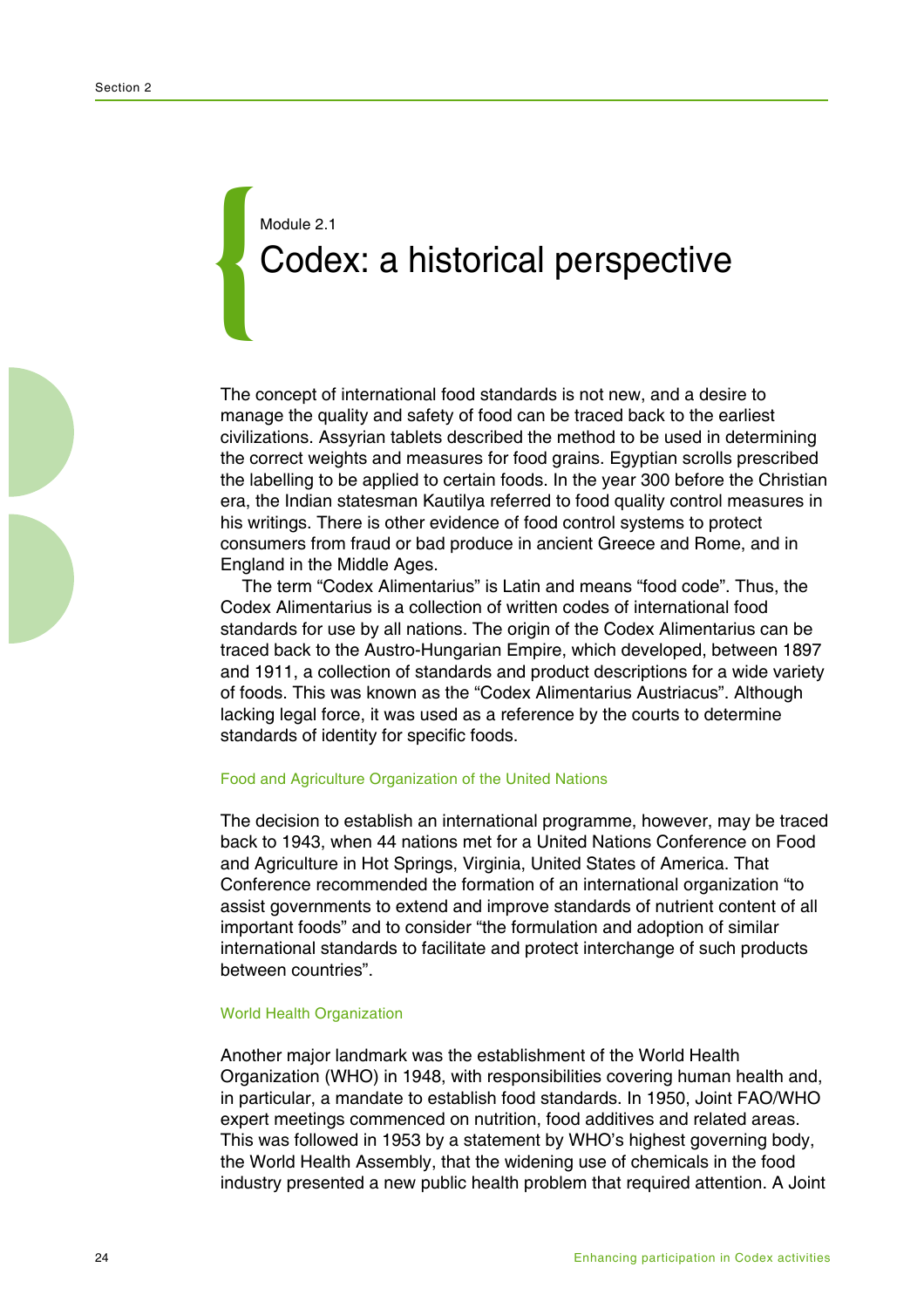### Module 2.1 Codex: a historical perspective **{**

The concept of international food standards is not new, and a desire to manage the quality and safety of food can be traced back to the earliest civilizations. Assyrian tablets described the method to be used in determining the correct weights and measures for food grains. Egyptian scrolls prescribed the labelling to be applied to certain foods. In the year 300 before the Christian era, the Indian statesman Kautilya referred to food quality control measures in his writings. There is other evidence of food control systems to protect consumers from fraud or bad produce in ancient Greece and Rome, and in England in the Middle Ages.

The term "Codex Alimentarius" is Latin and means "food code". Thus, the Codex Alimentarius is a collection of written codes of international food standards for use by all nations. The origin of the Codex Alimentarius can be traced back to the Austro-Hungarian Empire, which developed, between 1897 and 1911, a collection of standards and product descriptions for a wide variety of foods. This was known as the "Codex Alimentarius Austriacus". Although lacking legal force, it was used as a reference by the courts to determine standards of identity for specific foods.

#### Food and Agriculture Organization of the United Nations

The decision to establish an international programme, however, may be traced back to 1943, when 44 nations met for a United Nations Conference on Food and Agriculture in Hot Springs, Virginia, United States of America. That Conference recommended the formation of an international organization "to assist governments to extend and improve standards of nutrient content of all important foods" and to consider "the formulation and adoption of similar international standards to facilitate and protect interchange of such products between countries".

#### World Health Organization

Another major landmark was the establishment of the World Health Organization (WHO) in 1948, with responsibilities covering human health and, in particular, a mandate to establish food standards. In 1950, Joint FAO/WHO expert meetings commenced on nutrition, food additives and related areas. This was followed in 1953 by a statement by WHO's highest governing body, the World Health Assembly, that the widening use of chemicals in the food industry presented a new public health problem that required attention. A Joint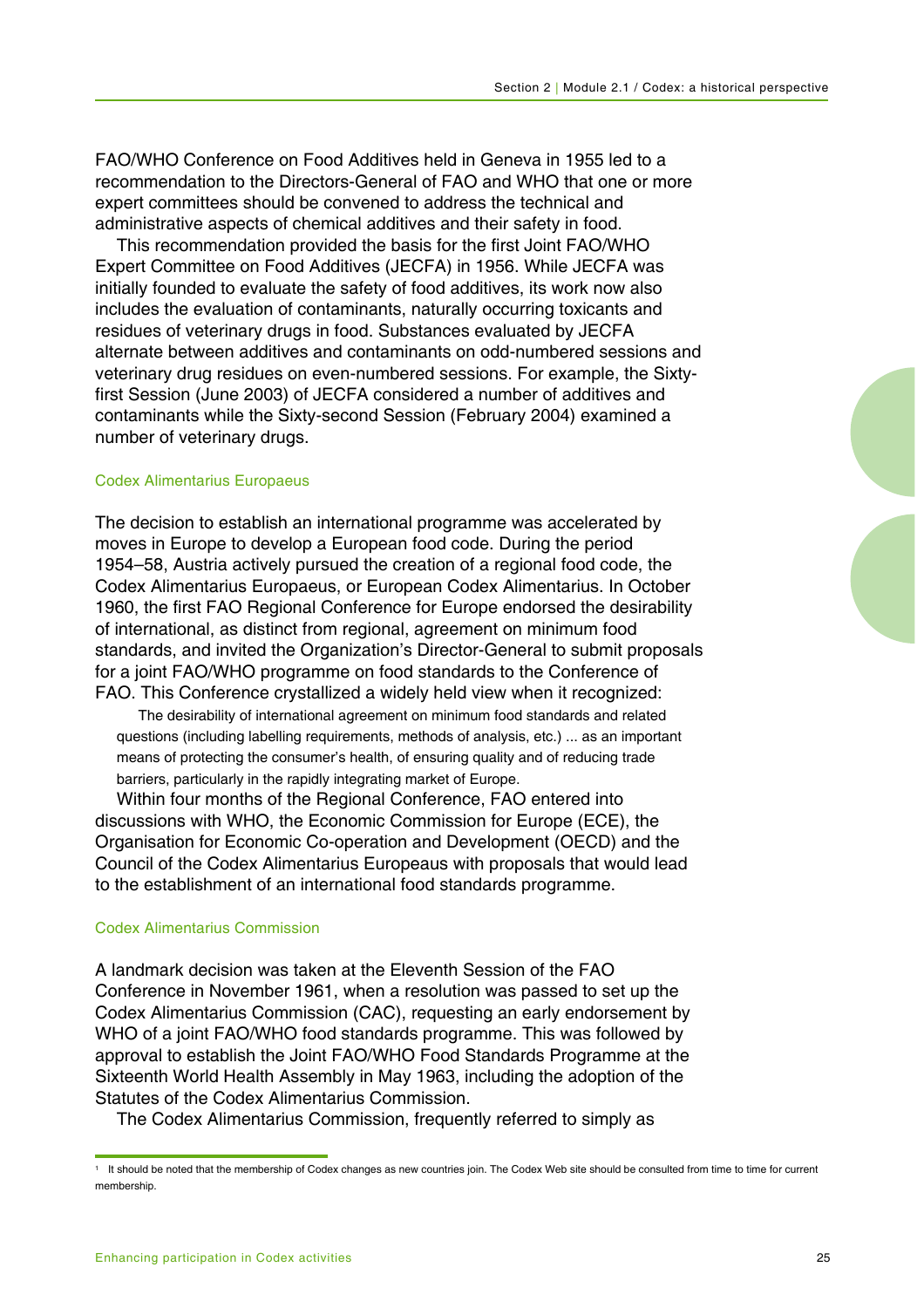FAO/WHO Conference on Food Additives held in Geneva in 1955 led to a recommendation to the Directors-General of FAO and WHO that one or more expert committees should be convened to address the technical and administrative aspects of chemical additives and their safety in food.

This recommendation provided the basis for the first Joint FAO/WHO Expert Committee on Food Additives (JECFA) in 1956. While JECFA was initially founded to evaluate the safety of food additives, its work now also includes the evaluation of contaminants, naturally occurring toxicants and residues of veterinary drugs in food. Substances evaluated by JECFA alternate between additives and contaminants on odd-numbered sessions and veterinary drug residues on even-numbered sessions. For example, the Sixtyfirst Session (June 2003) of JECFA considered a number of additives and contaminants while the Sixty-second Session (February 2004) examined a number of veterinary drugs.

#### Codex Alimentarius Europaeus

The decision to establish an international programme was accelerated by moves in Europe to develop a European food code. During the period 1954–58, Austria actively pursued the creation of a regional food code, the Codex Alimentarius Europaeus, or European Codex Alimentarius. In October 1960, the first FAO Regional Conference for Europe endorsed the desirability of international, as distinct from regional, agreement on minimum food standards, and invited the Organization's Director-General to submit proposals for a joint FAO/WHO programme on food standards to the Conference of FAO. This Conference crystallized a widely held view when it recognized:

The desirability of international agreement on minimum food standards and related questions (including labelling requirements, methods of analysis, etc.) ... as an important means of protecting the consumer's health, of ensuring quality and of reducing trade barriers, particularly in the rapidly integrating market of Europe.

Within four months of the Regional Conference, FAO entered into discussions with WHO, the Economic Commission for Europe (ECE), the Organisation for Economic Co-operation and Development (OECD) and the Council of the Codex Alimentarius Europeaus with proposals that would lead to the establishment of an international food standards programme.

#### Codex Alimentarius Commission

A landmark decision was taken at the Eleventh Session of the FAO Conference in November 1961, when a resolution was passed to set up the Codex Alimentarius Commission (CAC), requesting an early endorsement by WHO of a joint FAO/WHO food standards programme. This was followed by approval to establish the Joint FAO/WHO Food Standards Programme at the Sixteenth World Health Assembly in May 1963, including the adoption of the Statutes of the Codex Alimentarius Commission.

The Codex Alimentarius Commission, frequently referred to simply as

<sup>1</sup> It should be noted that the membership of Codex changes as new countries join. The Codex Web site should be consulted from time to time for current membership.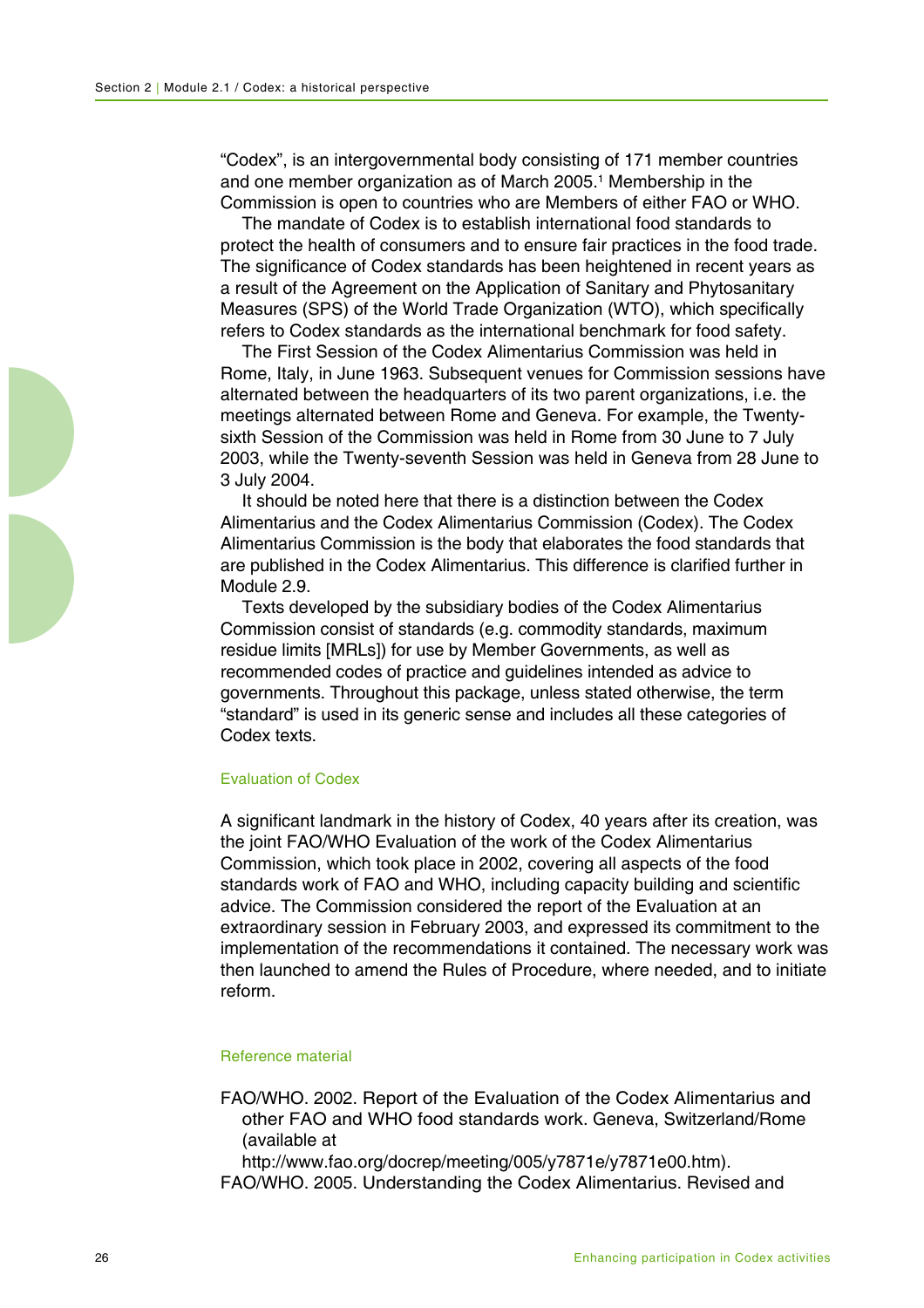"Codex", is an intergovernmental body consisting of 171 member countries and one member organization as of March 2005.<sup>1</sup> Membership in the Commission is open to countries who are Members of either FAO or WHO.

The mandate of Codex is to establish international food standards to protect the health of consumers and to ensure fair practices in the food trade. The significance of Codex standards has been heightened in recent years as a result of the Agreement on the Application of Sanitary and Phytosanitary Measures (SPS) of the World Trade Organization (WTO), which specifically refers to Codex standards as the international benchmark for food safety.

The First Session of the Codex Alimentarius Commission was held in Rome, Italy, in June 1963. Subsequent venues for Commission sessions have alternated between the headquarters of its two parent organizations, i.e. the meetings alternated between Rome and Geneva. For example, the Twentysixth Session of the Commission was held in Rome from 30 June to 7 July 2003, while the Twenty-seventh Session was held in Geneva from 28 June to 3 July 2004.

It should be noted here that there is a distinction between the Codex Alimentarius and the Codex Alimentarius Commission (Codex). The Codex Alimentarius Commission is the body that elaborates the food standards that are published in the Codex Alimentarius. This difference is clarified further in Module 2.9.

Texts developed by the subsidiary bodies of the Codex Alimentarius Commission consist of standards (e.g. commodity standards, maximum residue limits [MRLs]) for use by Member Governments, as well as recommended codes of practice and guidelines intended as advice to governments. Throughout this package, unless stated otherwise, the term "standard" is used in its generic sense and includes all these categories of Codex texts.

#### Evaluation of Codex

A significant landmark in the history of Codex, 40 years after its creation, was the joint FAO/WHO Evaluation of the work of the Codex Alimentarius Commission, which took place in 2002, covering all aspects of the food standards work of FAO and WHO, including capacity building and scientific advice. The Commission considered the report of the Evaluation at an extraordinary session in February 2003, and expressed its commitment to the implementation of the recommendations it contained. The necessary work was then launched to amend the Rules of Procedure, where needed, and to initiate reform.

#### Reference material

FAO/WHO. 2002. Report of the Evaluation of the Codex Alimentarius and other FAO and WHO food standards work. Geneva, Switzerland/Rome (available at

http://www.fao.org/docrep/meeting/005/y7871e/y7871e00.htm). FAO/WHO. 2005. Understanding the Codex Alimentarius. Revised and

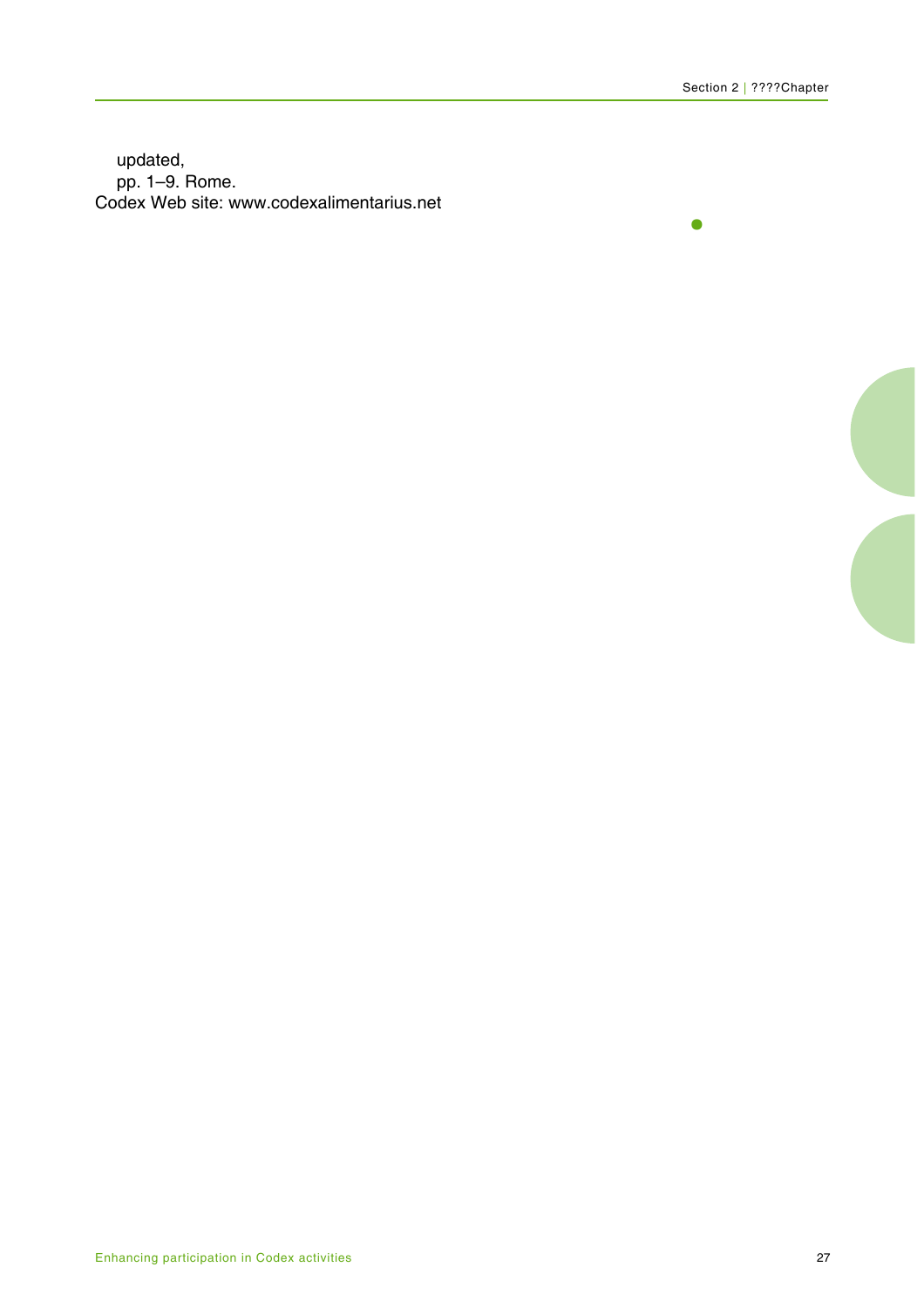**.**

updated, pp. 1–9. Rome. Codex Web site: www.codexalimentarius.net

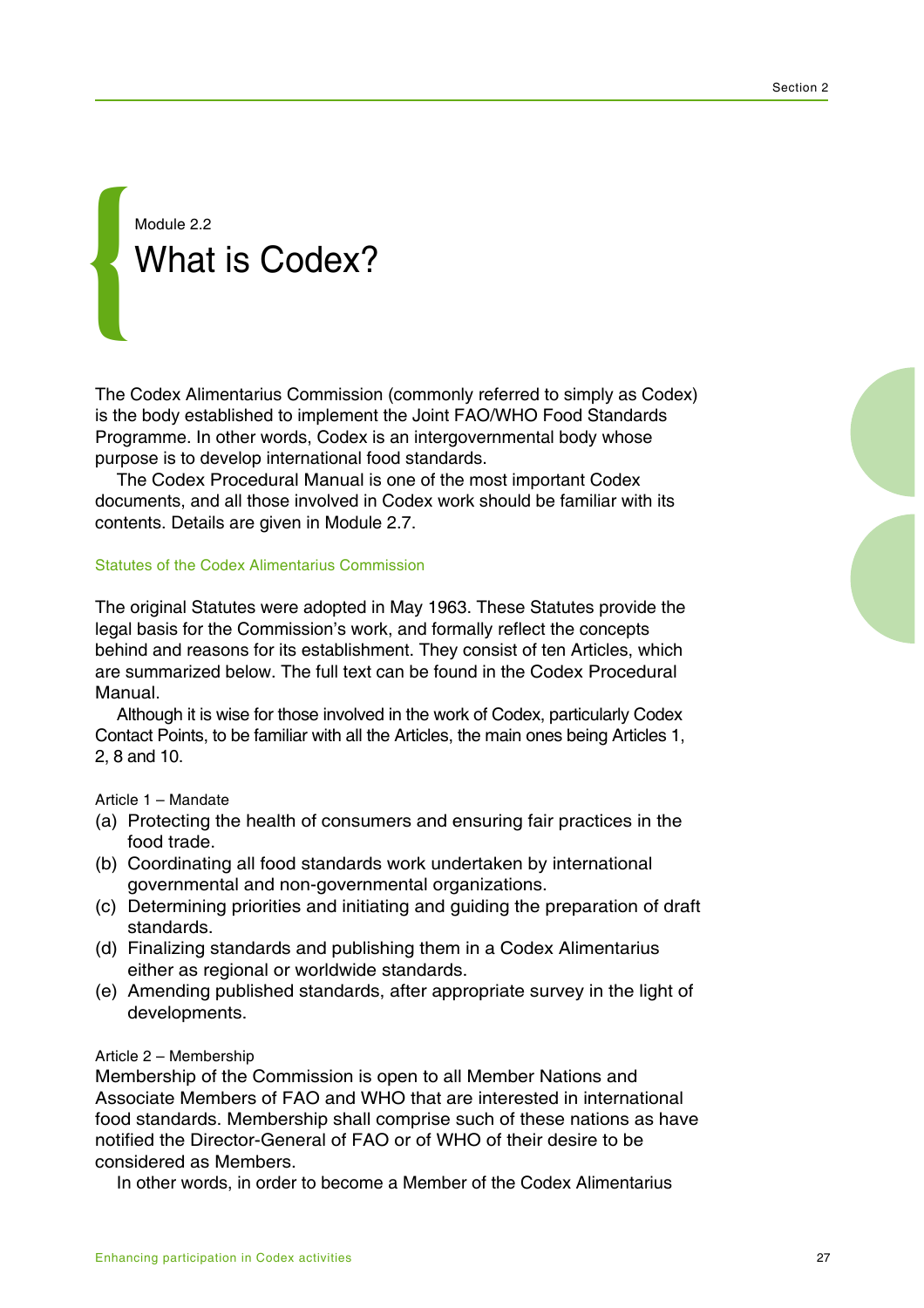# Module 2.2 What is Codex? **{**

The Codex Alimentarius Commission (commonly referred to simply as Codex) is the body established to implement the Joint FAO/WHO Food Standards Programme. In other words, Codex is an intergovernmental body whose purpose is to develop international food standards.

The Codex Procedural Manual is one of the most important Codex documents, and all those involved in Codex work should be familiar with its contents. Details are given in Module 2.7.

#### Statutes of the Codex Alimentarius Commission

The original Statutes were adopted in May 1963. These Statutes provide the legal basis for the Commission's work, and formally reflect the concepts behind and reasons for its establishment. They consist of ten Articles, which are summarized below. The full text can be found in the Codex Procedural Manual.

Although it is wise for those involved in the work of Codex, particularly Codex Contact Points, to be familiar with all the Articles, the main ones being Articles 1, 2, 8 and 10.

Article 1 – Mandate

- (a) Protecting the health of consumers and ensuring fair practices in the food trade.
- (b) Coordinating all food standards work undertaken by international governmental and non-governmental organizations.
- (c) Determining priorities and initiating and guiding the preparation of draft standards.
- (d) Finalizing standards and publishing them in a Codex Alimentarius either as regional or worldwide standards.
- (e) Amending published standards, after appropriate survey in the light of developments.

#### Article 2 – Membership

Membership of the Commission is open to all Member Nations and Associate Members of FAO and WHO that are interested in international food standards. Membership shall comprise such of these nations as have notified the Director-General of FAO or of WHO of their desire to be considered as Members.

In other words, in order to become a Member of the Codex Alimentarius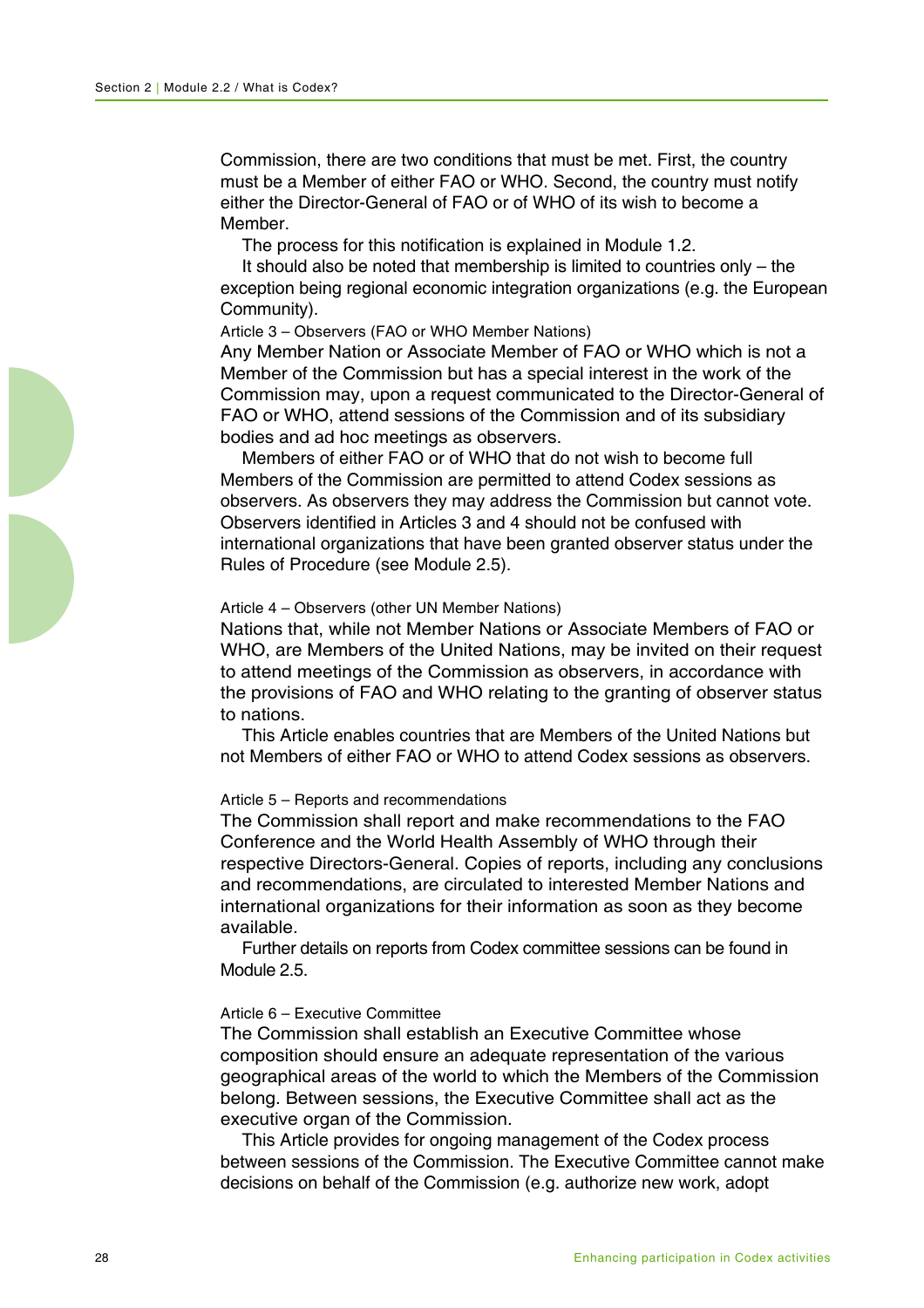Commission, there are two conditions that must be met. First, the country must be a Member of either FAO or WHO. Second, the country must notify either the Director-General of FAO or of WHO of its wish to become a Member.

The process for this notification is explained in Module 1.2.

It should also be noted that membership is limited to countries only – the exception being regional economic integration organizations (e.g. the European Community).

Article 3 – Observers (FAO or WHO Member Nations)

Any Member Nation or Associate Member of FAO or WHO which is not a Member of the Commission but has a special interest in the work of the Commission may, upon a request communicated to the Director-General of FAO or WHO, attend sessions of the Commission and of its subsidiary bodies and ad hoc meetings as observers.

Members of either FAO or of WHO that do not wish to become full Members of the Commission are permitted to attend Codex sessions as observers. As observers they may address the Commission but cannot vote. Observers identified in Articles 3 and 4 should not be confused with international organizations that have been granted observer status under the Rules of Procedure (see Module 2.5).

#### Article 4 – Observers (other UN Member Nations)

Nations that, while not Member Nations or Associate Members of FAO or WHO, are Members of the United Nations, may be invited on their request to attend meetings of the Commission as observers, in accordance with the provisions of FAO and WHO relating to the granting of observer status to nations.

This Article enables countries that are Members of the United Nations but not Members of either FAO or WHO to attend Codex sessions as observers.

#### Article 5 – Reports and recommendations

The Commission shall report and make recommendations to the FAO Conference and the World Health Assembly of WHO through their respective Directors-General. Copies of reports, including any conclusions and recommendations, are circulated to interested Member Nations and international organizations for their information as soon as they become available.

Further details on reports from Codex committee sessions can be found in Module 2.5.

#### Article 6 – Executive Committee

The Commission shall establish an Executive Committee whose composition should ensure an adequate representation of the various geographical areas of the world to which the Members of the Commission belong. Between sessions, the Executive Committee shall act as the executive organ of the Commission.

This Article provides for ongoing management of the Codex process between sessions of the Commission. The Executive Committee cannot make decisions on behalf of the Commission (e.g. authorize new work, adopt

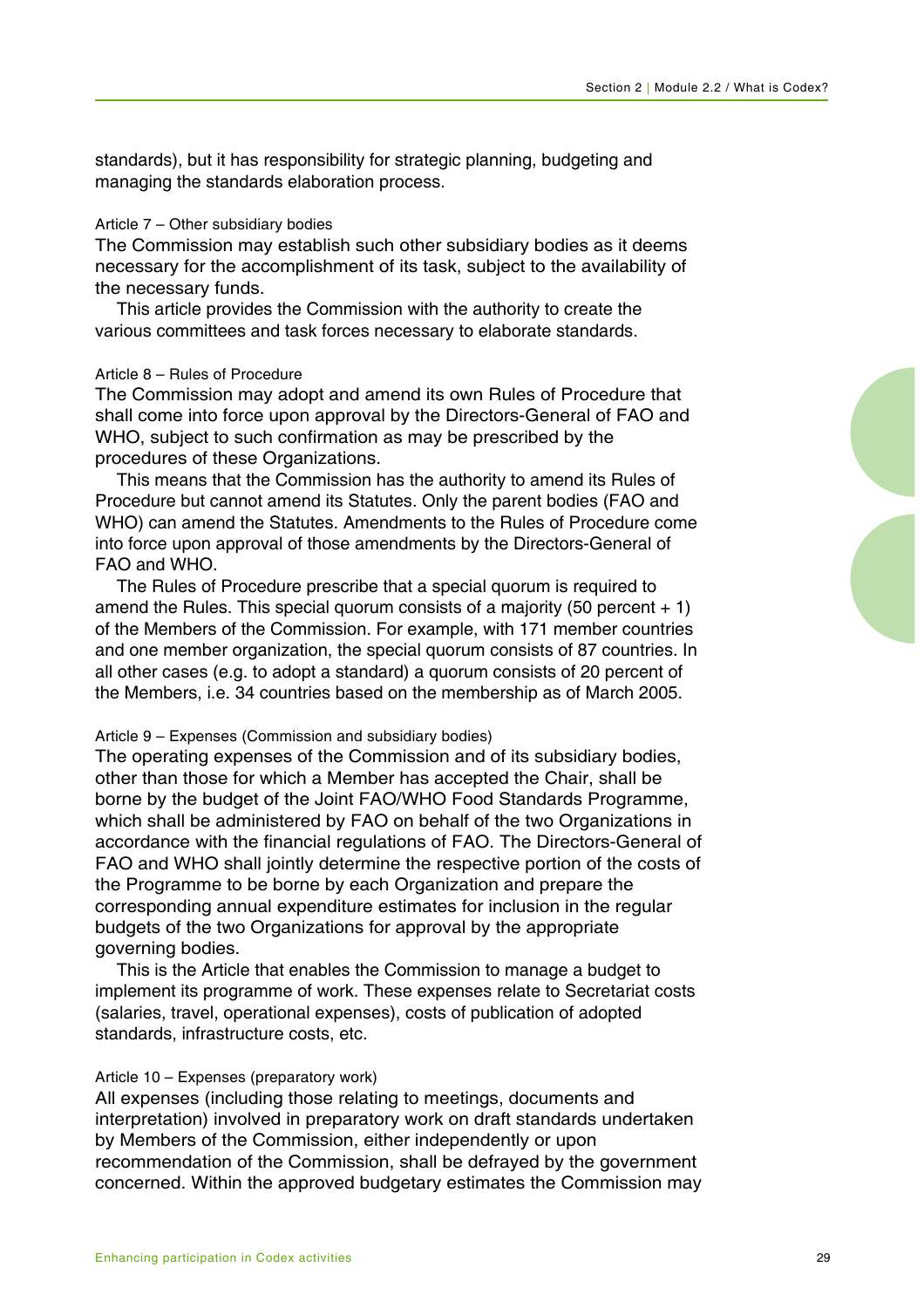standards), but it has responsibility for strategic planning, budgeting and managing the standards elaboration process.

#### Article 7 – Other subsidiary bodies

The Commission may establish such other subsidiary bodies as it deems necessary for the accomplishment of its task, subject to the availability of the necessary funds.

This article provides the Commission with the authority to create the various committees and task forces necessary to elaborate standards.

#### Article 8 – Rules of Procedure

The Commission may adopt and amend its own Rules of Procedure that shall come into force upon approval by the Directors-General of FAO and WHO, subject to such confirmation as may be prescribed by the procedures of these Organizations.

This means that the Commission has the authority to amend its Rules of Procedure but cannot amend its Statutes. Only the parent bodies (FAO and WHO) can amend the Statutes. Amendments to the Rules of Procedure come into force upon approval of those amendments by the Directors-General of FAO and WHO.

The Rules of Procedure prescribe that a special quorum is required to amend the Rules. This special quorum consists of a majority (50 percent  $+1$ ) of the Members of the Commission. For example, with 171 member countries and one member organization, the special quorum consists of 87 countries. In all other cases (e.g. to adopt a standard) a quorum consists of 20 percent of the Members, i.e. 34 countries based on the membership as of March 2005.

#### Article 9 – Expenses (Commission and subsidiary bodies)

The operating expenses of the Commission and of its subsidiary bodies, other than those for which a Member has accepted the Chair, shall be borne by the budget of the Joint FAO/WHO Food Standards Programme, which shall be administered by FAO on behalf of the two Organizations in accordance with the financial regulations of FAO. The Directors-General of FAO and WHO shall jointly determine the respective portion of the costs of the Programme to be borne by each Organization and prepare the corresponding annual expenditure estimates for inclusion in the regular budgets of the two Organizations for approval by the appropriate governing bodies.

This is the Article that enables the Commission to manage a budget to implement its programme of work. These expenses relate to Secretariat costs (salaries, travel, operational expenses), costs of publication of adopted standards, infrastructure costs, etc.

#### Article 10 – Expenses (preparatory work)

All expenses (including those relating to meetings, documents and interpretation) involved in preparatory work on draft standards undertaken by Members of the Commission, either independently or upon recommendation of the Commission, shall be defrayed by the government concerned. Within the approved budgetary estimates the Commission may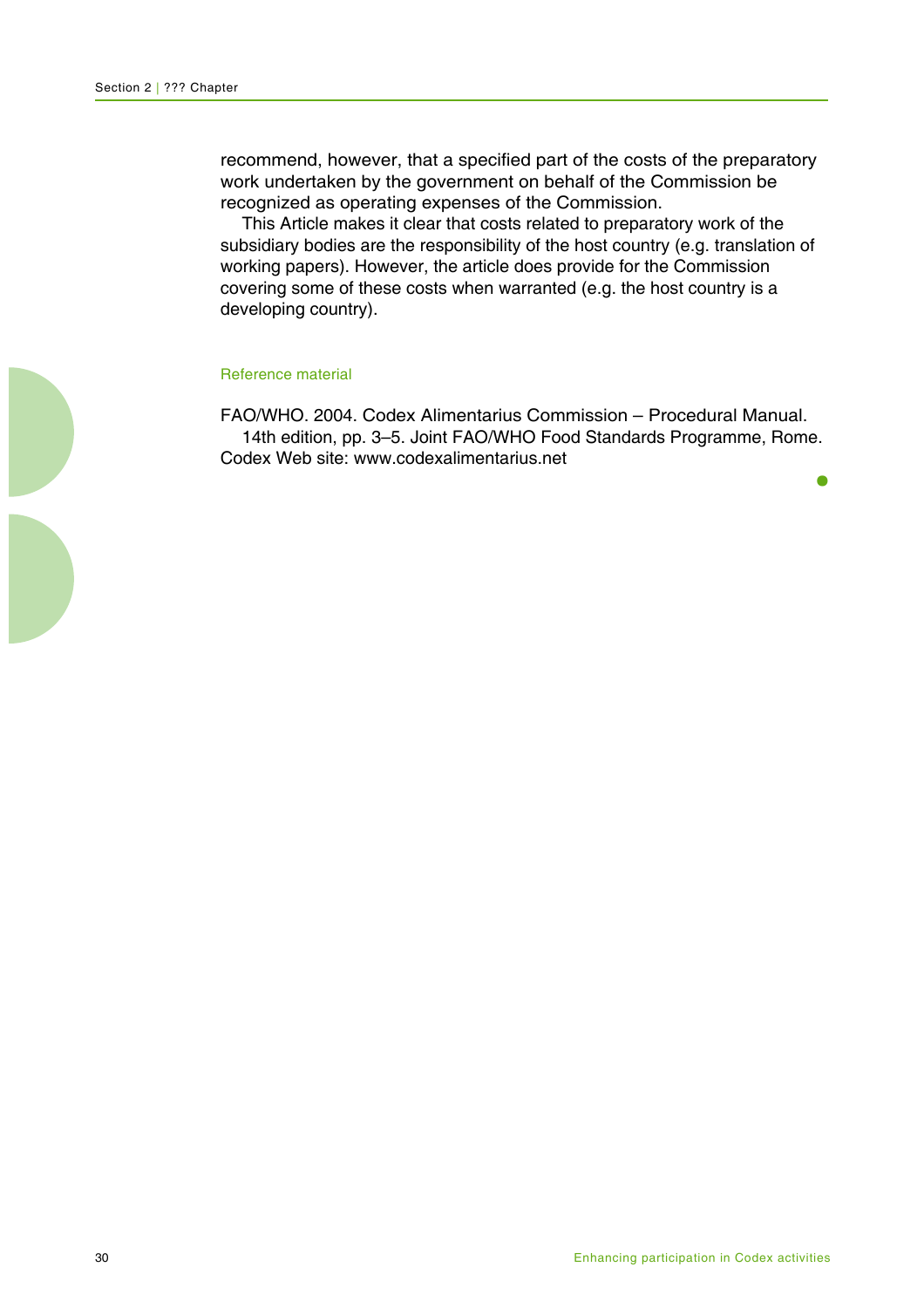recommend, however, that a specified part of the costs of the preparatory work undertaken by the government on behalf of the Commission be recognized as operating expenses of the Commission.

This Article makes it clear that costs related to preparatory work of the subsidiary bodies are the responsibility of the host country (e.g. translation of working papers). However, the article does provide for the Commission covering some of these costs when warranted (e.g. the host country is a developing country).

#### Reference material

FAO/WHO. 2004. Codex Alimentarius Commission – Procedural Manual. 14th edition, pp. 3–5. Joint FAO/WHO Food Standards Programme, Rome. Codex Web site: www.codexalimentarius.net **.**

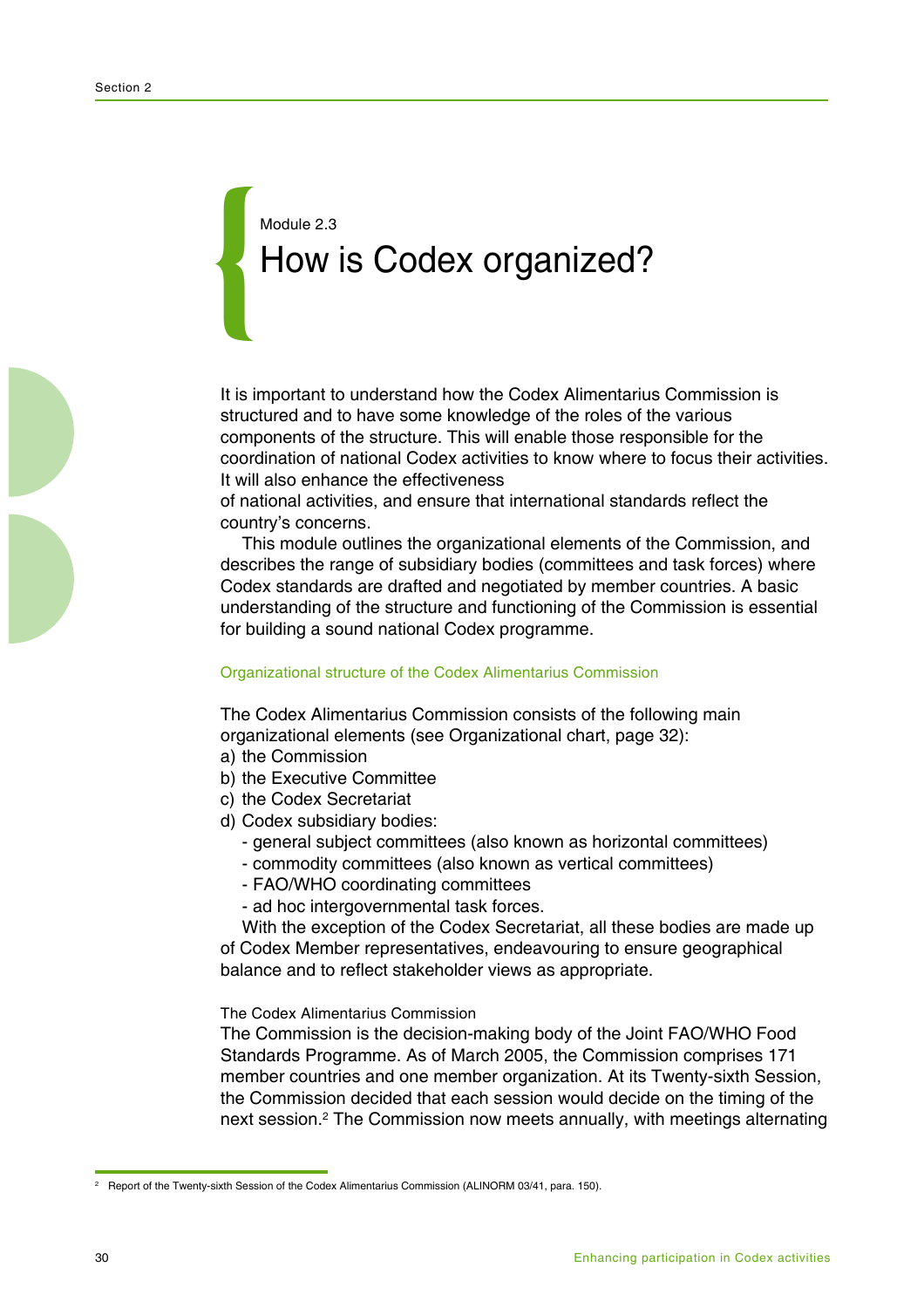### Module 2.3 How is Codex organized? **{**

It is important to understand how the Codex Alimentarius Commission is structured and to have some knowledge of the roles of the various components of the structure. This will enable those responsible for the coordination of national Codex activities to know where to focus their activities. It will also enhance the effectiveness

of national activities, and ensure that international standards reflect the country's concerns.

This module outlines the organizational elements of the Commission, and describes the range of subsidiary bodies (committees and task forces) where Codex standards are drafted and negotiated by member countries. A basic understanding of the structure and functioning of the Commission is essential for building a sound national Codex programme.

#### Organizational structure of the Codex Alimentarius Commission

The Codex Alimentarius Commission consists of the following main organizational elements (see Organizational chart, page 32): a) the Commission

- b) the Executive Committee
- 
- c) the Codex Secretariat
- d) Codex subsidiary bodies:
	- general subject committees (also known as horizontal committees)
	- commodity committees (also known as vertical committees)
	- FAO/WHO coordinating committees
	- ad hoc intergovernmental task forces.

With the exception of the Codex Secretariat, all these bodies are made up of Codex Member representatives, endeavouring to ensure geographical balance and to reflect stakeholder views as appropriate.

#### The Codex Alimentarius Commission

The Commission is the decision-making body of the Joint FAO/WHO Food Standards Programme. As of March 2005, the Commission comprises 171 member countries and one member organization. At its Twenty-sixth Session, the Commission decided that each session would decide on the timing of the next session.2 The Commission now meets annually, with meetings alternating

<sup>&</sup>lt;sup>2</sup> Report of the Twenty-sixth Session of the Codex Alimentarius Commission (ALINORM 03/41, para. 150).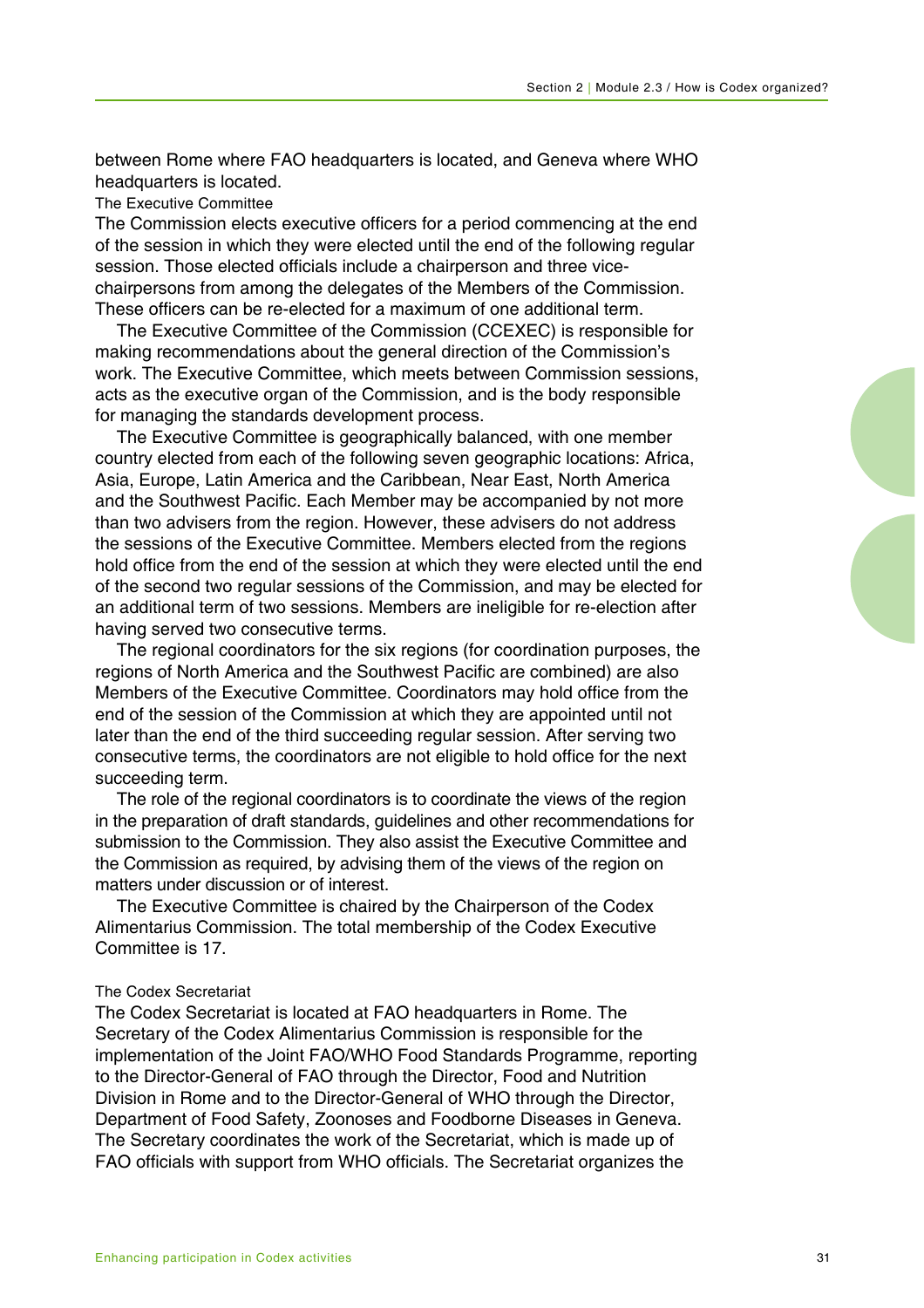between Rome where FAO headquarters is located, and Geneva where WHO headquarters is located.

The Executive Committee

The Commission elects executive officers for a period commencing at the end of the session in which they were elected until the end of the following regular session. Those elected officials include a chairperson and three vicechairpersons from among the delegates of the Members of the Commission. These officers can be re-elected for a maximum of one additional term.

The Executive Committee of the Commission (CCEXEC) is responsible for making recommendations about the general direction of the Commission's work. The Executive Committee, which meets between Commission sessions, acts as the executive organ of the Commission, and is the body responsible for managing the standards development process.

The Executive Committee is geographically balanced, with one member country elected from each of the following seven geographic locations: Africa, Asia, Europe, Latin America and the Caribbean, Near East, North America and the Southwest Pacific. Each Member may be accompanied by not more than two advisers from the region. However, these advisers do not address the sessions of the Executive Committee. Members elected from the regions hold office from the end of the session at which they were elected until the end of the second two regular sessions of the Commission, and may be elected for an additional term of two sessions. Members are ineligible for re-election after having served two consecutive terms.

The regional coordinators for the six regions (for coordination purposes, the regions of North America and the Southwest Pacific are combined) are also Members of the Executive Committee. Coordinators may hold office from the end of the session of the Commission at which they are appointed until not later than the end of the third succeeding regular session. After serving two consecutive terms, the coordinators are not eligible to hold office for the next succeeding term.

The role of the regional coordinators is to coordinate the views of the region in the preparation of draft standards, guidelines and other recommendations for submission to the Commission. They also assist the Executive Committee and the Commission as required, by advising them of the views of the region on matters under discussion or of interest.

The Executive Committee is chaired by the Chairperson of the Codex Alimentarius Commission. The total membership of the Codex Executive Committee is 17.

#### The Codex Secretariat

The Codex Secretariat is located at FAO headquarters in Rome. The Secretary of the Codex Alimentarius Commission is responsible for the implementation of the Joint FAO/WHO Food Standards Programme, reporting to the Director-General of FAO through the Director, Food and Nutrition Division in Rome and to the Director-General of WHO through the Director, Department of Food Safety, Zoonoses and Foodborne Diseases in Geneva. The Secretary coordinates the work of the Secretariat, which is made up of FAO officials with support from WHO officials. The Secretariat organizes the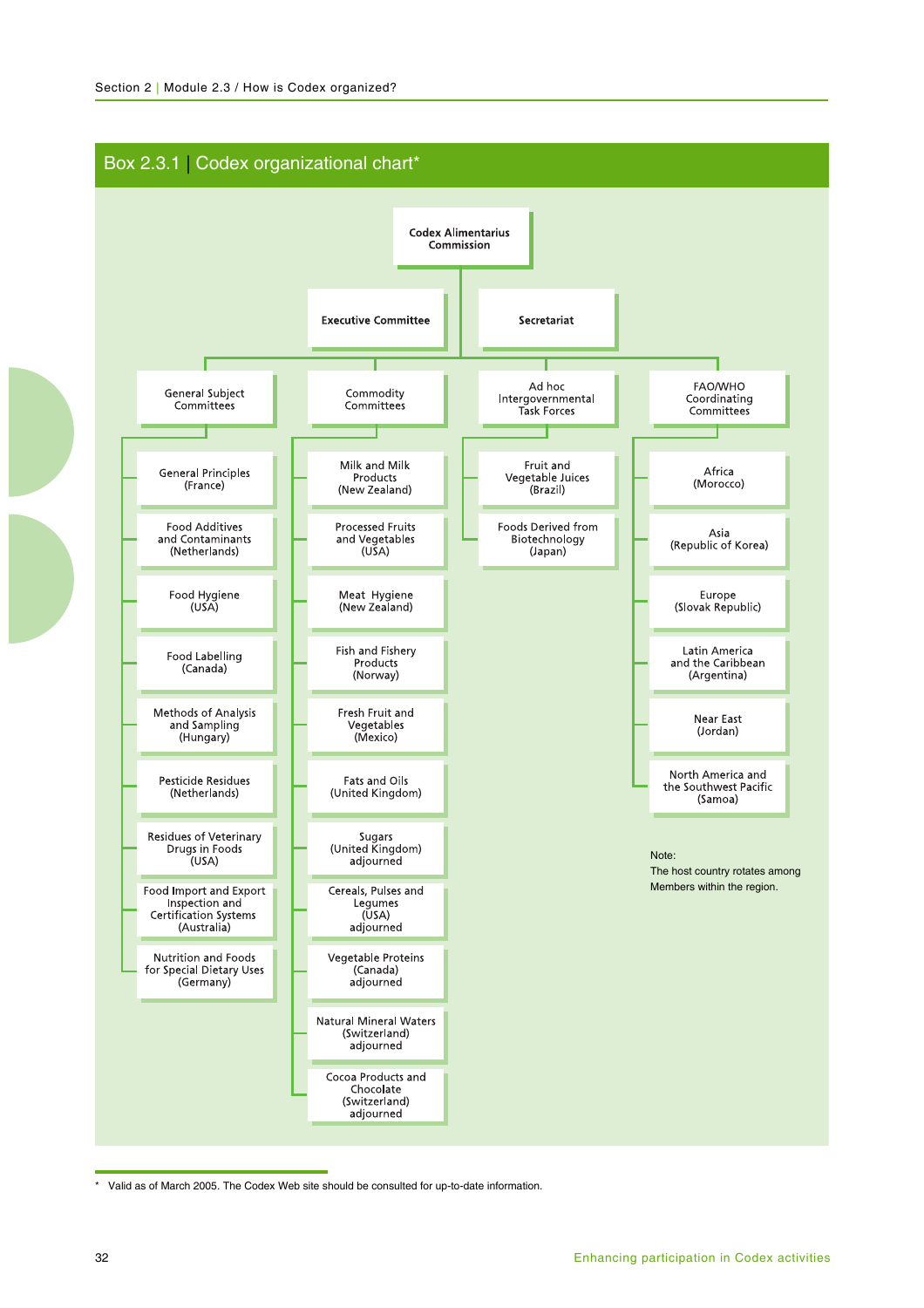

<sup>\*</sup> Valid as of March 2005. The Codex Web site should be consulted for up-to-date information.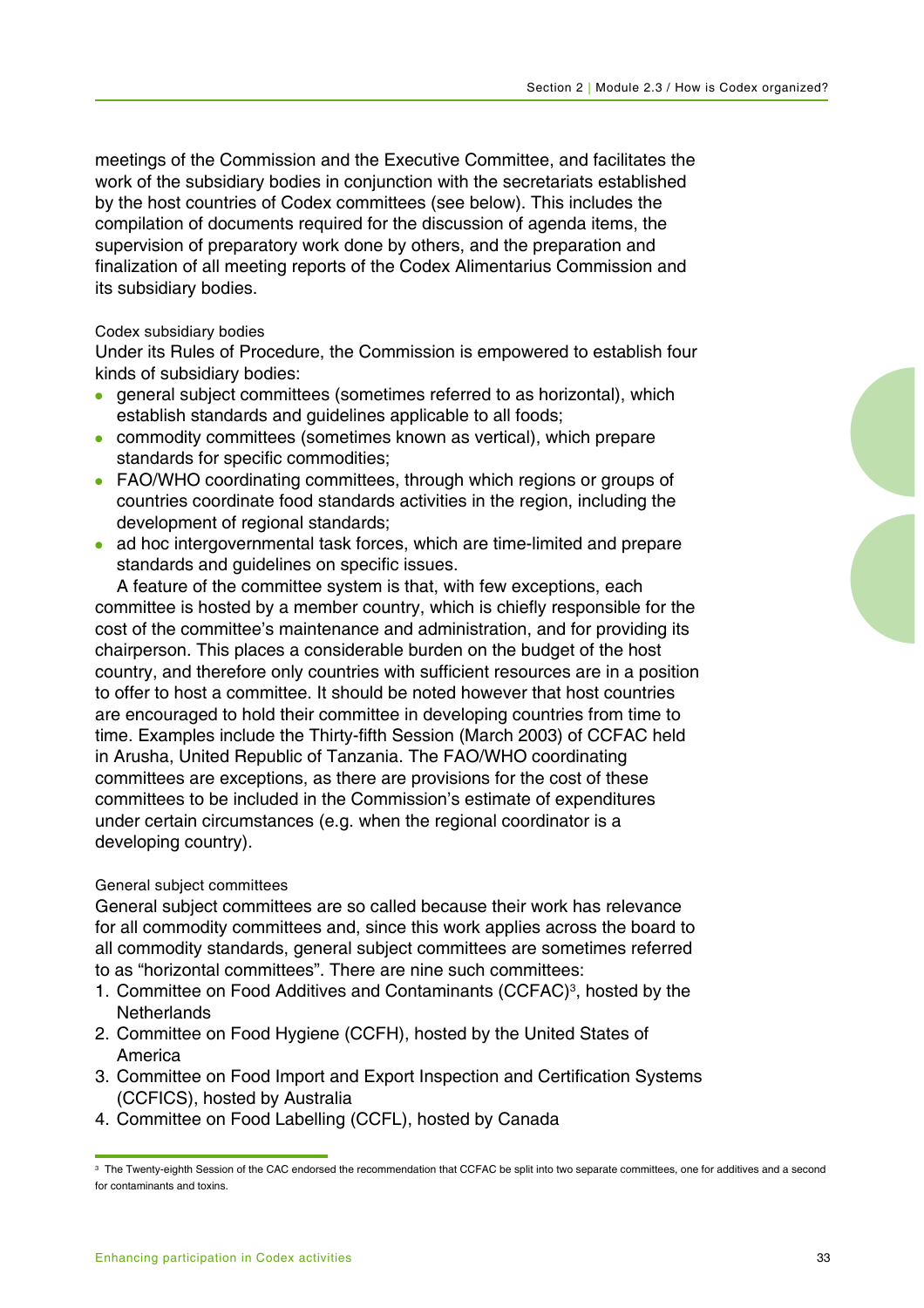meetings of the Commission and the Executive Committee, and facilitates the work of the subsidiary bodies in conjunction with the secretariats established by the host countries of Codex committees (see below). This includes the compilation of documents required for the discussion of agenda items, the supervision of preparatory work done by others, and the preparation and finalization of all meeting reports of the Codex Alimentarius Commission and its subsidiary bodies.

#### Codex subsidiary bodies

Under its Rules of Procedure, the Commission is empowered to establish four kinds of subsidiary bodies:

- general subject committees (sometimes referred to as horizontal), which establish standards and guidelines applicable to all foods;
- commodity committees (sometimes known as vertical), which prepare standards for specific commodities;
- FAO/WHO coordinating committees, through which regions or groups of countries coordinate food standards activities in the region, including the development of regional standards;
- ad hoc intergovernmental task forces, which are time-limited and prepare standards and guidelines on specific issues.

A feature of the committee system is that, with few exceptions, each committee is hosted by a member country, which is chiefly responsible for the cost of the committee's maintenance and administration, and for providing its chairperson. This places a considerable burden on the budget of the host country, and therefore only countries with sufficient resources are in a position to offer to host a committee. It should be noted however that host countries are encouraged to hold their committee in developing countries from time to time. Examples include the Thirty-fifth Session (March 2003) of CCFAC held in Arusha, United Republic of Tanzania. The FAO/WHO coordinating committees are exceptions, as there are provisions for the cost of these committees to be included in the Commission's estimate of expenditures under certain circumstances (e.g. when the regional coordinator is a developing country).

#### General subject committees

General subject committees are so called because their work has relevance for all commodity committees and, since this work applies across the board to all commodity standards, general subject committees are sometimes referred to as "horizontal committees". There are nine such committees:

- 1. Committee on Food Additives and Contaminants (CCFAC)3, hosted by the **Netherlands**
- 2. Committee on Food Hygiene (CCFH), hosted by the United States of America
- 3. Committee on Food Import and Export Inspection and Certification Systems (CCFICS), hosted by Australia
- 4. Committee on Food Labelling (CCFL), hosted by Canada

<sup>&</sup>lt;sup>3</sup> The Twenty-eighth Session of the CAC endorsed the recommendation that CCFAC be split into two separate committees, one for additives and a second for contaminants and toxins.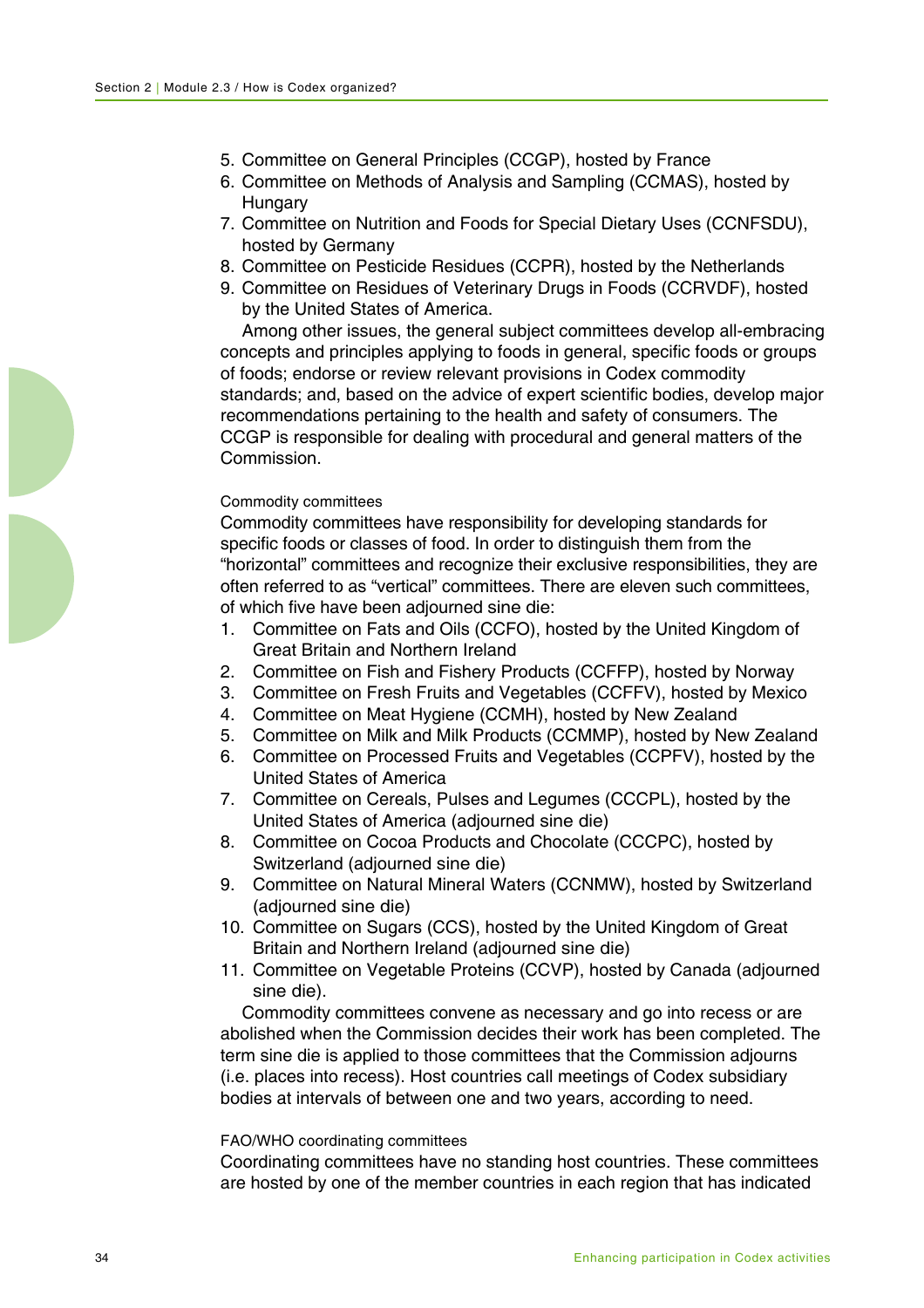- 5. Committee on General Principles (CCGP), hosted by France
- 6. Committee on Methods of Analysis and Sampling (CCMAS), hosted by **Hungary**
- 7. Committee on Nutrition and Foods for Special Dietary Uses (CCNFSDU), hosted by Germany
- 8. Committee on Pesticide Residues (CCPR), hosted by the Netherlands
- 9. Committee on Residues of Veterinary Drugs in Foods (CCRVDF), hosted by the United States of America.

Among other issues, the general subject committees develop all-embracing concepts and principles applying to foods in general, specific foods or groups of foods; endorse or review relevant provisions in Codex commodity standards; and, based on the advice of expert scientific bodies, develop major recommendations pertaining to the health and safety of consumers. The CCGP is responsible for dealing with procedural and general matters of the Commission.

#### Commodity committees

Commodity committees have responsibility for developing standards for specific foods or classes of food. In order to distinguish them from the "horizontal" committees and recognize their exclusive responsibilities, they are often referred to as "vertical" committees. There are eleven such committees, of which five have been adjourned sine die:

- 1. Committee on Fats and Oils (CCFO), hosted by the United Kingdom of Great Britain and Northern Ireland
- 2. Committee on Fish and Fishery Products (CCFFP), hosted by Norway
- 3. Committee on Fresh Fruits and Vegetables (CCFFV), hosted by Mexico
- 4. Committee on Meat Hygiene (CCMH), hosted by New Zealand
- 5. Committee on Milk and Milk Products (CCMMP), hosted by New Zealand
- 6. Committee on Processed Fruits and Vegetables (CCPFV), hosted by the United States of America
- 7. Committee on Cereals, Pulses and Legumes (CCCPL), hosted by the United States of America (adjourned sine die)
- 8. Committee on Cocoa Products and Chocolate (CCCPC), hosted by Switzerland (adjourned sine die)
- 9. Committee on Natural Mineral Waters (CCNMW), hosted by Switzerland (adjourned sine die)
- 10. Committee on Sugars (CCS), hosted by the United Kingdom of Great Britain and Northern Ireland (adjourned sine die)
- 11. Committee on Vegetable Proteins (CCVP), hosted by Canada (adjourned sine die).

Commodity committees convene as necessary and go into recess or are abolished when the Commission decides their work has been completed. The term sine die is applied to those committees that the Commission adjourns (i.e. places into recess). Host countries call meetings of Codex subsidiary bodies at intervals of between one and two years, according to need.

#### FAO/WHO coordinating committees

Coordinating committees have no standing host countries. These committees are hosted by one of the member countries in each region that has indicated

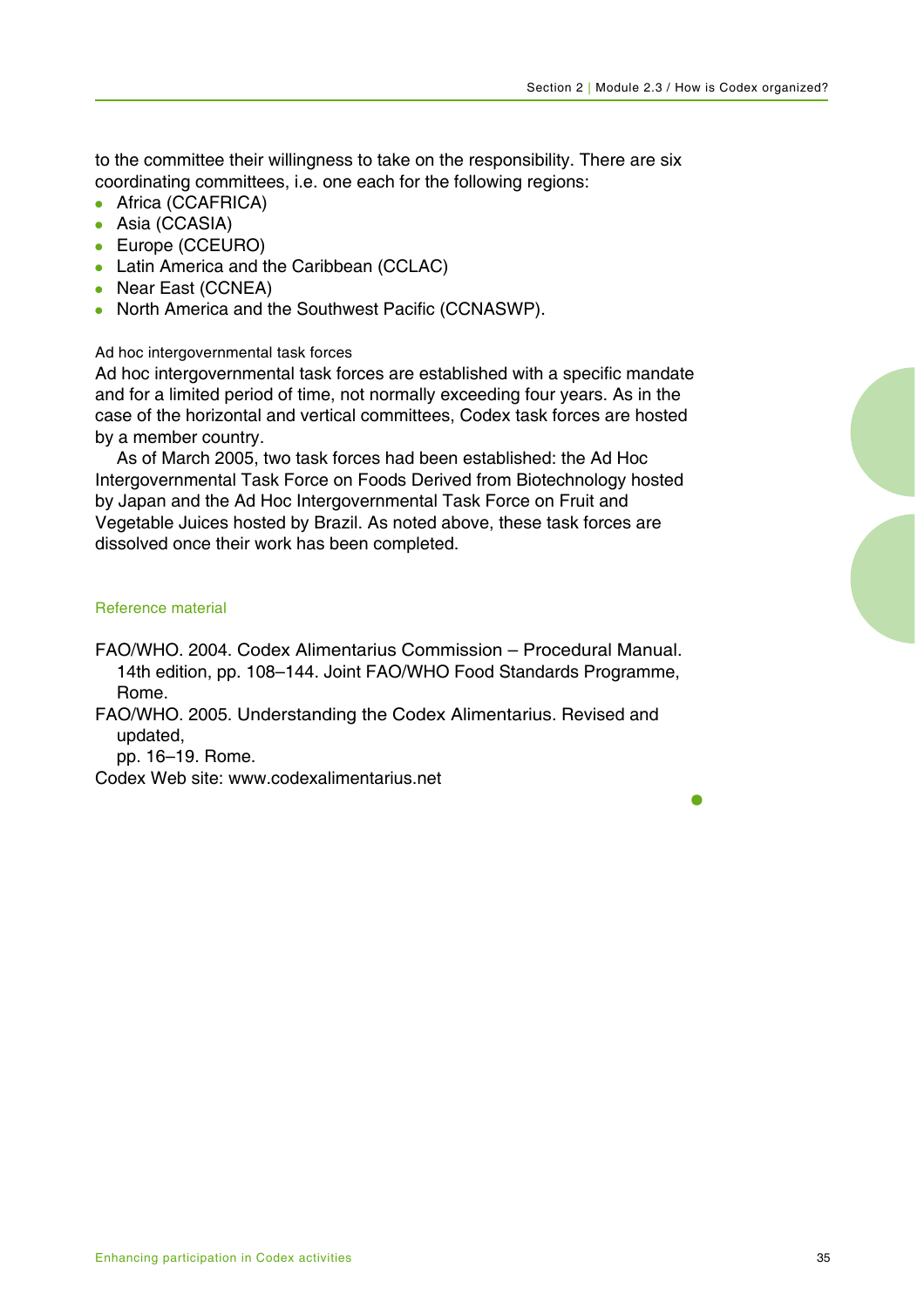**.**

to the committee their willingness to take on the responsibility. There are six coordinating committees, i.e. one each for the following regions:

- Africa (CCAFRICA)
- Asia (CCASIA)
- Europe (CCEURO)
- Latin America and the Caribbean (CCLAC)
- Near East (CCNEA)
- North America and the Southwest Pacific (CCNASWP).

#### Ad hoc intergovernmental task forces

Ad hoc intergovernmental task forces are established with a specific mandate and for a limited period of time, not normally exceeding four years. As in the case of the horizontal and vertical committees, Codex task forces are hosted by a member country.

As of March 2005, two task forces had been established: the Ad Hoc Intergovernmental Task Force on Foods Derived from Biotechnology hosted by Japan and the Ad Hoc Intergovernmental Task Force on Fruit and Vegetable Juices hosted by Brazil. As noted above, these task forces are dissolved once their work has been completed.

#### Reference material

FAO/WHO. 2004. Codex Alimentarius Commission – Procedural Manual. 14th edition, pp. 108–144. Joint FAO/WHO Food Standards Programme, Rome.

FAO/WHO. 2005. Understanding the Codex Alimentarius. Revised and updated,

pp. 16–19. Rome.

Codex Web site: www.codexalimentarius.net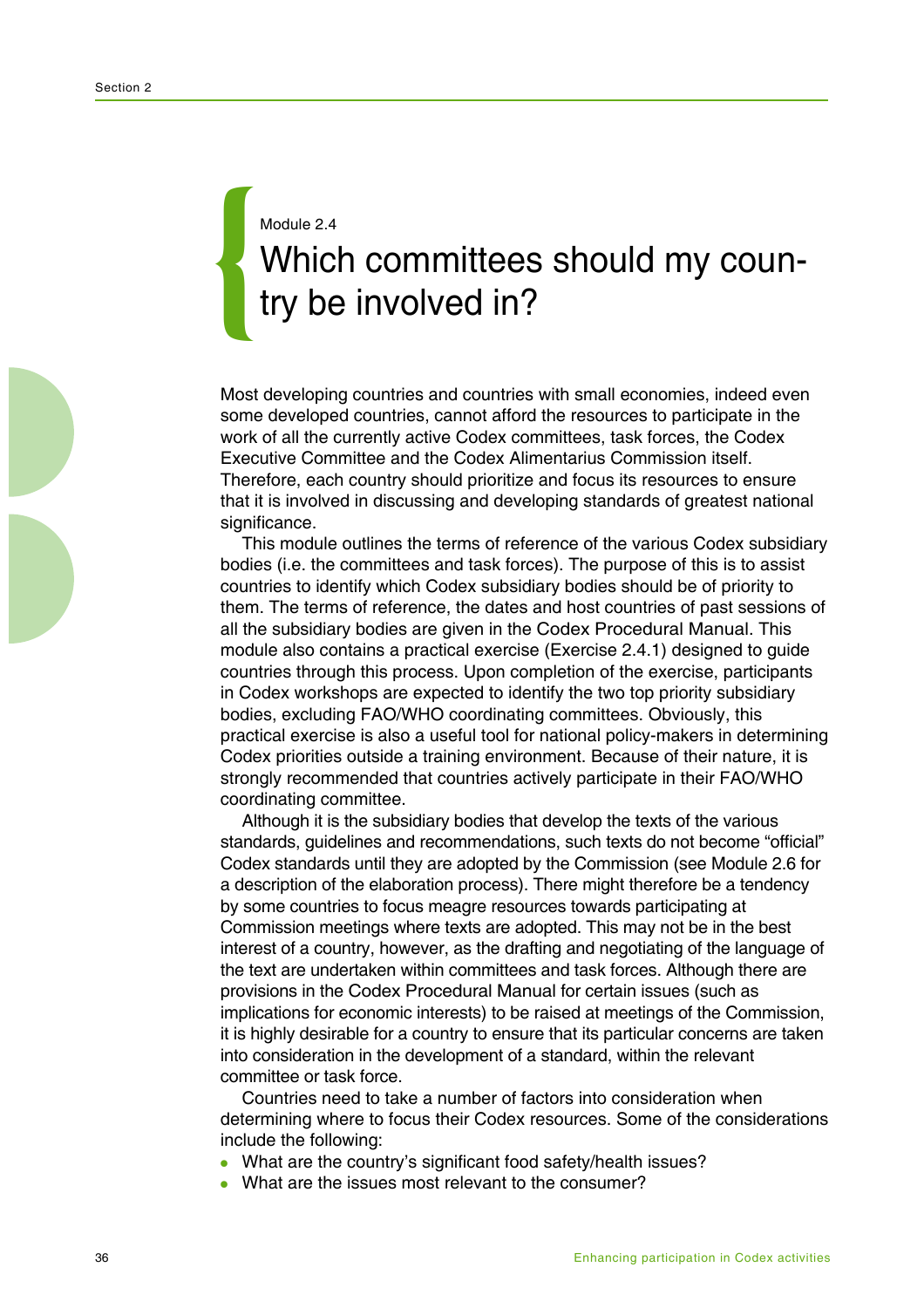# Module 2.4 Which committees should my coun-<br>try be involved in?

Most developing countries and countries with small economies, indeed even some developed countries, cannot afford the resources to participate in the work of all the currently active Codex committees, task forces, the Codex Executive Committee and the Codex Alimentarius Commission itself. Therefore, each country should prioritize and focus its resources to ensure that it is involved in discussing and developing standards of greatest national significance.

This module outlines the terms of reference of the various Codex subsidiary bodies (i.e. the committees and task forces). The purpose of this is to assist countries to identify which Codex subsidiary bodies should be of priority to them. The terms of reference, the dates and host countries of past sessions of all the subsidiary bodies are given in the Codex Procedural Manual. This module also contains a practical exercise (Exercise 2.4.1) designed to guide countries through this process. Upon completion of the exercise, participants in Codex workshops are expected to identify the two top priority subsidiary bodies, excluding FAO/WHO coordinating committees. Obviously, this practical exercise is also a useful tool for national policy-makers in determining Codex priorities outside a training environment. Because of their nature, it is strongly recommended that countries actively participate in their FAO/WHO coordinating committee.

Although it is the subsidiary bodies that develop the texts of the various standards, guidelines and recommendations, such texts do not become "official" Codex standards until they are adopted by the Commission (see Module 2.6 for a description of the elaboration process). There might therefore be a tendency by some countries to focus meagre resources towards participating at Commission meetings where texts are adopted. This may not be in the best interest of a country, however, as the drafting and negotiating of the language of the text are undertaken within committees and task forces. Although there are provisions in the Codex Procedural Manual for certain issues (such as implications for economic interests) to be raised at meetings of the Commission, it is highly desirable for a country to ensure that its particular concerns are taken into consideration in the development of a standard, within the relevant committee or task force.

Countries need to take a number of factors into consideration when determining where to focus their Codex resources. Some of the considerations include the following:

- What are the country's significant food safety/health issues?
- What are the issues most relevant to the consumer?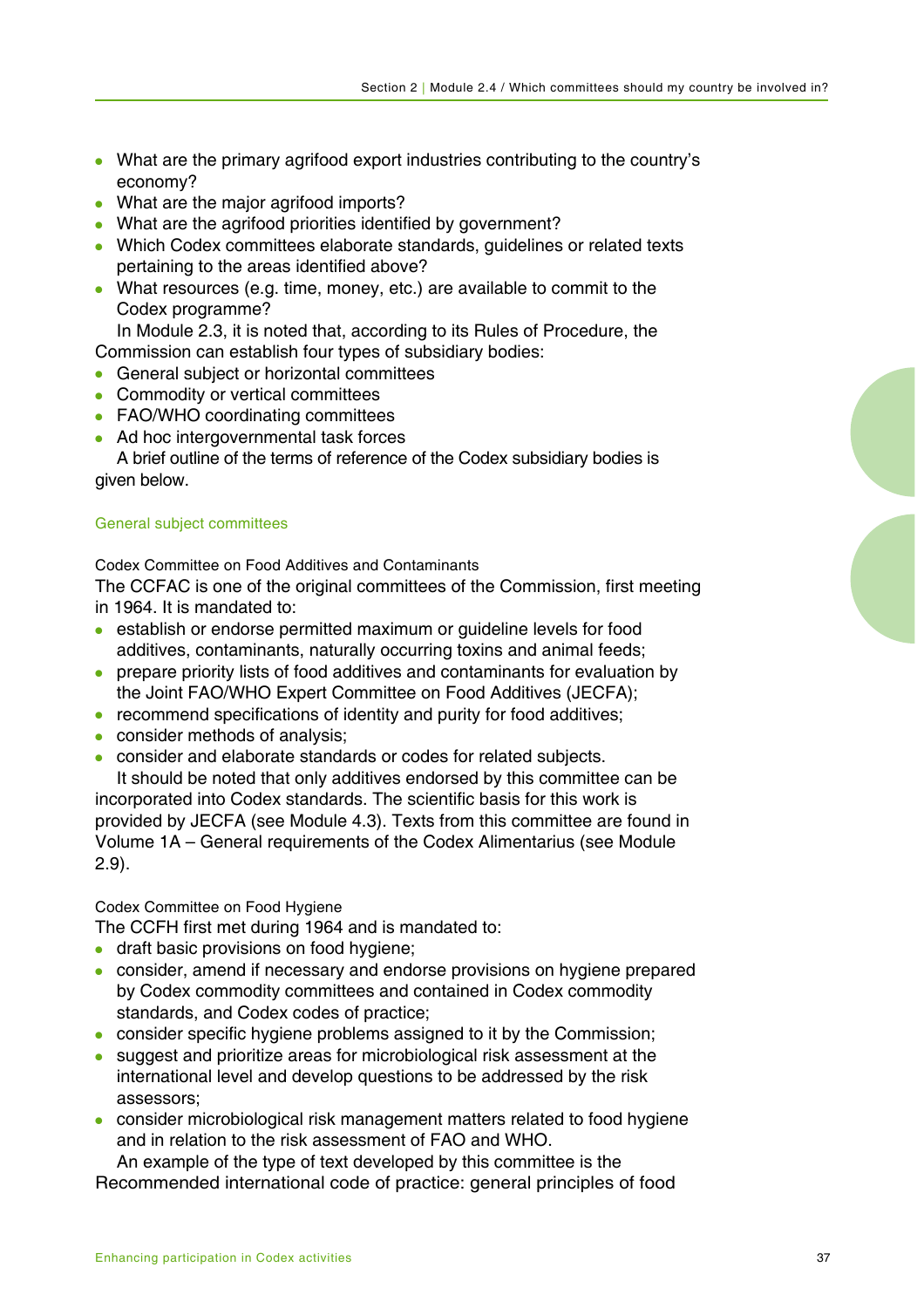- What are the primary agrifood export industries contributing to the country's economy?
- What are the major agrifood imports?
- What are the agrifood priorities identified by government?
- Which Codex committees elaborate standards, guidelines or related texts pertaining to the areas identified above?
- What resources (e.g. time, money, etc.) are available to commit to the Codex programme?

In Module 2.3, it is noted that, according to its Rules of Procedure, the Commission can establish four types of subsidiary bodies:

- General subject or horizontal committees
- Commodity or vertical committees
- FAO/WHO coordinating committees
- Ad hoc intergovernmental task forces

A brief outline of the terms of reference of the Codex subsidiary bodies is given below.

#### General subject committees

Codex Committee on Food Additives and Contaminants

The CCFAC is one of the original committees of the Commission, first meeting in 1964. It is mandated to:

- establish or endorse permitted maximum or guideline levels for food additives, contaminants, naturally occurring toxins and animal feeds;
- prepare priority lists of food additives and contaminants for evaluation by the Joint FAO/WHO Expert Committee on Food Additives (JECFA);
- recommend specifications of identity and purity for food additives:
- consider methods of analysis;
- consider and elaborate standards or codes for related subjects.

It should be noted that only additives endorsed by this committee can be incorporated into Codex standards. The scientific basis for this work is provided by JECFA (see Module 4.3). Texts from this committee are found in Volume 1A – General requirements of the Codex Alimentarius (see Module 2.9).

#### Codex Committee on Food Hygiene

The CCFH first met during 1964 and is mandated to:

- draft basic provisions on food hygiene;
- consider, amend if necessary and endorse provisions on hygiene prepared by Codex commodity committees and contained in Codex commodity standards, and Codex codes of practice;
- consider specific hygiene problems assigned to it by the Commission;
- suggest and prioritize areas for microbiological risk assessment at the international level and develop questions to be addressed by the risk assessors;
- consider microbiological risk management matters related to food hygiene and in relation to the risk assessment of FAO and WHO.

An example of the type of text developed by this committee is the Recommended international code of practice: general principles of food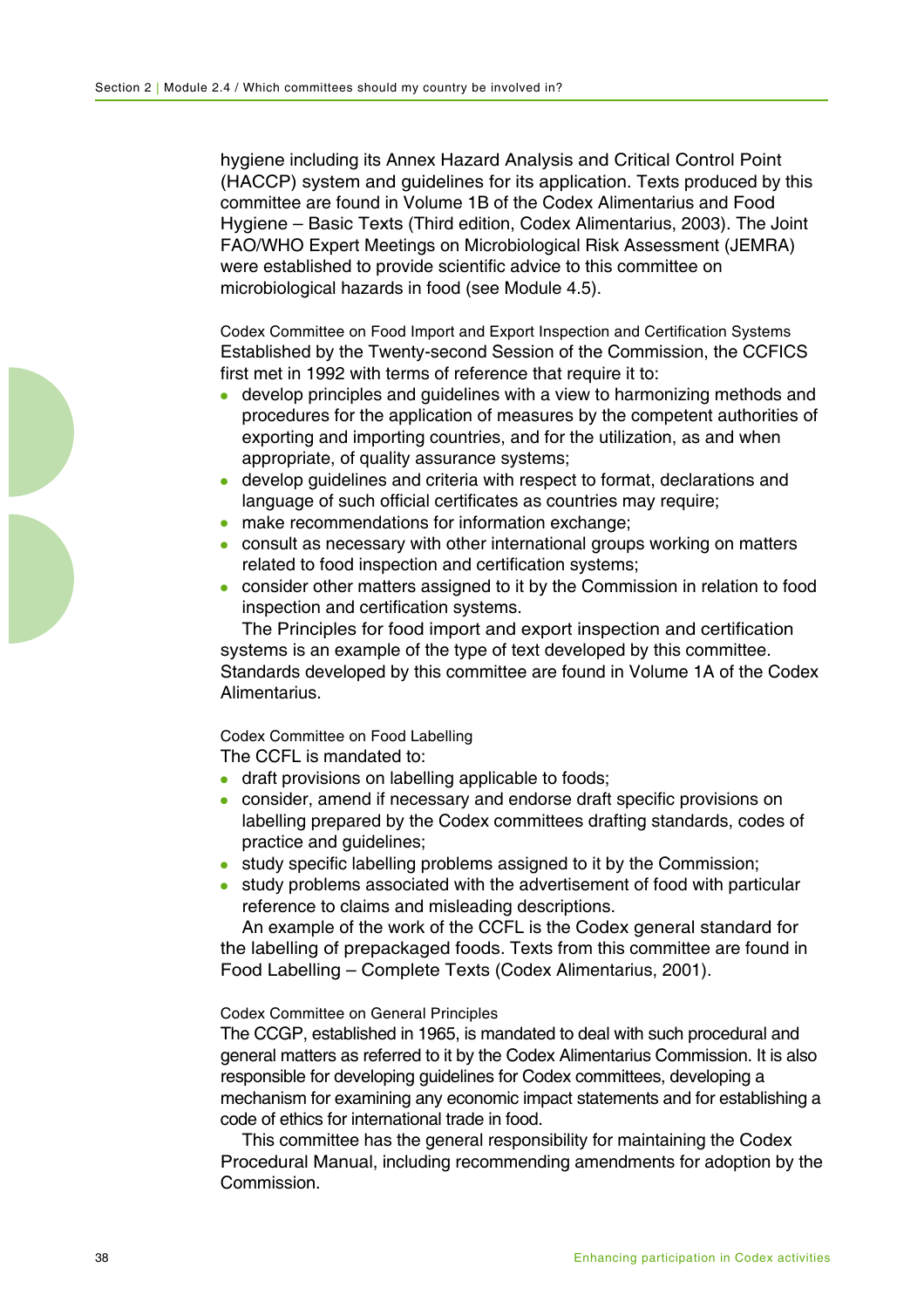hygiene including its Annex Hazard Analysis and Critical Control Point (HACCP) system and guidelines for its application. Texts produced by this committee are found in Volume 1B of the Codex Alimentarius and Food Hygiene – Basic Texts (Third edition, Codex Alimentarius, 2003). The Joint FAO/WHO Expert Meetings on Microbiological Risk Assessment (JEMRA) were established to provide scientific advice to this committee on microbiological hazards in food (see Module 4.5).

Codex Committee on Food Import and Export Inspection and Certification Systems Established by the Twenty-second Session of the Commission, the CCFICS first met in 1992 with terms of reference that require it to:

- develop principles and guidelines with a view to harmonizing methods and procedures for the application of measures by the competent authorities of exporting and importing countries, and for the utilization, as and when appropriate, of quality assurance systems;
- develop guidelines and criteria with respect to format, declarations and language of such official certificates as countries may require;
- make recommendations for information exchange:
- consult as necessary with other international groups working on matters related to food inspection and certification systems;
- consider other matters assigned to it by the Commission in relation to food inspection and certification systems.

The Principles for food import and export inspection and certification systems is an example of the type of text developed by this committee. Standards developed by this committee are found in Volume 1A of the Codex Alimentarius.

#### Codex Committee on Food Labelling

The CCFL is mandated to:

- draft provisions on labelling applicable to foods;
- consider, amend if necessary and endorse draft specific provisions on labelling prepared by the Codex committees drafting standards, codes of practice and guidelines;
- study specific labelling problems assigned to it by the Commission;
- study problems associated with the advertisement of food with particular reference to claims and misleading descriptions.

An example of the work of the CCFL is the Codex general standard for the labelling of prepackaged foods. Texts from this committee are found in Food Labelling – Complete Texts (Codex Alimentarius, 2001).

#### Codex Committee on General Principles

The CCGP, established in 1965, is mandated to deal with such procedural and general matters as referred to it by the Codex Alimentarius Commission. It is also responsible for developing guidelines for Codex committees, developing a mechanism for examining any economic impact statements and for establishing a code of ethics for international trade in food.

This committee has the general responsibility for maintaining the Codex Procedural Manual, including recommending amendments for adoption by the Commission.

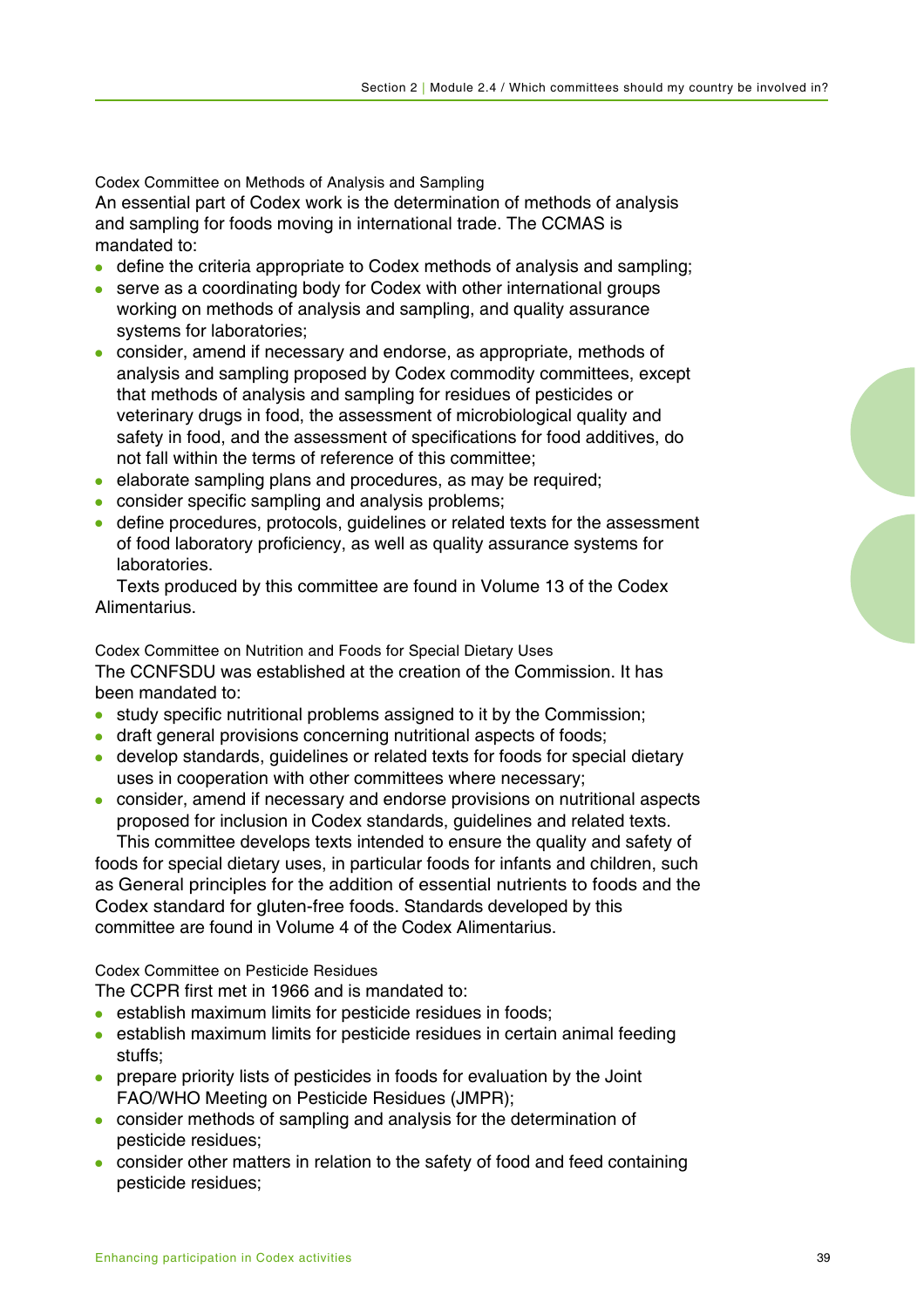Codex Committee on Methods of Analysis and Sampling

An essential part of Codex work is the determination of methods of analysis and sampling for foods moving in international trade. The CCMAS is mandated to:

- define the criteria appropriate to Codex methods of analysis and sampling;
- serve as a coordinating body for Codex with other international groups working on methods of analysis and sampling, and quality assurance systems for laboratories;
- consider, amend if necessary and endorse, as appropriate, methods of analysis and sampling proposed by Codex commodity committees, except that methods of analysis and sampling for residues of pesticides or veterinary drugs in food, the assessment of microbiological quality and safety in food, and the assessment of specifications for food additives, do not fall within the terms of reference of this committee;
- elaborate sampling plans and procedures, as may be required;
- consider specific sampling and analysis problems;
- define procedures, protocols, guidelines or related texts for the assessment of food laboratory proficiency, as well as quality assurance systems for laboratories.

Texts produced by this committee are found in Volume 13 of the Codex Alimentarius.

Codex Committee on Nutrition and Foods for Special Dietary Uses The CCNFSDU was established at the creation of the Commission. It has been mandated to:

- study specific nutritional problems assigned to it by the Commission:
- draft general provisions concerning nutritional aspects of foods;
- develop standards, guidelines or related texts for foods for special dietary uses in cooperation with other committees where necessary;
- consider, amend if necessary and endorse provisions on nutritional aspects proposed for inclusion in Codex standards, guidelines and related texts. This committee develops texts intended to ensure the quality and safety of

foods for special dietary uses, in particular foods for infants and children, such as General principles for the addition of essential nutrients to foods and the Codex standard for gluten-free foods. Standards developed by this committee are found in Volume 4 of the Codex Alimentarius.

Codex Committee on Pesticide Residues

The CCPR first met in 1966 and is mandated to:

- establish maximum limits for pesticide residues in foods;
- establish maximum limits for pesticide residues in certain animal feeding stuffs;
- prepare priority lists of pesticides in foods for evaluation by the Joint FAO/WHO Meeting on Pesticide Residues (JMPR);
- consider methods of sampling and analysis for the determination of pesticide residues;
- consider other matters in relation to the safety of food and feed containing pesticide residues;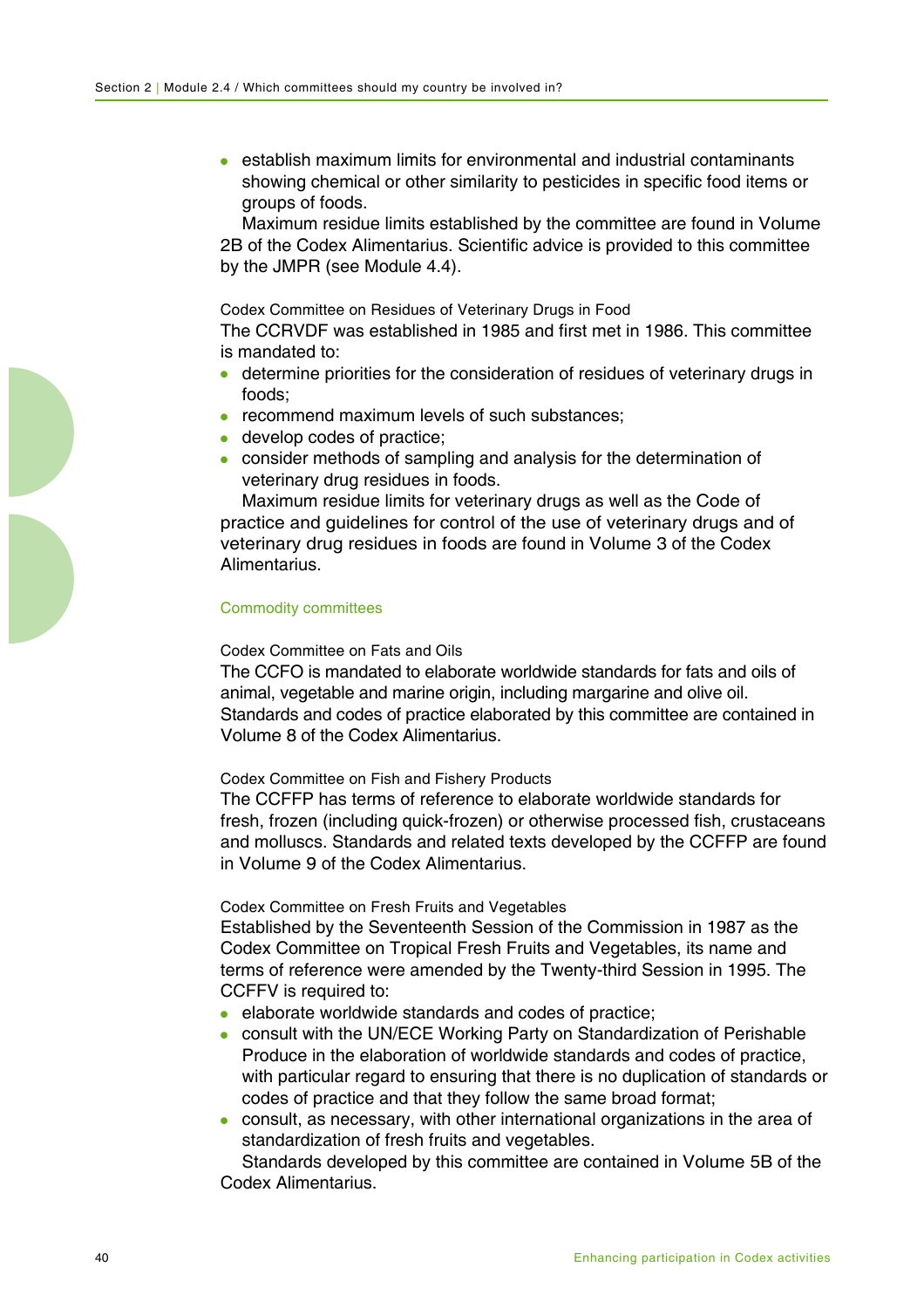• establish maximum limits for environmental and industrial contaminants showing chemical or other similarity to pesticides in specific food items or groups of foods.

Maximum residue limits established by the committee are found in Volume 2B of the Codex Alimentarius. Scientific advice is provided to this committee by the JMPR (see Module 4.4).

Codex Committee on Residues of Veterinary Drugs in Food

The CCRVDF was established in 1985 and first met in 1986. This committee is mandated to:

- determine priorities for the consideration of residues of veterinary drugs in foods;
- recommend maximum levels of such substances;
- develop codes of practice;
- consider methods of sampling and analysis for the determination of veterinary drug residues in foods.

Maximum residue limits for veterinary drugs as well as the Code of practice and guidelines for control of the use of veterinary drugs and of veterinary drug residues in foods are found in Volume 3 of the Codex **Alimentarius** 

#### Commodity committees

#### Codex Committee on Fats and Oils

The CCFO is mandated to elaborate worldwide standards for fats and oils of animal, vegetable and marine origin, including margarine and olive oil. Standards and codes of practice elaborated by this committee are contained in Volume 8 of the Codex Alimentarius.

#### Codex Committee on Fish and Fishery Products

The CCFFP has terms of reference to elaborate worldwide standards for fresh, frozen (including quick-frozen) or otherwise processed fish, crustaceans and molluscs. Standards and related texts developed by the CCFFP are found in Volume 9 of the Codex Alimentarius.

Codex Committee on Fresh Fruits and Vegetables

Established by the Seventeenth Session of the Commission in 1987 as the Codex Committee on Tropical Fresh Fruits and Vegetables, its name and terms of reference were amended by the Twenty-third Session in 1995. The CCFFV is required to:

- elaborate worldwide standards and codes of practice;
- consult with the UN/ECE Working Party on Standardization of Perishable Produce in the elaboration of worldwide standards and codes of practice, with particular regard to ensuring that there is no duplication of standards or codes of practice and that they follow the same broad format;
- consult, as necessary, with other international organizations in the area of standardization of fresh fruits and vegetables.

Standards developed by this committee are contained in Volume 5B of the Codex Alimentarius.

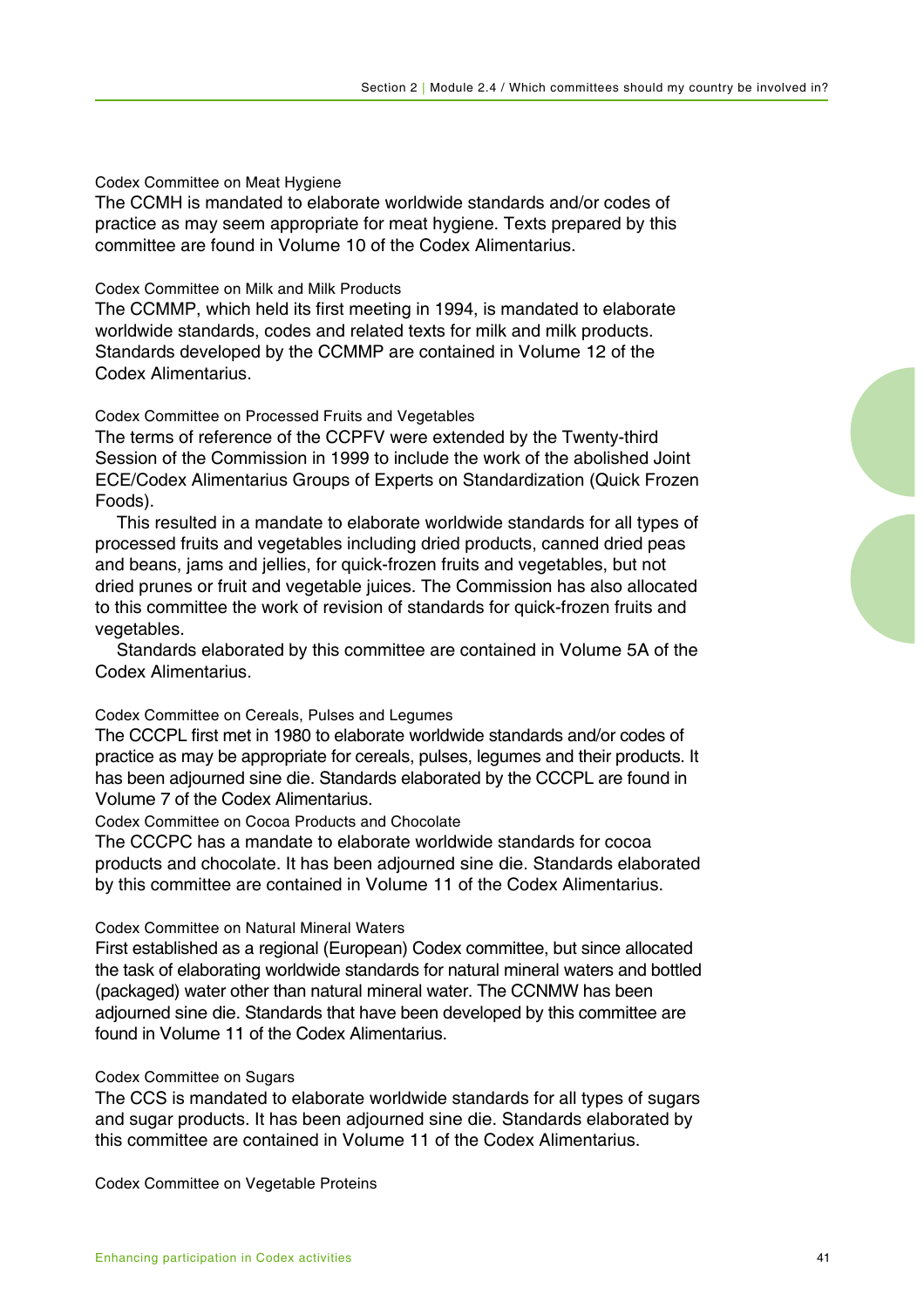#### Codex Committee on Meat Hygiene

The CCMH is mandated to elaborate worldwide standards and/or codes of practice as may seem appropriate for meat hygiene. Texts prepared by this committee are found in Volume 10 of the Codex Alimentarius.

#### Codex Committee on Milk and Milk Products

The CCMMP, which held its first meeting in 1994, is mandated to elaborate worldwide standards, codes and related texts for milk and milk products. Standards developed by the CCMMP are contained in Volume 12 of the Codex Alimentarius.

#### Codex Committee on Processed Fruits and Vegetables

The terms of reference of the CCPFV were extended by the Twenty-third Session of the Commission in 1999 to include the work of the abolished Joint ECE/Codex Alimentarius Groups of Experts on Standardization (Quick Frozen Foods).

This resulted in a mandate to elaborate worldwide standards for all types of processed fruits and vegetables including dried products, canned dried peas and beans, jams and jellies, for quick-frozen fruits and vegetables, but not dried prunes or fruit and vegetable juices. The Commission has also allocated to this committee the work of revision of standards for quick-frozen fruits and vegetables.

Standards elaborated by this committee are contained in Volume 5A of the Codex Alimentarius.

#### Codex Committee on Cereals, Pulses and Legumes

The CCCPL first met in 1980 to elaborate worldwide standards and/or codes of practice as may be appropriate for cereals, pulses, legumes and their products. It has been adjourned sine die. Standards elaborated by the CCCPL are found in Volume 7 of the Codex Alimentarius.

Codex Committee on Cocoa Products and Chocolate

The CCCPC has a mandate to elaborate worldwide standards for cocoa products and chocolate. It has been adjourned sine die. Standards elaborated by this committee are contained in Volume 11 of the Codex Alimentarius.

#### Codex Committee on Natural Mineral Waters

First established as a regional (European) Codex committee, but since allocated the task of elaborating worldwide standards for natural mineral waters and bottled (packaged) water other than natural mineral water. The CCNMW has been adjourned sine die. Standards that have been developed by this committee are found in Volume 11 of the Codex Alimentarius.

#### Codex Committee on Sugars

The CCS is mandated to elaborate worldwide standards for all types of sugars and sugar products. It has been adjourned sine die. Standards elaborated by this committee are contained in Volume 11 of the Codex Alimentarius.

Codex Committee on Vegetable Proteins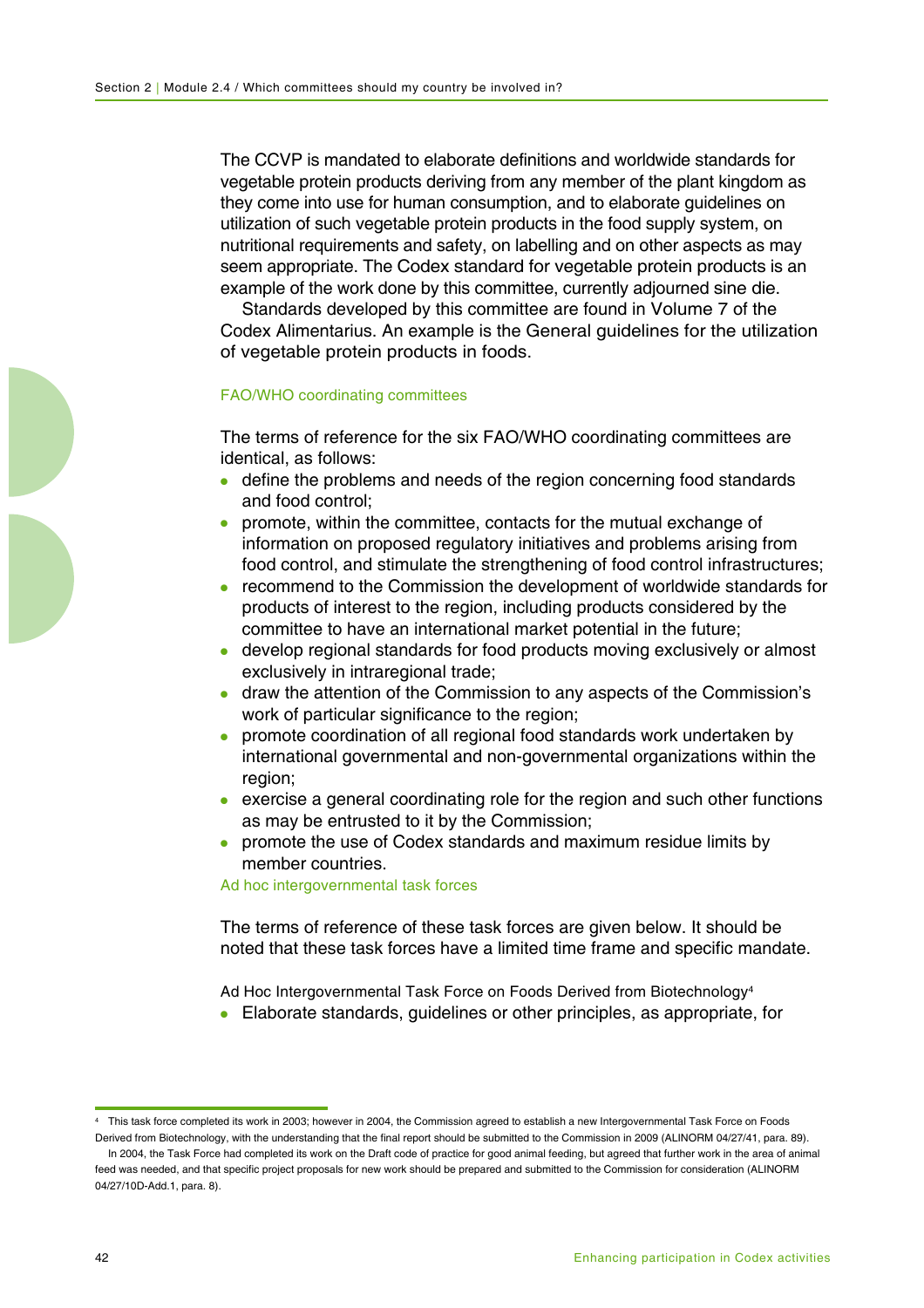The CCVP is mandated to elaborate definitions and worldwide standards for vegetable protein products deriving from any member of the plant kingdom as they come into use for human consumption, and to elaborate guidelines on utilization of such vegetable protein products in the food supply system, on nutritional requirements and safety, on labelling and on other aspects as may seem appropriate. The Codex standard for vegetable protein products is an example of the work done by this committee, currently adjourned sine die.

Standards developed by this committee are found in Volume 7 of the Codex Alimentarius. An example is the General guidelines for the utilization of vegetable protein products in foods.

#### FAO/WHO coordinating committees

The terms of reference for the six FAO/WHO coordinating committees are identical, as follows:

- define the problems and needs of the region concerning food standards and food control;
- promote, within the committee, contacts for the mutual exchange of information on proposed regulatory initiatives and problems arising from food control, and stimulate the strengthening of food control infrastructures;
- recommend to the Commission the development of worldwide standards for products of interest to the region, including products considered by the committee to have an international market potential in the future;
- develop regional standards for food products moving exclusively or almost exclusively in intraregional trade;
- draw the attention of the Commission to any aspects of the Commission's work of particular significance to the region;
- promote coordination of all regional food standards work undertaken by international governmental and non-governmental organizations within the region;
- exercise a general coordinating role for the region and such other functions as may be entrusted to it by the Commission;
- promote the use of Codex standards and maximum residue limits by member countries.

Ad hoc intergovernmental task forces

The terms of reference of these task forces are given below. It should be noted that these task forces have a limited time frame and specific mandate.

Ad Hoc Intergovernmental Task Force on Foods Derived from Biotechnology<sup>4</sup>

• Elaborate standards, guidelines or other principles, as appropriate, for

<sup>4</sup> This task force completed its work in 2003; however in 2004, the Commission agreed to establish a new Intergovernmental Task Force on Foods Derived from Biotechnology, with the understanding that the final report should be submitted to the Commission in 2009 (ALINORM 04/27/41, para. 89).

In 2004, the Task Force had completed its work on the Draft code of practice for good animal feeding, but agreed that further work in the area of animal feed was needed, and that specific project proposals for new work should be prepared and submitted to the Commission for consideration (ALINORM 04/27/10D-Add.1, para. 8).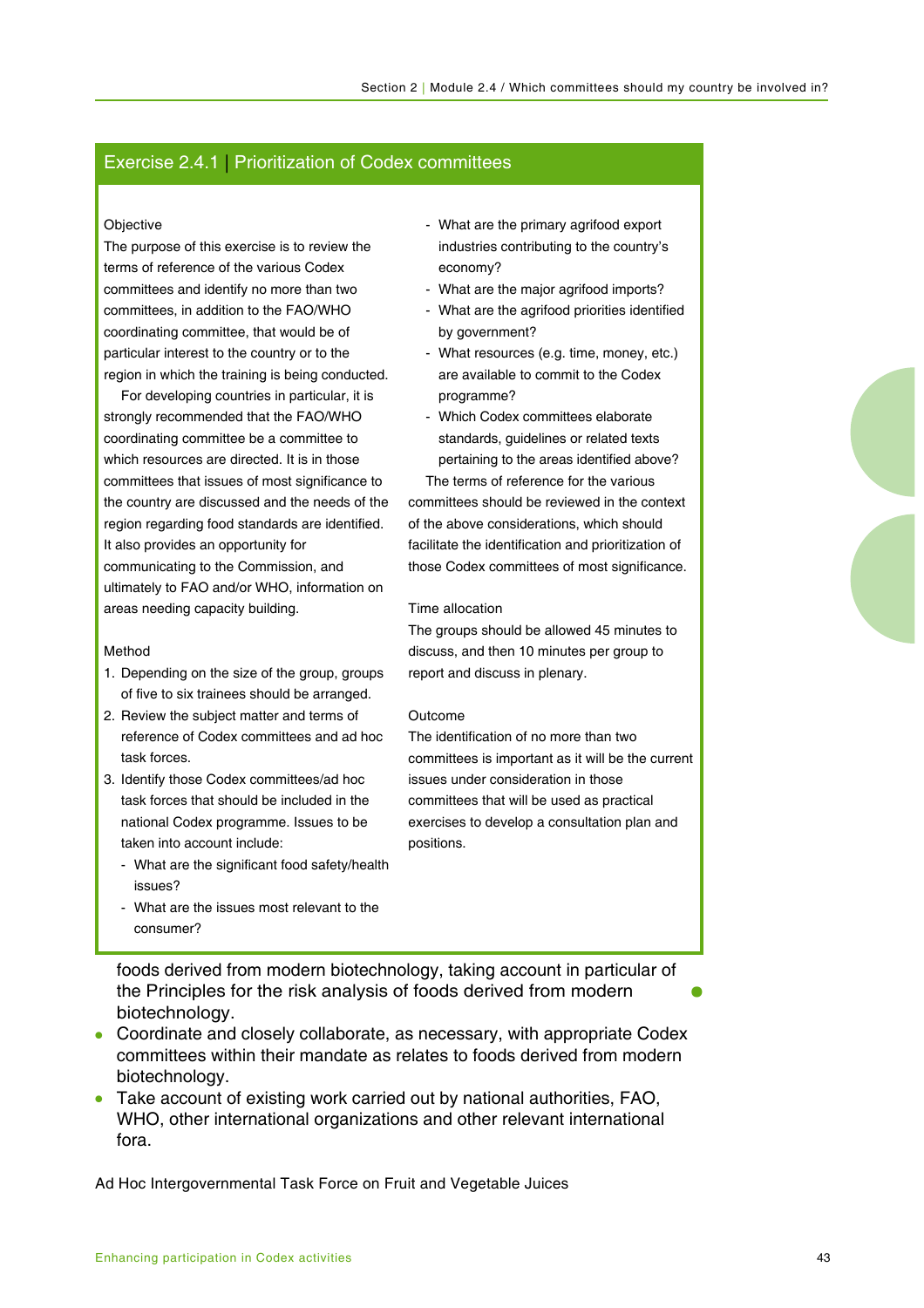#### Exercise 2.4.1 | Prioritization of Codex committees

#### **Objective**

The purpose of this exercise is to review the terms of reference of the various Codex committees and identify no more than two committees, in addition to the FAO/WHO coordinating committee, that would be of particular interest to the country or to the region in which the training is being conducted.

For developing countries in particular, it is strongly recommended that the FAO/WHO coordinating committee be a committee to which resources are directed. It is in those committees that issues of most significance to the country are discussed and the needs of the region regarding food standards are identified. It also provides an opportunity for communicating to the Commission, and ultimately to FAO and/or WHO, information on areas needing capacity building.

#### Method

- 1. Depending on the size of the group, groups of five to six trainees should be arranged.
- 2. Review the subject matter and terms of reference of Codex committees and ad hoc task forces.
- 3. Identify those Codex committees/ad hoc task forces that should be included in the national Codex programme. Issues to be taken into account include:
	- What are the significant food safety/health issues?
	- What are the issues most relevant to the consumer?
- What are the primary agrifood export industries contributing to the country's economy?
- What are the major agrifood imports?
- What are the agrifood priorities identified by government?
- What resources (e.g. time, money, etc.) are available to commit to the Codex programme?
- Which Codex committees elaborate standards, guidelines or related texts pertaining to the areas identified above?

The terms of reference for the various committees should be reviewed in the context of the above considerations, which should facilitate the identification and prioritization of those Codex committees of most significance.

#### Time allocation

The groups should be allowed 45 minutes to discuss, and then 10 minutes per group to report and discuss in plenary.

#### Outcome

The identification of no more than two committees is important as it will be the current issues under consideration in those committees that will be used as practical exercises to develop a consultation plan and positions.

foods derived from modern biotechnology, taking account in particular of the Principles for the risk analysis of foods derived from modern biotechnology.

- Coordinate and closely collaborate, as necessary, with appropriate Codex committees within their mandate as relates to foods derived from modern biotechnology.
- Take account of existing work carried out by national authorities, FAO, WHO, other international organizations and other relevant international fora.

Ad Hoc Intergovernmental Task Force on Fruit and Vegetable Juices

**.**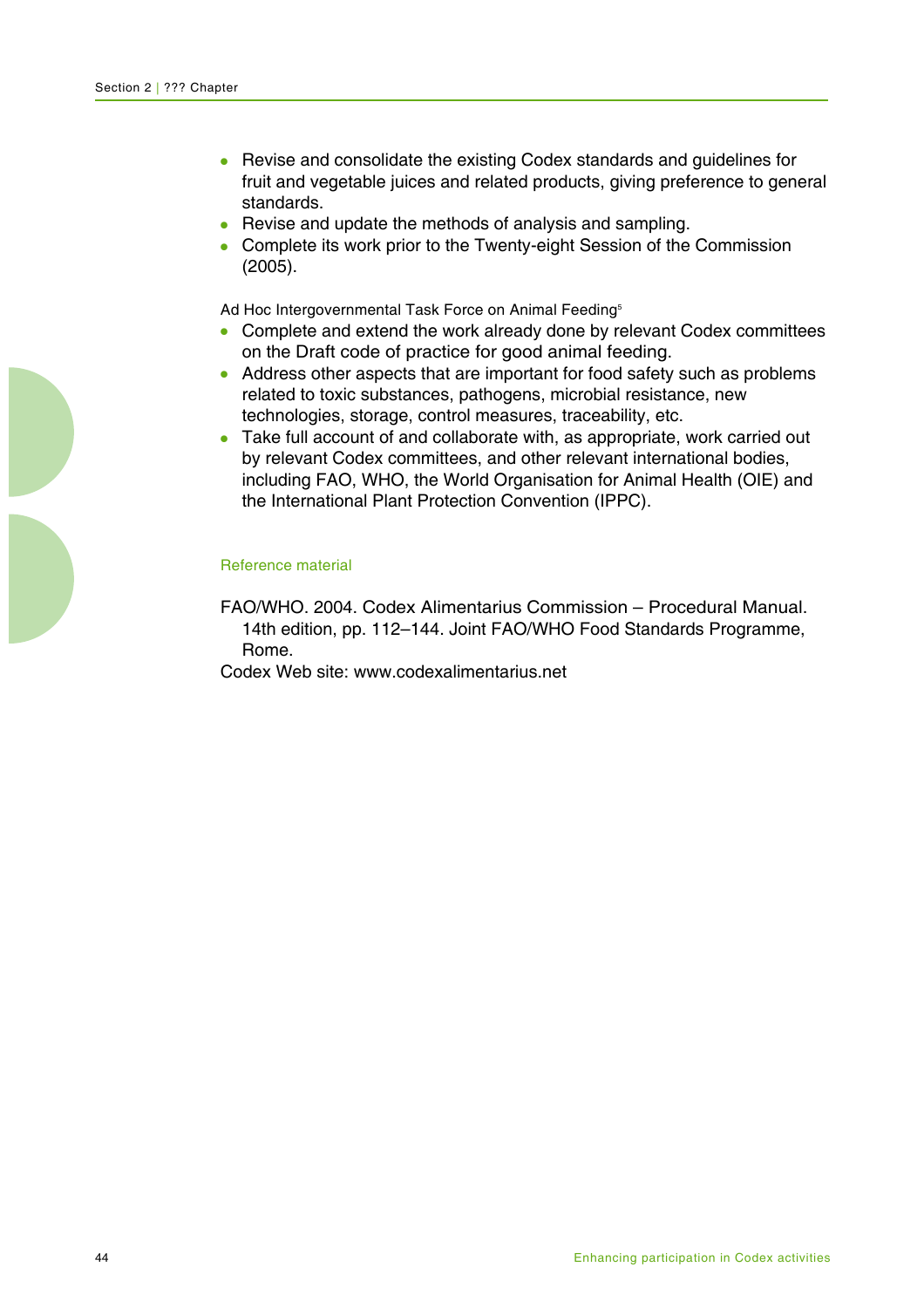- Revise and consolidate the existing Codex standards and guidelines for fruit and vegetable juices and related products, giving preference to general standards.
- Revise and update the methods of analysis and sampling.
- Complete its work prior to the Twenty-eight Session of the Commission (2005).

Ad Hoc Intergovernmental Task Force on Animal Feeding<sup>5</sup>

- Complete and extend the work already done by relevant Codex committees on the Draft code of practice for good animal feeding.
- Address other aspects that are important for food safety such as problems related to toxic substances, pathogens, microbial resistance, new technologies, storage, control measures, traceability, etc.
- Take full account of and collaborate with, as appropriate, work carried out by relevant Codex committees, and other relevant international bodies, including FAO, WHO, the World Organisation for Animal Health (OIE) and the International Plant Protection Convention (IPPC).

#### Reference material

FAO/WHO. 2004. Codex Alimentarius Commission – Procedural Manual. 14th edition, pp. 112–144. Joint FAO/WHO Food Standards Programme, Rome.

Codex Web site: www.codexalimentarius.net

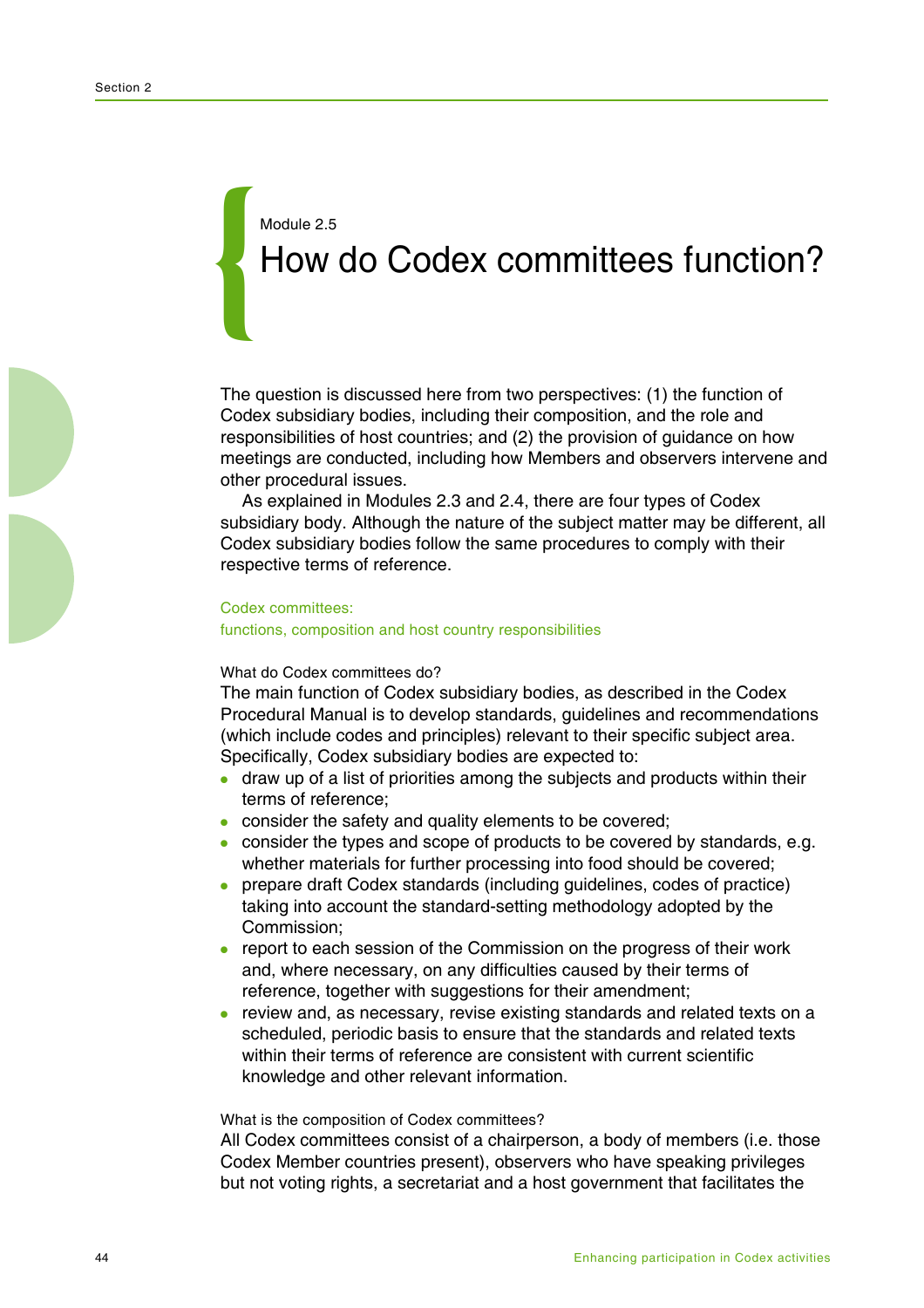## Module 2.5 How do Codex committees function? **{**

The question is discussed here from two perspectives: (1) the function of Codex subsidiary bodies, including their composition, and the role and responsibilities of host countries; and (2) the provision of guidance on how meetings are conducted, including how Members and observers intervene and other procedural issues.

As explained in Modules 2.3 and 2.4, there are four types of Codex subsidiary body. Although the nature of the subject matter may be different, all Codex subsidiary bodies follow the same procedures to comply with their respective terms of reference.

#### Codex committees:

functions, composition and host country responsibilities

#### What do Codex committees do?

The main function of Codex subsidiary bodies, as described in the Codex Procedural Manual is to develop standards, guidelines and recommendations (which include codes and principles) relevant to their specific subject area. Specifically, Codex subsidiary bodies are expected to:

- draw up of a list of priorities among the subjects and products within their terms of reference;
- consider the safety and quality elements to be covered;
- consider the types and scope of products to be covered by standards, e.g. whether materials for further processing into food should be covered;
- prepare draft Codex standards (including guidelines, codes of practice) taking into account the standard-setting methodology adopted by the Commission;
- report to each session of the Commission on the progress of their work and, where necessary, on any difficulties caused by their terms of reference, together with suggestions for their amendment;
- review and, as necessary, revise existing standards and related texts on a scheduled, periodic basis to ensure that the standards and related texts within their terms of reference are consistent with current scientific knowledge and other relevant information.

#### What is the composition of Codex committees?

All Codex committees consist of a chairperson, a body of members (i.e. those Codex Member countries present), observers who have speaking privileges but not voting rights, a secretariat and a host government that facilitates the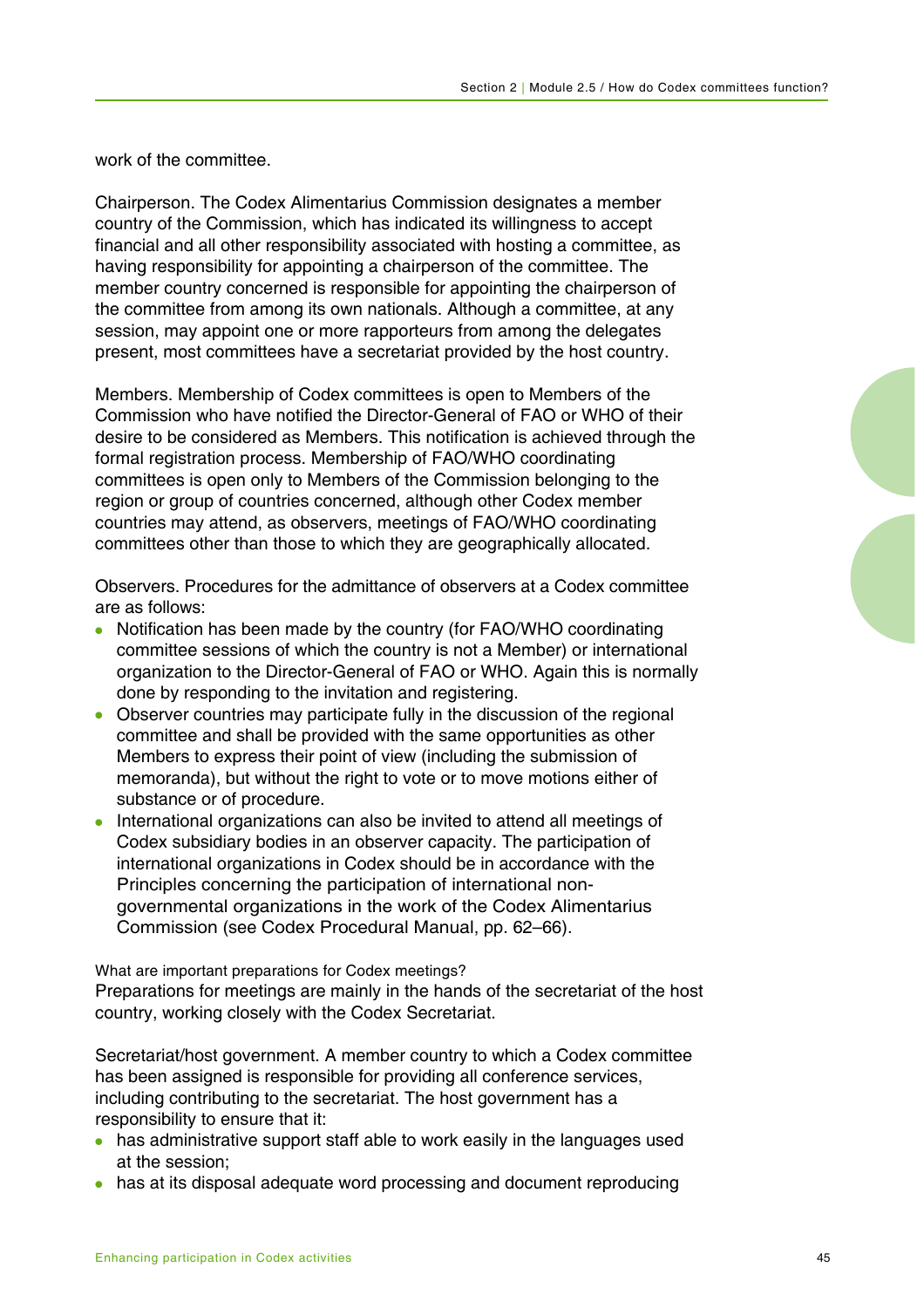work of the committee.

Chairperson. The Codex Alimentarius Commission designates a member country of the Commission, which has indicated its willingness to accept financial and all other responsibility associated with hosting a committee, as having responsibility for appointing a chairperson of the committee. The member country concerned is responsible for appointing the chairperson of the committee from among its own nationals. Although a committee, at any session, may appoint one or more rapporteurs from among the delegates present, most committees have a secretariat provided by the host country.

Members. Membership of Codex committees is open to Members of the Commission who have notified the Director-General of FAO or WHO of their desire to be considered as Members. This notification is achieved through the formal registration process. Membership of FAO/WHO coordinating committees is open only to Members of the Commission belonging to the region or group of countries concerned, although other Codex member countries may attend, as observers, meetings of FAO/WHO coordinating committees other than those to which they are geographically allocated.

Observers. Procedures for the admittance of observers at a Codex committee are as follows:

- Notification has been made by the country (for FAO/WHO coordinating committee sessions of which the country is not a Member) or international organization to the Director-General of FAO or WHO. Again this is normally done by responding to the invitation and registering.
- Observer countries may participate fully in the discussion of the regional committee and shall be provided with the same opportunities as other Members to express their point of view (including the submission of memoranda), but without the right to vote or to move motions either of substance or of procedure.
- International organizations can also be invited to attend all meetings of Codex subsidiary bodies in an observer capacity. The participation of international organizations in Codex should be in accordance with the Principles concerning the participation of international nongovernmental organizations in the work of the Codex Alimentarius Commission (see Codex Procedural Manual, pp. 62–66).

What are important preparations for Codex meetings?

Preparations for meetings are mainly in the hands of the secretariat of the host country, working closely with the Codex Secretariat.

Secretariat/host government. A member country to which a Codex committee has been assigned is responsible for providing all conference services, including contributing to the secretariat. The host government has a responsibility to ensure that it:

- has administrative support staff able to work easily in the languages used at the session;
- has at its disposal adequate word processing and document reproducing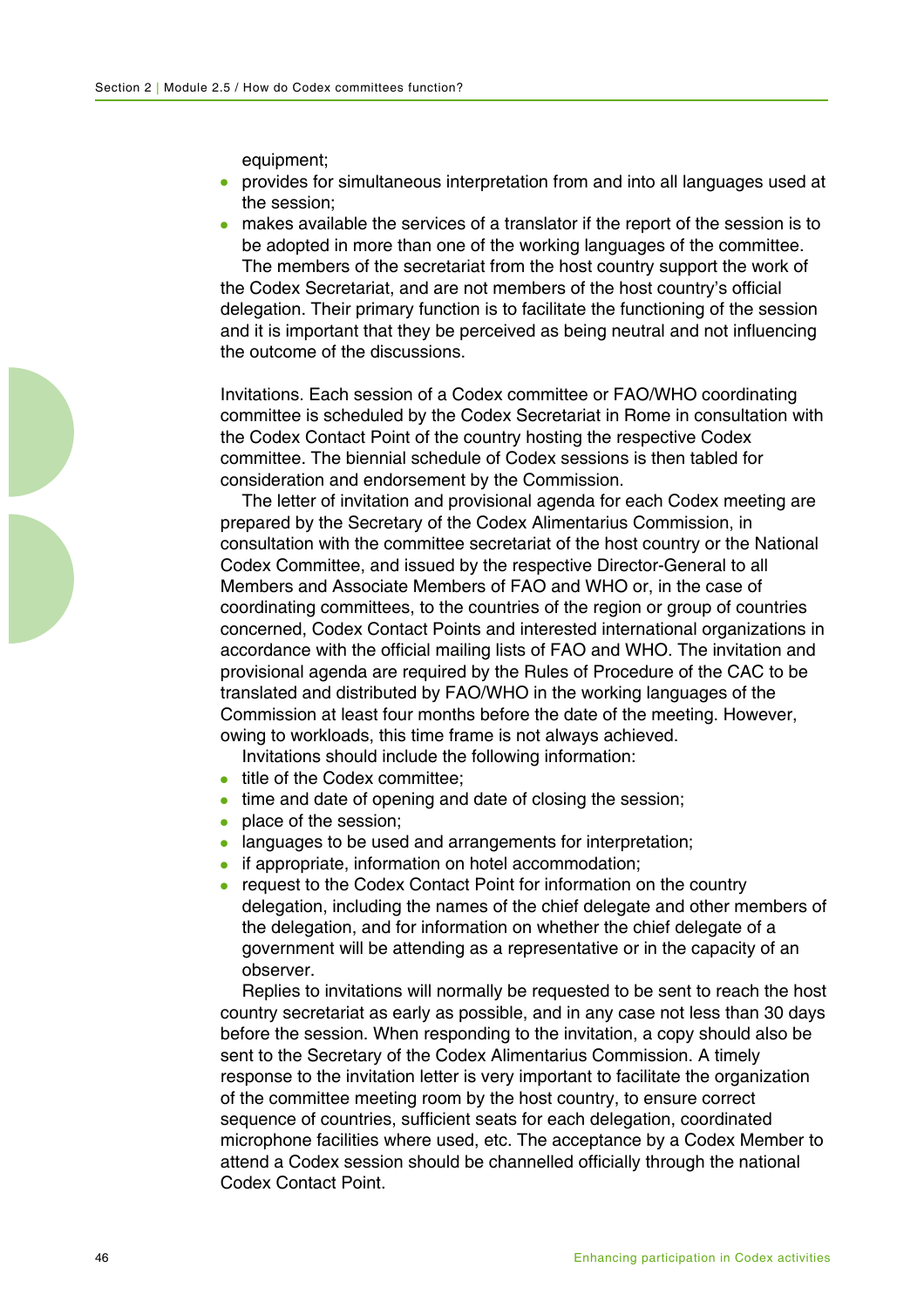equipment;

- provides for simultaneous interpretation from and into all languages used at the session;
- makes available the services of a translator if the report of the session is to be adopted in more than one of the working languages of the committee. The members of the secretariat from the host country support the work of

the Codex Secretariat, and are not members of the host country's official delegation. Their primary function is to facilitate the functioning of the session and it is important that they be perceived as being neutral and not influencing the outcome of the discussions.

Invitations. Each session of a Codex committee or FAO/WHO coordinating committee is scheduled by the Codex Secretariat in Rome in consultation with the Codex Contact Point of the country hosting the respective Codex committee. The biennial schedule of Codex sessions is then tabled for consideration and endorsement by the Commission.

The letter of invitation and provisional agenda for each Codex meeting are prepared by the Secretary of the Codex Alimentarius Commission, in consultation with the committee secretariat of the host country or the National Codex Committee, and issued by the respective Director-General to all Members and Associate Members of FAO and WHO or, in the case of coordinating committees, to the countries of the region or group of countries concerned, Codex Contact Points and interested international organizations in accordance with the official mailing lists of FAO and WHO. The invitation and provisional agenda are required by the Rules of Procedure of the CAC to be translated and distributed by FAO/WHO in the working languages of the Commission at least four months before the date of the meeting. However, owing to workloads, this time frame is not always achieved.

Invitations should include the following information:

- title of the Codex committee:
- time and date of opening and date of closing the session;
- place of the session;
- languages to be used and arrangements for interpretation:
- if appropriate, information on hotel accommodation;
- request to the Codex Contact Point for information on the country delegation, including the names of the chief delegate and other members of the delegation, and for information on whether the chief delegate of a government will be attending as a representative or in the capacity of an observer.

Replies to invitations will normally be requested to be sent to reach the host country secretariat as early as possible, and in any case not less than 30 days before the session. When responding to the invitation, a copy should also be sent to the Secretary of the Codex Alimentarius Commission. A timely response to the invitation letter is very important to facilitate the organization of the committee meeting room by the host country, to ensure correct sequence of countries, sufficient seats for each delegation, coordinated microphone facilities where used, etc. The acceptance by a Codex Member to attend a Codex session should be channelled officially through the national Codex Contact Point.

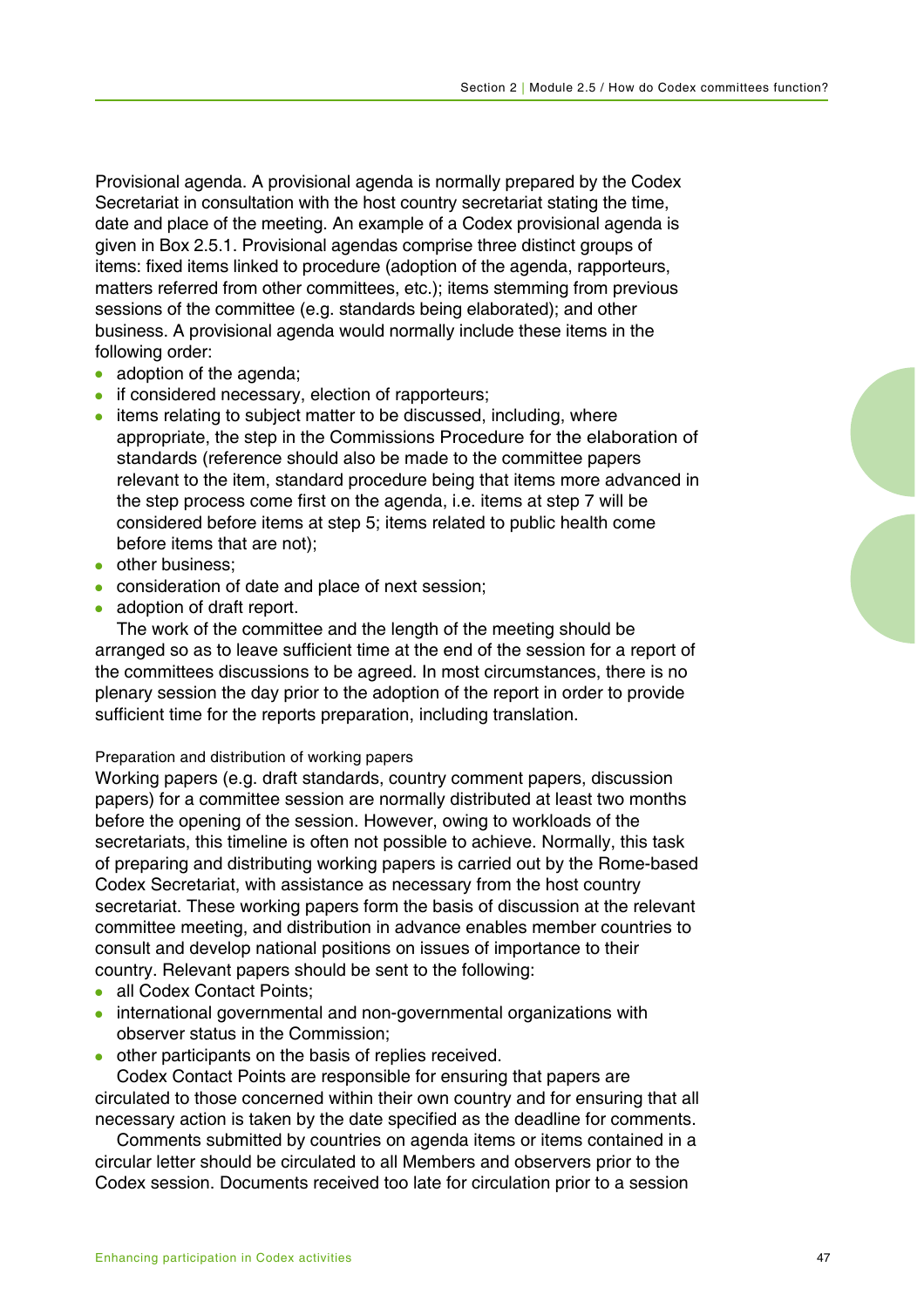Provisional agenda. A provisional agenda is normally prepared by the Codex Secretariat in consultation with the host country secretariat stating the time, date and place of the meeting. An example of a Codex provisional agenda is given in Box 2.5.1. Provisional agendas comprise three distinct groups of items: fixed items linked to procedure (adoption of the agenda, rapporteurs, matters referred from other committees, etc.); items stemming from previous sessions of the committee (e.g. standards being elaborated); and other business. A provisional agenda would normally include these items in the following order:

- adoption of the agenda;
- if considered necessary, election of rapporteurs;
- items relating to subject matter to be discussed, including, where appropriate, the step in the Commissions Procedure for the elaboration of standards (reference should also be made to the committee papers relevant to the item, standard procedure being that items more advanced in the step process come first on the agenda, i.e. items at step 7 will be considered before items at step 5; items related to public health come before items that are not);
- other business:
- consideration of date and place of next session;
- adoption of draft report.

The work of the committee and the length of the meeting should be arranged so as to leave sufficient time at the end of the session for a report of the committees discussions to be agreed. In most circumstances, there is no plenary session the day prior to the adoption of the report in order to provide sufficient time for the reports preparation, including translation.

#### Preparation and distribution of working papers

Working papers (e.g. draft standards, country comment papers, discussion papers) for a committee session are normally distributed at least two months before the opening of the session. However, owing to workloads of the secretariats, this timeline is often not possible to achieve. Normally, this task of preparing and distributing working papers is carried out by the Rome-based Codex Secretariat, with assistance as necessary from the host country secretariat. These working papers form the basis of discussion at the relevant committee meeting, and distribution in advance enables member countries to consult and develop national positions on issues of importance to their country. Relevant papers should be sent to the following:

- all Codex Contact Points:
- international governmental and non-governmental organizations with observer status in the Commission;
- other participants on the basis of replies received.

Codex Contact Points are responsible for ensuring that papers are circulated to those concerned within their own country and for ensuring that all necessary action is taken by the date specified as the deadline for comments.

Comments submitted by countries on agenda items or items contained in a circular letter should be circulated to all Members and observers prior to the Codex session. Documents received too late for circulation prior to a session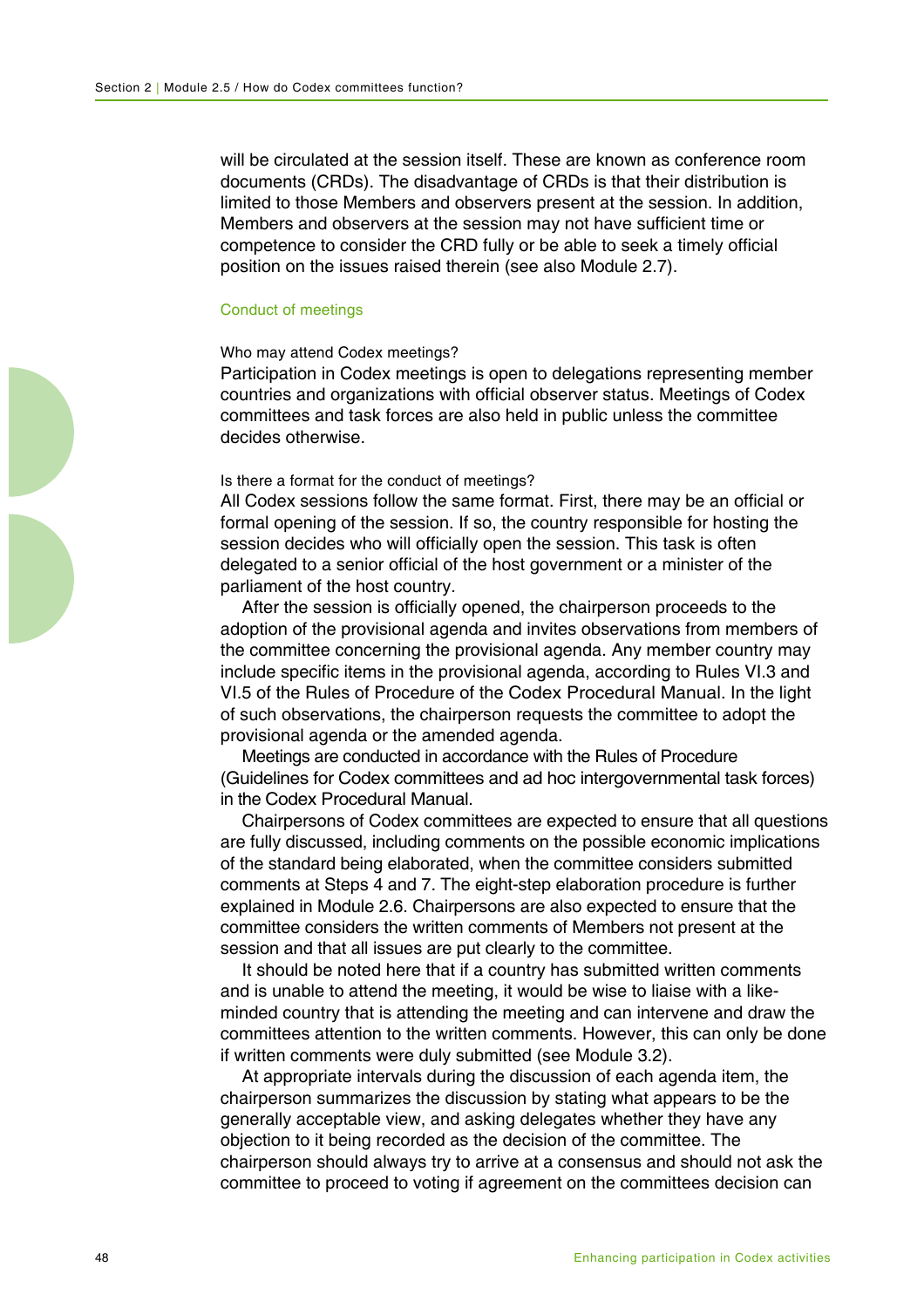will be circulated at the session itself. These are known as conference room documents (CRDs). The disadvantage of CRDs is that their distribution is limited to those Members and observers present at the session. In addition, Members and observers at the session may not have sufficient time or competence to consider the CRD fully or be able to seek a timely official position on the issues raised therein (see also Module 2.7).

#### Conduct of meetings

#### Who may attend Codex meetings?

Participation in Codex meetings is open to delegations representing member countries and organizations with official observer status. Meetings of Codex committees and task forces are also held in public unless the committee decides otherwise.

#### Is there a format for the conduct of meetings?

All Codex sessions follow the same format. First, there may be an official or formal opening of the session. If so, the country responsible for hosting the session decides who will officially open the session. This task is often delegated to a senior official of the host government or a minister of the parliament of the host country.

After the session is officially opened, the chairperson proceeds to the adoption of the provisional agenda and invites observations from members of the committee concerning the provisional agenda. Any member country may include specific items in the provisional agenda, according to Rules VI.3 and VI.5 of the Rules of Procedure of the Codex Procedural Manual. In the light of such observations, the chairperson requests the committee to adopt the provisional agenda or the amended agenda.

Meetings are conducted in accordance with the Rules of Procedure (Guidelines for Codex committees and ad hoc intergovernmental task forces) in the Codex Procedural Manual.

Chairpersons of Codex committees are expected to ensure that all questions are fully discussed, including comments on the possible economic implications of the standard being elaborated, when the committee considers submitted comments at Steps 4 and 7. The eight-step elaboration procedure is further explained in Module 2.6. Chairpersons are also expected to ensure that the committee considers the written comments of Members not present at the session and that all issues are put clearly to the committee.

It should be noted here that if a country has submitted written comments and is unable to attend the meeting, it would be wise to liaise with a likeminded country that is attending the meeting and can intervene and draw the committees attention to the written comments. However, this can only be done if written comments were duly submitted (see Module 3.2).

At appropriate intervals during the discussion of each agenda item, the chairperson summarizes the discussion by stating what appears to be the generally acceptable view, and asking delegates whether they have any objection to it being recorded as the decision of the committee. The chairperson should always try to arrive at a consensus and should not ask the committee to proceed to voting if agreement on the committees decision can

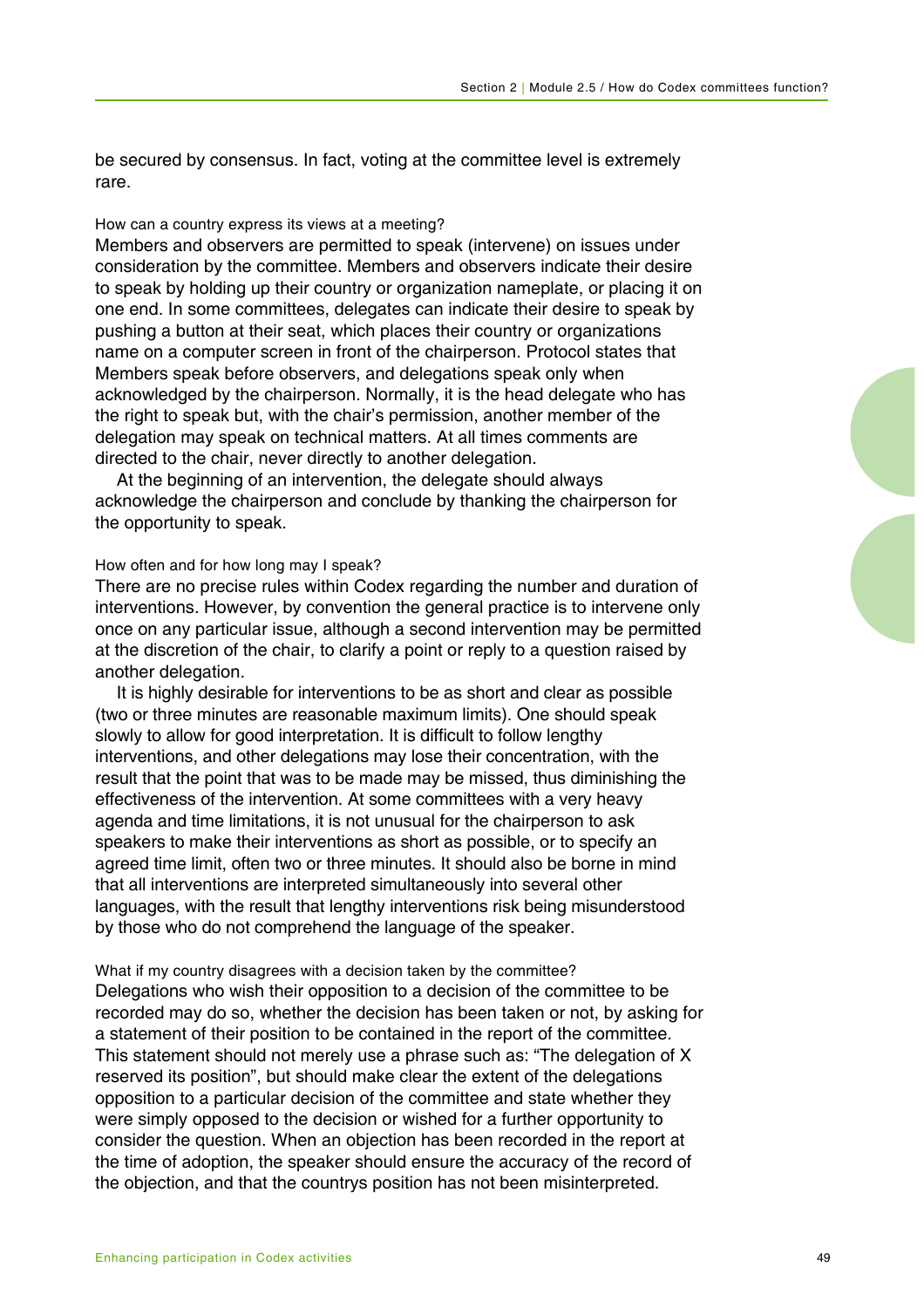be secured by consensus. In fact, voting at the committee level is extremely rare.

#### How can a country express its views at a meeting?

Members and observers are permitted to speak (intervene) on issues under consideration by the committee. Members and observers indicate their desire to speak by holding up their country or organization nameplate, or placing it on one end. In some committees, delegates can indicate their desire to speak by pushing a button at their seat, which places their country or organizations name on a computer screen in front of the chairperson. Protocol states that Members speak before observers, and delegations speak only when acknowledged by the chairperson. Normally, it is the head delegate who has the right to speak but, with the chair's permission, another member of the delegation may speak on technical matters. At all times comments are directed to the chair, never directly to another delegation.

At the beginning of an intervention, the delegate should always acknowledge the chairperson and conclude by thanking the chairperson for the opportunity to speak.

#### How often and for how long may I speak?

There are no precise rules within Codex regarding the number and duration of interventions. However, by convention the general practice is to intervene only once on any particular issue, although a second intervention may be permitted at the discretion of the chair, to clarify a point or reply to a question raised by another delegation.

It is highly desirable for interventions to be as short and clear as possible (two or three minutes are reasonable maximum limits). One should speak slowly to allow for good interpretation. It is difficult to follow lengthy interventions, and other delegations may lose their concentration, with the result that the point that was to be made may be missed, thus diminishing the effectiveness of the intervention. At some committees with a very heavy agenda and time limitations, it is not unusual for the chairperson to ask speakers to make their interventions as short as possible, or to specify an agreed time limit, often two or three minutes. It should also be borne in mind that all interventions are interpreted simultaneously into several other languages, with the result that lengthy interventions risk being misunderstood by those who do not comprehend the language of the speaker.

What if my country disagrees with a decision taken by the committee? Delegations who wish their opposition to a decision of the committee to be recorded may do so, whether the decision has been taken or not, by asking for a statement of their position to be contained in the report of the committee. This statement should not merely use a phrase such as: "The delegation of X reserved its position", but should make clear the extent of the delegations opposition to a particular decision of the committee and state whether they were simply opposed to the decision or wished for a further opportunity to consider the question. When an objection has been recorded in the report at the time of adoption, the speaker should ensure the accuracy of the record of the objection, and that the countrys position has not been misinterpreted.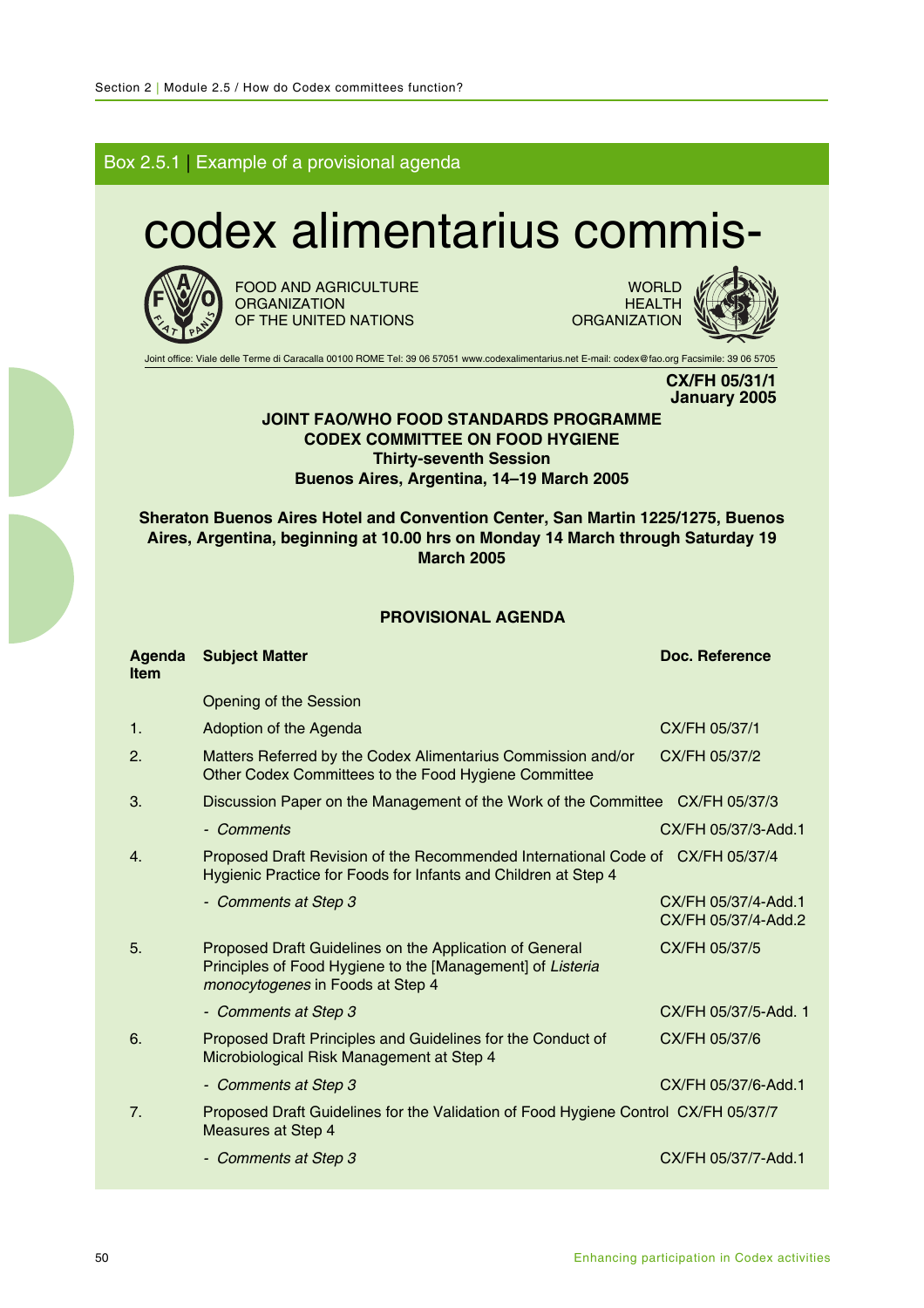#### Box 2.5.1 | Example of a provisional agenda

# codex alimentarius commis-



FOOD AND AGRICULTURE **ORGANIZATION** OF THE UNITED NATIONS

**WORLD** HEALTH **ORGANIZATION** 



Joint office: Viale delle Terme di Caracalla 00100 ROME Tel: 39 06 57051 www.codexalimentarius.net E-mail: codex@fao.org Facsimile: 39 06 5705

**CX/FH 05/31/1 January 2005**

#### **JOINT FAO/WHO FOOD STANDARDS PROGRAMME CODEX COMMITTEE ON FOOD HYGIENE Thirty-seventh Session Buenos Aires, Argentina, 14–19 March 2005**

**Sheraton Buenos Aires Hotel and Convention Center, San Martin 1225/1275, Buenos Aires, Argentina, beginning at 10.00 hrs on Monday 14 March through Saturday 19 March 2005**

#### **PROVISIONAL AGENDA**

| Agenda<br><b>Item</b> | <b>Subject Matter</b>                                                                                                                                     | Doc. Reference                             |
|-----------------------|-----------------------------------------------------------------------------------------------------------------------------------------------------------|--------------------------------------------|
|                       | Opening of the Session                                                                                                                                    |                                            |
| $\mathbf{1}$ .        | Adoption of the Agenda                                                                                                                                    | CX/FH 05/37/1                              |
| 2.                    | Matters Referred by the Codex Alimentarius Commission and/or<br>Other Codex Committees to the Food Hygiene Committee                                      | CX/FH 05/37/2                              |
| 3.                    | Discussion Paper on the Management of the Work of the Committee CX/FH 05/37/3                                                                             |                                            |
|                       | - Comments                                                                                                                                                | CX/FH 05/37/3-Add.1                        |
| $\mathbf{4}$ .        | Proposed Draft Revision of the Recommended International Code of CX/FH 05/37/4<br>Hygienic Practice for Foods for Infants and Children at Step 4          |                                            |
|                       | - Comments at Step 3                                                                                                                                      | CX/FH 05/37/4-Add.1<br>CX/FH 05/37/4-Add.2 |
| 5.                    | Proposed Draft Guidelines on the Application of General<br>Principles of Food Hygiene to the [Management] of Listeria<br>monocytogenes in Foods at Step 4 | CX/FH 05/37/5                              |
|                       | - Comments at Step 3                                                                                                                                      | CX/FH 05/37/5-Add. 1                       |
| 6.                    | Proposed Draft Principles and Guidelines for the Conduct of<br>Microbiological Risk Management at Step 4                                                  | CX/FH 05/37/6                              |
|                       | - Comments at Step 3                                                                                                                                      | CX/FH 05/37/6-Add.1                        |
| 7.                    | Proposed Draft Guidelines for the Validation of Food Hygiene Control CX/FH 05/37/7<br><b>Measures at Step 4</b>                                           |                                            |
|                       | - Comments at Step 3                                                                                                                                      | CX/FH 05/37/7-Add.1                        |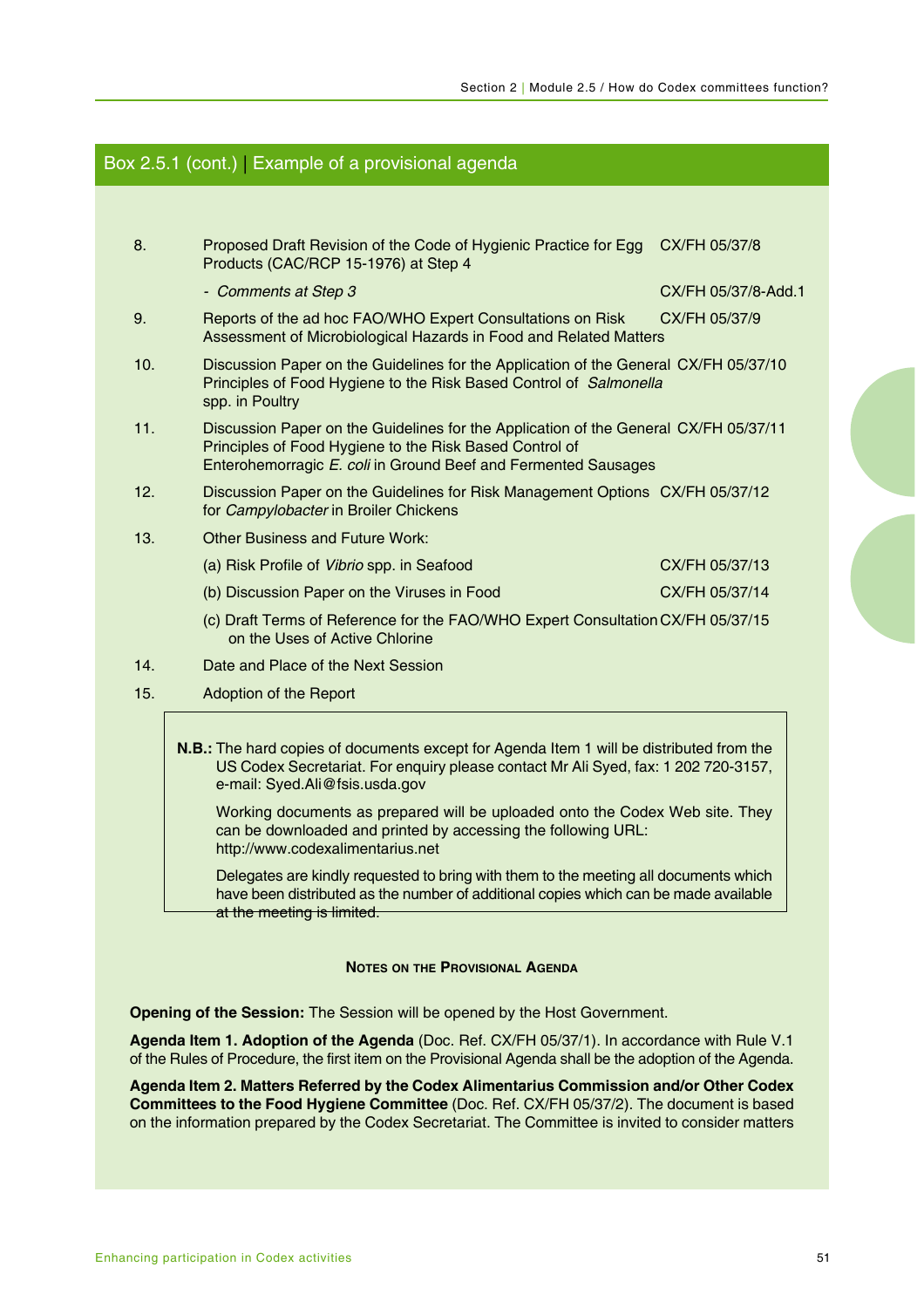#### Box 2.5.1 (cont.) | Example of a provisional agenda

- 8. Proposed Draft Revision of the Code of Hygienic Practice for Egg CX/FH 05/37/8 Products (CAC/RCP 15-1976) at Step 4 *- Comments at Step 3* CX/FH 05/37/8-Add.1 9. Reports of the ad hoc FAO/WHO Expert Consultations on Risk CX/FH 05/37/9 Assessment of Microbiological Hazards in Food and Related Matters 10. Discussion Paper on the Guidelines for the Application of the General CX/FH 05/37/10 Principles of Food Hygiene to the Risk Based Control of *Salmonella*  spp. in Poultry
- 11. Discussion Paper on the Guidelines for the Application of the General CX/FH 05/37/11 Principles of Food Hygiene to the Risk Based Control of Enterohemorragic *E. coli* in Ground Beef and Fermented Sausages
- 12. Discussion Paper on the Guidelines for Risk Management Options CX/FH 05/37/12 for *Campylobacter* in Broiler Chickens
- 13. Other Business and Future Work:
	- (a) Risk Profile of *Vibrio* spp. in Seafood CX/FH 05/37/13 (b) Discussion Paper on the Viruses in Food CX/FH 05/37/14
		- (c) Draft Terms of Reference for the FAO/WHO Expert Consultation CX/FH 05/37/15 on the Uses of Active Chlorine
- 14. Date and Place of the Next Session
- 15. Adoption of the Report

**N.B.:** The hard copies of documents except for Agenda Item 1 will be distributed from the US Codex Secretariat. For enquiry please contact Mr Ali Syed, fax: 1 202 720-3157, e-mail: Syed.Ali@fsis.usda.gov

Working documents as prepared will be uploaded onto the Codex Web site. They can be downloaded and printed by accessing the following URL: http://www.codexalimentarius.net

Delegates are kindly requested to bring with them to the meeting all documents which have been distributed as the number of additional copies which can be made available at the meeting is limited.

#### **NOTES ON THE PROVISIONAL AGENDA**

**Opening of the Session:** The Session will be opened by the Host Government.

**Agenda Item 1. Adoption of the Agenda** (Doc. Ref. CX/FH 05/37/1). In accordance with Rule V.1 of the Rules of Procedure, the first item on the Provisional Agenda shall be the adoption of the Agenda.

**Agenda Item 2. Matters Referred by the Codex Alimentarius Commission and/or Other Codex Committees to the Food Hygiene Committee** (Doc. Ref. CX/FH 05/37/2). The document is based on the information prepared by the Codex Secretariat. The Committee is invited to consider matters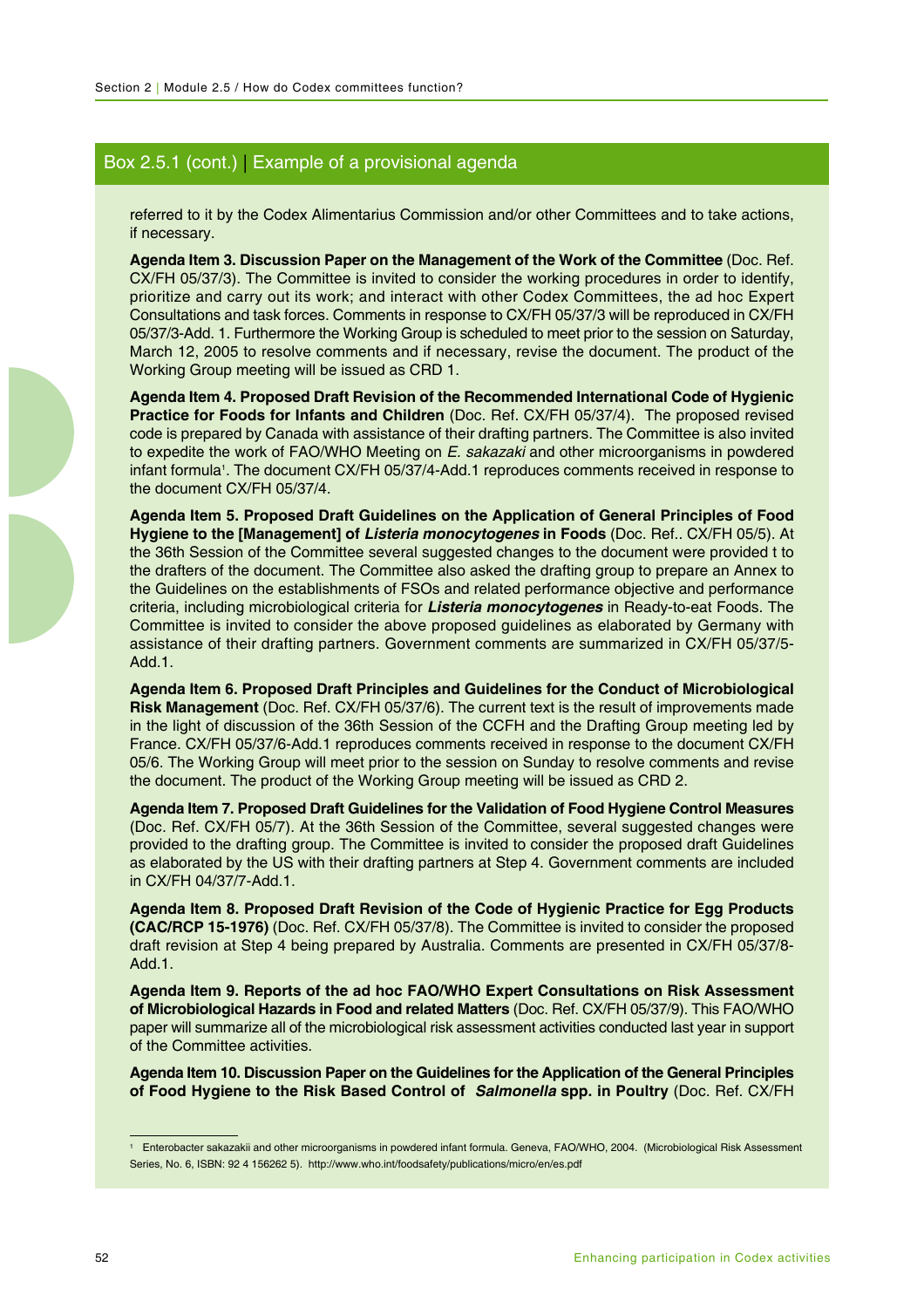#### Box 2.5.1 (cont.) | Example of a provisional agenda

referred to it by the Codex Alimentarius Commission and/or other Committees and to take actions, if necessary.

**Agenda Item 3. Discussion Paper on the Management of the Work of the Committee** (Doc. Ref. CX/FH 05/37/3). The Committee is invited to consider the working procedures in order to identify, prioritize and carry out its work; and interact with other Codex Committees, the ad hoc Expert Consultations and task forces. Comments in response to CX/FH 05/37/3 will be reproduced in CX/FH 05/37/3-Add. 1. Furthermore the Working Group is scheduled to meet prior to the session on Saturday, March 12, 2005 to resolve comments and if necessary, revise the document. The product of the Working Group meeting will be issued as CRD 1.

**Agenda Item 4. Proposed Draft Revision of the Recommended International Code of Hygienic Practice for Foods for Infants and Children** (Doc. Ref. CX/FH 05/37/4). The proposed revised code is prepared by Canada with assistance of their drafting partners. The Committee is also invited to expedite the work of FAO/WHO Meeting on *E. sakazaki* and other microorganisms in powdered infant formula<sup>1</sup>. The document CX/FH 05/37/4-Add.1 reproduces comments received in response to the document CX/FH 05/37/4.

**Agenda Item 5. Proposed Draft Guidelines on the Application of General Principles of Food Hygiene to the [Management] of** *Listeria monocytogenes* **in Foods** (Doc. Ref.. CX/FH 05/5). At the 36th Session of the Committee several suggested changes to the document were provided t to the drafters of the document. The Committee also asked the drafting group to prepare an Annex to the Guidelines on the establishments of FSOs and related performance objective and performance criteria, including microbiological criteria for *Listeria monocytogenes* in Ready-to-eat Foods. The Committee is invited to consider the above proposed guidelines as elaborated by Germany with assistance of their drafting partners. Government comments are summarized in CX/FH 05/37/5- Add.1.

**Agenda Item 6. Proposed Draft Principles and Guidelines for the Conduct of Microbiological Risk Management** (Doc. Ref. CX/FH 05/37/6). The current text is the result of improvements made in the light of discussion of the 36th Session of the CCFH and the Drafting Group meeting led by France. CX/FH 05/37/6-Add.1 reproduces comments received in response to the document CX/FH 05/6. The Working Group will meet prior to the session on Sunday to resolve comments and revise the document. The product of the Working Group meeting will be issued as CRD 2.

**Agenda Item 7. Proposed Draft Guidelines for the Validation of Food Hygiene Control Measures** (Doc. Ref. CX/FH 05/7). At the 36th Session of the Committee, several suggested changes were provided to the drafting group. The Committee is invited to consider the proposed draft Guidelines as elaborated by the US with their drafting partners at Step 4. Government comments are included in CX/FH 04/37/7-Add.1.

**Agenda Item 8. Proposed Draft Revision of the Code of Hygienic Practice for Egg Products (CAC/RCP 15-1976)** (Doc. Ref. CX/FH 05/37/8). The Committee is invited to consider the proposed draft revision at Step 4 being prepared by Australia. Comments are presented in CX/FH 05/37/8- Add.1.

**Agenda Item 9. Reports of the ad hoc FAO/WHO Expert Consultations on Risk Assessment of Microbiological Hazards in Food and related Matters** (Doc. Ref. CX/FH 05/37/9). This FAO/WHO paper will summarize all of the microbiological risk assessment activities conducted last year in support of the Committee activities.

**Agenda Item 10. Discussion Paper on the Guidelines for the Application of the General Principles of Food Hygiene to the Risk Based Control of** *Salmonella* **spp. in Poultry** (Doc. Ref. CX/FH

<sup>1</sup> Enterobacter sakazakii and other microorganisms in powdered infant formula. Geneva, FAO/WHO, 2004. (Microbiological Risk Assessment Series, No. 6, ISBN: 92 4 156262 5). http://www.who.int/foodsafety/publications/micro/en/es.pdf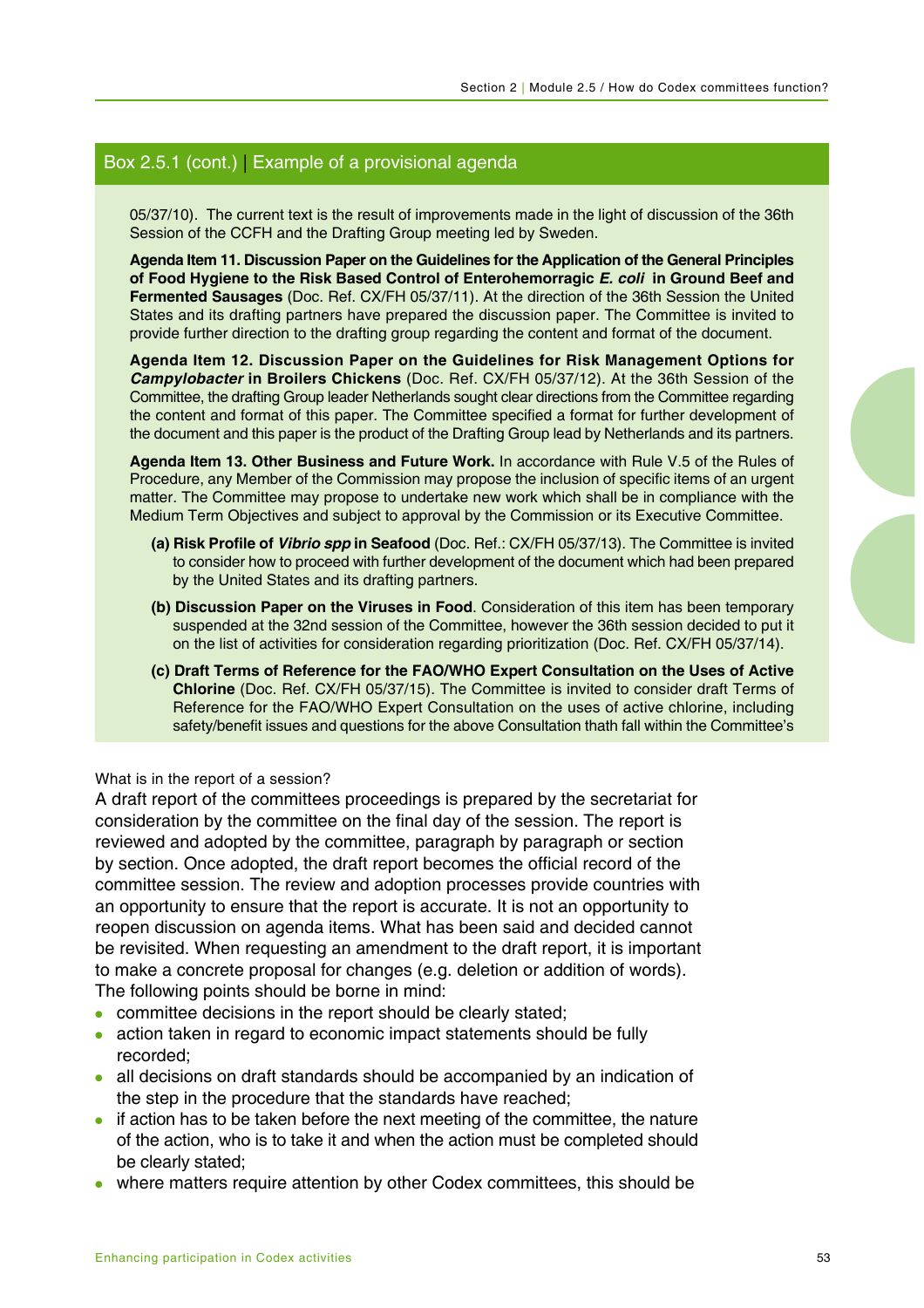#### Box 2.5.1 (cont.) | Example of a provisional agenda

05/37/10). The current text is the result of improvements made in the light of discussion of the 36th Session of the CCFH and the Drafting Group meeting led by Sweden.

**Agenda Item 11. Discussion Paper on the Guidelines for the Application of the General Principles of Food Hygiene to the Risk Based Control of Enterohemorragic** *E. coli* **in Ground Beef and Fermented Sausages** (Doc. Ref. CX/FH 05/37/11). At the direction of the 36th Session the United States and its drafting partners have prepared the discussion paper. The Committee is invited to provide further direction to the drafting group regarding the content and format of the document.

**Agenda Item 12. Discussion Paper on the Guidelines for Risk Management Options for** *Campylobacter* **in Broilers Chickens** (Doc. Ref. CX/FH 05/37/12). At the 36th Session of the Committee, the drafting Group leader Netherlands sought clear directions from the Committee regarding the content and format of this paper. The Committee specified a format for further development of the document and this paper is the product of the Drafting Group lead by Netherlands and its partners.

**Agenda Item 13. Other Business and Future Work.** In accordance with Rule V.5 of the Rules of Procedure, any Member of the Commission may propose the inclusion of specific items of an urgent matter. The Committee may propose to undertake new work which shall be in compliance with the Medium Term Objectives and subject to approval by the Commission or its Executive Committee.

- **(a) Risk Profile of** *Vibrio spp* **in Seafood** (Doc. Ref.: CX/FH 05/37/13). The Committee is invited to consider how to proceed with further development of the document which had been prepared by the United States and its drafting partners.
- **(b) Discussion Paper on the Viruses in Food**. Consideration of this item has been temporary suspended at the 32nd session of the Committee, however the 36th session decided to put it on the list of activities for consideration regarding prioritization (Doc. Ref. CX/FH 05/37/14).
- **(c) Draft Terms of Reference for the FAO/WHO Expert Consultation on the Uses of Active Chlorine** (Doc. Ref. CX/FH 05/37/15). The Committee is invited to consider draft Terms of Reference for the FAO/WHO Expert Consultation on the uses of active chlorine, including safety/benefit issues and questions for the above Consultation thath fall within the Committee's

What is in the report of a session?

A draft report of the committees proceedings is prepared by the secretariat for consideration by the committee on the final day of the session. The report is reviewed and adopted by the committee, paragraph by paragraph or section by section. Once adopted, the draft report becomes the official record of the committee session. The review and adoption processes provide countries with an opportunity to ensure that the report is accurate. It is not an opportunity to reopen discussion on agenda items. What has been said and decided cannot be revisited. When requesting an amendment to the draft report, it is important to make a concrete proposal for changes (e.g. deletion or addition of words). The following points should be borne in mind:

• committee decisions in the report should be clearly stated;

- action taken in regard to economic impact statements should be fully recorded;
- all decisions on draft standards should be accompanied by an indication of the step in the procedure that the standards have reached;
- if action has to be taken before the next meeting of the committee, the nature of the action, who is to take it and when the action must be completed should be clearly stated;
- where matters require attention by other Codex committees, this should be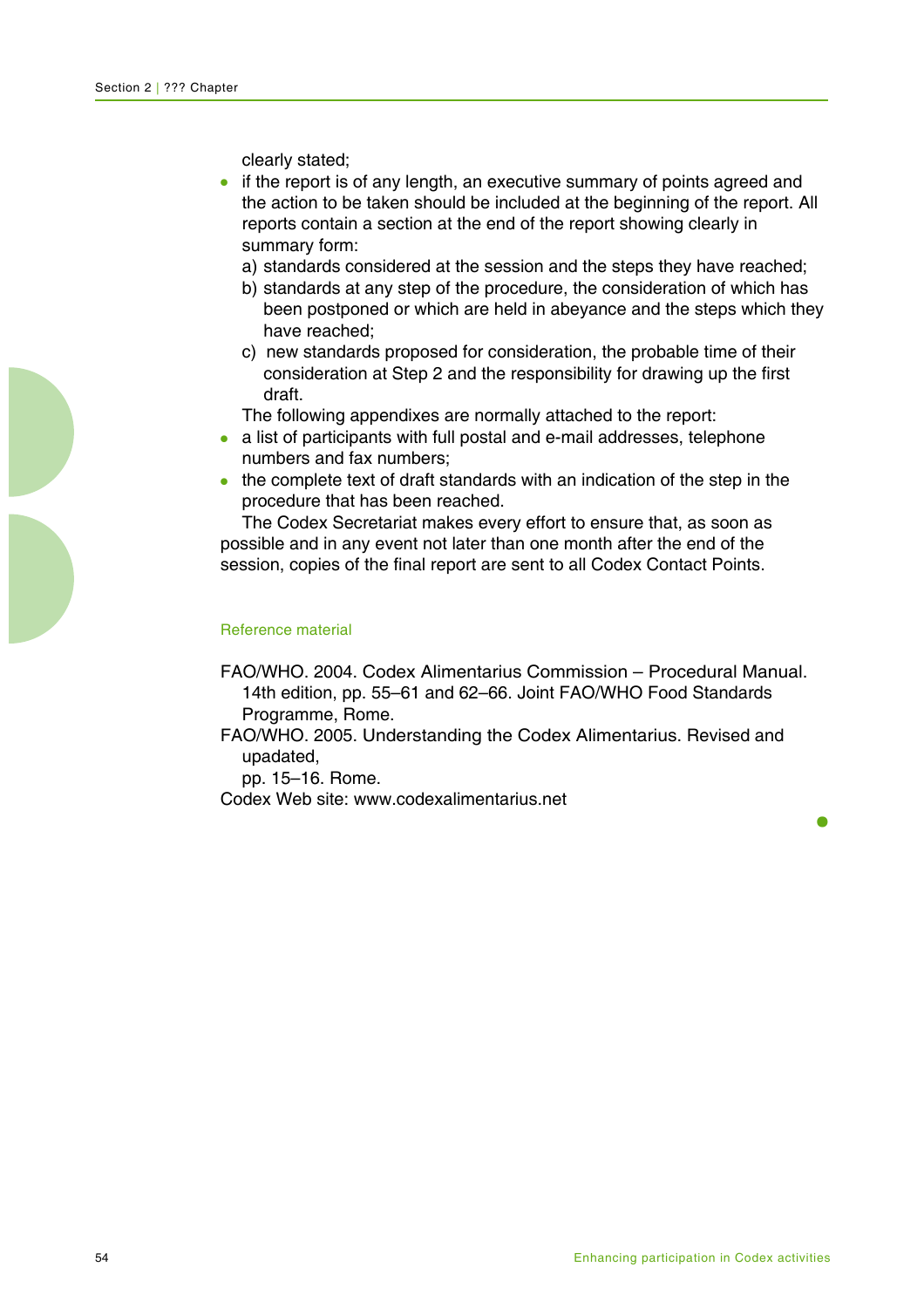clearly stated;

- if the report is of any length, an executive summary of points agreed and the action to be taken should be included at the beginning of the report. All reports contain a section at the end of the report showing clearly in summary form:
	- a) standards considered at the session and the steps they have reached;
	- b) standards at any step of the procedure, the consideration of which has been postponed or which are held in abeyance and the steps which they have reached;
	- c) new standards proposed for consideration, the probable time of their consideration at Step 2 and the responsibility for drawing up the first draft.

The following appendixes are normally attached to the report:

- a list of participants with full postal and e-mail addresses, telephone numbers and fax numbers;
- the complete text of draft standards with an indication of the step in the procedure that has been reached.

The Codex Secretariat makes every effort to ensure that, as soon as possible and in any event not later than one month after the end of the session, copies of the final report are sent to all Codex Contact Points.

# Reference material

- FAO/WHO. 2004. Codex Alimentarius Commission Procedural Manual. 14th edition, pp. 55–61 and 62–66. Joint FAO/WHO Food Standards Programme, Rome.
- FAO/WHO. 2005. Understanding the Codex Alimentarius. Revised and upadated,

pp. 15–16. Rome.

Codex Web site: www.codexalimentarius.net



**.**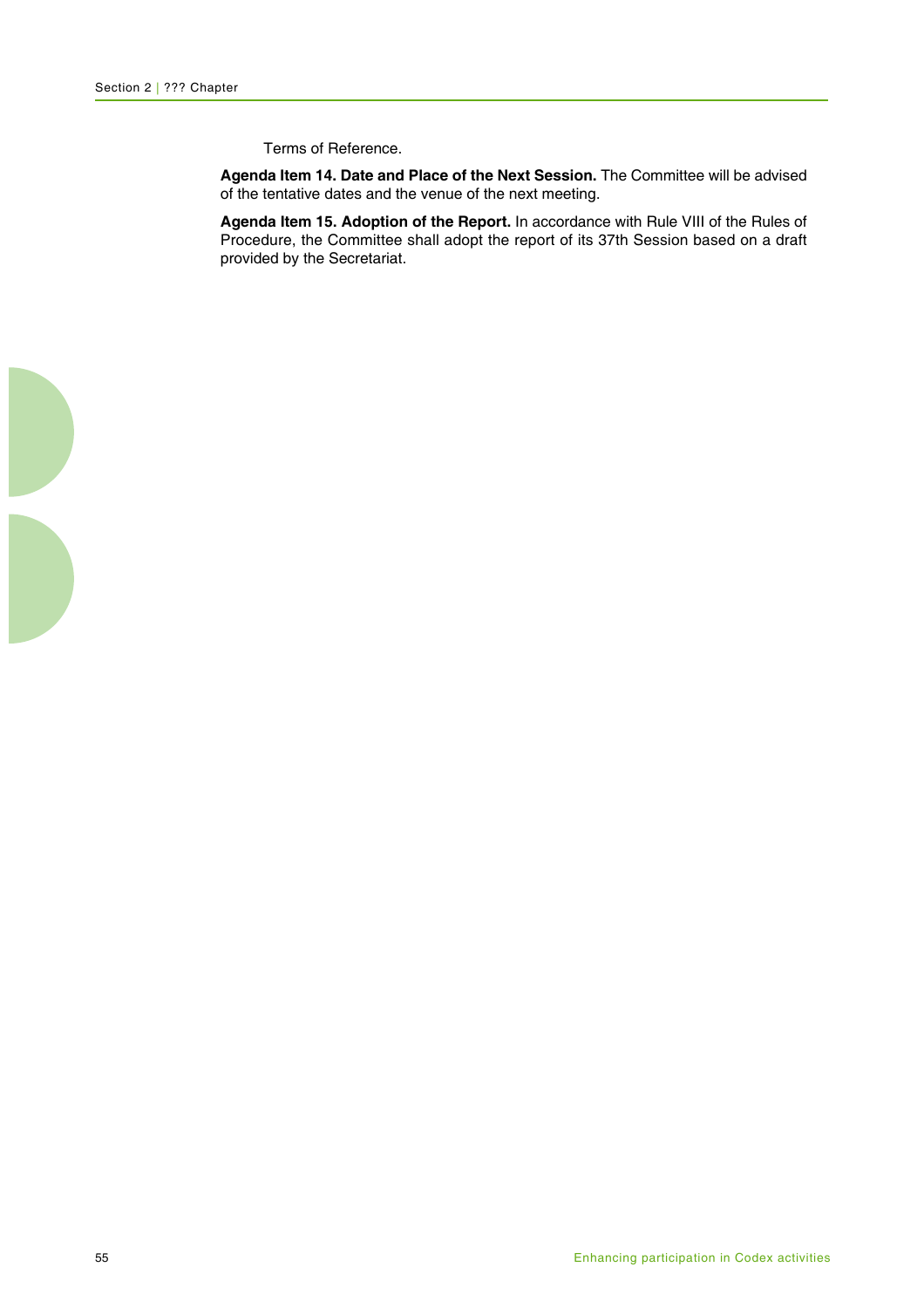Terms of Reference.

**Agenda Item 14. Date and Place of the Next Session.** The Committee will be advised of the tentative dates and the venue of the next meeting.

**Agenda Item 15. Adoption of the Report.** In accordance with Rule VIII of the Rules of Procedure, the Committee shall adopt the report of its 37th Session based on a draft provided by the Secretariat.

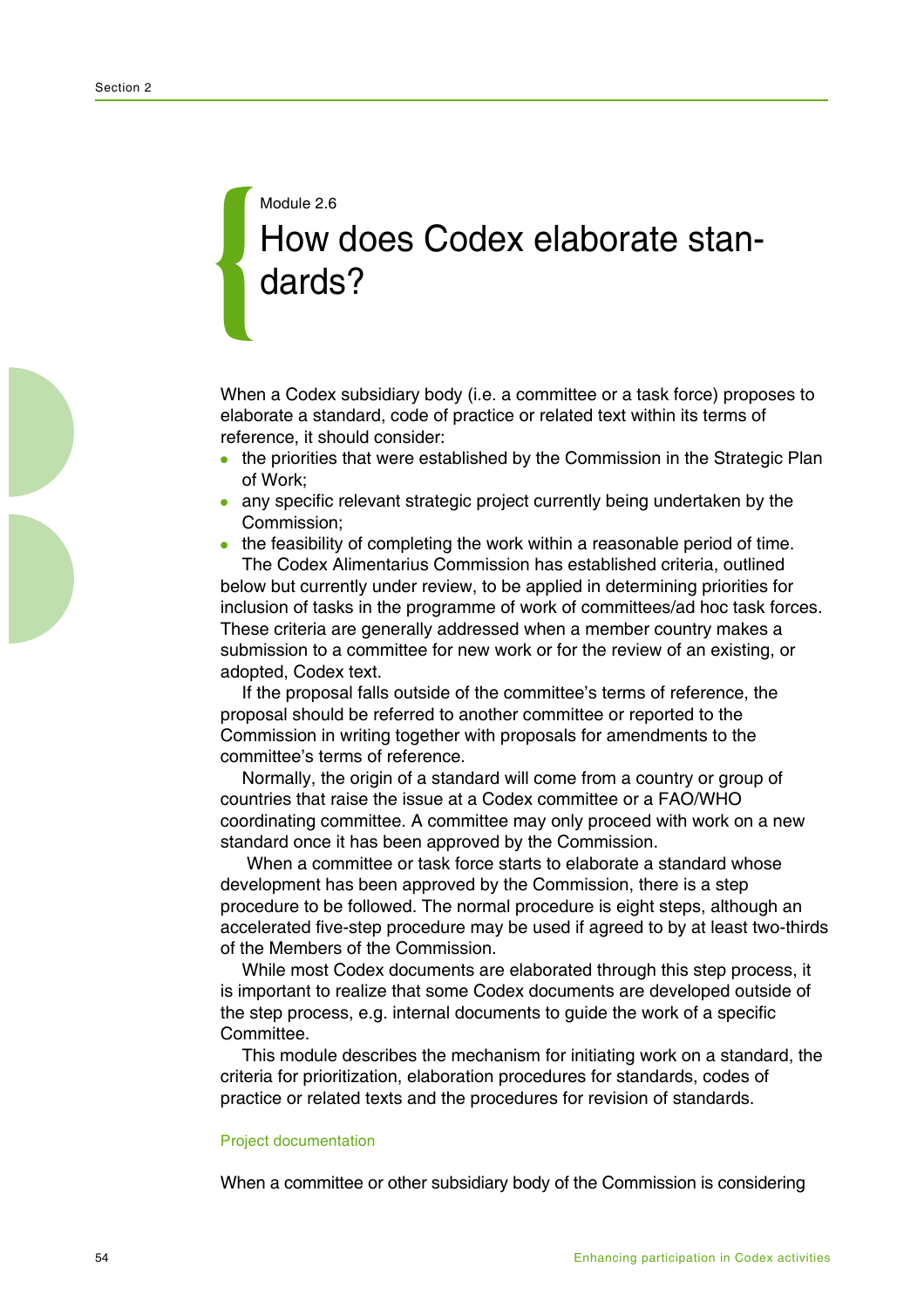# Module 2.6 How does Codex elaborate stan- **{** dards?

When a Codex subsidiary body (i.e. a committee or a task force) proposes to elaborate a standard, code of practice or related text within its terms of reference, it should consider:

- the priorities that were established by the Commission in the Strategic Plan of Work;
- any specific relevant strategic project currently being undertaken by the Commission;

• the feasibility of completing the work within a reasonable period of time. The Codex Alimentarius Commission has established criteria, outlined below but currently under review, to be applied in determining priorities for inclusion of tasks in the programme of work of committees/ad hoc task forces. These criteria are generally addressed when a member country makes a submission to a committee for new work or for the review of an existing, or adopted, Codex text.

If the proposal falls outside of the committee's terms of reference, the proposal should be referred to another committee or reported to the Commission in writing together with proposals for amendments to the committee's terms of reference.

Normally, the origin of a standard will come from a country or group of countries that raise the issue at a Codex committee or a FAO/WHO coordinating committee. A committee may only proceed with work on a new standard once it has been approved by the Commission.

When a committee or task force starts to elaborate a standard whose development has been approved by the Commission, there is a step procedure to be followed. The normal procedure is eight steps, although an accelerated five-step procedure may be used if agreed to by at least two-thirds of the Members of the Commission.

While most Codex documents are elaborated through this step process, it is important to realize that some Codex documents are developed outside of the step process, e.g. internal documents to guide the work of a specific Committee.

This module describes the mechanism for initiating work on a standard, the criteria for prioritization, elaboration procedures for standards, codes of practice or related texts and the procedures for revision of standards.

# Project documentation

When a committee or other subsidiary body of the Commission is considering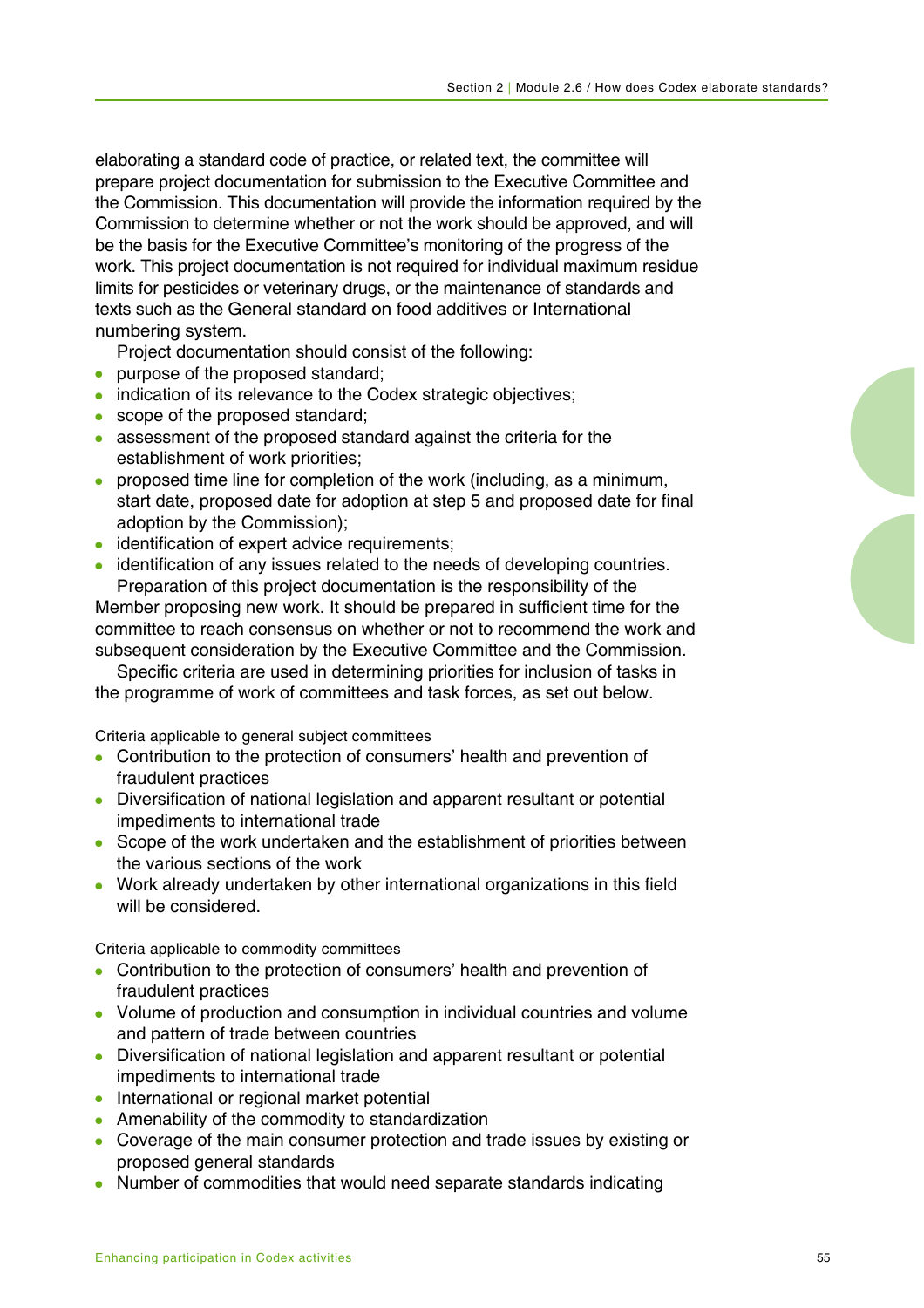elaborating a standard code of practice, or related text, the committee will prepare project documentation for submission to the Executive Committee and the Commission. This documentation will provide the information required by the Commission to determine whether or not the work should be approved, and will be the basis for the Executive Committee's monitoring of the progress of the work. This project documentation is not required for individual maximum residue limits for pesticides or veterinary drugs, or the maintenance of standards and texts such as the General standard on food additives or International numbering system.

Project documentation should consist of the following:

- purpose of the proposed standard;
- indication of its relevance to the Codex strategic objectives;
- scope of the proposed standard;
- assessment of the proposed standard against the criteria for the establishment of work priorities;
- proposed time line for completion of the work (including, as a minimum, start date, proposed date for adoption at step 5 and proposed date for final adoption by the Commission);
- identification of expert advice requirements;
- identification of any issues related to the needs of developing countries. Preparation of this project documentation is the responsibility of the

Member proposing new work. It should be prepared in sufficient time for the committee to reach consensus on whether or not to recommend the work and subsequent consideration by the Executive Committee and the Commission.

Specific criteria are used in determining priorities for inclusion of tasks in the programme of work of committees and task forces, as set out below.

Criteria applicable to general subject committees

- Contribution to the protection of consumers' health and prevention of fraudulent practices
- Diversification of national legislation and apparent resultant or potential impediments to international trade
- Scope of the work undertaken and the establishment of priorities between the various sections of the work
- Work already undertaken by other international organizations in this field will be considered.

Criteria applicable to commodity committees

- Contribution to the protection of consumers' health and prevention of fraudulent practices
- Volume of production and consumption in individual countries and volume and pattern of trade between countries
- Diversification of national legislation and apparent resultant or potential impediments to international trade
- International or regional market potential
- Amenability of the commodity to standardization
- Coverage of the main consumer protection and trade issues by existing or proposed general standards
- Number of commodities that would need separate standards indicating

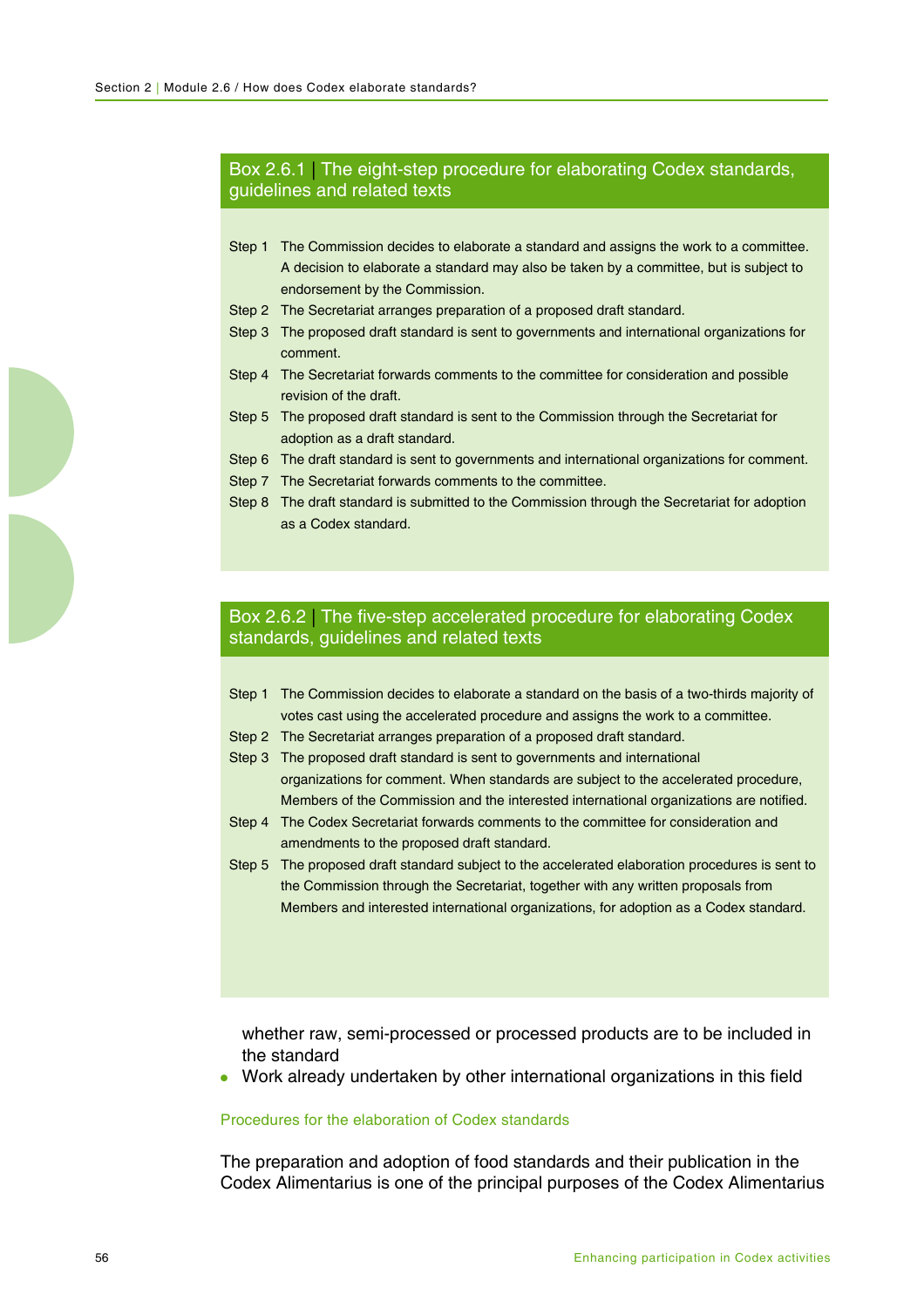# Box 2.6.1 | The eight-step procedure for elaborating Codex standards, guidelines and related texts

- Step 1 The Commission decides to elaborate a standard and assigns the work to a committee. A decision to elaborate a standard may also be taken by a committee, but is subject to endorsement by the Commission.
- Step 2 The Secretariat arranges preparation of a proposed draft standard.
- Step 3 The proposed draft standard is sent to governments and international organizations for comment.
- Step 4 The Secretariat forwards comments to the committee for consideration and possible revision of the draft.
- Step 5 The proposed draft standard is sent to the Commission through the Secretariat for adoption as a draft standard.
- Step 6 The draft standard is sent to governments and international organizations for comment.
- Step 7 The Secretariat forwards comments to the committee.
- Step 8 The draft standard is submitted to the Commission through the Secretariat for adoption as a Codex standard.

# Box 2.6.2 | The five-step accelerated procedure for elaborating Codex standards, guidelines and related texts

- Step 1 The Commission decides to elaborate a standard on the basis of a two-thirds majority of votes cast using the accelerated procedure and assigns the work to a committee.
- Step 2 The Secretariat arranges preparation of a proposed draft standard.
- Step 3 The proposed draft standard is sent to governments and international organizations for comment. When standards are subject to the accelerated procedure, Members of the Commission and the interested international organizations are notified.
- Step 4 The Codex Secretariat forwards comments to the committee for consideration and amendments to the proposed draft standard.
- Step 5 The proposed draft standard subject to the accelerated elaboration procedures is sent to the Commission through the Secretariat, together with any written proposals from Members and interested international organizations, for adoption as a Codex standard.

whether raw, semi-processed or processed products are to be included in the standard

• Work already undertaken by other international organizations in this field

# Procedures for the elaboration of Codex standards

The preparation and adoption of food standards and their publication in the Codex Alimentarius is one of the principal purposes of the Codex Alimentarius

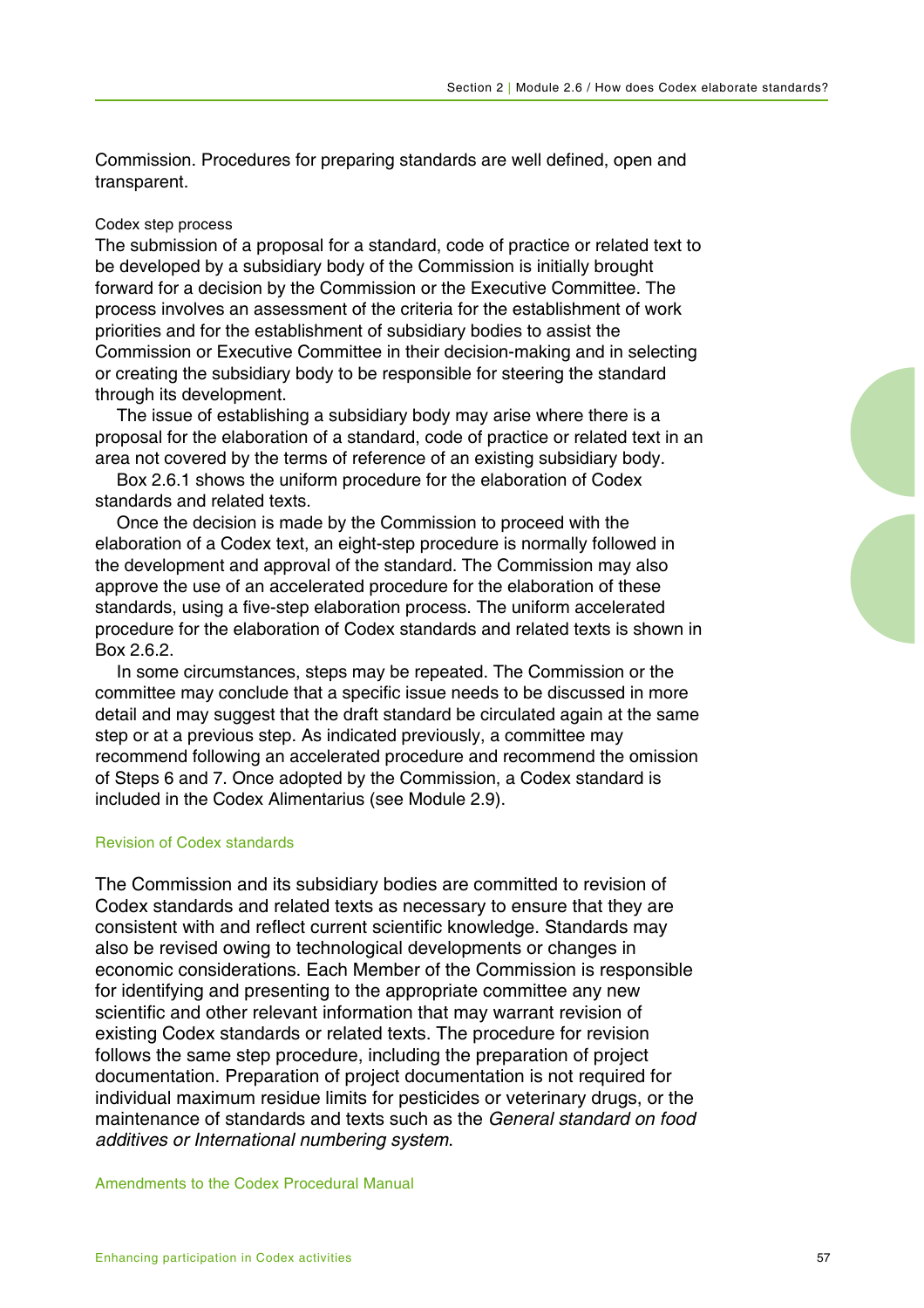Commission. Procedures for preparing standards are well defined, open and transparent.

#### Codex step process

The submission of a proposal for a standard, code of practice or related text to be developed by a subsidiary body of the Commission is initially brought forward for a decision by the Commission or the Executive Committee. The process involves an assessment of the criteria for the establishment of work priorities and for the establishment of subsidiary bodies to assist the Commission or Executive Committee in their decision-making and in selecting or creating the subsidiary body to be responsible for steering the standard through its development.

The issue of establishing a subsidiary body may arise where there is a proposal for the elaboration of a standard, code of practice or related text in an area not covered by the terms of reference of an existing subsidiary body.

Box 2.6.1 shows the uniform procedure for the elaboration of Codex standards and related texts.

Once the decision is made by the Commission to proceed with the elaboration of a Codex text, an eight-step procedure is normally followed in the development and approval of the standard. The Commission may also approve the use of an accelerated procedure for the elaboration of these standards, using a five-step elaboration process. The uniform accelerated procedure for the elaboration of Codex standards and related texts is shown in Box 2.6.2.

In some circumstances, steps may be repeated. The Commission or the committee may conclude that a specific issue needs to be discussed in more detail and may suggest that the draft standard be circulated again at the same step or at a previous step. As indicated previously, a committee may recommend following an accelerated procedure and recommend the omission of Steps 6 and 7. Once adopted by the Commission, a Codex standard is included in the Codex Alimentarius (see Module 2.9).

# Revision of Codex standards

The Commission and its subsidiary bodies are committed to revision of Codex standards and related texts as necessary to ensure that they are consistent with and reflect current scientific knowledge. Standards may also be revised owing to technological developments or changes in economic considerations. Each Member of the Commission is responsible for identifying and presenting to the appropriate committee any new scientific and other relevant information that may warrant revision of existing Codex standards or related texts. The procedure for revision follows the same step procedure, including the preparation of project documentation. Preparation of project documentation is not required for individual maximum residue limits for pesticides or veterinary drugs, or the maintenance of standards and texts such as the *General standard on food additives or International numbering system*.

#### Amendments to the Codex Procedural Manual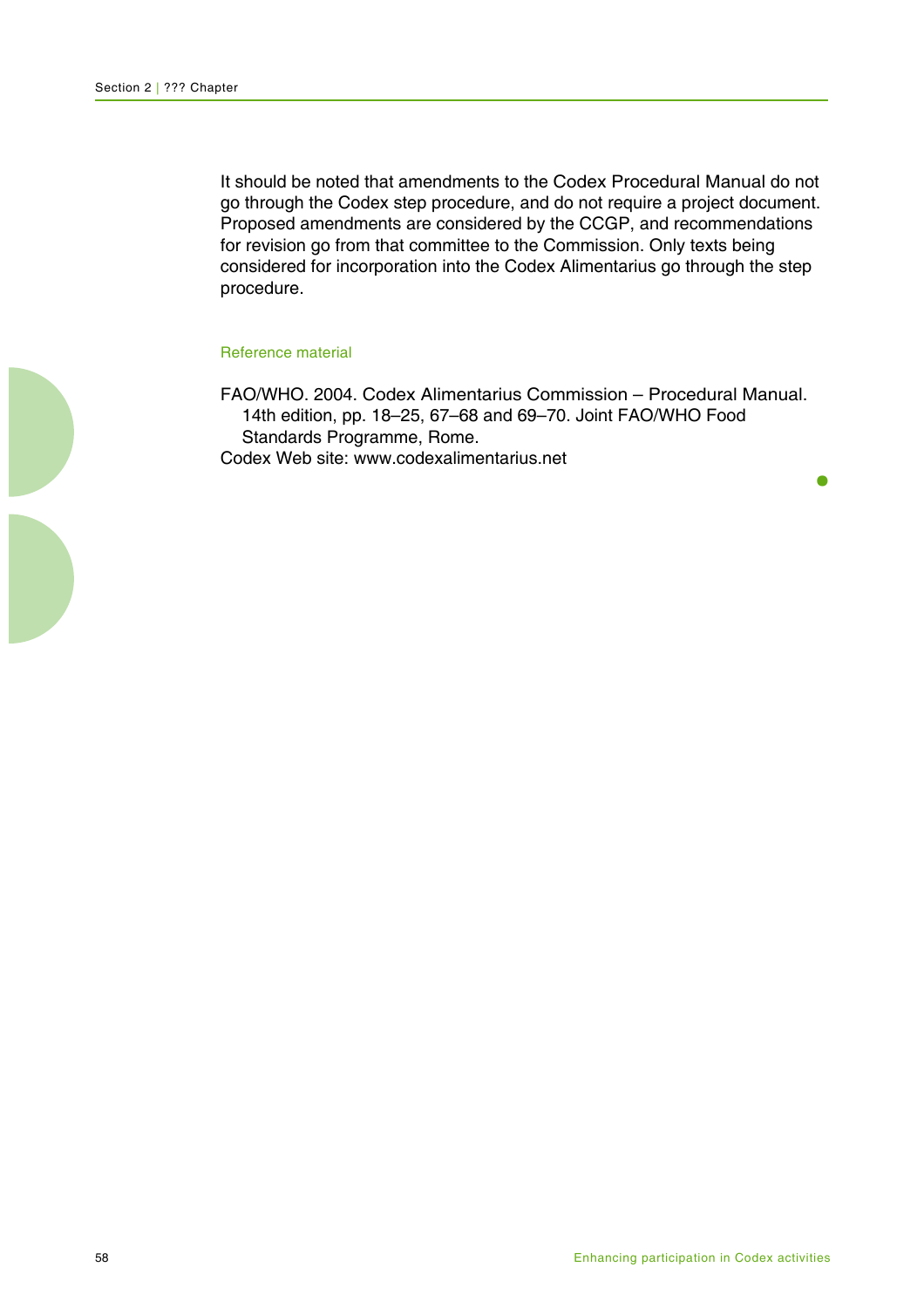It should be noted that amendments to the Codex Procedural Manual do not go through the Codex step procedure, and do not require a project document. Proposed amendments are considered by the CCGP, and recommendations for revision go from that committee to the Commission. Only texts being considered for incorporation into the Codex Alimentarius go through the step procedure.

#### Reference material

FAO/WHO. 2004. Codex Alimentarius Commission – Procedural Manual. 14th edition, pp. 18–25, 67–68 and 69–70. Joint FAO/WHO Food Standards Programme, Rome. Codex Web site: www.codexalimentarius.net



**.**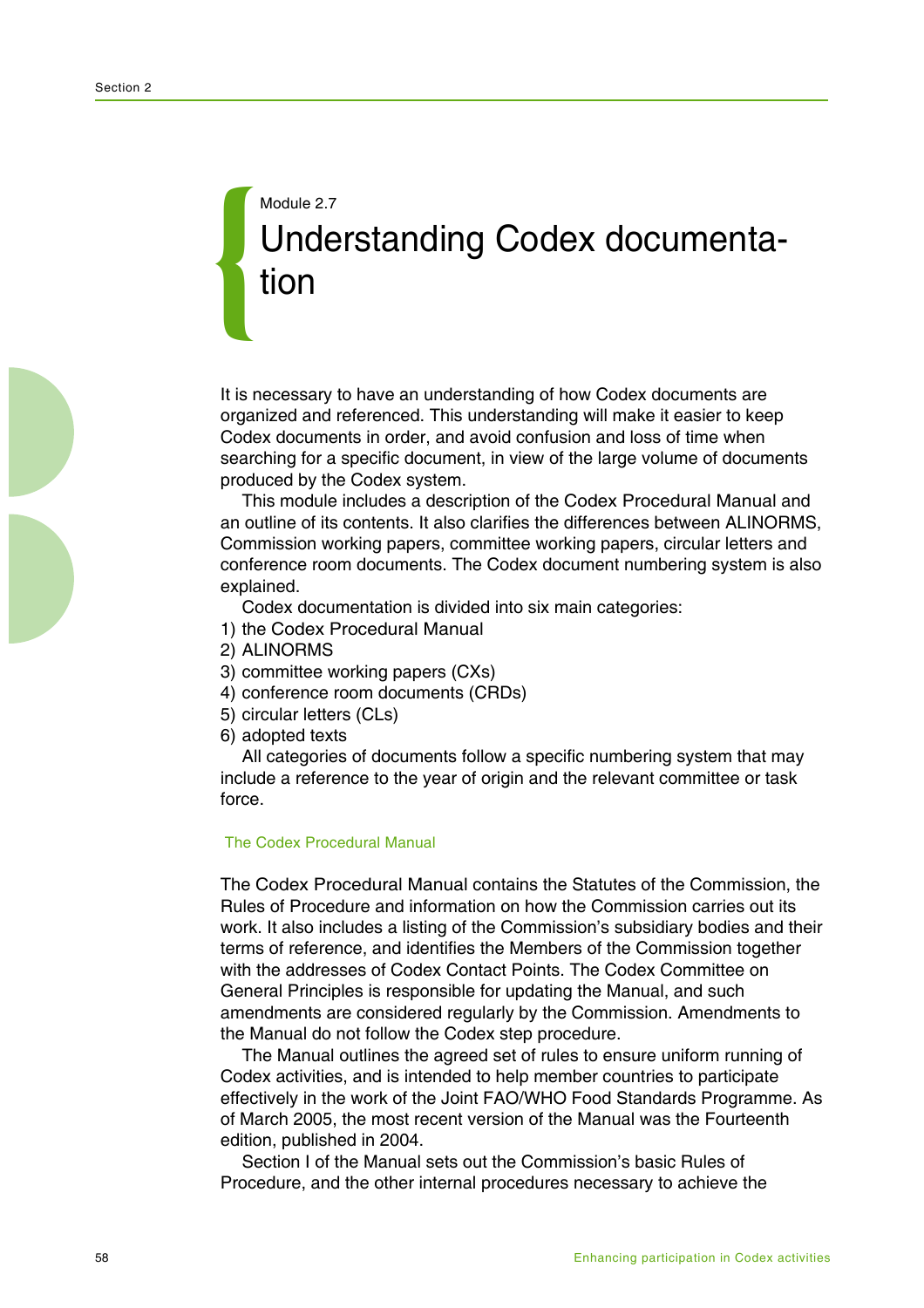# Module 2.7 Understanding Codex documenta- **{**tion

It is necessary to have an understanding of how Codex documents are organized and referenced. This understanding will make it easier to keep Codex documents in order, and avoid confusion and loss of time when searching for a specific document, in view of the large volume of documents produced by the Codex system.

This module includes a description of the Codex Procedural Manual and an outline of its contents. It also clarifies the differences between ALINORMS, Commission working papers, committee working papers, circular letters and conference room documents. The Codex document numbering system is also explained.

Codex documentation is divided into six main categories:

- 1) the Codex Procedural Manual
- 2) ALINORMS
- 3) committee working papers (CXs)
- 4) conference room documents (CRDs)
- 5) circular letters (CLs)
- 6) adopted texts

All categories of documents follow a specific numbering system that may include a reference to the year of origin and the relevant committee or task force.

# The Codex Procedural Manual

The Codex Procedural Manual contains the Statutes of the Commission, the Rules of Procedure and information on how the Commission carries out its work. It also includes a listing of the Commission's subsidiary bodies and their terms of reference, and identifies the Members of the Commission together with the addresses of Codex Contact Points. The Codex Committee on General Principles is responsible for updating the Manual, and such amendments are considered regularly by the Commission. Amendments to the Manual do not follow the Codex step procedure.

The Manual outlines the agreed set of rules to ensure uniform running of Codex activities, and is intended to help member countries to participate effectively in the work of the Joint FAO/WHO Food Standards Programme. As of March 2005, the most recent version of the Manual was the Fourteenth edition, published in 2004.

Section I of the Manual sets out the Commission's basic Rules of Procedure, and the other internal procedures necessary to achieve the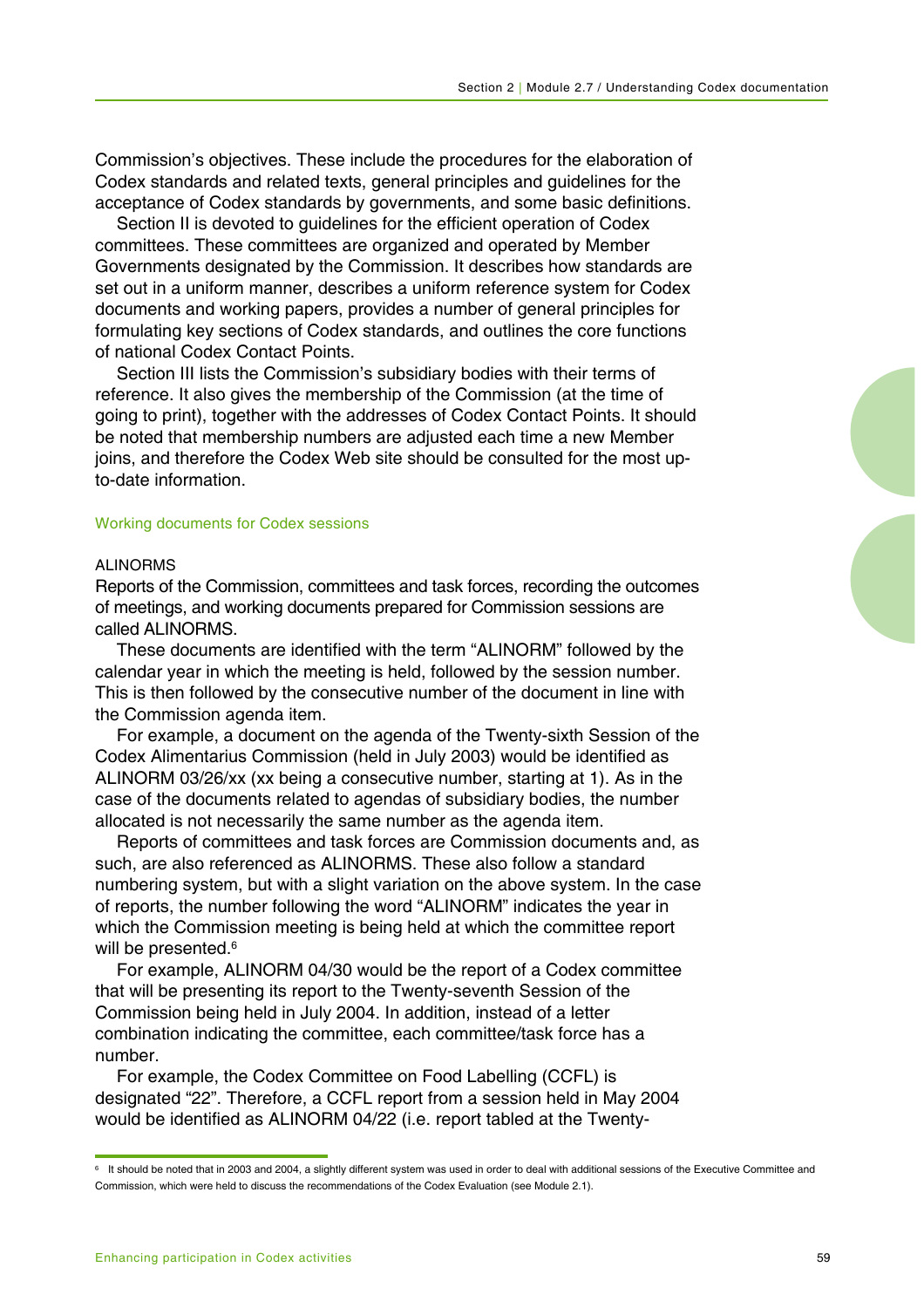Commission's objectives. These include the procedures for the elaboration of Codex standards and related texts, general principles and guidelines for the acceptance of Codex standards by governments, and some basic definitions.

Section II is devoted to guidelines for the efficient operation of Codex committees. These committees are organized and operated by Member Governments designated by the Commission. It describes how standards are set out in a uniform manner, describes a uniform reference system for Codex documents and working papers, provides a number of general principles for formulating key sections of Codex standards, and outlines the core functions of national Codex Contact Points.

Section III lists the Commission's subsidiary bodies with their terms of reference. It also gives the membership of the Commission (at the time of going to print), together with the addresses of Codex Contact Points. It should be noted that membership numbers are adjusted each time a new Member joins, and therefore the Codex Web site should be consulted for the most upto-date information.

#### Working documents for Codex sessions

#### ALINORMS

Reports of the Commission, committees and task forces, recording the outcomes of meetings, and working documents prepared for Commission sessions are called ALINORMS.

These documents are identified with the term "ALINORM" followed by the calendar year in which the meeting is held, followed by the session number. This is then followed by the consecutive number of the document in line with the Commission agenda item.

For example, a document on the agenda of the Twenty-sixth Session of the Codex Alimentarius Commission (held in July 2003) would be identified as ALINORM 03/26/xx (xx being a consecutive number, starting at 1). As in the case of the documents related to agendas of subsidiary bodies, the number allocated is not necessarily the same number as the agenda item.

Reports of committees and task forces are Commission documents and, as such, are also referenced as ALINORMS. These also follow a standard numbering system, but with a slight variation on the above system. In the case of reports, the number following the word "ALINORM" indicates the year in which the Commission meeting is being held at which the committee report will be presented.<sup>6</sup>

For example, ALINORM 04/30 would be the report of a Codex committee that will be presenting its report to the Twenty-seventh Session of the Commission being held in July 2004. In addition, instead of a letter combination indicating the committee, each committee/task force has a number.

For example, the Codex Committee on Food Labelling (CCFL) is designated "22". Therefore, a CCFL report from a session held in May 2004 would be identified as ALINORM 04/22 (i.e. report tabled at the Twenty-

<sup>6</sup> It should be noted that in 2003 and 2004, a slightly different system was used in order to deal with additional sessions of the Executive Committee and Commission, which were held to discuss the recommendations of the Codex Evaluation (see Module 2.1).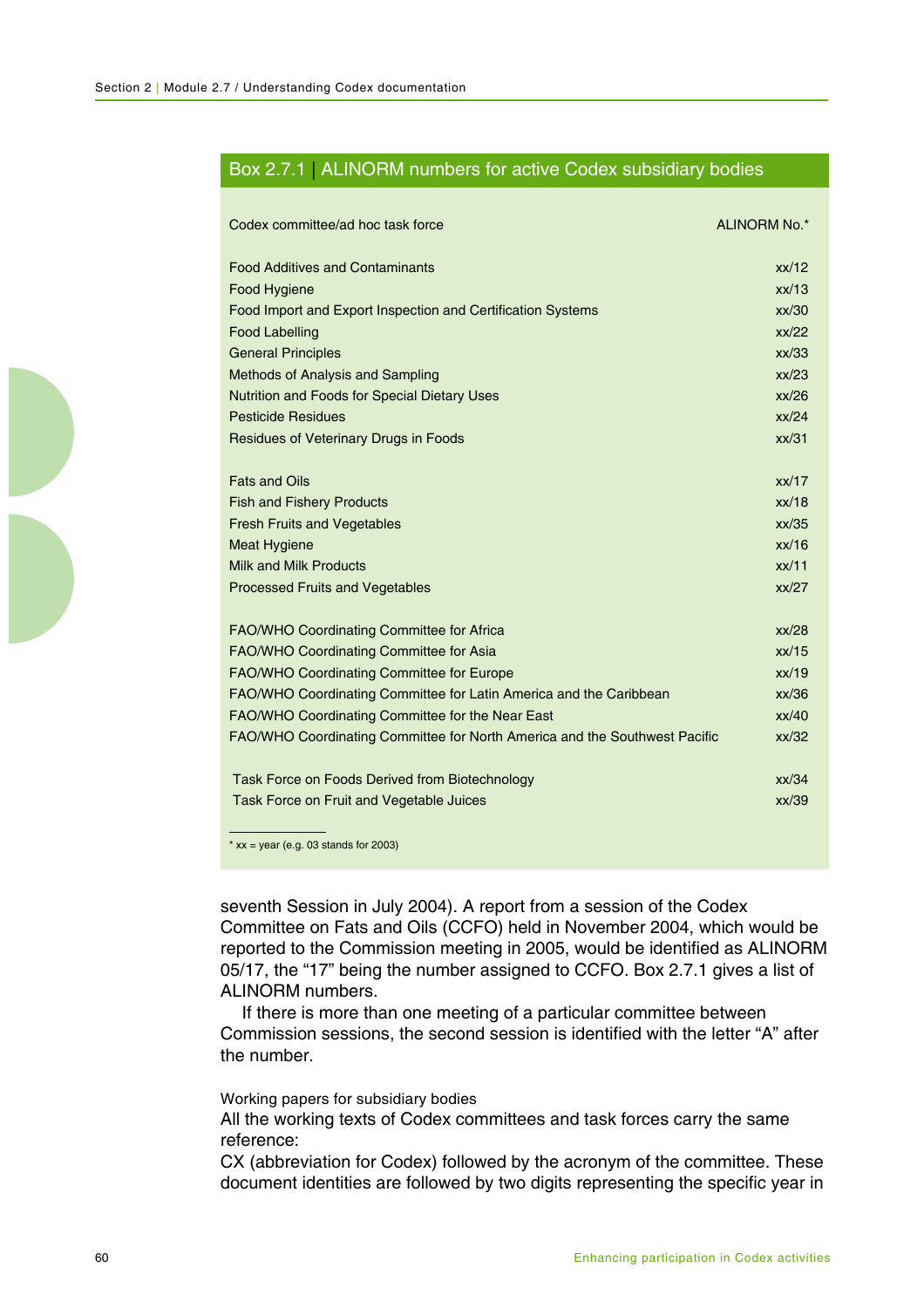# Box 2.7.1 | ALINORM numbers for active Codex subsidiary bodies

| Codex committee/ad hoc task force                                          | ALINORM No.*  |
|----------------------------------------------------------------------------|---------------|
| <b>Food Additives and Contaminants</b>                                     | xx/12         |
| Food Hygiene                                                               |               |
| Food Import and Export Inspection and Certification Systems                | xx/30         |
| <b>Food Labelling</b>                                                      | xx/22         |
| <b>General Principles</b>                                                  | xx/33         |
| Methods of Analysis and Sampling                                           | xx/23         |
| <b>Nutrition and Foods for Special Dietary Uses</b>                        | xx/26         |
| <b>Pesticide Residues</b>                                                  | xx/24         |
| Residues of Veterinary Drugs in Foods                                      | xx/31         |
|                                                                            |               |
| <b>Fats and Oils</b>                                                       | xx/17         |
| <b>Fish and Fishery Products</b>                                           | xx/18         |
| <b>Fresh Fruits and Vegetables</b>                                         | xx/35         |
| <b>Meat Hygiene</b>                                                        | xx/16         |
| <b>Milk and Milk Products</b>                                              | xx/11         |
| <b>Processed Fruits and Vegetables</b>                                     | xx/27         |
| FAO/WHO Coordinating Committee for Africa                                  | xx/28         |
| <b>FAO/WHO Coordinating Committee for Asia</b>                             | xx/15         |
| FAO/WHO Coordinating Committee for Europe                                  | xx/19         |
| FAO/WHO Coordinating Committee for Latin America and the Caribbean         | xx/36         |
| FAO/WHO Coordinating Committee for the Near East                           | xx/40         |
| FAO/WHO Coordinating Committee for North America and the Southwest Pacific | xx/32         |
|                                                                            |               |
| Task Force on Foods Derived from Biotechnology                             | $x \times 34$ |
| Task Force on Fruit and Vegetable Juices                                   | xx/39         |
| * $xx = year$ (e.g. 03 stands for 2003)                                    |               |

seventh Session in July 2004). A report from a session of the Codex Committee on Fats and Oils (CCFO) held in November 2004, which would be reported to the Commission meeting in 2005, would be identified as ALINORM 05/17, the "17" being the number assigned to CCFO. Box 2.7.1 gives a list of ALINORM numbers.

If there is more than one meeting of a particular committee between Commission sessions, the second session is identified with the letter "A" after the number.

Working papers for subsidiary bodies

All the working texts of Codex committees and task forces carry the same reference:

CX (abbreviation for Codex) followed by the acronym of the committee. These document identities are followed by two digits representing the specific year in

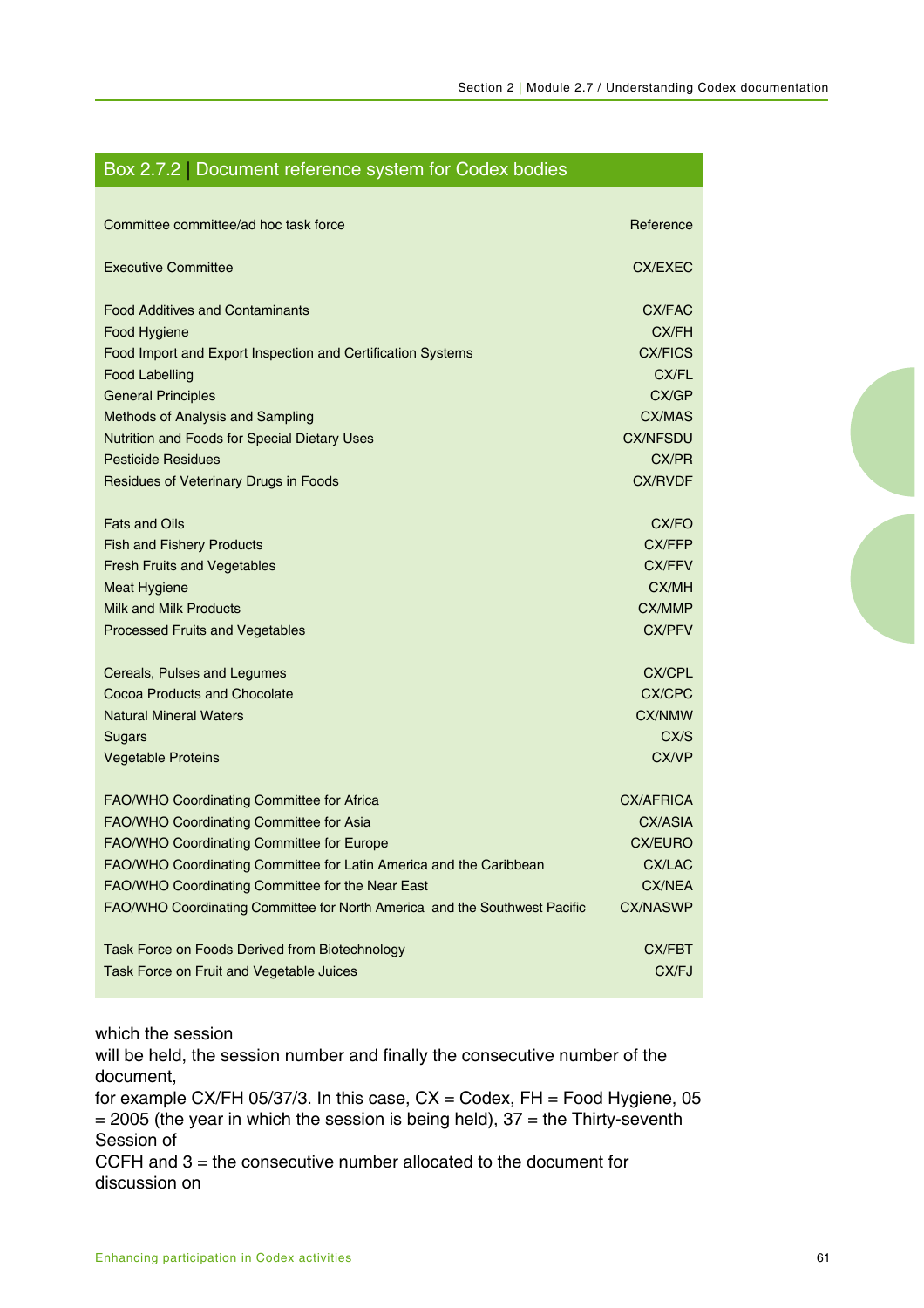# Box 2.7.2 | Document reference system for Codex bodies

| Committee committee/ad hoc task force                                      | Reference       |
|----------------------------------------------------------------------------|-----------------|
| <b>Executive Committee</b>                                                 | <b>CX/EXEC</b>  |
| <b>Food Additives and Contaminants</b>                                     | <b>CX/FAC</b>   |
| Food Hygiene                                                               | CX/FH           |
| Food Import and Export Inspection and Certification Systems                | <b>CX/FICS</b>  |
| <b>Food Labelling</b>                                                      | CX/FL           |
| <b>General Principles</b>                                                  | CX/GP           |
| Methods of Analysis and Sampling                                           | <b>CX/MAS</b>   |
| Nutrition and Foods for Special Dietary Uses                               | <b>CX/NFSDU</b> |
| <b>Pesticide Residues</b>                                                  | <b>CX/PR</b>    |
| <b>Residues of Veterinary Drugs in Foods</b>                               | <b>CX/RVDF</b>  |
| <b>Fats and Oils</b>                                                       | CX/FO           |
| <b>Fish and Fishery Products</b>                                           | <b>CX/FFP</b>   |
| <b>Fresh Fruits and Vegetables</b>                                         | <b>CX/FFV</b>   |
| Meat Hygiene                                                               | CX/MH           |
| <b>Milk and Milk Products</b>                                              | <b>CX/MMP</b>   |
| <b>Processed Fruits and Vegetables</b>                                     | <b>CX/PFV</b>   |
| Cereals, Pulses and Legumes                                                | CX/CPL          |
| Cocoa Products and Chocolate                                               | <b>CX/CPC</b>   |
| <b>Natural Mineral Waters</b>                                              | <b>CX/NMW</b>   |
| Sugars                                                                     | CX/S            |
| <b>Vegetable Proteins</b>                                                  | CX/VP           |
| <b>FAO/WHO Coordinating Committee for Africa</b>                           | CX/AFRICA       |
| <b>FAO/WHO Coordinating Committee for Asia</b>                             | CX/ASIA         |
| FAO/WHO Coordinating Committee for Europe                                  | <b>CX/EURO</b>  |
| FAO/WHO Coordinating Committee for Latin America and the Caribbean         | CX/LAC          |
| FAO/WHO Coordinating Committee for the Near East                           | <b>CX/NEA</b>   |
| FAO/WHO Coordinating Committee for North America and the Southwest Pacific | <b>CX/NASWP</b> |
| Task Force on Foods Derived from Biotechnology                             | CX/FBT          |
| Task Force on Fruit and Vegetable Juices                                   | CX/FJ           |

# which the session

will be held, the session number and finally the consecutive number of the document,

for example CX/FH 05/37/3. In this case,  $CX =$  Codex,  $FH =$  Food Hygiene, 05  $= 2005$  (the year in which the session is being held),  $37 =$  the Thirty-seventh Session of

CCFH and 3 = the consecutive number allocated to the document for discussion on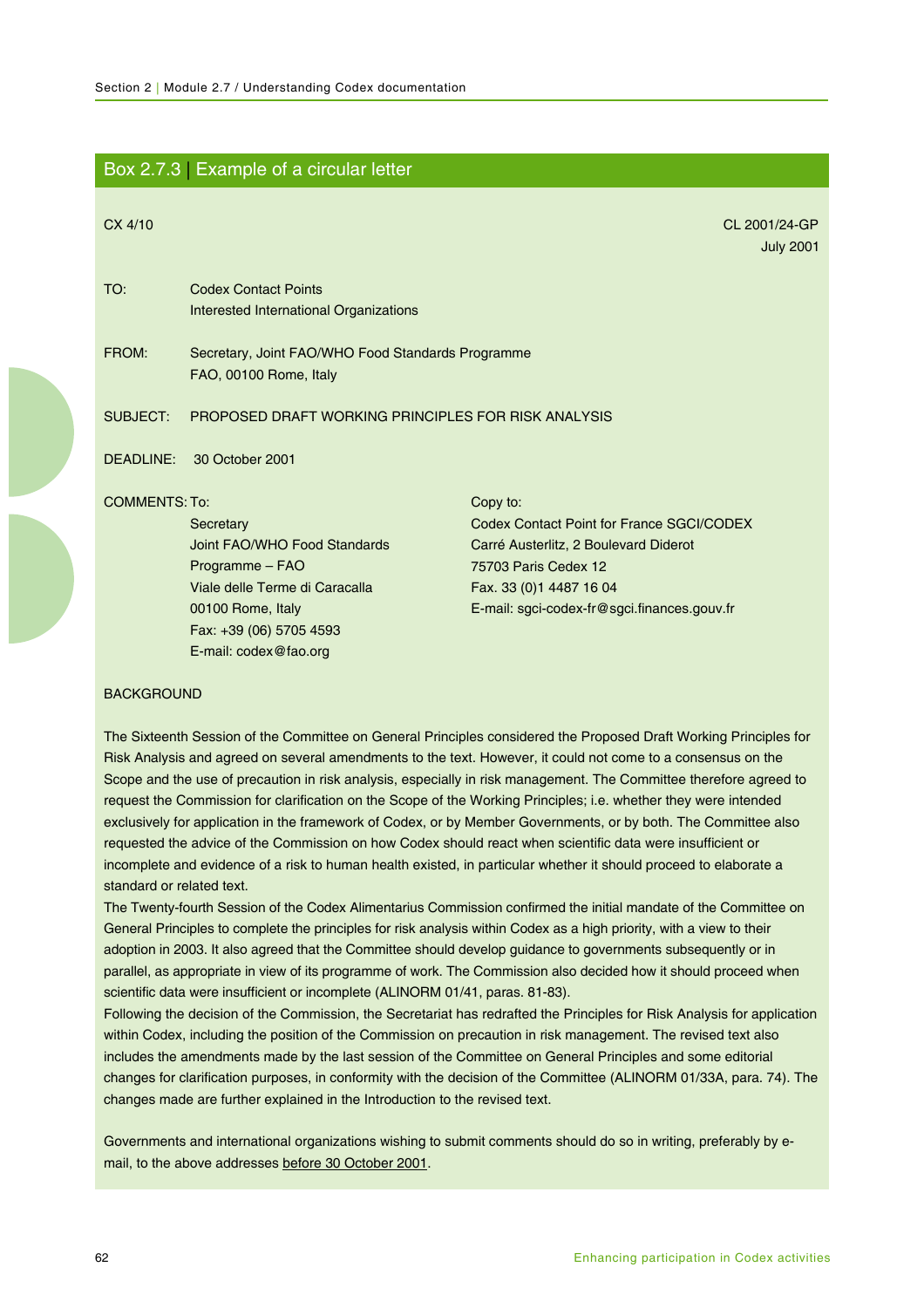# Box 2.7.3 | Example of a circular letter

# CX 4/10 CL 2001/24-GP July 2001 TO: Codex Contact Points Interested International Organizations FROM: Secretary, Joint FAO/WHO Food Standards Programme FAO, 00100 Rome, Italy SUBJECT: PROPOSED DRAFT WORKING PRINCIPLES FOR RISK ANALYSIS DEADLINE: 30 October 2001 COMMENTS: To: **Secretary** Joint FAO/WHO Food Standards Programme – FAO Viale delle Terme di Caracalla 00100 Rome, Italy Fax: +39 (06) 5705 4593 E-mail: codex@fao.org Copy to: Codex Contact Point for France SGCI/CODEX Carré Austerlitz, 2 Boulevard Diderot 75703 Paris Cedex 12 Fax. 33 (0)1 4487 16 04 E-mail: sgci-codex-fr@sgci.finances.gouv.fr

#### **BACKGROUND**

The Sixteenth Session of the Committee on General Principles considered the Proposed Draft Working Principles for Risk Analysis and agreed on several amendments to the text. However, it could not come to a consensus on the Scope and the use of precaution in risk analysis, especially in risk management. The Committee therefore agreed to request the Commission for clarification on the Scope of the Working Principles; i.e. whether they were intended exclusively for application in the framework of Codex, or by Member Governments, or by both. The Committee also requested the advice of the Commission on how Codex should react when scientific data were insufficient or incomplete and evidence of a risk to human health existed, in particular whether it should proceed to elaborate a standard or related text.

The Twenty-fourth Session of the Codex Alimentarius Commission confirmed the initial mandate of the Committee on General Principles to complete the principles for risk analysis within Codex as a high priority, with a view to their adoption in 2003. It also agreed that the Committee should develop guidance to governments subsequently or in parallel, as appropriate in view of its programme of work. The Commission also decided how it should proceed when scientific data were insufficient or incomplete (ALINORM 01/41, paras. 81-83).

Following the decision of the Commission, the Secretariat has redrafted the Principles for Risk Analysis for application within Codex, including the position of the Commission on precaution in risk management. The revised text also includes the amendments made by the last session of the Committee on General Principles and some editorial changes for clarification purposes, in conformity with the decision of the Committee (ALINORM 01/33A, para. 74). The changes made are further explained in the Introduction to the revised text.

Governments and international organizations wishing to submit comments should do so in writing, preferably by email, to the above addresses before 30 October 2001.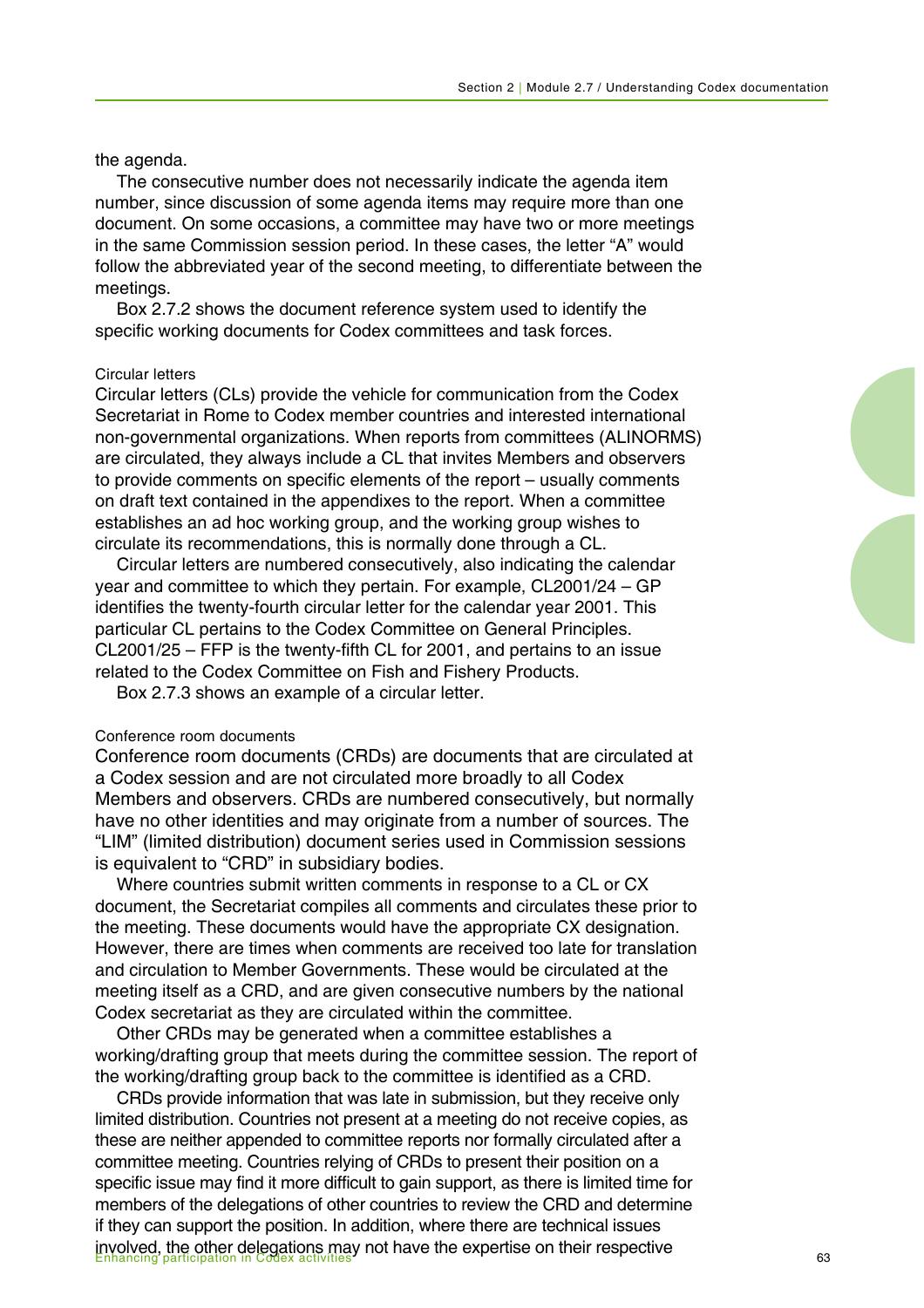# the agenda.

The consecutive number does not necessarily indicate the agenda item number, since discussion of some agenda items may require more than one document. On some occasions, a committee may have two or more meetings in the same Commission session period. In these cases, the letter "A" would follow the abbreviated year of the second meeting, to differentiate between the meetings.

Box 2.7.2 shows the document reference system used to identify the specific working documents for Codex committees and task forces.

# Circular letters

Circular letters (CLs) provide the vehicle for communication from the Codex Secretariat in Rome to Codex member countries and interested international non-governmental organizations. When reports from committees (ALINORMS) are circulated, they always include a CL that invites Members and observers to provide comments on specific elements of the report – usually comments on draft text contained in the appendixes to the report. When a committee establishes an ad hoc working group, and the working group wishes to circulate its recommendations, this is normally done through a CL.

Circular letters are numbered consecutively, also indicating the calendar year and committee to which they pertain. For example, CL2001/24 – GP identifies the twenty-fourth circular letter for the calendar year 2001. This particular CL pertains to the Codex Committee on General Principles. CL2001/25 – FFP is the twenty-fifth CL for 2001, and pertains to an issue related to the Codex Committee on Fish and Fishery Products.

Box 2.7.3 shows an example of a circular letter.

#### Conference room documents

Conference room documents (CRDs) are documents that are circulated at a Codex session and are not circulated more broadly to all Codex Members and observers. CRDs are numbered consecutively, but normally have no other identities and may originate from a number of sources. The "LIM" (limited distribution) document series used in Commission sessions is equivalent to "CRD" in subsidiary bodies.

Where countries submit written comments in response to a CL or CX document, the Secretariat compiles all comments and circulates these prior to the meeting. These documents would have the appropriate CX designation. However, there are times when comments are received too late for translation and circulation to Member Governments. These would be circulated at the meeting itself as a CRD, and are given consecutive numbers by the national Codex secretariat as they are circulated within the committee.

Other CRDs may be generated when a committee establishes a working/drafting group that meets during the committee session. The report of the working/drafting group back to the committee is identified as a CRD.

CRDs provide information that was late in submission, but they receive only limited distribution. Countries not present at a meeting do not receive copies, as these are neither appended to committee reports nor formally circulated after a committee meeting. Countries relying of CRDs to present their position on a specific issue may find it more difficult to gain support, as there is limited time for members of the delegations of other countries to review the CRD and determine if they can support the position. In addition, where there are technical issues involved, the other delegations may not have the expertise on their respective enhancing participation in Codex activities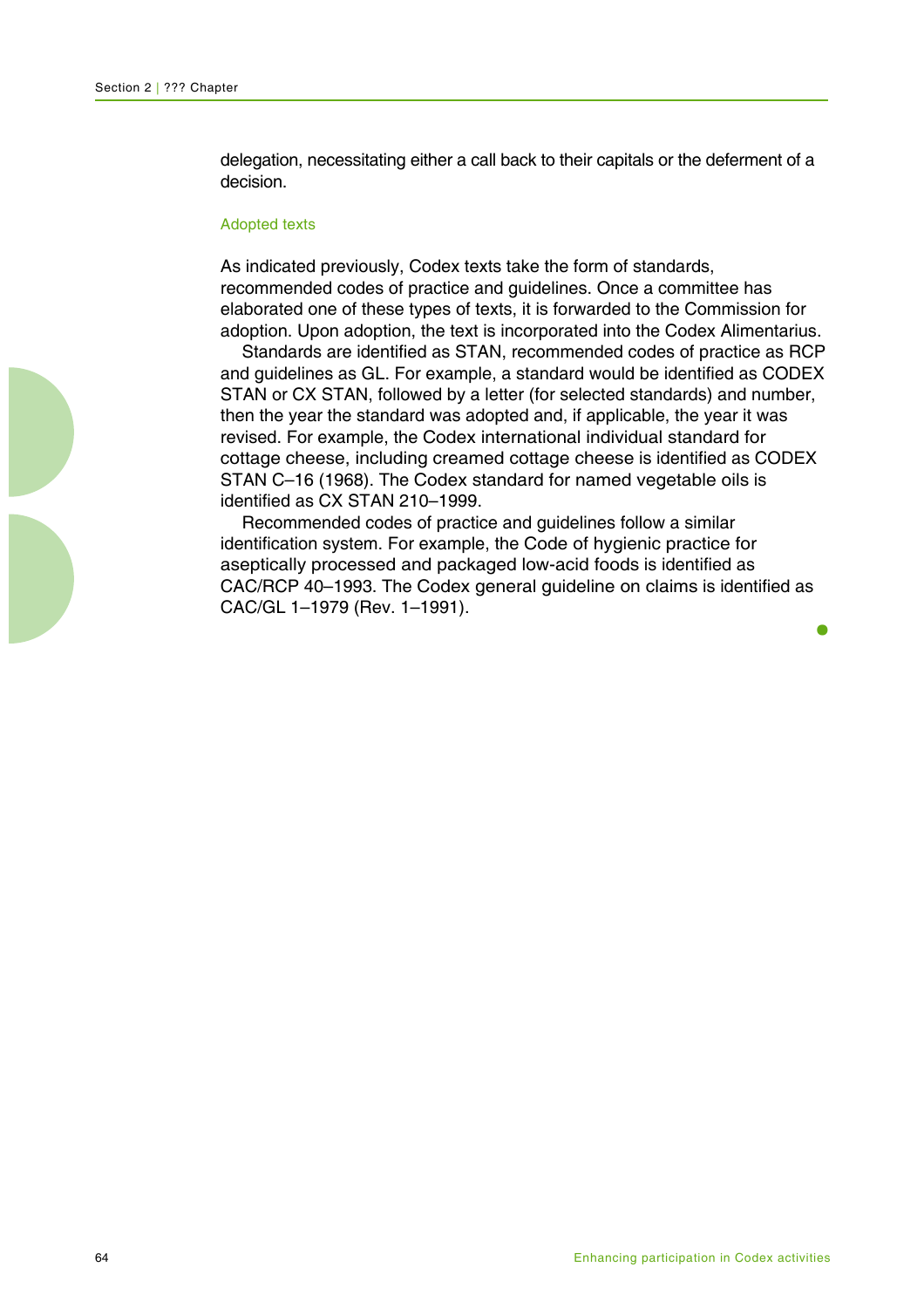delegation, necessitating either a call back to their capitals or the deferment of a decision.

#### Adopted texts

As indicated previously, Codex texts take the form of standards, recommended codes of practice and guidelines. Once a committee has elaborated one of these types of texts, it is forwarded to the Commission for adoption. Upon adoption, the text is incorporated into the Codex Alimentarius.

Standards are identified as STAN, recommended codes of practice as RCP and guidelines as GL. For example, a standard would be identified as CODEX STAN or CX STAN, followed by a letter (for selected standards) and number, then the year the standard was adopted and, if applicable, the year it was revised. For example, the Codex international individual standard for cottage cheese, including creamed cottage cheese is identified as CODEX STAN C–16 (1968). The Codex standard for named vegetable oils is identified as CX STAN 210–1999.

Recommended codes of practice and guidelines follow a similar identification system. For example, the Code of hygienic practice for aseptically processed and packaged low-acid foods is identified as CAC/RCP 40–1993. The Codex general guideline on claims is identified as CAC/GL 1–1979 (Rev. 1–1991). **.**

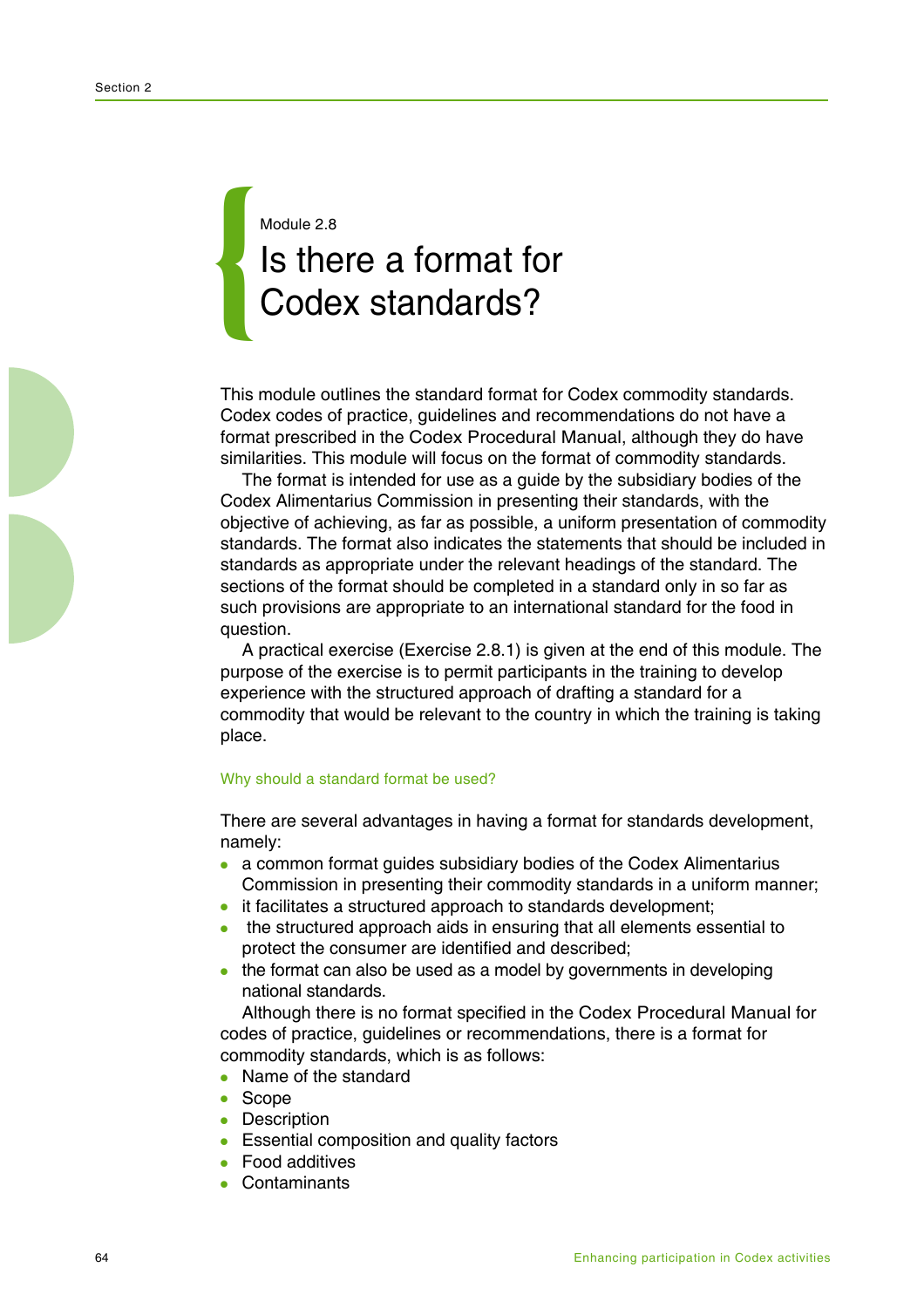# Module 2.8 Is there a format for **{** Codex standards?

This module outlines the standard format for Codex commodity standards. Codex codes of practice, guidelines and recommendations do not have a format prescribed in the Codex Procedural Manual, although they do have similarities. This module will focus on the format of commodity standards.

The format is intended for use as a guide by the subsidiary bodies of the Codex Alimentarius Commission in presenting their standards, with the objective of achieving, as far as possible, a uniform presentation of commodity standards. The format also indicates the statements that should be included in standards as appropriate under the relevant headings of the standard. The sections of the format should be completed in a standard only in so far as such provisions are appropriate to an international standard for the food in question.

A practical exercise (Exercise 2.8.1) is given at the end of this module. The purpose of the exercise is to permit participants in the training to develop experience with the structured approach of drafting a standard for a commodity that would be relevant to the country in which the training is taking place.

# Why should a standard format be used?

There are several advantages in having a format for standards development, namely:

- a common format guides subsidiary bodies of the Codex Alimentarius Commission in presenting their commodity standards in a uniform manner;
- it facilitates a structured approach to standards development;
- the structured approach aids in ensuring that all elements essential to protect the consumer are identified and described;
- the format can also be used as a model by governments in developing national standards.

Although there is no format specified in the Codex Procedural Manual for codes of practice, guidelines or recommendations, there is a format for commodity standards, which is as follows:

- Name of the standard
- Scope
- Description
- Essential composition and quality factors
- Food additives
- Contaminants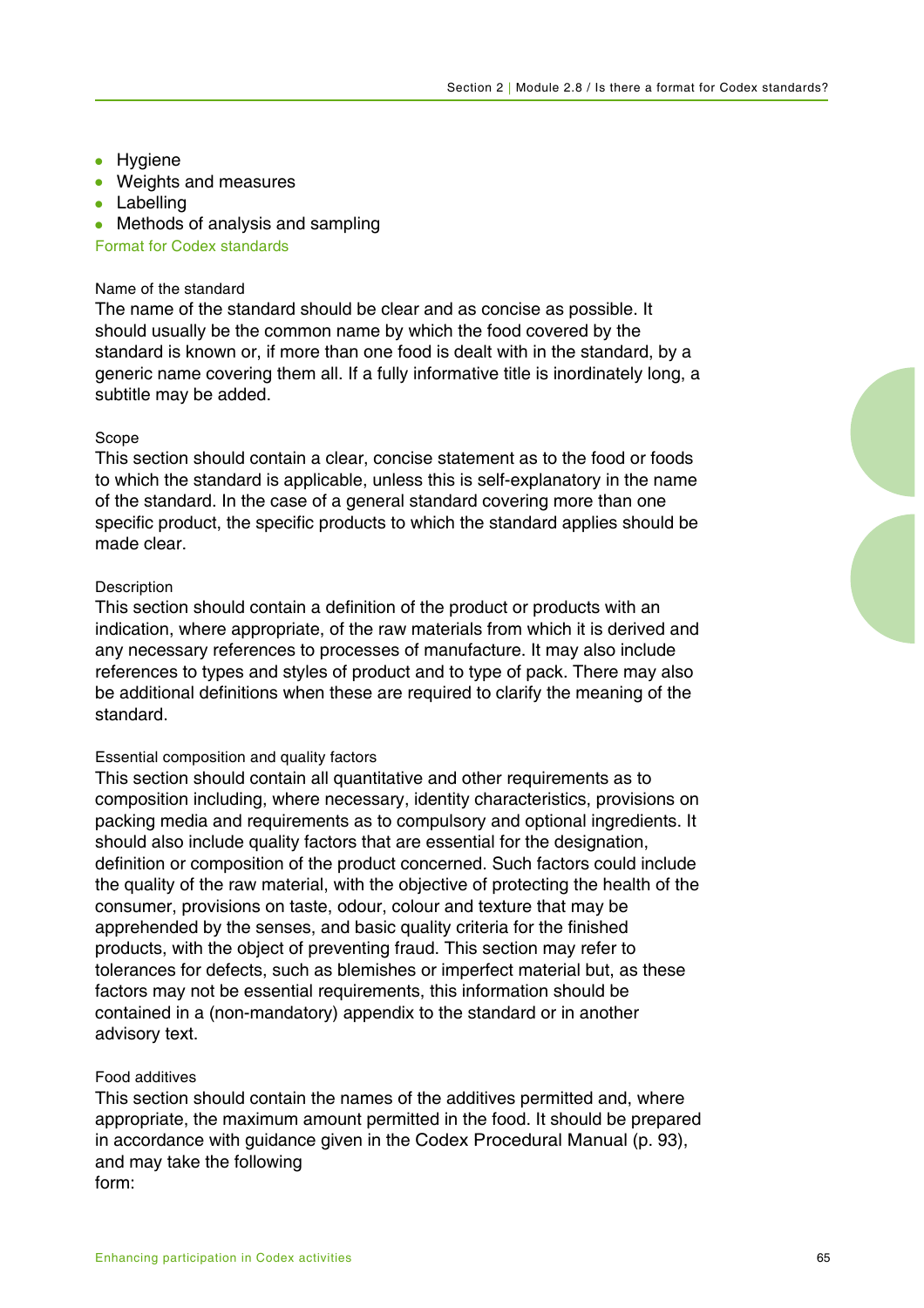- Hygiene
- Weights and measures
- Labelling
- Methods of analysis and sampling

Format for Codex standards

### Name of the standard

The name of the standard should be clear and as concise as possible. It should usually be the common name by which the food covered by the standard is known or, if more than one food is dealt with in the standard, by a generic name covering them all. If a fully informative title is inordinately long, a subtitle may be added.

# Scope

This section should contain a clear, concise statement as to the food or foods to which the standard is applicable, unless this is self-explanatory in the name of the standard. In the case of a general standard covering more than one specific product, the specific products to which the standard applies should be made clear.

# **Description**

This section should contain a definition of the product or products with an indication, where appropriate, of the raw materials from which it is derived and any necessary references to processes of manufacture. It may also include references to types and styles of product and to type of pack. There may also be additional definitions when these are required to clarify the meaning of the standard.

# Essential composition and quality factors

This section should contain all quantitative and other requirements as to composition including, where necessary, identity characteristics, provisions on packing media and requirements as to compulsory and optional ingredients. It should also include quality factors that are essential for the designation, definition or composition of the product concerned. Such factors could include the quality of the raw material, with the objective of protecting the health of the consumer, provisions on taste, odour, colour and texture that may be apprehended by the senses, and basic quality criteria for the finished products, with the object of preventing fraud. This section may refer to tolerances for defects, such as blemishes or imperfect material but, as these factors may not be essential requirements, this information should be contained in a (non-mandatory) appendix to the standard or in another advisory text.

#### Food additives

This section should contain the names of the additives permitted and, where appropriate, the maximum amount permitted in the food. It should be prepared in accordance with guidance given in the Codex Procedural Manual (p. 93), and may take the following form: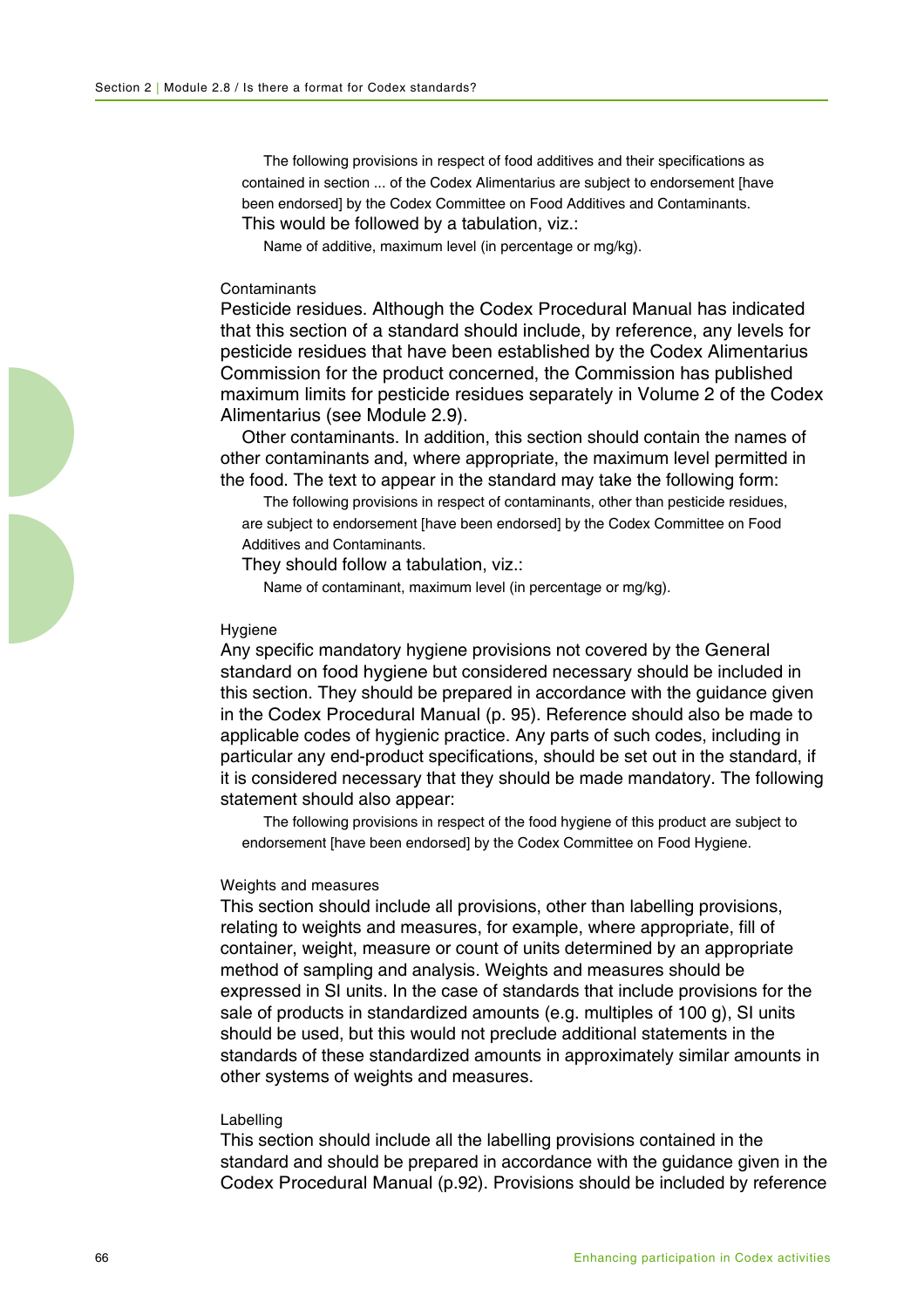The following provisions in respect of food additives and their specifications as contained in section ... of the Codex Alimentarius are subject to endorsement [have been endorsed] by the Codex Committee on Food Additives and Contaminants. This would be followed by a tabulation, viz.:

Name of additive, maximum level (in percentage or mg/kg).

# **Contaminants**

Pesticide residues. Although the Codex Procedural Manual has indicated that this section of a standard should include, by reference, any levels for pesticide residues that have been established by the Codex Alimentarius Commission for the product concerned, the Commission has published maximum limits for pesticide residues separately in Volume 2 of the Codex Alimentarius (see Module 2.9).

Other contaminants. In addition, this section should contain the names of other contaminants and, where appropriate, the maximum level permitted in the food. The text to appear in the standard may take the following form:

The following provisions in respect of contaminants, other than pesticide residues, are subject to endorsement [have been endorsed] by the Codex Committee on Food Additives and Contaminants.

They should follow a tabulation, viz.:

Name of contaminant, maximum level (in percentage or mg/kg).

#### Hygiene

Any specific mandatory hygiene provisions not covered by the General standard on food hygiene but considered necessary should be included in this section. They should be prepared in accordance with the guidance given in the Codex Procedural Manual (p. 95). Reference should also be made to applicable codes of hygienic practice. Any parts of such codes, including in particular any end-product specifications, should be set out in the standard, if it is considered necessary that they should be made mandatory. The following statement should also appear:

The following provisions in respect of the food hygiene of this product are subject to endorsement [have been endorsed] by the Codex Committee on Food Hygiene.

#### Weights and measures

This section should include all provisions, other than labelling provisions, relating to weights and measures, for example, where appropriate, fill of container, weight, measure or count of units determined by an appropriate method of sampling and analysis. Weights and measures should be expressed in SI units. In the case of standards that include provisions for the sale of products in standardized amounts (e.g. multiples of 100 g), SI units should be used, but this would not preclude additional statements in the standards of these standardized amounts in approximately similar amounts in other systems of weights and measures.

#### Labelling

This section should include all the labelling provisions contained in the standard and should be prepared in accordance with the guidance given in the Codex Procedural Manual (p.92). Provisions should be included by reference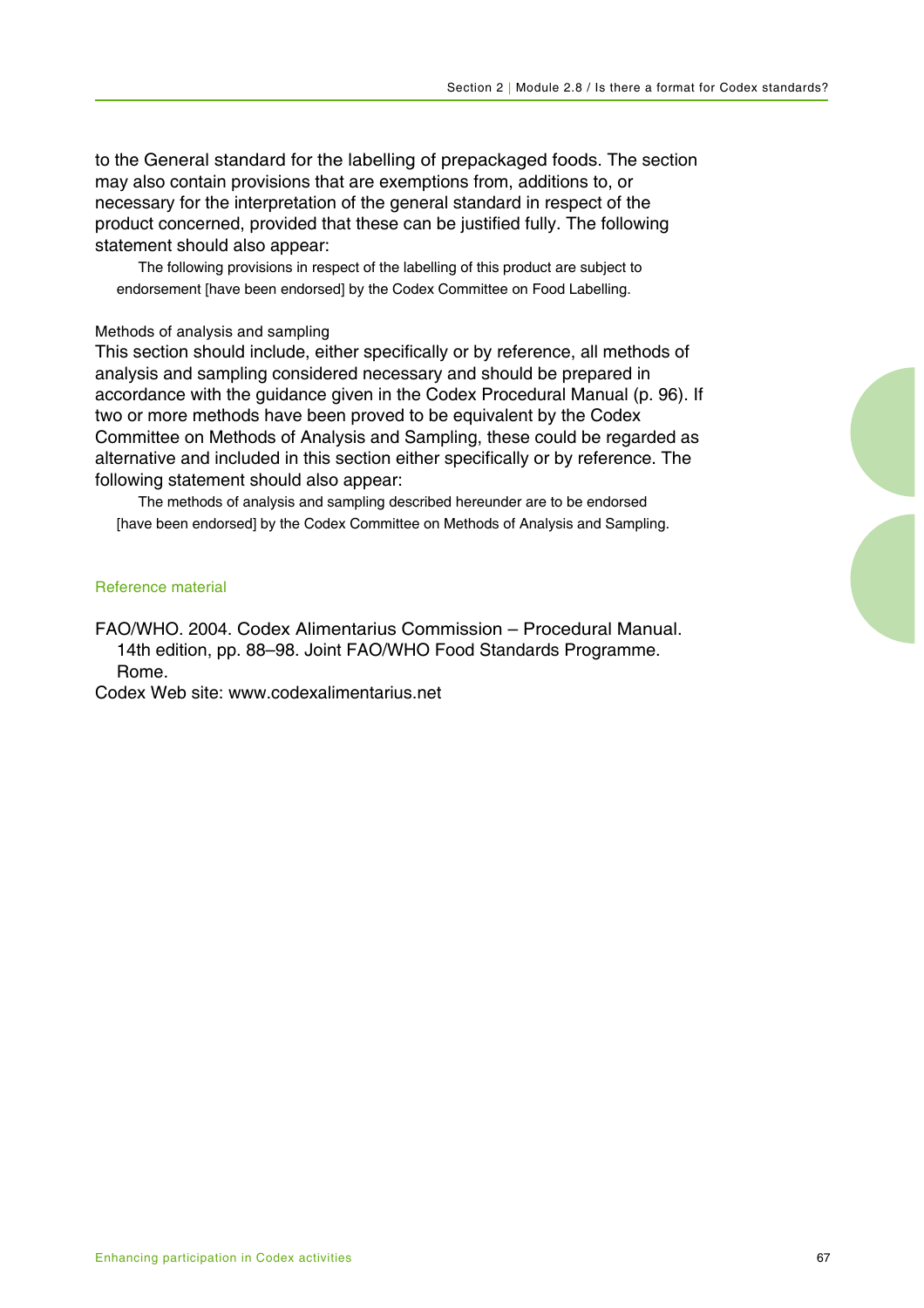to the General standard for the labelling of prepackaged foods. The section may also contain provisions that are exemptions from, additions to, or necessary for the interpretation of the general standard in respect of the product concerned, provided that these can be justified fully. The following statement should also appear:

The following provisions in respect of the labelling of this product are subject to endorsement [have been endorsed] by the Codex Committee on Food Labelling.

# Methods of analysis and sampling

This section should include, either specifically or by reference, all methods of analysis and sampling considered necessary and should be prepared in accordance with the guidance given in the Codex Procedural Manual (p. 96). If two or more methods have been proved to be equivalent by the Codex Committee on Methods of Analysis and Sampling, these could be regarded as alternative and included in this section either specifically or by reference. The following statement should also appear:

The methods of analysis and sampling described hereunder are to be endorsed [have been endorsed] by the Codex Committee on Methods of Analysis and Sampling.

#### Reference material

FAO/WHO. 2004. Codex Alimentarius Commission – Procedural Manual. 14th edition, pp. 88–98. Joint FAO/WHO Food Standards Programme. Rome.

Codex Web site: www.codexalimentarius.net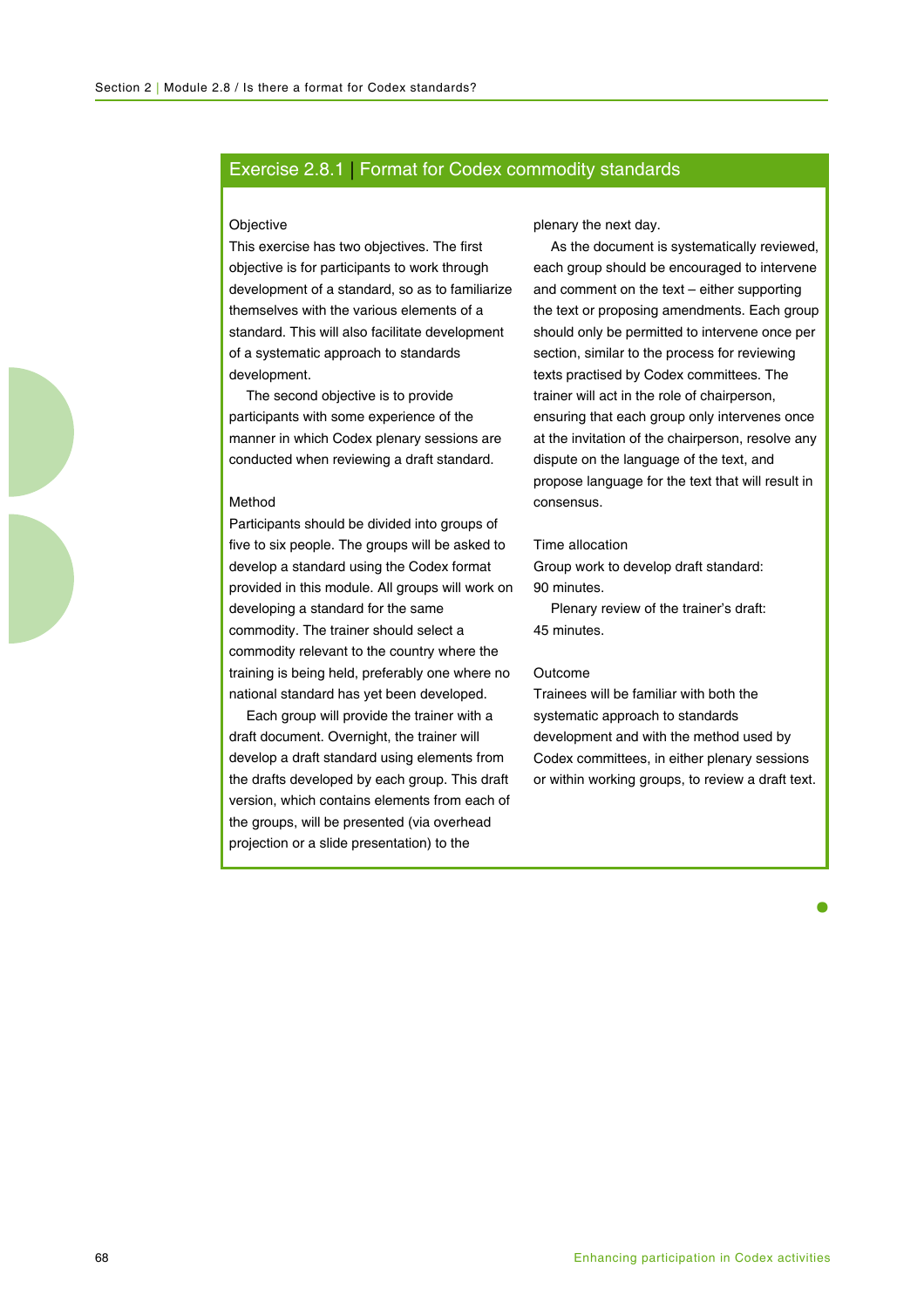# Exercise 2.8.1 | Format for Codex commodity standards

#### Objective

This exercise has two objectives. The first objective is for participants to work through development of a standard, so as to familiarize themselves with the various elements of a standard. This will also facilitate development of a systematic approach to standards development.

The second objective is to provide participants with some experience of the manner in which Codex plenary sessions are conducted when reviewing a draft standard.

#### Method

Participants should be divided into groups of five to six people. The groups will be asked to develop a standard using the Codex format provided in this module. All groups will work on developing a standard for the same commodity. The trainer should select a commodity relevant to the country where the training is being held, preferably one where no national standard has yet been developed.

Each group will provide the trainer with a draft document. Overnight, the trainer will develop a draft standard using elements from the drafts developed by each group. This draft version, which contains elements from each of the groups, will be presented (via overhead projection or a slide presentation) to the

#### plenary the next day.

As the document is systematically reviewed, each group should be encouraged to intervene and comment on the text – either supporting the text or proposing amendments. Each group should only be permitted to intervene once per section, similar to the process for reviewing texts practised by Codex committees. The trainer will act in the role of chairperson, ensuring that each group only intervenes once at the invitation of the chairperson, resolve any dispute on the language of the text, and propose language for the text that will result in consensus.

#### Time allocation

Group work to develop draft standard: 90 minutes.

Plenary review of the trainer's draft: 45 minutes.

#### Outcome

Trainees will be familiar with both the systematic approach to standards development and with the method used by Codex committees, in either plenary sessions or within working groups, to review a draft text.

**.**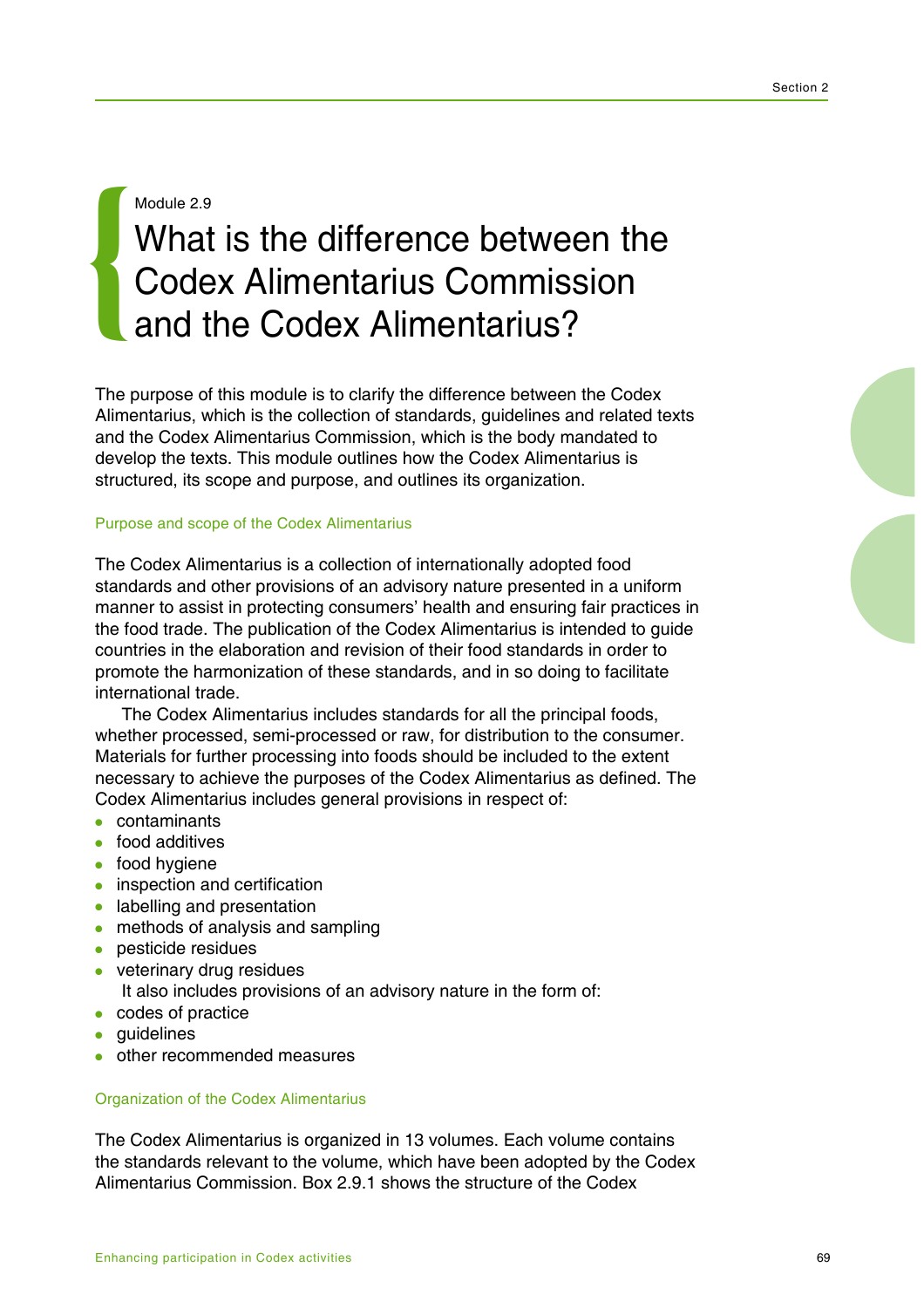# Module 2.9 What is the difference between the Codex Alimentarius Commission **And Solution State State State State State State State State State State State State State State State State State State State State State State State State State State State State State State State State State State Stat**

The purpose of this module is to clarify the difference between the Codex Alimentarius, which is the collection of standards, guidelines and related texts and the Codex Alimentarius Commission, which is the body mandated to develop the texts. This module outlines how the Codex Alimentarius is structured, its scope and purpose, and outlines its organization.

# Purpose and scope of the Codex Alimentarius

The Codex Alimentarius is a collection of internationally adopted food standards and other provisions of an advisory nature presented in a uniform manner to assist in protecting consumers' health and ensuring fair practices in the food trade. The publication of the Codex Alimentarius is intended to guide countries in the elaboration and revision of their food standards in order to promote the harmonization of these standards, and in so doing to facilitate international trade.

The Codex Alimentarius includes standards for all the principal foods, whether processed, semi-processed or raw, for distribution to the consumer. Materials for further processing into foods should be included to the extent necessary to achieve the purposes of the Codex Alimentarius as defined. The Codex Alimentarius includes general provisions in respect of:

- contaminants
- food additives
- food hygiene
- inspection and certification
- labelling and presentation
- methods of analysis and sampling
- pesticide residues
- veterinary drug residues It also includes provisions of an advisory nature in the form of:
- codes of practice
- quidelines
- other recommended measures

## Organization of the Codex Alimentarius

The Codex Alimentarius is organized in 13 volumes. Each volume contains the standards relevant to the volume, which have been adopted by the Codex Alimentarius Commission. Box 2.9.1 shows the structure of the Codex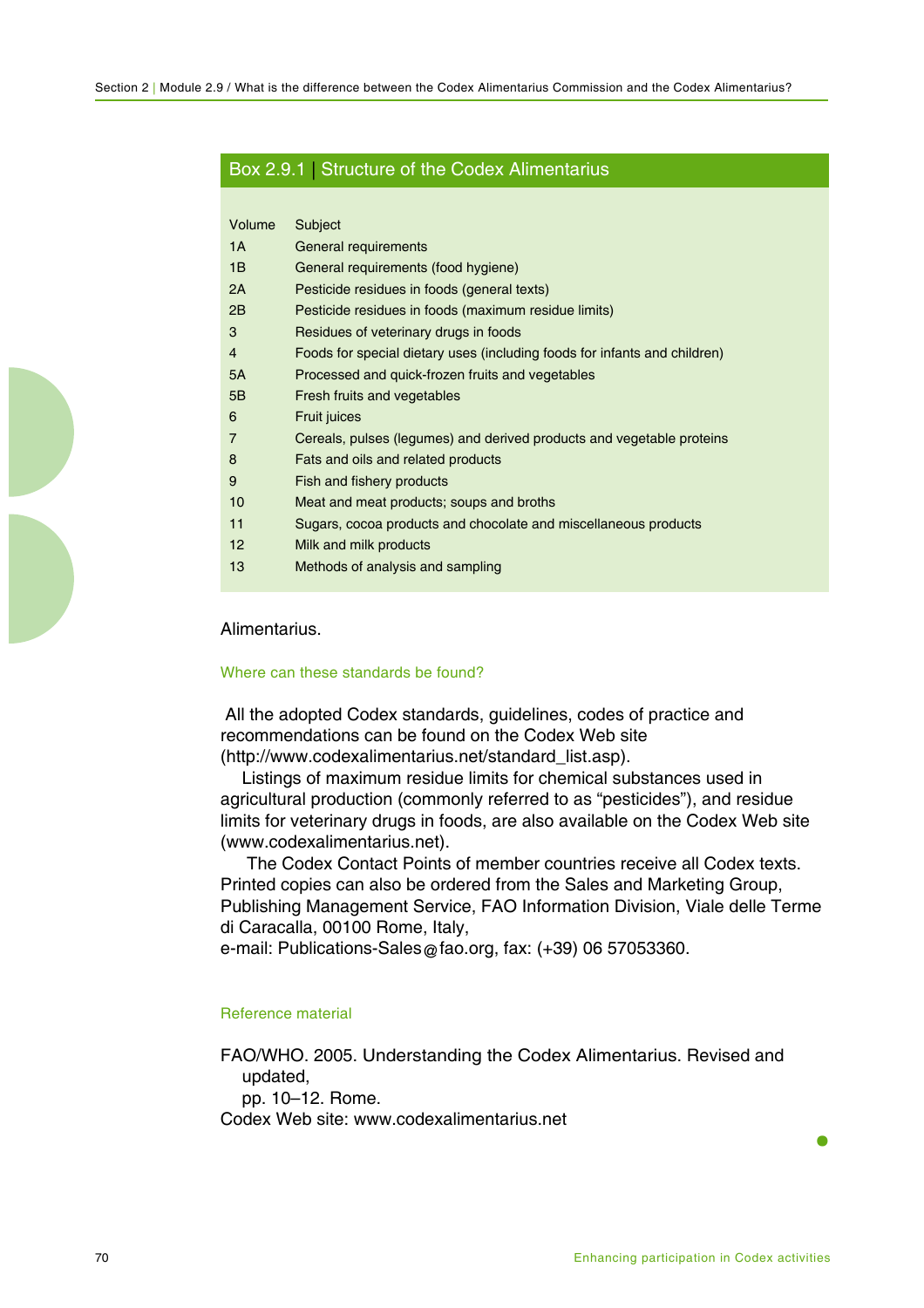# Box 2.9.1 | Structure of the Codex Alimentarius

| Volume         | Subject                                                                   |
|----------------|---------------------------------------------------------------------------|
| 1A             | General requirements                                                      |
| 1B             | General requirements (food hygiene)                                       |
| 2A             | Pesticide residues in foods (general texts)                               |
| 2B             | Pesticide residues in foods (maximum residue limits)                      |
| 3              | Residues of veterinary drugs in foods                                     |
| 4              | Foods for special dietary uses (including foods for infants and children) |
| 5A             | Processed and quick-frozen fruits and vegetables                          |
| 5B             | Fresh fruits and vegetables                                               |
| 6              | <b>Fruit juices</b>                                                       |
| $\overline{7}$ | Cereals, pulses (legumes) and derived products and vegetable proteins     |
| 8              | Fats and oils and related products                                        |
| 9              | Fish and fishery products                                                 |
| 10             | Meat and meat products; soups and broths                                  |
| 11             | Sugars, cocoa products and chocolate and miscellaneous products           |
| 12             | Milk and milk products                                                    |
| 13             | Methods of analysis and sampling                                          |

# **Alimentarius**

# Where can these standards be found?

All the adopted Codex standards, guidelines, codes of practice and recommendations can be found on the Codex Web site (http://www.codexalimentarius.net/standard\_list.asp).

Listings of maximum residue limits for chemical substances used in agricultural production (commonly referred to as "pesticides"), and residue limits for veterinary drugs in foods, are also available on the Codex Web site (www.codexalimentarius.net).

The Codex Contact Points of member countries receive all Codex texts. Printed copies can also be ordered from the Sales and Marketing Group, Publishing Management Service, FAO Information Division, Viale delle Terme di Caracalla, 00100 Rome, Italy,

e-mail: Publications-Sales@fao.org, fax: (+39) 06 57053360.

# Reference material

FAO/WHO. 2005. Understanding the Codex Alimentarius. Revised and updated,

pp. 10–12. Rome. Codex Web site: www.codexalimentarius.net

**.**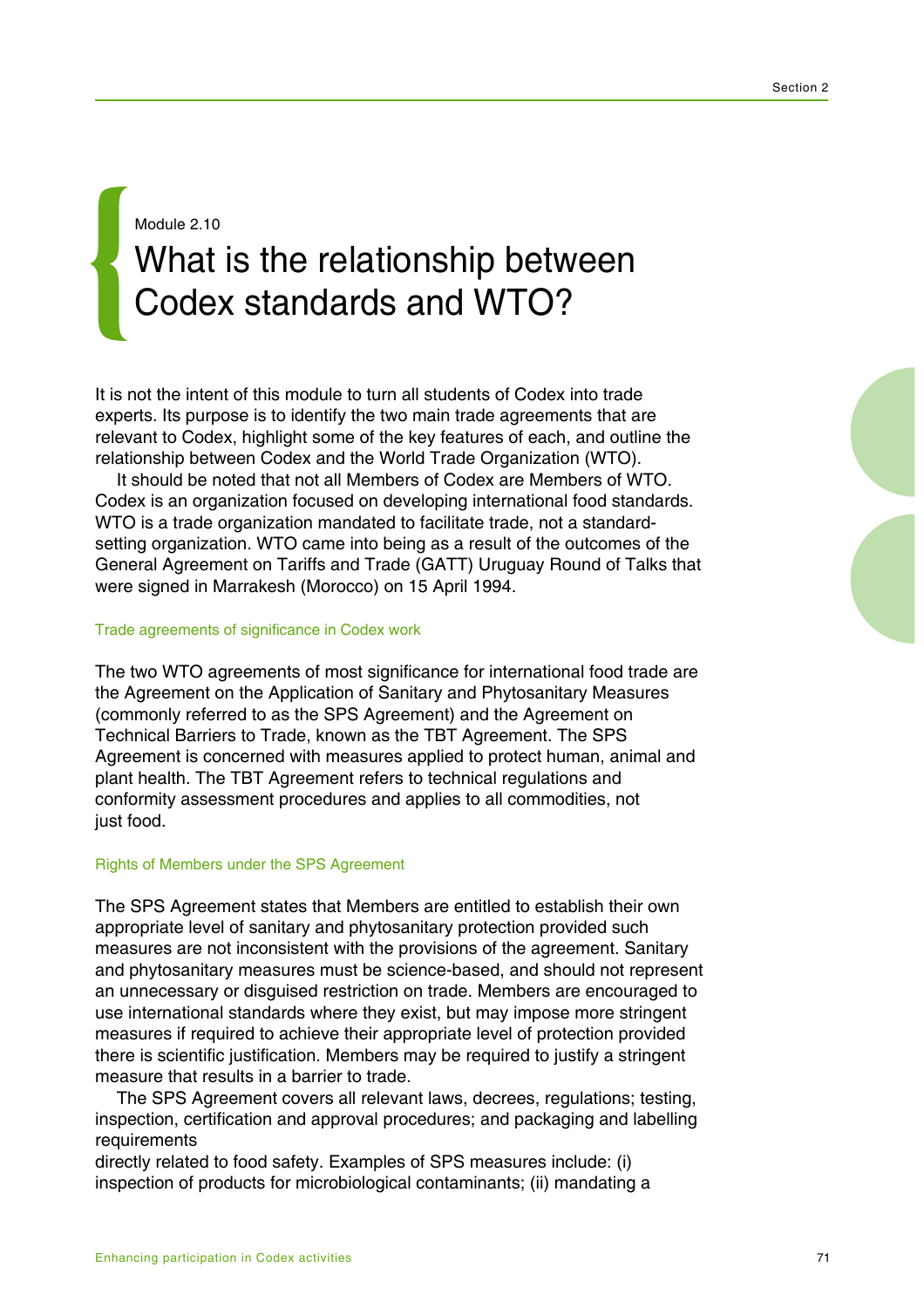# Module 2.10 What is the relationship between<br>Codex standards and WTO?

It is not the intent of this module to turn all students of Codex into trade experts. Its purpose is to identify the two main trade agreements that are relevant to Codex, highlight some of the key features of each, and outline the relationship between Codex and the World Trade Organization (WTO).

It should be noted that not all Members of Codex are Members of WTO. Codex is an organization focused on developing international food standards. WTO is a trade organization mandated to facilitate trade, not a standardsetting organization. WTO came into being as a result of the outcomes of the General Agreement on Tariffs and Trade (GATT) Uruguay Round of Talks that were signed in Marrakesh (Morocco) on 15 April 1994.

# Trade agreements of significance in Codex work

The two WTO agreements of most significance for international food trade are the Agreement on the Application of Sanitary and Phytosanitary Measures (commonly referred to as the SPS Agreement) and the Agreement on Technical Barriers to Trade, known as the TBT Agreement. The SPS Agreement is concerned with measures applied to protect human, animal and plant health. The TBT Agreement refers to technical regulations and conformity assessment procedures and applies to all commodities, not just food.

# Rights of Members under the SPS Agreement

The SPS Agreement states that Members are entitled to establish their own appropriate level of sanitary and phytosanitary protection provided such measures are not inconsistent with the provisions of the agreement. Sanitary and phytosanitary measures must be science-based, and should not represent an unnecessary or disguised restriction on trade. Members are encouraged to use international standards where they exist, but may impose more stringent measures if required to achieve their appropriate level of protection provided there is scientific justification. Members may be required to justify a stringent measure that results in a barrier to trade.

The SPS Agreement covers all relevant laws, decrees, regulations; testing, inspection, certification and approval procedures; and packaging and labelling requirements

directly related to food safety. Examples of SPS measures include: (i) inspection of products for microbiological contaminants; (ii) mandating a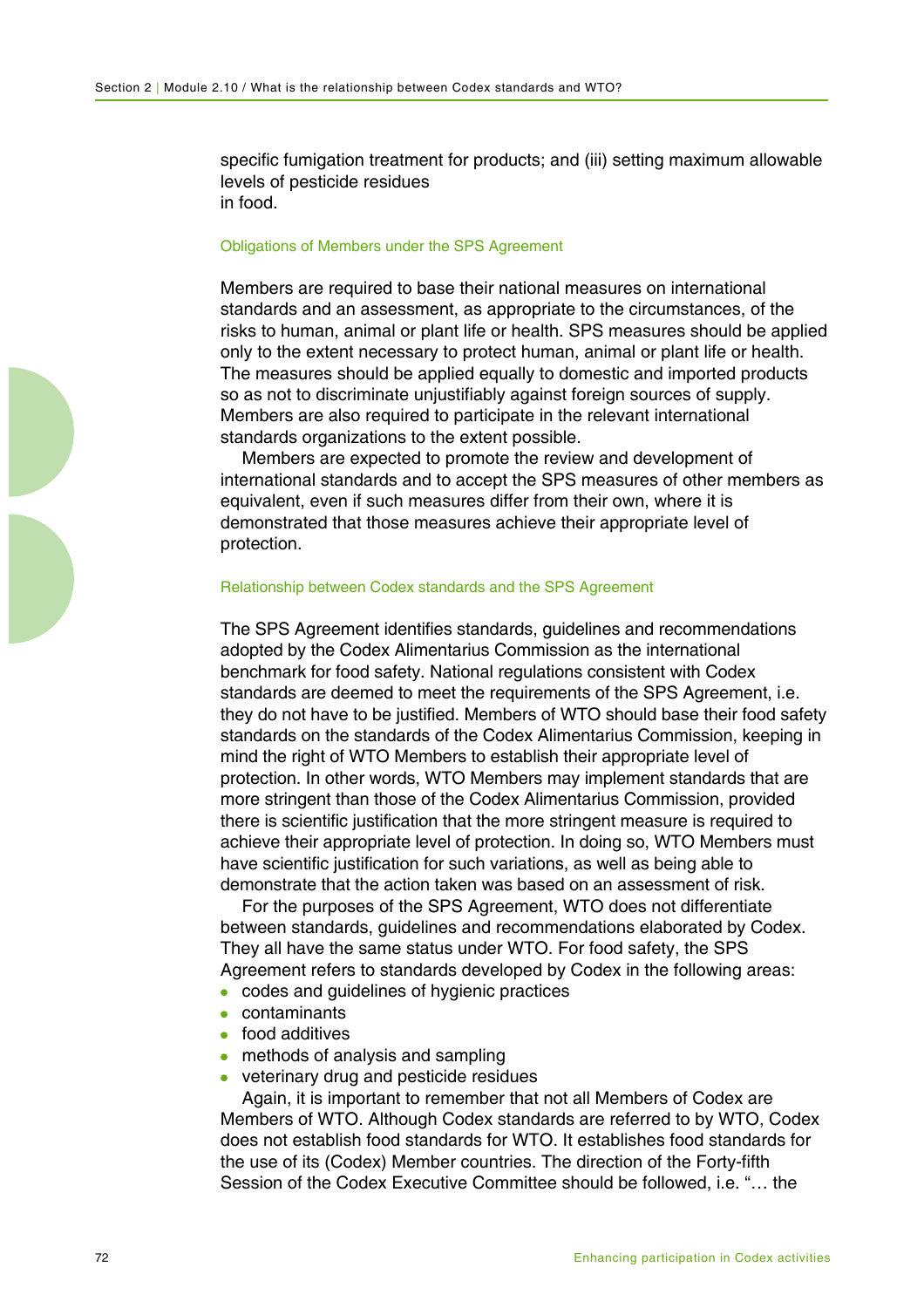specific fumigation treatment for products; and (iii) setting maximum allowable levels of pesticide residues in food.

#### Obligations of Members under the SPS Agreement

Members are required to base their national measures on international standards and an assessment, as appropriate to the circumstances, of the risks to human, animal or plant life or health. SPS measures should be applied only to the extent necessary to protect human, animal or plant life or health. The measures should be applied equally to domestic and imported products so as not to discriminate unjustifiably against foreign sources of supply. Members are also required to participate in the relevant international standards organizations to the extent possible.

Members are expected to promote the review and development of international standards and to accept the SPS measures of other members as equivalent, even if such measures differ from their own, where it is demonstrated that those measures achieve their appropriate level of protection.

# Relationship between Codex standards and the SPS Agreement

The SPS Agreement identifies standards, guidelines and recommendations adopted by the Codex Alimentarius Commission as the international benchmark for food safety. National regulations consistent with Codex standards are deemed to meet the requirements of the SPS Agreement, i.e. they do not have to be justified. Members of WTO should base their food safety standards on the standards of the Codex Alimentarius Commission, keeping in mind the right of WTO Members to establish their appropriate level of protection. In other words, WTO Members may implement standards that are more stringent than those of the Codex Alimentarius Commission, provided there is scientific justification that the more stringent measure is required to achieve their appropriate level of protection. In doing so, WTO Members must have scientific justification for such variations, as well as being able to demonstrate that the action taken was based on an assessment of risk.

For the purposes of the SPS Agreement, WTO does not differentiate between standards, guidelines and recommendations elaborated by Codex. They all have the same status under WTO. For food safety, the SPS Agreement refers to standards developed by Codex in the following areas:

- codes and guidelines of hygienic practices
- contaminants
- food additives
- methods of analysis and sampling
- veterinary drug and pesticide residues

Again, it is important to remember that not all Members of Codex are Members of WTO. Although Codex standards are referred to by WTO, Codex does not establish food standards for WTO. It establishes food standards for the use of its (Codex) Member countries. The direction of the Forty-fifth Session of the Codex Executive Committee should be followed, i.e. "… the

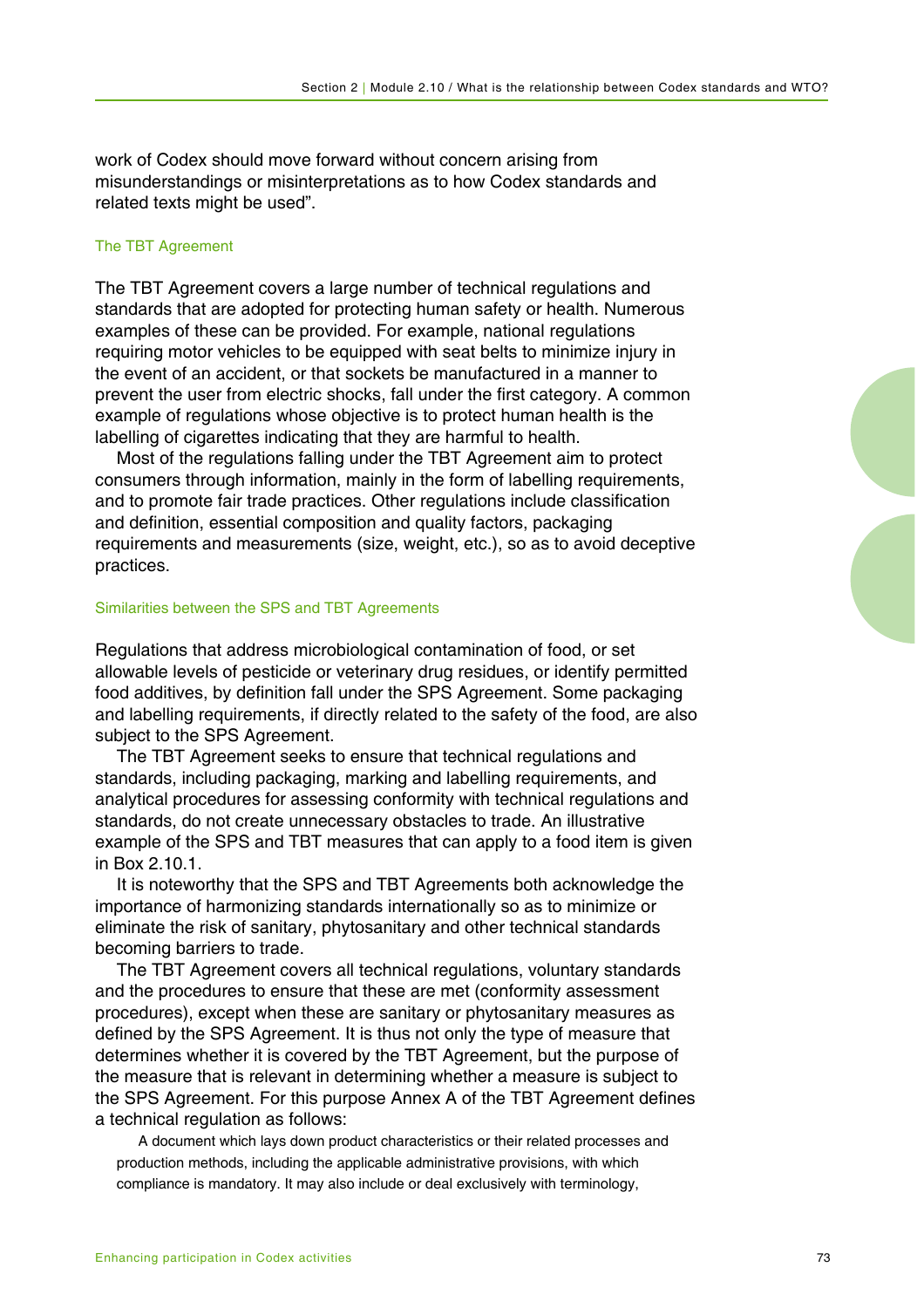work of Codex should move forward without concern arising from misunderstandings or misinterpretations as to how Codex standards and related texts might be used".

# The TBT Agreement

The TBT Agreement covers a large number of technical regulations and standards that are adopted for protecting human safety or health. Numerous examples of these can be provided. For example, national regulations requiring motor vehicles to be equipped with seat belts to minimize injury in the event of an accident, or that sockets be manufactured in a manner to prevent the user from electric shocks, fall under the first category. A common example of regulations whose objective is to protect human health is the labelling of cigarettes indicating that they are harmful to health.

Most of the regulations falling under the TBT Agreement aim to protect consumers through information, mainly in the form of labelling requirements, and to promote fair trade practices. Other regulations include classification and definition, essential composition and quality factors, packaging requirements and measurements (size, weight, etc.), so as to avoid deceptive practices.

# Similarities between the SPS and TBT Agreements

Regulations that address microbiological contamination of food, or set allowable levels of pesticide or veterinary drug residues, or identify permitted food additives, by definition fall under the SPS Agreement. Some packaging and labelling requirements, if directly related to the safety of the food, are also subject to the SPS Agreement.

The TBT Agreement seeks to ensure that technical regulations and standards, including packaging, marking and labelling requirements, and analytical procedures for assessing conformity with technical regulations and standards, do not create unnecessary obstacles to trade. An illustrative example of the SPS and TBT measures that can apply to a food item is given in Box 2.10.1.

It is noteworthy that the SPS and TBT Agreements both acknowledge the importance of harmonizing standards internationally so as to minimize or eliminate the risk of sanitary, phytosanitary and other technical standards becoming barriers to trade.

The TBT Agreement covers all technical regulations, voluntary standards and the procedures to ensure that these are met (conformity assessment procedures), except when these are sanitary or phytosanitary measures as defined by the SPS Agreement. It is thus not only the type of measure that determines whether it is covered by the TBT Agreement, but the purpose of the measure that is relevant in determining whether a measure is subject to the SPS Agreement. For this purpose Annex A of the TBT Agreement defines a technical regulation as follows:

A document which lays down product characteristics or their related processes and production methods, including the applicable administrative provisions, with which compliance is mandatory. It may also include or deal exclusively with terminology,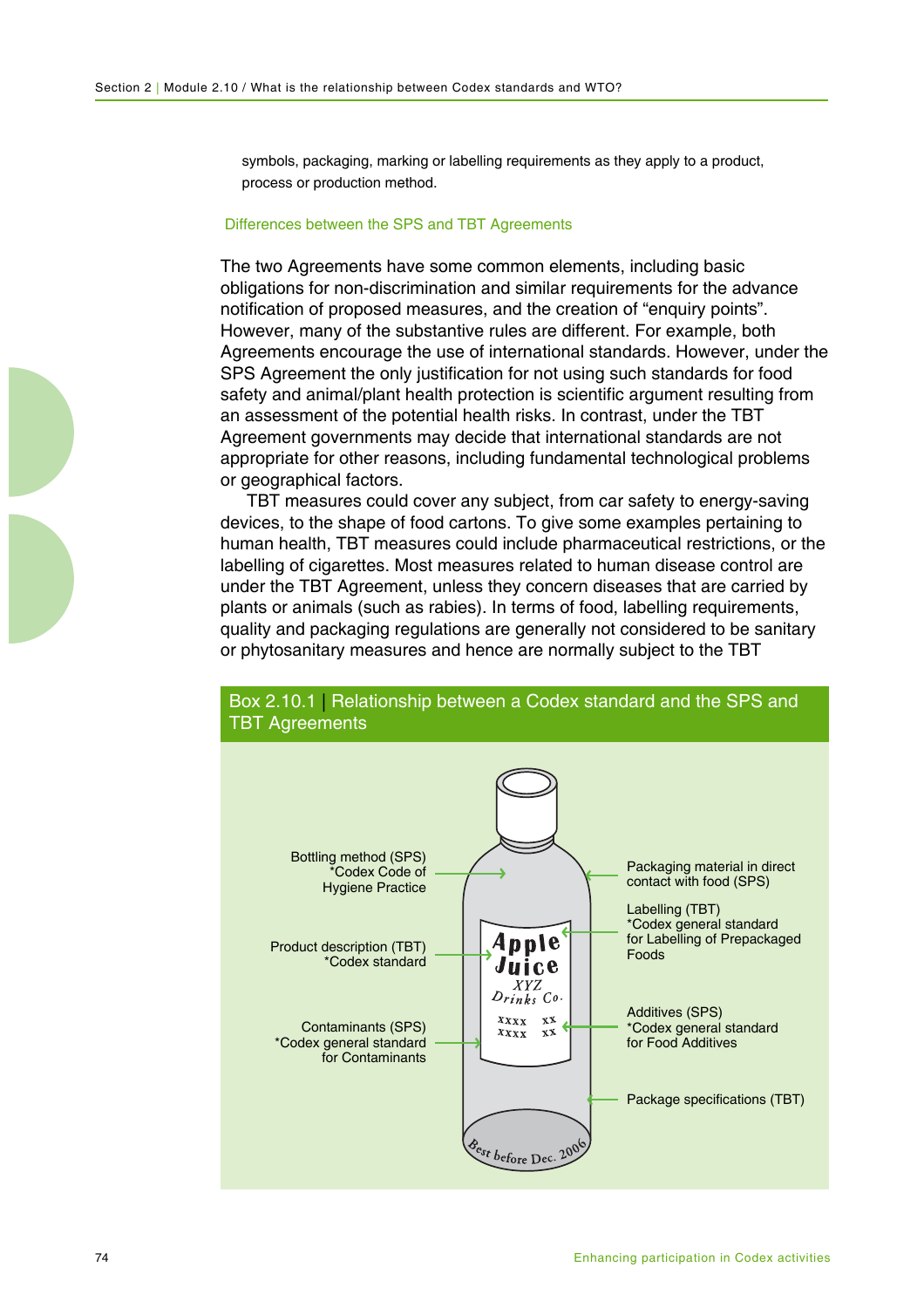symbols, packaging, marking or labelling requirements as they apply to a product, process or production method.

#### Differences between the SPS and TBT Agreements

The two Agreements have some common elements, including basic obligations for non-discrimination and similar requirements for the advance notification of proposed measures, and the creation of "enquiry points". However, many of the substantive rules are different. For example, both Agreements encourage the use of international standards. However, under the SPS Agreement the only justification for not using such standards for food safety and animal/plant health protection is scientific argument resulting from an assessment of the potential health risks. In contrast, under the TBT Agreement governments may decide that international standards are not appropriate for other reasons, including fundamental technological problems or geographical factors.

TBT measures could cover any subject, from car safety to energy-saving devices, to the shape of food cartons. To give some examples pertaining to human health, TBT measures could include pharmaceutical restrictions, or the labelling of cigarettes. Most measures related to human disease control are under the TBT Agreement, unless they concern diseases that are carried by plants or animals (such as rabies). In terms of food, labelling requirements, quality and packaging regulations are generally not considered to be sanitary or phytosanitary measures and hence are normally subject to the TBT



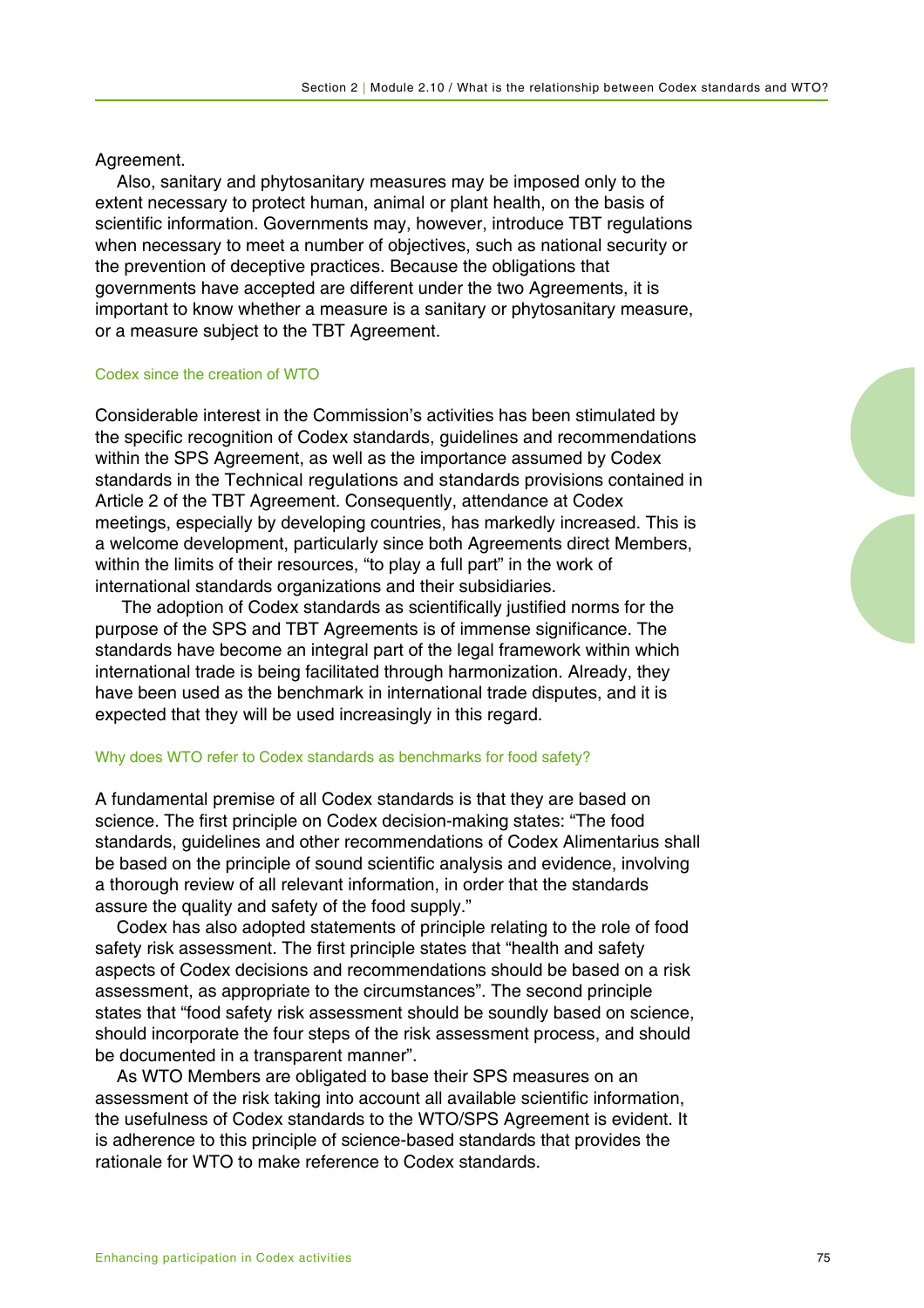# Agreement.

Also, sanitary and phytosanitary measures may be imposed only to the extent necessary to protect human, animal or plant health, on the basis of scientific information. Governments may, however, introduce TBT regulations when necessary to meet a number of objectives, such as national security or the prevention of deceptive practices. Because the obligations that governments have accepted are different under the two Agreements, it is important to know whether a measure is a sanitary or phytosanitary measure, or a measure subject to the TBT Agreement.

#### Codex since the creation of WTO

Considerable interest in the Commission's activities has been stimulated by the specific recognition of Codex standards, guidelines and recommendations within the SPS Agreement, as well as the importance assumed by Codex standards in the Technical regulations and standards provisions contained in Article 2 of the TBT Agreement. Consequently, attendance at Codex meetings, especially by developing countries, has markedly increased. This is a welcome development, particularly since both Agreements direct Members, within the limits of their resources, "to play a full part" in the work of international standards organizations and their subsidiaries.

The adoption of Codex standards as scientifically justified norms for the purpose of the SPS and TBT Agreements is of immense significance. The standards have become an integral part of the legal framework within which international trade is being facilitated through harmonization. Already, they have been used as the benchmark in international trade disputes, and it is expected that they will be used increasingly in this regard.

#### Why does WTO refer to Codex standards as benchmarks for food safety?

A fundamental premise of all Codex standards is that they are based on science. The first principle on Codex decision-making states: "The food standards, guidelines and other recommendations of Codex Alimentarius shall be based on the principle of sound scientific analysis and evidence, involving a thorough review of all relevant information, in order that the standards assure the quality and safety of the food supply."

Codex has also adopted statements of principle relating to the role of food safety risk assessment. The first principle states that "health and safety aspects of Codex decisions and recommendations should be based on a risk assessment, as appropriate to the circumstances". The second principle states that "food safety risk assessment should be soundly based on science, should incorporate the four steps of the risk assessment process, and should be documented in a transparent manner".

As WTO Members are obligated to base their SPS measures on an assessment of the risk taking into account all available scientific information, the usefulness of Codex standards to the WTO/SPS Agreement is evident. It is adherence to this principle of science-based standards that provides the rationale for WTO to make reference to Codex standards.